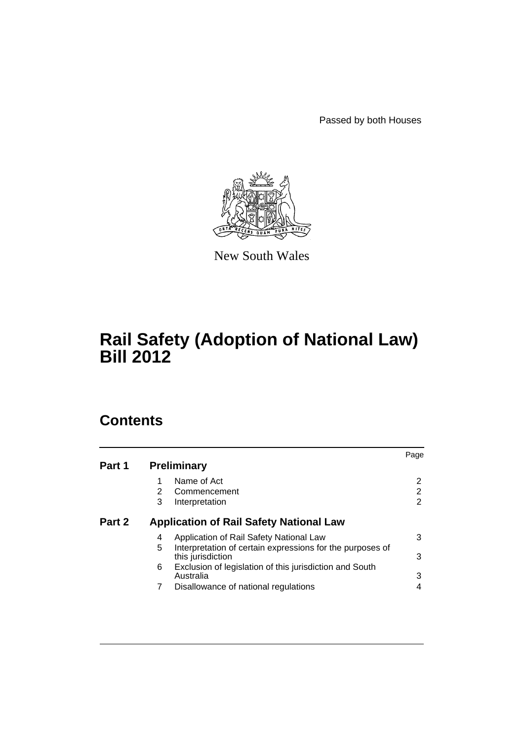Passed by both Houses



New South Wales

# **Rail Safety (Adoption of National Law) Bill 2012**

# **Contents**

|        |                                                                                     | Page |
|--------|-------------------------------------------------------------------------------------|------|
| Part 1 | <b>Preliminary</b>                                                                  |      |
|        | Name of Act                                                                         | 2    |
|        | 2<br>Commencement                                                                   | 2    |
|        | 3<br>Interpretation                                                                 | 2    |
| Part 2 | <b>Application of Rail Safety National Law</b>                                      |      |
|        | Application of Rail Safety National Law<br>4                                        | 3    |
|        | Interpretation of certain expressions for the purposes of<br>5<br>this jurisdiction | 3    |
|        | 6<br>Exclusion of legislation of this jurisdiction and South<br>Australia           | 3    |
|        | 7<br>Disallowance of national regulations                                           |      |
|        |                                                                                     |      |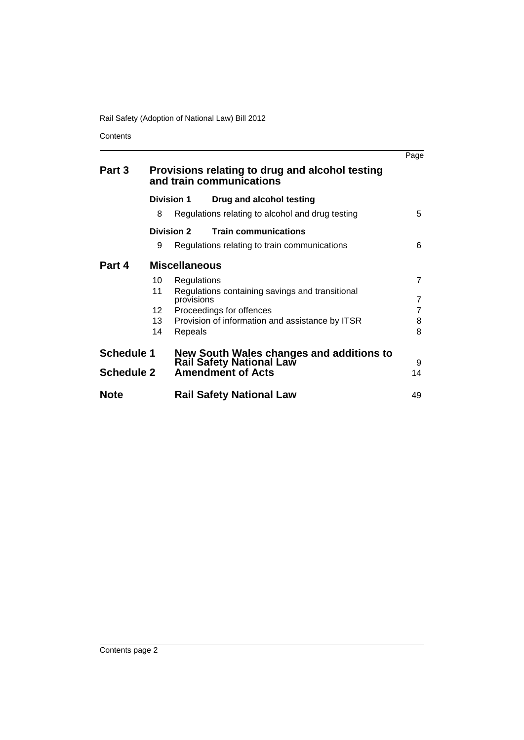**Contents** 

|                   |                                                                             |                      |                                                                      | Page           |
|-------------------|-----------------------------------------------------------------------------|----------------------|----------------------------------------------------------------------|----------------|
| Part 3            | Provisions relating to drug and alcohol testing<br>and train communications |                      |                                                                      |                |
|                   | Division 1                                                                  |                      | Drug and alcohol testing                                             |                |
|                   | 8                                                                           |                      | Regulations relating to alcohol and drug testing                     | 5              |
|                   | Division 2                                                                  |                      | <b>Train communications</b>                                          |                |
|                   | 9                                                                           |                      | Regulations relating to train communications                         | 6              |
| Part 4            |                                                                             | <b>Miscellaneous</b> |                                                                      |                |
|                   | 10                                                                          | Regulations          |                                                                      | 7              |
|                   | 11                                                                          | provisions           | Regulations containing savings and transitional                      | $\overline{7}$ |
|                   | 12 <sup>°</sup>                                                             |                      | Proceedings for offences                                             | 7              |
|                   | 13                                                                          |                      | Provision of information and assistance by ITSR                      | 8              |
|                   | 14                                                                          | Repeals              |                                                                      | 8              |
| <b>Schedule 1</b> |                                                                             |                      | New South Wales changes and additions to<br>Rail Safety National Law |                |
| <b>Schedule 2</b> |                                                                             |                      | <b>Amendment of Acts</b>                                             | 9<br>14        |
|                   |                                                                             |                      |                                                                      |                |
| <b>Note</b>       |                                                                             |                      | <b>Rail Safety National Law</b>                                      | 49             |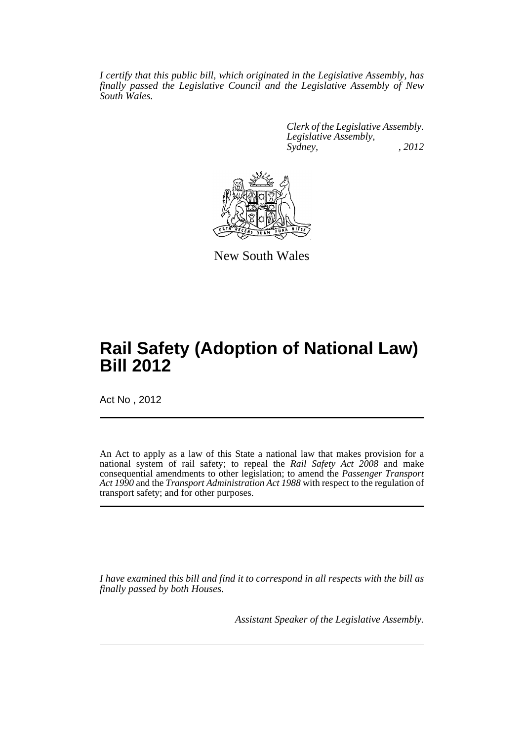*I certify that this public bill, which originated in the Legislative Assembly, has finally passed the Legislative Council and the Legislative Assembly of New South Wales.*

> *Clerk of the Legislative Assembly. Legislative Assembly, Sydney, , 2012*



New South Wales

# **Rail Safety (Adoption of National Law) Bill 2012**

Act No , 2012

An Act to apply as a law of this State a national law that makes provision for a national system of rail safety; to repeal the *Rail Safety Act 2008* and make consequential amendments to other legislation; to amend the *Passenger Transport Act 1990* and the *Transport Administration Act 1988* with respect to the regulation of transport safety; and for other purposes.

*I have examined this bill and find it to correspond in all respects with the bill as finally passed by both Houses.*

*Assistant Speaker of the Legislative Assembly.*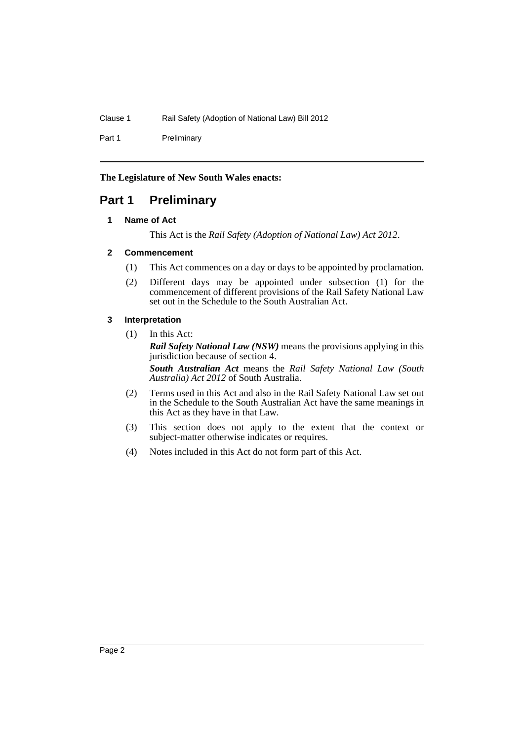Part 1 Preliminary

**The Legislature of New South Wales enacts:**

## <span id="page-3-1"></span><span id="page-3-0"></span>**Part 1 Preliminary**

#### **1 Name of Act**

This Act is the *Rail Safety (Adoption of National Law) Act 2012*.

#### <span id="page-3-2"></span>**2 Commencement**

- (1) This Act commences on a day or days to be appointed by proclamation.
- (2) Different days may be appointed under subsection (1) for the commencement of different provisions of the Rail Safety National Law set out in the Schedule to the South Australian Act.

#### <span id="page-3-3"></span>**3 Interpretation**

(1) In this Act: *Rail Safety National Law (NSW)* means the provisions applying in this jurisdiction because of section 4.

*South Australian Act* means the *Rail Safety National Law (South Australia) Act 2012* of South Australia.

- (2) Terms used in this Act and also in the Rail Safety National Law set out in the Schedule to the South Australian Act have the same meanings in this Act as they have in that Law.
- (3) This section does not apply to the extent that the context or subject-matter otherwise indicates or requires.
- (4) Notes included in this Act do not form part of this Act.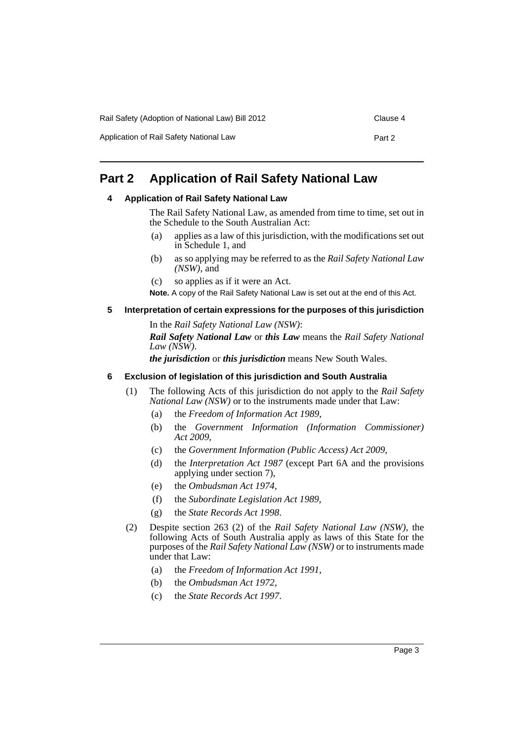| Rail Safety (Adoption of National Law) Bill 2012 | Clause 4 |
|--------------------------------------------------|----------|
|--------------------------------------------------|----------|

Application of Rail Safety National Law Part 2

## <span id="page-4-1"></span><span id="page-4-0"></span>**Part 2 Application of Rail Safety National Law**

#### **4 Application of Rail Safety National Law**

The Rail Safety National Law, as amended from time to time, set out in the Schedule to the South Australian Act:

- (a) applies as a law of this jurisdiction, with the modifications set out in Schedule 1, and
- (b) as so applying may be referred to as the *Rail Safety National Law (NSW)*, and
- (c) so applies as if it were an Act.

**Note.** A copy of the Rail Safety National Law is set out at the end of this Act.

#### <span id="page-4-2"></span>**5 Interpretation of certain expressions for the purposes of this jurisdiction**

In the *Rail Safety National Law (NSW)*: *Rail Safety National Law* or *this Law* means the *Rail Safety National Law (NSW)*.

*the jurisdiction* or *this jurisdiction* means New South Wales.

#### <span id="page-4-3"></span>**6 Exclusion of legislation of this jurisdiction and South Australia**

- (1) The following Acts of this jurisdiction do not apply to the *Rail Safety National Law (NSW)* or to the instruments made under that Law:
	- (a) the *Freedom of Information Act 1989*,
	- (b) the *Government Information (Information Commissioner) Act 2009*,
	- (c) the *Government Information (Public Access) Act 2009*,
	- (d) the *Interpretation Act 1987* (except Part 6A and the provisions applying under section 7),
	- (e) the *Ombudsman Act 1974*,
	- (f) the *Subordinate Legislation Act 1989*,
	- (g) the *State Records Act 1998*.
- (2) Despite section 263 (2) of the *Rail Safety National Law (NSW)*, the following Acts of South Australia apply as laws of this State for the purposes of the *Rail Safety National Law (NSW)* or to instruments made under that Law:
	- (a) the *Freedom of Information Act 1991*,
	- (b) the *Ombudsman Act 1972*,
	- (c) the *State Records Act 1997*.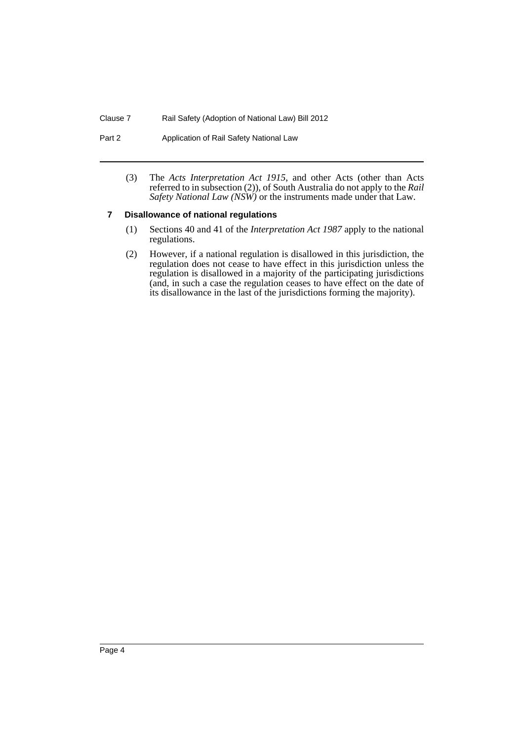Part 2 **Application of Rail Safety National Law** 

(3) The *Acts Interpretation Act 1915*, and other Acts (other than Acts referred to in subsection (2)), of South Australia do not apply to the *Rail Safety National Law (NSW)* or the instruments made under that Law.

#### <span id="page-5-0"></span>**7 Disallowance of national regulations**

- (1) Sections 40 and 41 of the *Interpretation Act 1987* apply to the national regulations.
- (2) However, if a national regulation is disallowed in this jurisdiction, the regulation does not cease to have effect in this jurisdiction unless the regulation is disallowed in a majority of the participating jurisdictions (and, in such a case the regulation ceases to have effect on the date of its disallowance in the last of the jurisdictions forming the majority).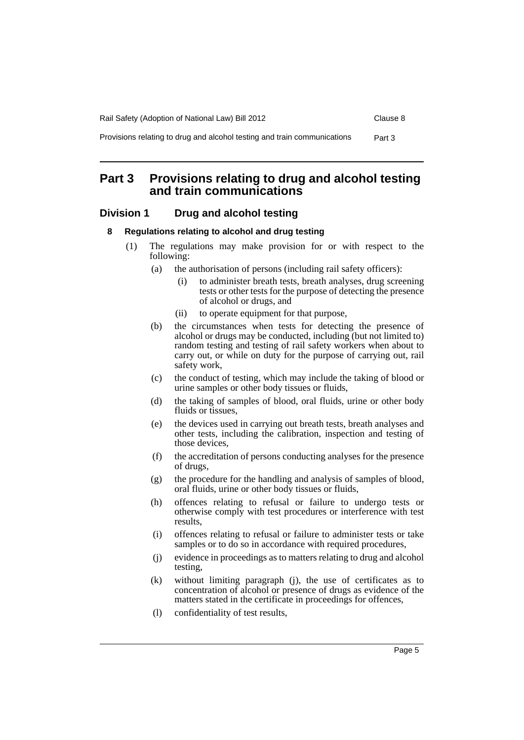## <span id="page-6-0"></span>**Part 3 Provisions relating to drug and alcohol testing and train communications**

### <span id="page-6-2"></span><span id="page-6-1"></span>**Division 1 Drug and alcohol testing**

#### **8 Regulations relating to alcohol and drug testing**

- (1) The regulations may make provision for or with respect to the following:
	- (a) the authorisation of persons (including rail safety officers):
		- (i) to administer breath tests, breath analyses, drug screening tests or other tests for the purpose of detecting the presence of alcohol or drugs, and
		- (ii) to operate equipment for that purpose,
	- (b) the circumstances when tests for detecting the presence of alcohol or drugs may be conducted, including (but not limited to) random testing and testing of rail safety workers when about to carry out, or while on duty for the purpose of carrying out, rail safety work,
	- (c) the conduct of testing, which may include the taking of blood or urine samples or other body tissues or fluids,
	- (d) the taking of samples of blood, oral fluids, urine or other body fluids or tissues.
	- (e) the devices used in carrying out breath tests, breath analyses and other tests, including the calibration, inspection and testing of those devices,
	- (f) the accreditation of persons conducting analyses for the presence of drugs,
	- (g) the procedure for the handling and analysis of samples of blood, oral fluids, urine or other body tissues or fluids,
	- (h) offences relating to refusal or failure to undergo tests or otherwise comply with test procedures or interference with test results,
	- (i) offences relating to refusal or failure to administer tests or take samples or to do so in accordance with required procedures,
	- (j) evidence in proceedings as to matters relating to drug and alcohol testing,
	- (k) without limiting paragraph (j), the use of certificates as to concentration of alcohol or presence of drugs as evidence of the matters stated in the certificate in proceedings for offences,
	- (l) confidentiality of test results,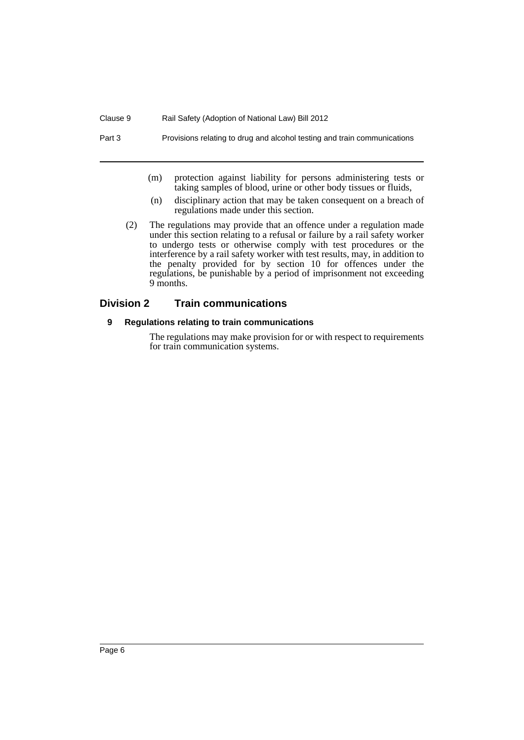Part 3 Provisions relating to drug and alcohol testing and train communications

- (m) protection against liability for persons administering tests or taking samples of blood, urine or other body tissues or fluids,
- (n) disciplinary action that may be taken consequent on a breach of regulations made under this section.
- (2) The regulations may provide that an offence under a regulation made under this section relating to a refusal or failure by a rail safety worker to undergo tests or otherwise comply with test procedures or the interference by a rail safety worker with test results, may, in addition to the penalty provided for by section 10 for offences under the regulations, be punishable by a period of imprisonment not exceeding 9 months.

## <span id="page-7-1"></span><span id="page-7-0"></span>**Division 2 Train communications**

#### **9 Regulations relating to train communications**

The regulations may make provision for or with respect to requirements for train communication systems.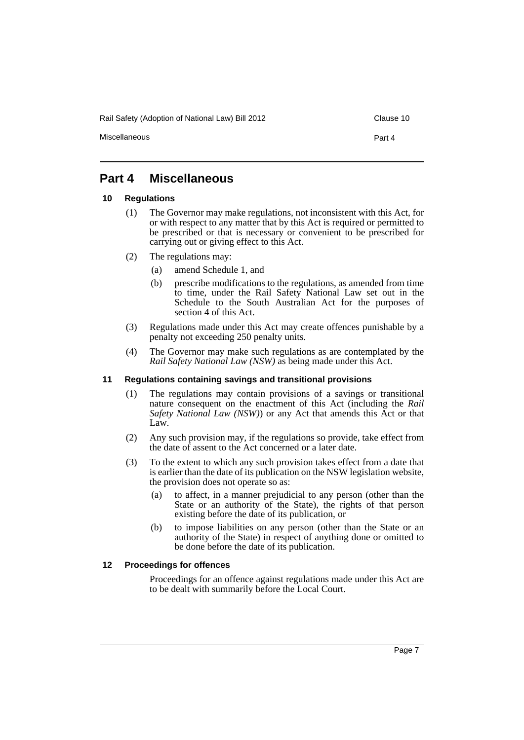Rail Safety (Adoption of National Law) Bill 2012 Clause 10

Miscellaneous Part 4

## <span id="page-8-0"></span>**Part 4 Miscellaneous**

#### <span id="page-8-1"></span>**10 Regulations**

- (1) The Governor may make regulations, not inconsistent with this Act, for or with respect to any matter that by this Act is required or permitted to be prescribed or that is necessary or convenient to be prescribed for carrying out or giving effect to this Act.
- (2) The regulations may:
	- (a) amend Schedule 1, and
	- (b) prescribe modifications to the regulations, as amended from time to time, under the Rail Safety National Law set out in the Schedule to the South Australian Act for the purposes of section 4 of this Act.
- (3) Regulations made under this Act may create offences punishable by a penalty not exceeding 250 penalty units.
- (4) The Governor may make such regulations as are contemplated by the *Rail Safety National Law (NSW)* as being made under this Act.

#### <span id="page-8-2"></span>**11 Regulations containing savings and transitional provisions**

- (1) The regulations may contain provisions of a savings or transitional nature consequent on the enactment of this Act (including the *Rail Safety National Law (NSW)*) or any Act that amends this Act or that Law.
- (2) Any such provision may, if the regulations so provide, take effect from the date of assent to the Act concerned or a later date.
- (3) To the extent to which any such provision takes effect from a date that is earlier than the date of its publication on the NSW legislation website, the provision does not operate so as:
	- (a) to affect, in a manner prejudicial to any person (other than the State or an authority of the State), the rights of that person existing before the date of its publication, or
	- (b) to impose liabilities on any person (other than the State or an authority of the State) in respect of anything done or omitted to be done before the date of its publication.

#### <span id="page-8-3"></span>**12 Proceedings for offences**

Proceedings for an offence against regulations made under this Act are to be dealt with summarily before the Local Court.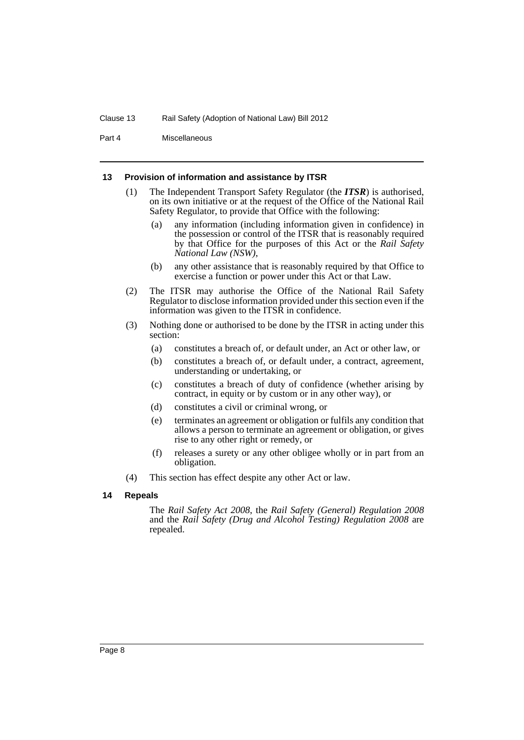#### Clause 13 Rail Safety (Adoption of National Law) Bill 2012

Part 4 Miscellaneous

#### <span id="page-9-0"></span>**13 Provision of information and assistance by ITSR**

- (1) The Independent Transport Safety Regulator (the *ITSR*) is authorised, on its own initiative or at the request of the Office of the National Rail Safety Regulator, to provide that Office with the following:
	- (a) any information (including information given in confidence) in the possession or control of the ITSR that is reasonably required by that Office for the purposes of this Act or the *Rail Safety National Law (NSW)*,
	- (b) any other assistance that is reasonably required by that Office to exercise a function or power under this Act or that Law.
- (2) The ITSR may authorise the Office of the National Rail Safety Regulator to disclose information provided under this section even if the information was given to the ITSR in confidence.
- (3) Nothing done or authorised to be done by the ITSR in acting under this section:
	- (a) constitutes a breach of, or default under, an Act or other law, or
	- (b) constitutes a breach of, or default under, a contract, agreement, understanding or undertaking, or
	- (c) constitutes a breach of duty of confidence (whether arising by contract, in equity or by custom or in any other way), or
	- (d) constitutes a civil or criminal wrong, or
	- (e) terminates an agreement or obligation or fulfils any condition that allows a person to terminate an agreement or obligation, or gives rise to any other right or remedy, or
	- (f) releases a surety or any other obligee wholly or in part from an obligation.
- (4) This section has effect despite any other Act or law.

#### <span id="page-9-1"></span>**14 Repeals**

The *Rail Safety Act 2008*, the *Rail Safety (General) Regulation 2008* and the *Rail Safety (Drug and Alcohol Testing) Regulation 2008* are repealed.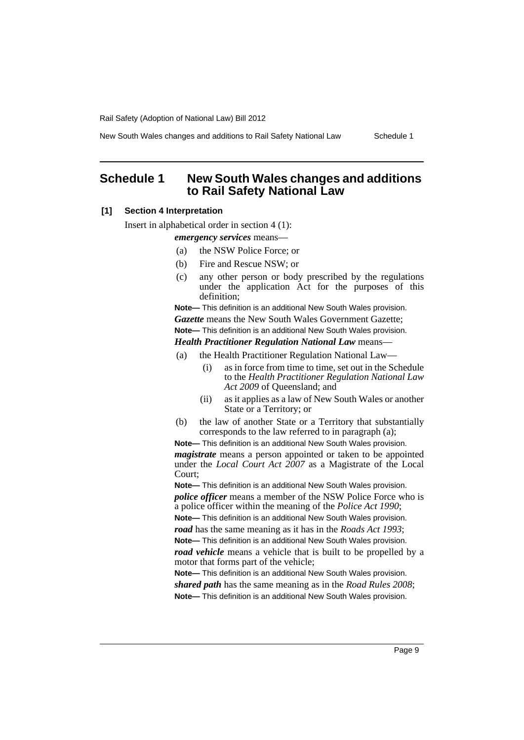New South Wales changes and additions to Rail Safety National Law Schedule 1

## <span id="page-10-0"></span>**Schedule 1 New South Wales changes and additions to Rail Safety National Law**

#### **[1] Section 4 Interpretation**

Insert in alphabetical order in section 4 (1):

#### *emergency services* means—

- (a) the NSW Police Force; or
- (b) Fire and Rescue NSW; or
- (c) any other person or body prescribed by the regulations under the application Act for the purposes of this definition;

**Note—** This definition is an additional New South Wales provision. *Gazette* means the New South Wales Government Gazette;

**Note—** This definition is an additional New South Wales provision.

*Health Practitioner Regulation National Law* means—

- (a) the Health Practitioner Regulation National Law—
	- (i) as in force from time to time, set out in the Schedule to the *Health Practitioner Regulation National Law Act 2009* of Queensland; and
	- (ii) as it applies as a law of New South Wales or another State or a Territory; or
- (b) the law of another State or a Territory that substantially corresponds to the law referred to in paragraph (a);

**Note—** This definition is an additional New South Wales provision.

*magistrate* means a person appointed or taken to be appointed under the *Local Court Act 2007* as a Magistrate of the Local Court;

**Note—** This definition is an additional New South Wales provision.

*police officer* means a member of the NSW Police Force who is a police officer within the meaning of the *Police Act 1990*;

**Note—** This definition is an additional New South Wales provision.

*road* has the same meaning as it has in the *Roads Act 1993*; **Note—** This definition is an additional New South Wales provision.

*road vehicle* means a vehicle that is built to be propelled by a motor that forms part of the vehicle;

**Note—** This definition is an additional New South Wales provision. *shared path* has the same meaning as in the *Road Rules 2008*;

**Note—** This definition is an additional New South Wales provision.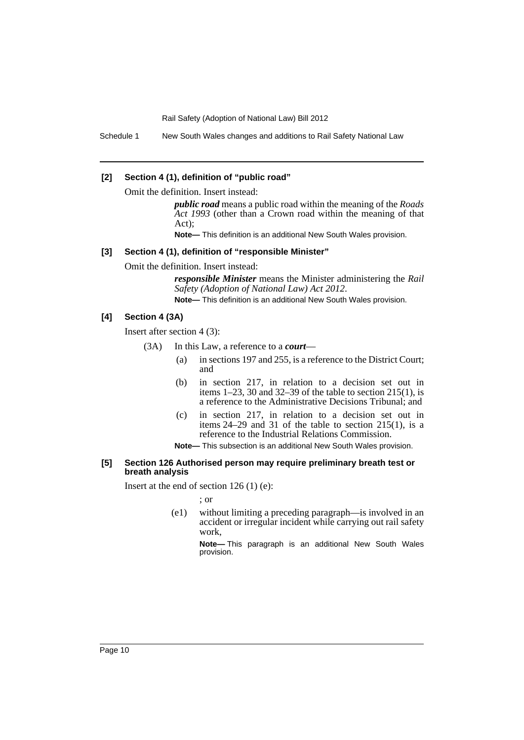Schedule 1 New South Wales changes and additions to Rail Safety National Law

#### **[2] Section 4 (1), definition of "public road"**

Omit the definition. Insert instead:

*public road* means a public road within the meaning of the *Roads Act 1993* (other than a Crown road within the meaning of that Act);

**Note—** This definition is an additional New South Wales provision.

#### **[3] Section 4 (1), definition of "responsible Minister"**

Omit the definition. Insert instead:

*responsible Minister* means the Minister administering the *Rail Safety (Adoption of National Law) Act 2012*. **Note—** This definition is an additional New South Wales provision.

#### **[4] Section 4 (3A)**

Insert after section 4 (3):

- (3A) In this Law, a reference to a *court*
	- (a) in sections 197 and 255, is a reference to the District Court; and
	- (b) in section 217, in relation to a decision set out in items  $1-23$ , 30 and  $32-39$  of the table to section  $215(1)$ , is a reference to the Administrative Decisions Tribunal; and
	- (c) in section 217, in relation to a decision set out in items 24–29 and 31 of the table to section 215(1), is a reference to the Industrial Relations Commission.

**Note—** This subsection is an additional New South Wales provision.

#### **[5] Section 126 Authorised person may require preliminary breath test or breath analysis**

Insert at the end of section  $126(1)(e)$ :

; or

(e1) without limiting a preceding paragraph—is involved in an accident or irregular incident while carrying out rail safety work,

> **Note—** This paragraph is an additional New South Wales provision.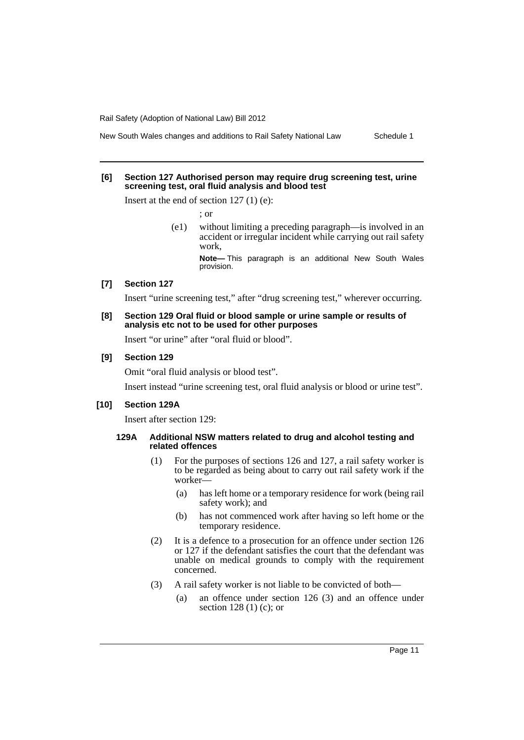#### **[6] Section 127 Authorised person may require drug screening test, urine screening test, oral fluid analysis and blood test**

Insert at the end of section  $127(1)$  (e):

; or

(e1) without limiting a preceding paragraph—is involved in an accident or irregular incident while carrying out rail safety work,

**Note—** This paragraph is an additional New South Wales provision.

#### **[7] Section 127**

Insert "urine screening test," after "drug screening test," wherever occurring.

#### **[8] Section 129 Oral fluid or blood sample or urine sample or results of analysis etc not to be used for other purposes**

Insert "or urine" after "oral fluid or blood".

#### **[9] Section 129**

Omit "oral fluid analysis or blood test".

Insert instead "urine screening test, oral fluid analysis or blood or urine test".

#### **[10] Section 129A**

Insert after section 129:

#### **129A Additional NSW matters related to drug and alcohol testing and related offences**

- (1) For the purposes of sections 126 and 127, a rail safety worker is to be regarded as being about to carry out rail safety work if the worker—
	- (a) has left home or a temporary residence for work (being rail safety work); and
	- (b) has not commenced work after having so left home or the temporary residence.
- (2) It is a defence to a prosecution for an offence under section 126 or 127 if the defendant satisfies the court that the defendant was unable on medical grounds to comply with the requirement concerned.
- (3) A rail safety worker is not liable to be convicted of both—
	- (a) an offence under section 126 (3) and an offence under section 128 (1) (c); or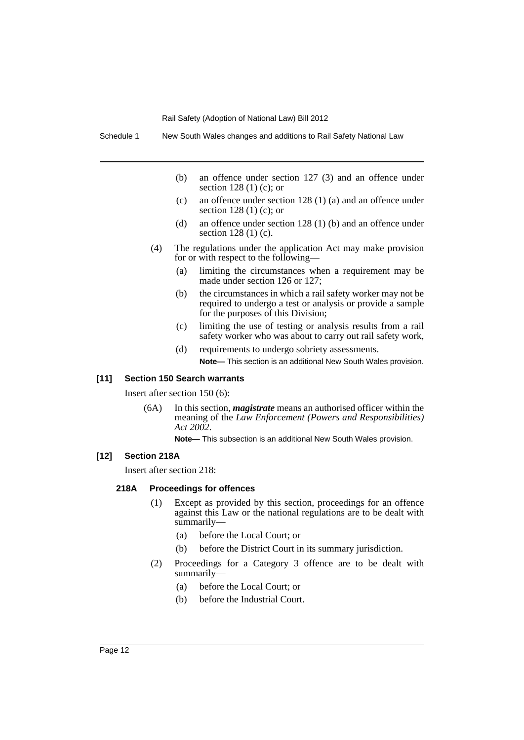Schedule 1 New South Wales changes and additions to Rail Safety National Law

- (b) an offence under section 127 (3) and an offence under section 128 (1) (c); or
- (c) an offence under section 128 (1) (a) and an offence under section 128 (1) (c); or
- (d) an offence under section 128 (1) (b) and an offence under section 128 (1) (c).
- (4) The regulations under the application Act may make provision for or with respect to the following—
	- (a) limiting the circumstances when a requirement may be made under section 126 or 127;
	- (b) the circumstances in which a rail safety worker may not be required to undergo a test or analysis or provide a sample for the purposes of this Division;
	- (c) limiting the use of testing or analysis results from a rail safety worker who was about to carry out rail safety work,
	- (d) requirements to undergo sobriety assessments. **Note—** This section is an additional New South Wales provision.

#### **[11] Section 150 Search warrants**

Insert after section 150 (6):

(6A) In this section, *magistrate* means an authorised officer within the meaning of the *Law Enforcement (Powers and Responsibilities) Act 2002*.

**Note—** This subsection is an additional New South Wales provision.

#### **[12] Section 218A**

Insert after section 218:

#### **218A Proceedings for offences**

- (1) Except as provided by this section, proceedings for an offence against this Law or the national regulations are to be dealt with summarily—
	- (a) before the Local Court; or
	- (b) before the District Court in its summary jurisdiction.
- (2) Proceedings for a Category 3 offence are to be dealt with summarily—
	- (a) before the Local Court; or
	- (b) before the Industrial Court.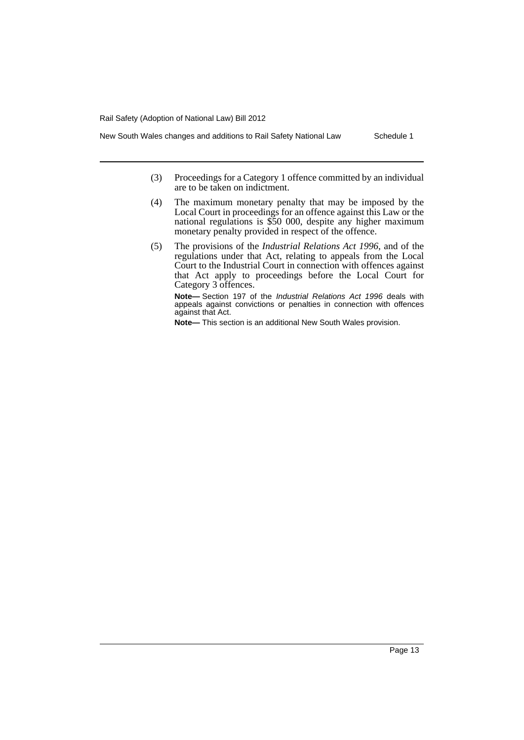- New South Wales changes and additions to Rail Safety National Law Schedule 1
	- (3) Proceedings for a Category 1 offence committed by an individual are to be taken on indictment.
	- (4) The maximum monetary penalty that may be imposed by the Local Court in proceedings for an offence against this Law or the national regulations is \$50 000, despite any higher maximum monetary penalty provided in respect of the offence.
	- (5) The provisions of the *Industrial Relations Act 1996*, and of the regulations under that Act, relating to appeals from the Local Court to the Industrial Court in connection with offences against that Act apply to proceedings before the Local Court for Category 3 offences.

**Note—** Section 197 of the *Industrial Relations Act 1996* deals with appeals against convictions or penalties in connection with offences against that Act.

**Note—** This section is an additional New South Wales provision.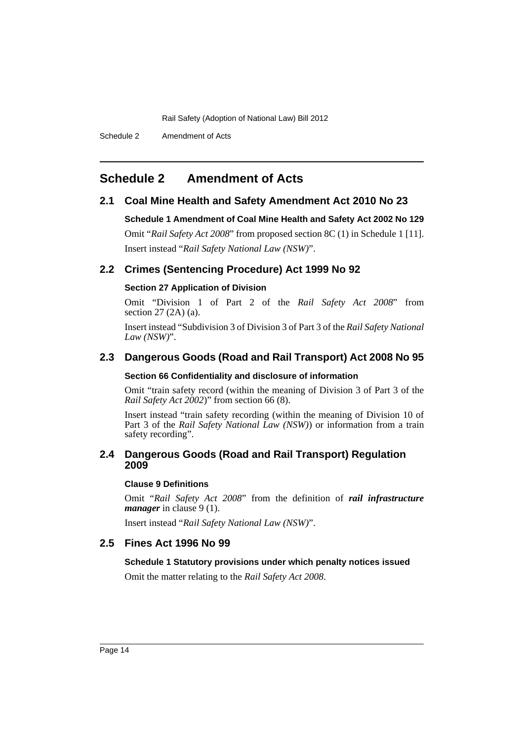Schedule 2 Amendment of Acts

## <span id="page-15-0"></span>**Schedule 2 Amendment of Acts**

#### **2.1 Coal Mine Health and Safety Amendment Act 2010 No 23**

**Schedule 1 Amendment of Coal Mine Health and Safety Act 2002 No 129** Omit "*Rail Safety Act 2008*" from proposed section 8C (1) in Schedule 1 [11]. Insert instead "*Rail Safety National Law (NSW)*".

## **2.2 Crimes (Sentencing Procedure) Act 1999 No 92**

#### **Section 27 Application of Division**

Omit "Division 1 of Part 2 of the *Rail Safety Act 2008*" from section 27 (2A) (a).

Insert instead "Subdivision 3 of Division 3 of Part 3 of the *Rail Safety National Law (NSW)*".

### **2.3 Dangerous Goods (Road and Rail Transport) Act 2008 No 95**

#### **Section 66 Confidentiality and disclosure of information**

Omit "train safety record (within the meaning of Division 3 of Part 3 of the *Rail Safety Act 2002*)" from section 66 (8).

Insert instead "train safety recording (within the meaning of Division 10 of Part 3 of the *Rail Safety National Law (NSW)*) or information from a train safety recording".

#### **2.4 Dangerous Goods (Road and Rail Transport) Regulation 2009**

#### **Clause 9 Definitions**

Omit "*Rail Safety Act 2008*" from the definition of *rail infrastructure manager* in clause 9 (1).

Insert instead "*Rail Safety National Law (NSW)*".

### **2.5 Fines Act 1996 No 99**

#### **Schedule 1 Statutory provisions under which penalty notices issued**

Omit the matter relating to the *Rail Safety Act 2008*.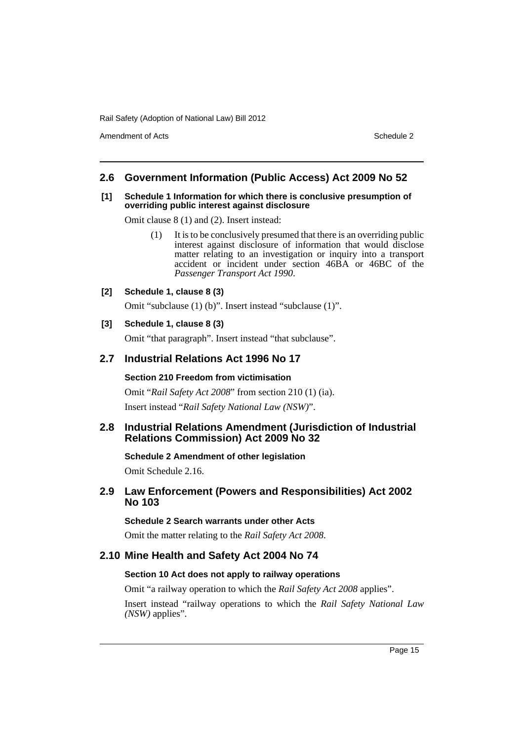Amendment of Acts **Schedule 2** and the 2 and the 2 and 2 and 2 and 2 and 2 and 2 and 2 and 2 and 2 and 2 and 2 and 2 and 2 and 2 and 2 and 2 and 2 and 2 and 2 and 2 and 2 and 2 and 2 and 2 and 2 and 2 and 2 and 2 and 2 and

#### **2.6 Government Information (Public Access) Act 2009 No 52**

#### **[1] Schedule 1 Information for which there is conclusive presumption of overriding public interest against disclosure**

Omit clause 8 (1) and (2). Insert instead:

- (1) It is to be conclusively presumed that there is an overriding public interest against disclosure of information that would disclose matter relating to an investigation or inquiry into a transport accident or incident under section 46BA or 46BC of the *Passenger Transport Act 1990*.
- **[2] Schedule 1, clause 8 (3)**

Omit "subclause (1) (b)". Insert instead "subclause (1)".

#### **[3] Schedule 1, clause 8 (3)**

Omit "that paragraph". Insert instead "that subclause".

#### **2.7 Industrial Relations Act 1996 No 17**

#### **Section 210 Freedom from victimisation**

Omit "*Rail Safety Act 2008*" from section 210 (1) (ia). Insert instead "*Rail Safety National Law (NSW)*".

#### **2.8 Industrial Relations Amendment (Jurisdiction of Industrial Relations Commission) Act 2009 No 32**

**Schedule 2 Amendment of other legislation**

Omit Schedule 2.16.

### **2.9 Law Enforcement (Powers and Responsibilities) Act 2002 No 103**

#### **Schedule 2 Search warrants under other Acts**

Omit the matter relating to the *Rail Safety Act 2008*.

### **2.10 Mine Health and Safety Act 2004 No 74**

#### **Section 10 Act does not apply to railway operations**

Omit "a railway operation to which the *Rail Safety Act 2008* applies".

Insert instead "railway operations to which the *Rail Safety National Law (NSW)* applies".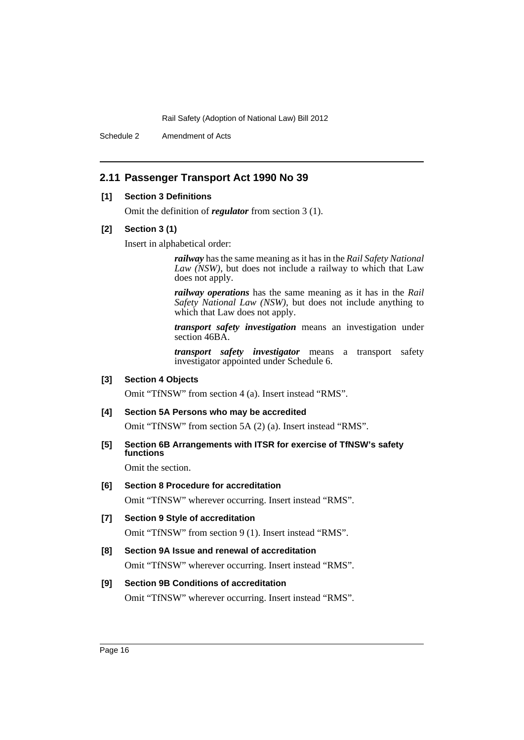Schedule 2 Amendment of Acts

### **2.11 Passenger Transport Act 1990 No 39**

#### **[1] Section 3 Definitions**

Omit the definition of *regulator* from section 3 (1).

#### **[2] Section 3 (1)**

Insert in alphabetical order:

*railway* has the same meaning as it has in the *Rail Safety National Law (NSW)*, but does not include a railway to which that Law does not apply.

*railway operations* has the same meaning as it has in the *Rail Safety National Law (NSW)*, but does not include anything to which that Law does not apply.

*transport safety investigation* means an investigation under section 46BA.

*transport safety investigator* means a transport safety investigator appointed under Schedule 6.

#### **[3] Section 4 Objects**

Omit "TfNSW" from section 4 (a). Insert instead "RMS".

#### **[4] Section 5A Persons who may be accredited**

Omit "TfNSW" from section 5A (2) (a). Insert instead "RMS".

**[5] Section 6B Arrangements with ITSR for exercise of TfNSW's safety functions**

Omit the section.

#### **[6] Section 8 Procedure for accreditation**

Omit "TfNSW" wherever occurring. Insert instead "RMS".

**[7] Section 9 Style of accreditation**

Omit "TfNSW" from section 9 (1). Insert instead "RMS".

## **[8] Section 9A Issue and renewal of accreditation** Omit "TfNSW" wherever occurring. Insert instead "RMS".

#### **[9] Section 9B Conditions of accreditation**

Omit "TfNSW" wherever occurring. Insert instead "RMS".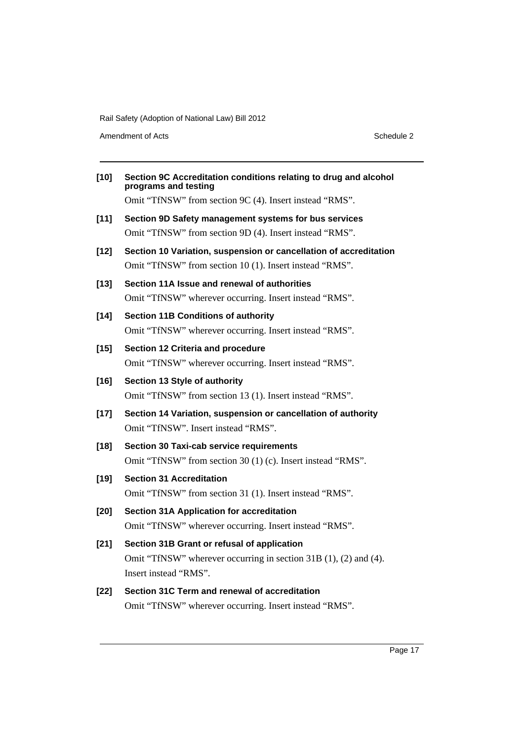Amendment of Acts Schedule 2

| $[10]$ | Section 9C Accreditation conditions relating to drug and alcohol<br>programs and testing                         |
|--------|------------------------------------------------------------------------------------------------------------------|
|        | Omit "TfNSW" from section 9C (4). Insert instead "RMS".                                                          |
| $[11]$ | Section 9D Safety management systems for bus services<br>Omit "TfNSW" from section 9D (4). Insert instead "RMS". |
| $[12]$ | Section 10 Variation, suspension or cancellation of accreditation                                                |
|        | Omit "TfNSW" from section 10 (1). Insert instead "RMS".                                                          |
| $[13]$ | Section 11A Issue and renewal of authorities                                                                     |
|        | Omit "TfNSW" wherever occurring. Insert instead "RMS".                                                           |
| $[14]$ | <b>Section 11B Conditions of authority</b>                                                                       |
|        | Omit "TfNSW" wherever occurring. Insert instead "RMS".                                                           |
| $[15]$ | Section 12 Criteria and procedure                                                                                |
|        | Omit "TfNSW" wherever occurring. Insert instead "RMS".                                                           |
| $[16]$ | Section 13 Style of authority                                                                                    |
|        | Omit "TfNSW" from section 13 (1). Insert instead "RMS".                                                          |
| $[17]$ | Section 14 Variation, suspension or cancellation of authority                                                    |
|        | Omit "TfNSW". Insert instead "RMS".                                                                              |
| $[18]$ | <b>Section 30 Taxi-cab service requirements</b>                                                                  |
|        | Omit "TfNSW" from section 30 (1) (c). Insert instead "RMS".                                                      |
| $[19]$ | <b>Section 31 Accreditation</b>                                                                                  |
|        | Omit "TfNSW" from section 31 (1). Insert instead "RMS".                                                          |
| $[20]$ | <b>Section 31A Application for accreditation</b>                                                                 |
|        | Omit "TfNSW" wherever occurring. Insert instead "RMS".                                                           |
| $[21]$ | Section 31B Grant or refusal of application                                                                      |
|        | Omit "TfNSW" wherever occurring in section 31B (1), (2) and (4).                                                 |
|        | Insert instead "RMS".                                                                                            |
| $[22]$ | Section 31C Term and renewal of accreditation                                                                    |
|        | Omit "TfNSW" wherever occurring. Insert instead "RMS".                                                           |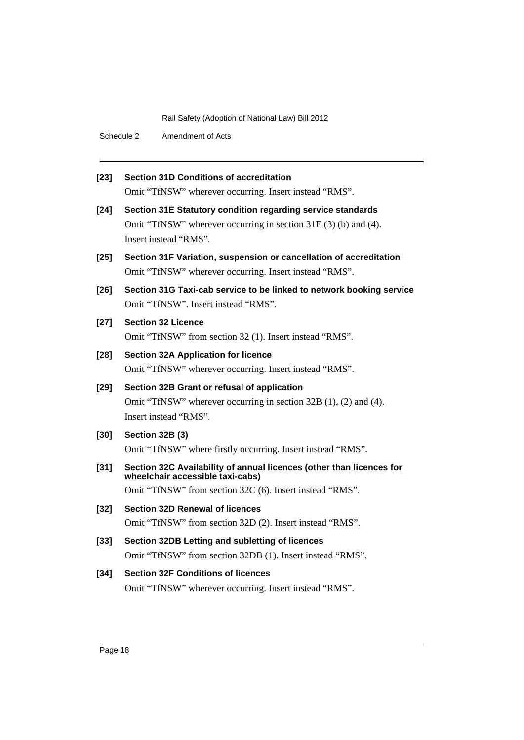Schedule 2 Amendment of Acts

| $[23]$ | <b>Section 31D Conditions of accreditation</b>                                                           |
|--------|----------------------------------------------------------------------------------------------------------|
|        | Omit "TfNSW" wherever occurring. Insert instead "RMS".                                                   |
| $[24]$ | Section 31E Statutory condition regarding service standards                                              |
|        | Omit "TfNSW" wherever occurring in section 31E (3) (b) and (4).                                          |
|        | Insert instead "RMS".                                                                                    |
| $[25]$ | Section 31F Variation, suspension or cancellation of accreditation                                       |
|        | Omit "TfNSW" wherever occurring. Insert instead "RMS".                                                   |
| $[26]$ | Section 31G Taxi-cab service to be linked to network booking service                                     |
|        | Omit "TfNSW". Insert instead "RMS".                                                                      |
| $[27]$ | <b>Section 32 Licence</b>                                                                                |
|        | Omit "TfNSW" from section 32 (1). Insert instead "RMS".                                                  |
| $[28]$ | <b>Section 32A Application for licence</b>                                                               |
|        | Omit "TfNSW" wherever occurring. Insert instead "RMS".                                                   |
| $[29]$ | Section 32B Grant or refusal of application                                                              |
|        | Omit "TfNSW" wherever occurring in section 32B (1), (2) and (4).                                         |
|        | Insert instead "RMS".                                                                                    |
| $[30]$ | Section 32B (3)                                                                                          |
|        | Omit "TfNSW" where firstly occurring. Insert instead "RMS".                                              |
| $[31]$ | Section 32C Availability of annual licences (other than licences for<br>wheelchair accessible taxi-cabs) |
|        | Omit "TfNSW" from section 32C (6). Insert instead "RMS".                                                 |
| $[32]$ | <b>Section 32D Renewal of licences</b>                                                                   |
|        | Omit "TfNSW" from section 32D (2). Insert instead "RMS".                                                 |
|        |                                                                                                          |
| $[33]$ | Section 32DB Letting and subletting of licences                                                          |
|        | Omit "TfNSW" from section 32DB (1). Insert instead "RMS".                                                |
| $[34]$ | <b>Section 32F Conditions of licences</b>                                                                |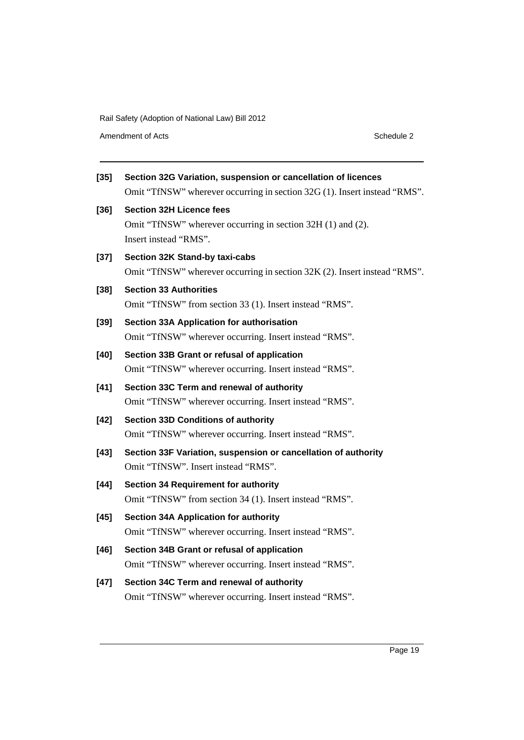Amendment of Acts Schedule 2

| $\left[ 35\right]$ | Section 32G Variation, suspension or cancellation of licences<br>Omit "TfNSW" wherever occurring in section 32G (1). Insert instead "RMS". |
|--------------------|--------------------------------------------------------------------------------------------------------------------------------------------|
| [36]               | <b>Section 32H Licence fees</b><br>Omit "TfNSW" wherever occurring in section 32H (1) and (2).<br>Insert instead "RMS".                    |
| [37]               | Section 32K Stand-by taxi-cabs<br>Omit "TfNSW" wherever occurring in section 32K (2). Insert instead "RMS".                                |
| $[38]$             | <b>Section 33 Authorities</b><br>Omit "TfNSW" from section 33 (1). Insert instead "RMS".                                                   |
| [39]               | Section 33A Application for authorisation<br>Omit "TfNSW" wherever occurring. Insert instead "RMS".                                        |
| [40]               | Section 33B Grant or refusal of application<br>Omit "TfNSW" wherever occurring. Insert instead "RMS".                                      |
| [41]               | Section 33C Term and renewal of authority<br>Omit "TfNSW" wherever occurring. Insert instead "RMS".                                        |
| [42]               | <b>Section 33D Conditions of authority</b><br>Omit "TfNSW" wherever occurring. Insert instead "RMS".                                       |
| $[43]$             | Section 33F Variation, suspension or cancellation of authority<br>Omit "TfNSW". Insert instead "RMS".                                      |
| [44]               | <b>Section 34 Requirement for authority</b><br>Omit "TfNSW" from section 34 (1). Insert instead "RMS".                                     |
| [45]               | <b>Section 34A Application for authority</b><br>Omit "TfNSW" wherever occurring. Insert instead "RMS".                                     |
| [46]               | Section 34B Grant or refusal of application<br>Omit "TfNSW" wherever occurring. Insert instead "RMS".                                      |
| [47]               | Section 34C Term and renewal of authority<br>Omit "TfNSW" wherever occurring. Insert instead "RMS".                                        |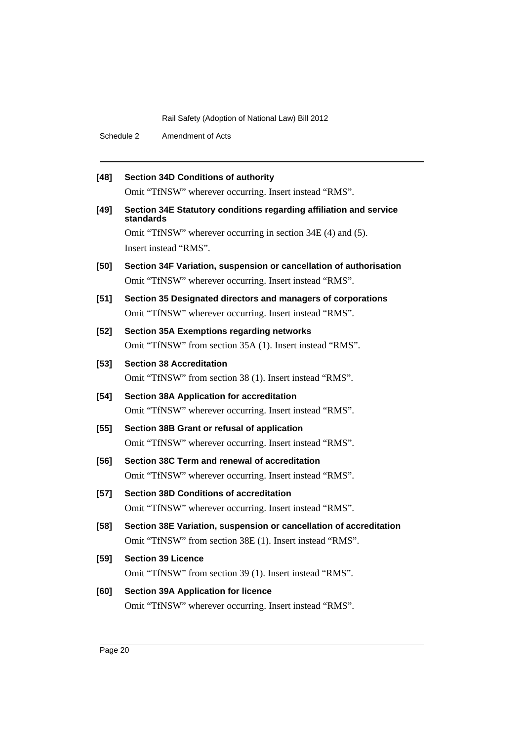Schedule 2 Amendment of Acts

| $[48]$ | <b>Section 34D Conditions of authority</b>                                      |
|--------|---------------------------------------------------------------------------------|
|        | Omit "TfNSW" wherever occurring. Insert instead "RMS".                          |
| $[49]$ | Section 34E Statutory conditions regarding affiliation and service<br>standards |
|        | Omit "TfNSW" wherever occurring in section 34E (4) and (5).                     |
|        | Insert instead "RMS".                                                           |
| $[50]$ | Section 34F Variation, suspension or cancellation of authorisation              |
|        | Omit "TfNSW" wherever occurring. Insert instead "RMS".                          |
| $[51]$ | Section 35 Designated directors and managers of corporations                    |
|        | Omit "TfNSW" wherever occurring. Insert instead "RMS".                          |
| $[52]$ | <b>Section 35A Exemptions regarding networks</b>                                |
|        | Omit "TfNSW" from section 35A (1). Insert instead "RMS".                        |
| $[53]$ | <b>Section 38 Accreditation</b>                                                 |
|        | Omit "TfNSW" from section 38 (1). Insert instead "RMS".                         |
| $[54]$ | <b>Section 38A Application for accreditation</b>                                |
|        | Omit "TfNSW" wherever occurring. Insert instead "RMS".                          |
| $[55]$ | Section 38B Grant or refusal of application                                     |
|        | Omit "TfNSW" wherever occurring. Insert instead "RMS".                          |
| $[56]$ | Section 38C Term and renewal of accreditation                                   |
|        | Omit "TfNSW" wherever occurring. Insert instead "RMS".                          |
| $[57]$ | <b>Section 38D Conditions of accreditation</b>                                  |
|        | Omit "TfNSW" wherever occurring. Insert instead "RMS".                          |
| [58]   | Section 38E Variation, suspension or cancellation of accreditation              |
|        | Omit "TfNSW" from section 38E (1). Insert instead "RMS".                        |
| $[59]$ | <b>Section 39 Licence</b>                                                       |
|        | Omit "TfNSW" from section 39 (1). Insert instead "RMS".                         |
| [60]   | <b>Section 39A Application for licence</b>                                      |
|        | Omit "TfNSW" wherever occurring. Insert instead "RMS".                          |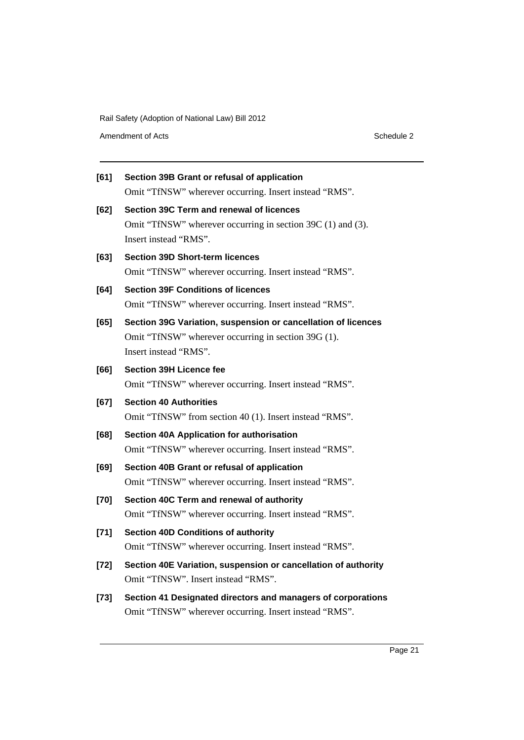Amendment of Acts Schedule 2

| [61]   | Section 39B Grant or refusal of application                    |
|--------|----------------------------------------------------------------|
|        | Omit "TfNSW" wherever occurring. Insert instead "RMS".         |
| [62]   | Section 39C Term and renewal of licences                       |
|        | Omit "TfNSW" wherever occurring in section 39C (1) and (3).    |
|        | Insert instead "RMS".                                          |
| [63]   | <b>Section 39D Short-term licences</b>                         |
|        | Omit "TfNSW" wherever occurring. Insert instead "RMS".         |
| [64]   | <b>Section 39F Conditions of licences</b>                      |
|        | Omit "TfNSW" wherever occurring. Insert instead "RMS".         |
| [65]   | Section 39G Variation, suspension or cancellation of licences  |
|        | Omit "TfNSW" wherever occurring in section 39G (1).            |
|        | Insert instead "RMS".                                          |
| [66]   | <b>Section 39H Licence fee</b>                                 |
|        | Omit "TfNSW" wherever occurring. Insert instead "RMS".         |
| [67]   | <b>Section 40 Authorities</b>                                  |
|        | Omit "TfNSW" from section 40 (1). Insert instead "RMS".        |
| [68]   | <b>Section 40A Application for authorisation</b>               |
|        | Omit "TfNSW" wherever occurring. Insert instead "RMS".         |
| [69]   | Section 40B Grant or refusal of application                    |
|        | Omit "TfNSW" wherever occurring. Insert instead "RMS".         |
| $[70]$ | Section 40C Term and renewal of authority                      |
|        | Omit "TfNSW" wherever occurring. Insert instead "RMS".         |
| $[71]$ | <b>Section 40D Conditions of authority</b>                     |
|        | Omit "TfNSW" wherever occurring. Insert instead "RMS".         |
| $[72]$ | Section 40E Variation, suspension or cancellation of authority |
|        | Omit "TfNSW". Insert instead "RMS".                            |
| $[73]$ | Section 41 Designated directors and managers of corporations   |

Omit "TfNSW" wherever occurring. Insert instead "RMS".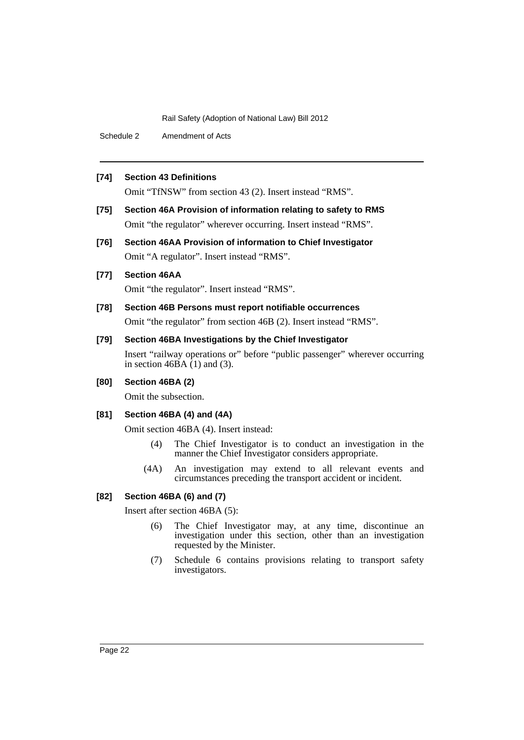Schedule 2 Amendment of Acts

#### **[74] Section 43 Definitions**

Omit "TfNSW" from section 43 (2). Insert instead "RMS".

- **[75] Section 46A Provision of information relating to safety to RMS** Omit "the regulator" wherever occurring. Insert instead "RMS".
- **[76] Section 46AA Provision of information to Chief Investigator** Omit "A regulator". Insert instead "RMS".

#### **[77] Section 46AA**

Omit "the regulator". Insert instead "RMS".

### **[78] Section 46B Persons must report notifiable occurrences**

Omit "the regulator" from section 46B (2). Insert instead "RMS".

#### **[79] Section 46BA Investigations by the Chief Investigator**

Insert "railway operations or" before "public passenger" wherever occurring in section  $46\overrightarrow{BA}$  (1) and (3).

#### **[80] Section 46BA (2)**

Omit the subsection.

#### **[81] Section 46BA (4) and (4A)**

Omit section 46BA (4). Insert instead:

- (4) The Chief Investigator is to conduct an investigation in the manner the Chief Investigator considers appropriate.
- (4A) An investigation may extend to all relevant events and circumstances preceding the transport accident or incident.

#### **[82] Section 46BA (6) and (7)**

Insert after section 46BA (5):

- (6) The Chief Investigator may, at any time, discontinue an investigation under this section, other than an investigation requested by the Minister.
- (7) Schedule 6 contains provisions relating to transport safety investigators.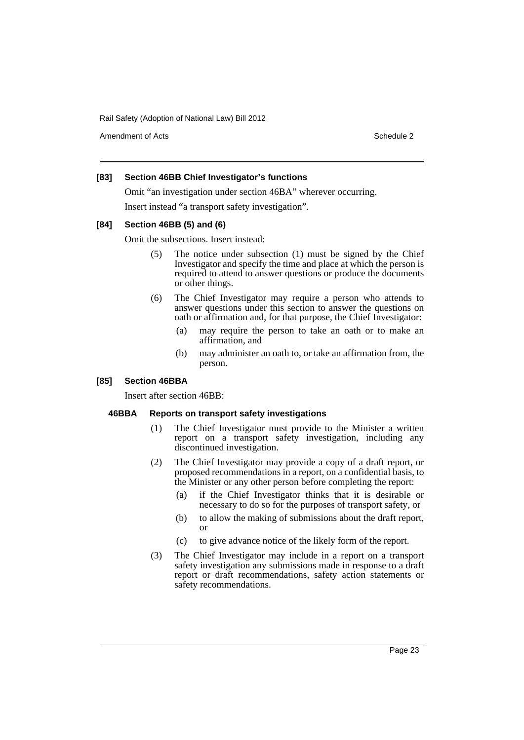Amendment of Acts **Schedule 2** and 2 and 2 and 2 and 2 and 2 and 2 and 2 and 2 and 2 and 2 and 2 and 2 and 2 and 2 and 2 and 2 and 2 and 2 and 2 and 2 and 2 and 2 and 2 and 2 and 2 and 2 and 2 and 2 and 2 and 2 and 2 and 2

#### **[83] Section 46BB Chief Investigator's functions**

Omit "an investigation under section 46BA" wherever occurring. Insert instead "a transport safety investigation".

#### **[84] Section 46BB (5) and (6)**

Omit the subsections. Insert instead:

- (5) The notice under subsection (1) must be signed by the Chief Investigator and specify the time and place at which the person is required to attend to answer questions or produce the documents or other things.
- (6) The Chief Investigator may require a person who attends to answer questions under this section to answer the questions on oath or affirmation and, for that purpose, the Chief Investigator:
	- (a) may require the person to take an oath or to make an affirmation, and
	- (b) may administer an oath to, or take an affirmation from, the person.

#### **[85] Section 46BBA**

Insert after section 46BB:

#### **46BBA Reports on transport safety investigations**

- (1) The Chief Investigator must provide to the Minister a written report on a transport safety investigation, including any discontinued investigation.
- (2) The Chief Investigator may provide a copy of a draft report, or proposed recommendations in a report, on a confidential basis, to the Minister or any other person before completing the report:
	- (a) if the Chief Investigator thinks that it is desirable or necessary to do so for the purposes of transport safety, or
	- (b) to allow the making of submissions about the draft report, or
	- (c) to give advance notice of the likely form of the report.
- (3) The Chief Investigator may include in a report on a transport safety investigation any submissions made in response to a draft report or draft recommendations, safety action statements or safety recommendations.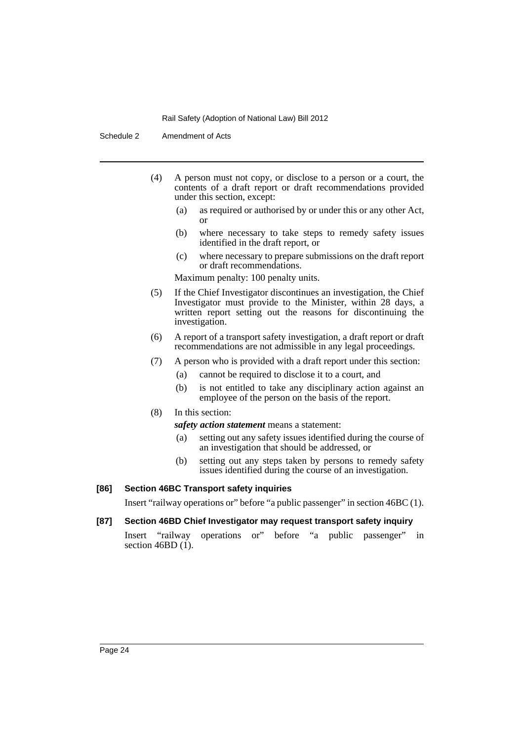Schedule 2 Amendment of Acts

- (4) A person must not copy, or disclose to a person or a court, the contents of a draft report or draft recommendations provided under this section, except:
	- (a) as required or authorised by or under this or any other Act, or
	- (b) where necessary to take steps to remedy safety issues identified in the draft report, or
	- (c) where necessary to prepare submissions on the draft report or draft recommendations.

Maximum penalty: 100 penalty units.

- (5) If the Chief Investigator discontinues an investigation, the Chief Investigator must provide to the Minister, within 28 days, a written report setting out the reasons for discontinuing the investigation.
- (6) A report of a transport safety investigation, a draft report or draft recommendations are not admissible in any legal proceedings.
- (7) A person who is provided with a draft report under this section:
	- (a) cannot be required to disclose it to a court, and
	- (b) is not entitled to take any disciplinary action against an employee of the person on the basis of the report.
- (8) In this section:

*safety action statement* means a statement:

- (a) setting out any safety issues identified during the course of an investigation that should be addressed, or
- (b) setting out any steps taken by persons to remedy safety issues identified during the course of an investigation.

#### **[86] Section 46BC Transport safety inquiries**

Insert "railway operations or" before "a public passenger" in section 46BC (1).

#### **[87] Section 46BD Chief Investigator may request transport safety inquiry**

Insert "railway operations or" before "a public passenger" in section  $46BD(1)$ .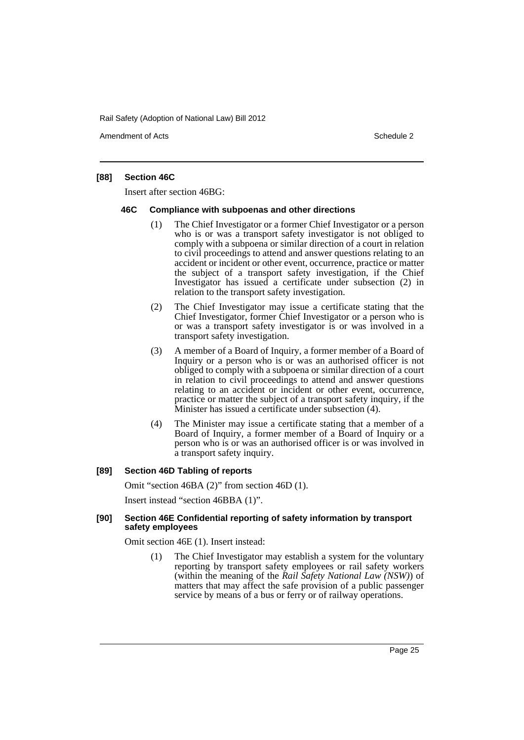Amendment of Acts **Schedule 2** and 2 and 2 and 2 and 2 and 2 and 2 and 2 and 2 and 2 and 2 and 2 and 2 and 2 and 2 and 2 and 2 and 2 and 2 and 2 and 2 and 2 and 2 and 2 and 2 and 2 and 2 and 2 and 2 and 2 and 2 and 2 and 2

#### **[88] Section 46C**

Insert after section 46BG:

#### **46C Compliance with subpoenas and other directions**

- (1) The Chief Investigator or a former Chief Investigator or a person who is or was a transport safety investigator is not obliged to comply with a subpoena or similar direction of a court in relation to civil proceedings to attend and answer questions relating to an accident or incident or other event, occurrence, practice or matter the subject of a transport safety investigation, if the Chief Investigator has issued a certificate under subsection (2) in relation to the transport safety investigation.
- (2) The Chief Investigator may issue a certificate stating that the Chief Investigator, former Chief Investigator or a person who is or was a transport safety investigator is or was involved in a transport safety investigation.
- (3) A member of a Board of Inquiry, a former member of a Board of Inquiry or a person who is or was an authorised officer is not obliged to comply with a subpoena or similar direction of a court in relation to civil proceedings to attend and answer questions relating to an accident or incident or other event, occurrence, practice or matter the subject of a transport safety inquiry, if the Minister has issued a certificate under subsection (4).
- (4) The Minister may issue a certificate stating that a member of a Board of Inquiry, a former member of a Board of Inquiry or a person who is or was an authorised officer is or was involved in a transport safety inquiry.

#### **[89] Section 46D Tabling of reports**

Omit "section 46BA (2)" from section 46D (1).

Insert instead "section 46BBA (1)".

#### **[90] Section 46E Confidential reporting of safety information by transport safety employees**

Omit section 46E (1). Insert instead:

(1) The Chief Investigator may establish a system for the voluntary reporting by transport safety employees or rail safety workers (within the meaning of the *Rail Safety National Law (NSW)*) of matters that may affect the safe provision of a public passenger service by means of a bus or ferry or of railway operations.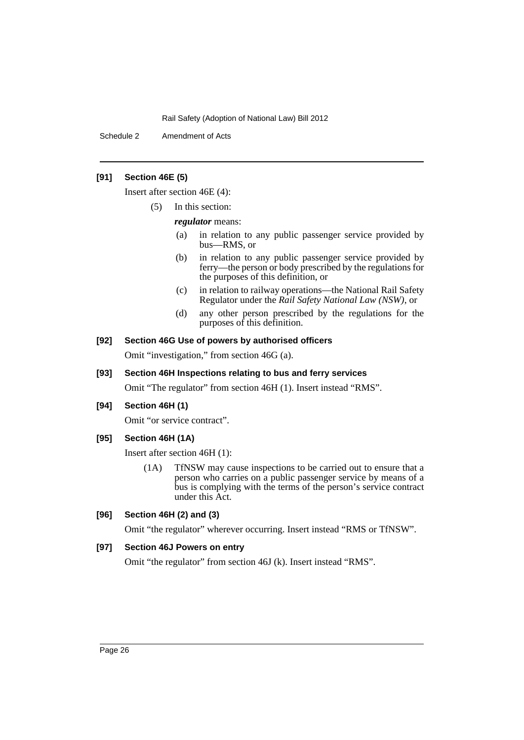Schedule 2 Amendment of Acts

#### **[91] Section 46E (5)**

Insert after section 46E (4):

(5) In this section:

*regulator* means:

- (a) in relation to any public passenger service provided by bus—RMS, or
- (b) in relation to any public passenger service provided by ferry—the person or body prescribed by the regulations for the purposes of this definition, or
- (c) in relation to railway operations—the National Rail Safety Regulator under the *Rail Safety National Law (NSW)*, or
- (d) any other person prescribed by the regulations for the purposes of this definition.

#### **[92] Section 46G Use of powers by authorised officers**

Omit "investigation," from section 46G (a).

#### **[93] Section 46H Inspections relating to bus and ferry services**

Omit "The regulator" from section 46H (1). Insert instead "RMS".

#### **[94] Section 46H (1)**

Omit "or service contract".

#### **[95] Section 46H (1A)**

Insert after section 46H (1):

(1A) TfNSW may cause inspections to be carried out to ensure that a person who carries on a public passenger service by means of a bus is complying with the terms of the person's service contract under this Act.

#### **[96] Section 46H (2) and (3)**

Omit "the regulator" wherever occurring. Insert instead "RMS or TfNSW".

#### **[97] Section 46J Powers on entry**

Omit "the regulator" from section 46J (k). Insert instead "RMS".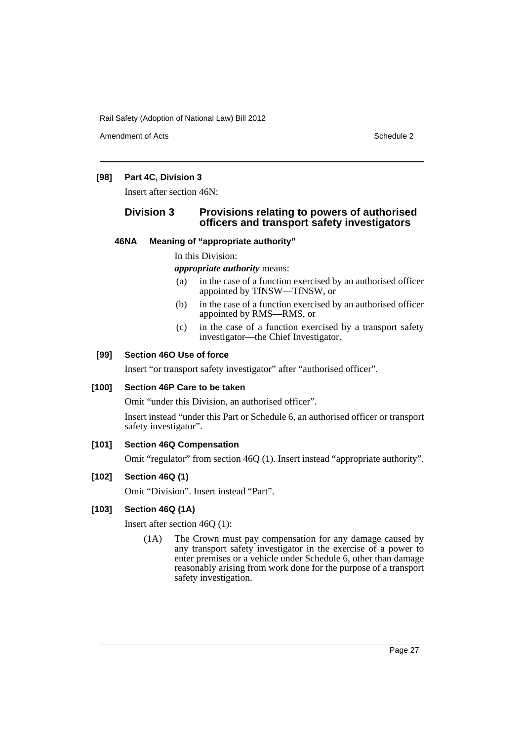Amendment of Acts **Schedule 2** and the 2 and the 2 and 2 and 2 and 2 and 2 and 2 and 2 and 2 and 2 and 2 and 2 and 2 and 2 and 2 and 2 and 2 and 2 and 2 and 2 and 2 and 2 and 2 and 2 and 2 and 2 and 2 and 2 and 2 and 2 and

#### **[98] Part 4C, Division 3**

Insert after section 46N:

#### **Division 3 Provisions relating to powers of authorised officers and transport safety investigators**

#### **46NA Meaning of "appropriate authority"**

#### In this Division:

*appropriate authority* means:

- (a) in the case of a function exercised by an authorised officer appointed by TfNSW—TfNSW, or
- (b) in the case of a function exercised by an authorised officer appointed by RMS—RMS, or
- (c) in the case of a function exercised by a transport safety investigator—the Chief Investigator.

#### **[99] Section 46O Use of force**

Insert "or transport safety investigator" after "authorised officer".

#### **[100] Section 46P Care to be taken**

Omit "under this Division, an authorised officer".

Insert instead "under this Part or Schedule 6, an authorised officer or transport safety investigator".

#### **[101] Section 46Q Compensation**

Omit "regulator" from section 46Q (1). Insert instead "appropriate authority".

#### **[102] Section 46Q (1)**

Omit "Division". Insert instead "Part".

#### **[103] Section 46Q (1A)**

Insert after section 46Q (1):

(1A) The Crown must pay compensation for any damage caused by any transport safety investigator in the exercise of a power to enter premises or a vehicle under Schedule 6, other than damage reasonably arising from work done for the purpose of a transport safety investigation.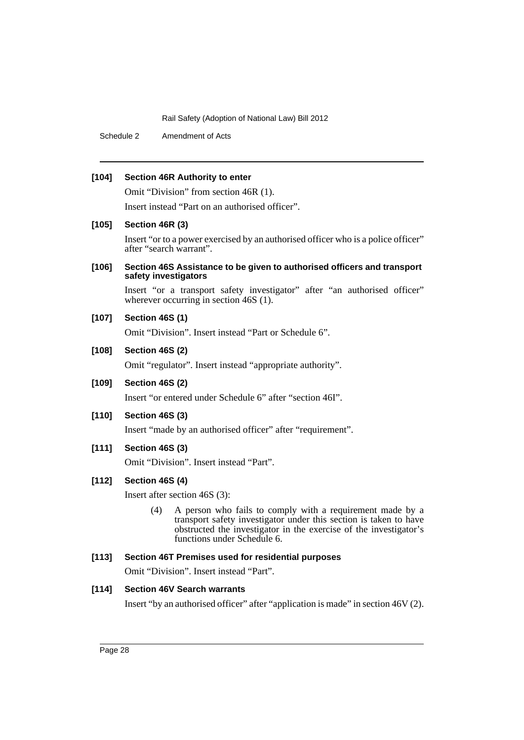Schedule 2 Amendment of Acts

#### **[104] Section 46R Authority to enter**

Omit "Division" from section 46R (1).

Insert instead "Part on an authorised officer".

#### **[105] Section 46R (3)**

Insert "or to a power exercised by an authorised officer who is a police officer" after "search warrant".

#### **[106] Section 46S Assistance to be given to authorised officers and transport safety investigators**

Insert "or a transport safety investigator" after "an authorised officer" wherever occurring in section 46S (1).

#### **[107] Section 46S (1)**

Omit "Division". Insert instead "Part or Schedule 6".

#### **[108] Section 46S (2)**

Omit "regulator". Insert instead "appropriate authority".

#### **[109] Section 46S (2)**

Insert "or entered under Schedule 6" after "section 46I".

#### **[110] Section 46S (3)**

Insert "made by an authorised officer" after "requirement".

#### **[111] Section 46S (3)**

Omit "Division". Insert instead "Part".

#### **[112] Section 46S (4)**

Insert after section 46S (3):

(4) A person who fails to comply with a requirement made by a transport safety investigator under this section is taken to have obstructed the investigator in the exercise of the investigator's functions under Schedule 6.

#### **[113] Section 46T Premises used for residential purposes**

Omit "Division". Insert instead "Part".

#### **[114] Section 46V Search warrants**

Insert "by an authorised officer" after "application is made" in section 46V (2).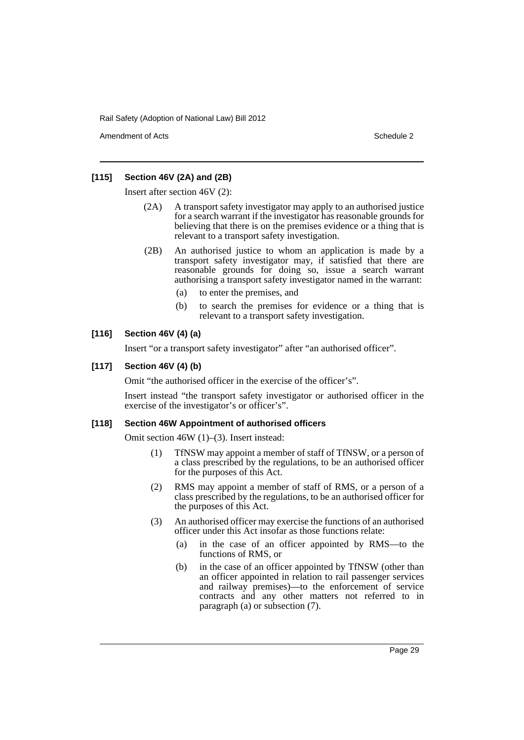Amendment of Acts **Schedule 2** and 2 and 2 and 2 and 2 and 2 and 2 and 2 and 2 and 2 and 2 and 2 and 2 and 2 and 2 and 2 and 2 and 2 and 2 and 2 and 2 and 2 and 2 and 2 and 2 and 2 and 2 and 2 and 2 and 2 and 2 and 2 and 2

#### **[115] Section 46V (2A) and (2B)**

Insert after section 46V (2):

- (2A) A transport safety investigator may apply to an authorised justice for a search warrant if the investigator has reasonable grounds for believing that there is on the premises evidence or a thing that is relevant to a transport safety investigation.
- (2B) An authorised justice to whom an application is made by a transport safety investigator may, if satisfied that there are reasonable grounds for doing so, issue a search warrant authorising a transport safety investigator named in the warrant:
	- (a) to enter the premises, and
	- (b) to search the premises for evidence or a thing that is relevant to a transport safety investigation.

#### **[116] Section 46V (4) (a)**

Insert "or a transport safety investigator" after "an authorised officer".

#### **[117] Section 46V (4) (b)**

Omit "the authorised officer in the exercise of the officer's".

Insert instead "the transport safety investigator or authorised officer in the exercise of the investigator's or officer's".

#### **[118] Section 46W Appointment of authorised officers**

Omit section 46W (1)–(3). Insert instead:

- (1) TfNSW may appoint a member of staff of TfNSW, or a person of a class prescribed by the regulations, to be an authorised officer for the purposes of this Act.
- (2) RMS may appoint a member of staff of RMS, or a person of a class prescribed by the regulations, to be an authorised officer for the purposes of this Act.
- (3) An authorised officer may exercise the functions of an authorised officer under this Act insofar as those functions relate:
	- (a) in the case of an officer appointed by RMS—to the functions of RMS, or
	- (b) in the case of an officer appointed by TfNSW (other than an officer appointed in relation to rail passenger services and railway premises)—to the enforcement of service contracts and any other matters not referred to in paragraph (a) or subsection (7).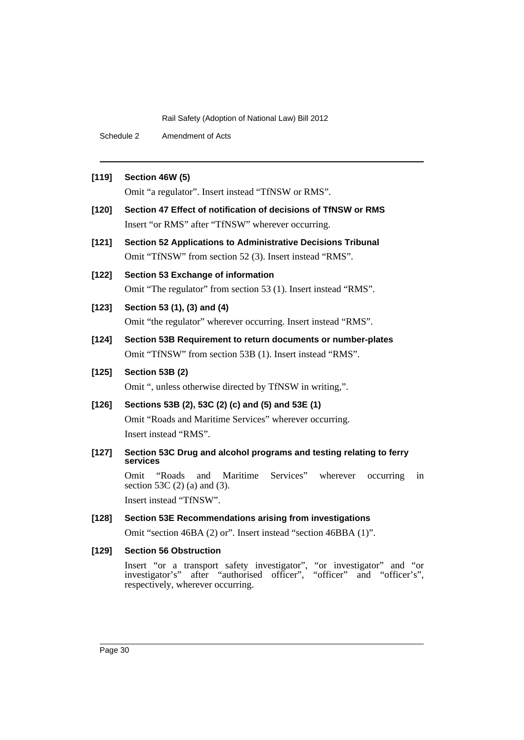Schedule 2 Amendment of Acts

#### **[119] Section 46W (5)**

Omit "a regulator". Insert instead "TfNSW or RMS".

- **[120] Section 47 Effect of notification of decisions of TfNSW or RMS** Insert "or RMS" after "TfNSW" wherever occurring.
- **[121] Section 52 Applications to Administrative Decisions Tribunal** Omit "TfNSW" from section 52 (3). Insert instead "RMS".
- **[122] Section 53 Exchange of information** Omit "The regulator" from section 53 (1). Insert instead "RMS".
- **[123] Section 53 (1), (3) and (4)** Omit "the regulator" wherever occurring. Insert instead "RMS".
- **[124] Section 53B Requirement to return documents or number-plates** Omit "TfNSW" from section 53B (1). Insert instead "RMS".

#### **[125] Section 53B (2)**

Omit ", unless otherwise directed by TfNSW in writing,".

#### **[126] Sections 53B (2), 53C (2) (c) and (5) and 53E (1)**

Omit "Roads and Maritime Services" wherever occurring. Insert instead "RMS".

**[127] Section 53C Drug and alcohol programs and testing relating to ferry services**

> Omit "Roads and Maritime Services" wherever occurring in section 53C (2) (a) and (3).

Insert instead "TfNSW".

#### **[128] Section 53E Recommendations arising from investigations**

Omit "section 46BA (2) or". Insert instead "section 46BBA (1)".

#### **[129] Section 56 Obstruction**

Insert "or a transport safety investigator", "or investigator" and "or investigator's" after "authorised officer", "officer" and "officer's", respectively, wherever occurring.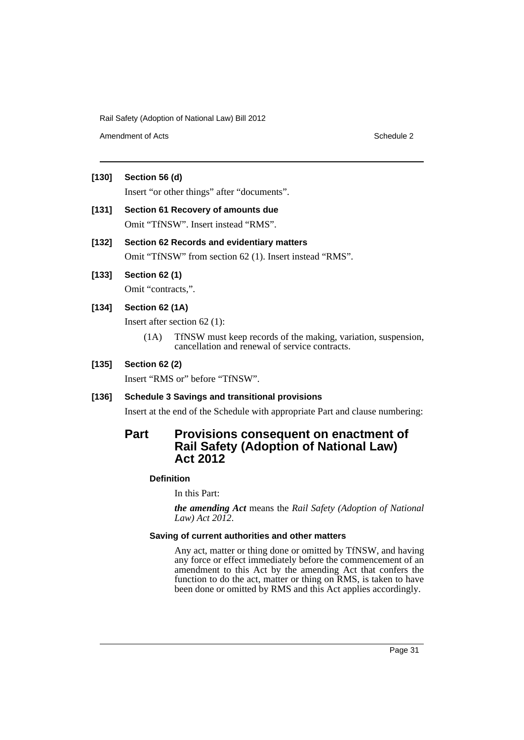Amendment of Acts **Schedule 2** and the 2 and the 2 and 2 and 2 and 2 and 2 and 2 and 2 and 2 and 2 and 2 and 2 and 2 and 2 and 2 and 2 and 2 and 2 and 2 and 2 and 2 and 2 and 2 and 2 and 2 and 2 and 2 and 2 and 2 and 2 and

#### **[130] Section 56 (d)**

Insert "or other things" after "documents".

## **[131] Section 61 Recovery of amounts due** Omit "TfNSW". Insert instead "RMS".

#### **[132] Section 62 Records and evidentiary matters**

Omit "TfNSW" from section 62 (1). Insert instead "RMS".

## **[133] Section 62 (1)**

Omit "contracts,".

#### **[134] Section 62 (1A)**

Insert after section 62 (1):

(1A) TfNSW must keep records of the making, variation, suspension, cancellation and renewal of service contracts.

#### **[135] Section 62 (2)**

Insert "RMS or" before "TfNSW".

#### **[136] Schedule 3 Savings and transitional provisions**

Insert at the end of the Schedule with appropriate Part and clause numbering:

## **Part Provisions consequent on enactment of Rail Safety (Adoption of National Law) Act 2012**

#### **Definition**

In this Part:

*the amending Act* means the *Rail Safety (Adoption of National Law) Act 2012*.

#### **Saving of current authorities and other matters**

Any act, matter or thing done or omitted by TfNSW, and having any force or effect immediately before the commencement of an amendment to this Act by the amending Act that confers the function to do the act, matter or thing on RMS, is taken to have been done or omitted by RMS and this Act applies accordingly.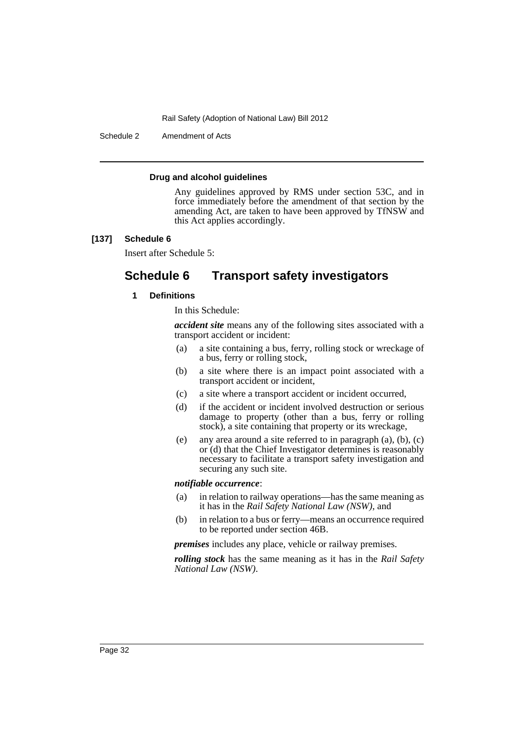Schedule 2 Amendment of Acts

#### **Drug and alcohol guidelines**

Any guidelines approved by RMS under section 53C, and in force immediately before the amendment of that section by the amending Act, are taken to have been approved by TfNSW and this Act applies accordingly.

#### **[137] Schedule 6**

Insert after Schedule 5:

## **Schedule 6 Transport safety investigators**

#### **1 Definitions**

In this Schedule:

*accident site* means any of the following sites associated with a transport accident or incident:

- (a) a site containing a bus, ferry, rolling stock or wreckage of a bus, ferry or rolling stock,
- (b) a site where there is an impact point associated with a transport accident or incident,
- (c) a site where a transport accident or incident occurred,
- (d) if the accident or incident involved destruction or serious damage to property (other than a bus, ferry or rolling stock), a site containing that property or its wreckage,
- (e) any area around a site referred to in paragraph (a), (b), (c) or (d) that the Chief Investigator determines is reasonably necessary to facilitate a transport safety investigation and securing any such site.

#### *notifiable occurrence*:

- (a) in relation to railway operations—has the same meaning as it has in the *Rail Safety National Law (NSW)*, and
- (b) in relation to a bus or ferry—means an occurrence required to be reported under section 46B.

*premises* includes any place, vehicle or railway premises.

*rolling stock* has the same meaning as it has in the *Rail Safety National Law (NSW)*.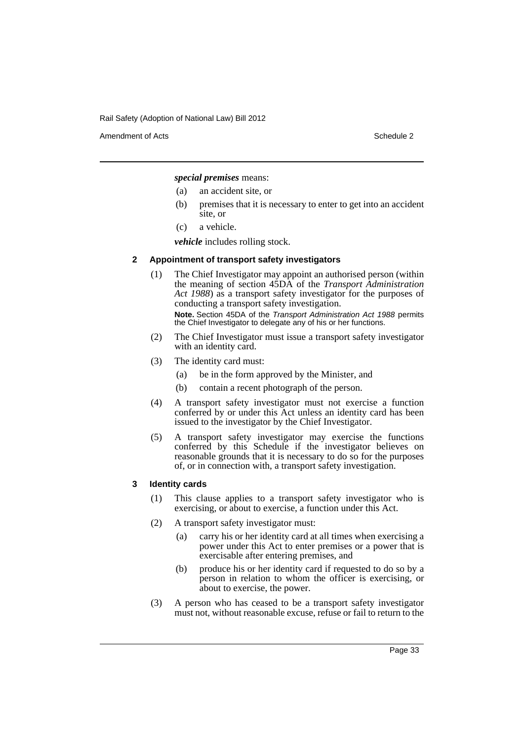Amendment of Acts **Schedule 2** and 2 and 2 and 2 and 2 and 2 and 2 and 2 and 2 and 2 and 2 and 2 and 2 and 2 and 2 and 2 and 2 and 2 and 2 and 2 and 2 and 2 and 2 and 2 and 2 and 2 and 2 and 2 and 2 and 2 and 2 and 2 and 2

*special premises* means:

- (a) an accident site, or
- (b) premises that it is necessary to enter to get into an accident site, or
- (c) a vehicle.

*vehicle* includes rolling stock.

#### **2 Appointment of transport safety investigators**

(1) The Chief Investigator may appoint an authorised person (within the meaning of section 45DA of the *Transport Administration Act 1988*) as a transport safety investigator for the purposes of conducting a transport safety investigation.

**Note.** Section 45DA of the *Transport Administration Act 1988* permits the Chief Investigator to delegate any of his or her functions.

- (2) The Chief Investigator must issue a transport safety investigator with an identity card.
- (3) The identity card must:
	- (a) be in the form approved by the Minister, and
	- (b) contain a recent photograph of the person.
- (4) A transport safety investigator must not exercise a function conferred by or under this Act unless an identity card has been issued to the investigator by the Chief Investigator.
- (5) A transport safety investigator may exercise the functions conferred by this Schedule if the investigator believes on reasonable grounds that it is necessary to do so for the purposes of, or in connection with, a transport safety investigation.

#### **3 Identity cards**

- (1) This clause applies to a transport safety investigator who is exercising, or about to exercise, a function under this Act.
- (2) A transport safety investigator must:
	- (a) carry his or her identity card at all times when exercising a power under this Act to enter premises or a power that is exercisable after entering premises, and
	- (b) produce his or her identity card if requested to do so by a person in relation to whom the officer is exercising, or about to exercise, the power.
- (3) A person who has ceased to be a transport safety investigator must not, without reasonable excuse, refuse or fail to return to the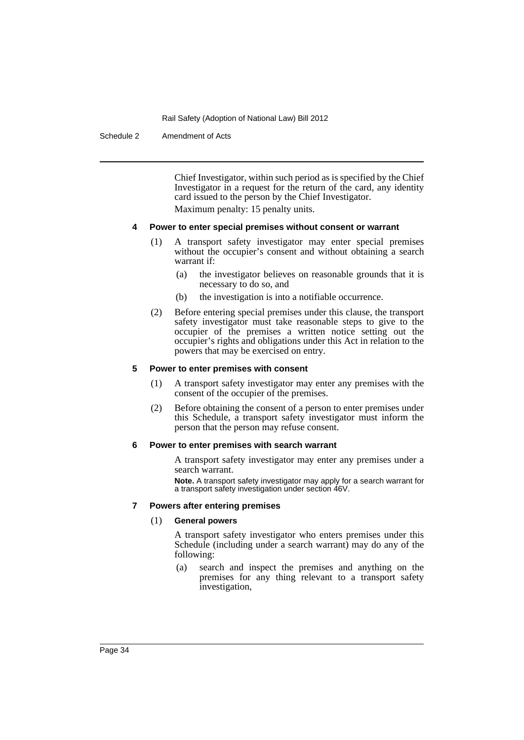Schedule 2 Amendment of Acts

Chief Investigator, within such period as is specified by the Chief Investigator in a request for the return of the card, any identity card issued to the person by the Chief Investigator. Maximum penalty: 15 penalty units.

#### **4 Power to enter special premises without consent or warrant**

- (1) A transport safety investigator may enter special premises without the occupier's consent and without obtaining a search warrant if:
	- (a) the investigator believes on reasonable grounds that it is necessary to do so, and
	- (b) the investigation is into a notifiable occurrence.
- (2) Before entering special premises under this clause, the transport safety investigator must take reasonable steps to give to the occupier of the premises a written notice setting out the occupier's rights and obligations under this Act in relation to the powers that may be exercised on entry.

#### **5 Power to enter premises with consent**

- (1) A transport safety investigator may enter any premises with the consent of the occupier of the premises.
- (2) Before obtaining the consent of a person to enter premises under this Schedule, a transport safety investigator must inform the person that the person may refuse consent.

#### **6 Power to enter premises with search warrant**

A transport safety investigator may enter any premises under a search warrant.

**Note.** A transport safety investigator may apply for a search warrant for a transport safety investigation under section 46V.

#### **7 Powers after entering premises**

#### (1) **General powers**

A transport safety investigator who enters premises under this Schedule (including under a search warrant) may do any of the following:

(a) search and inspect the premises and anything on the premises for any thing relevant to a transport safety investigation,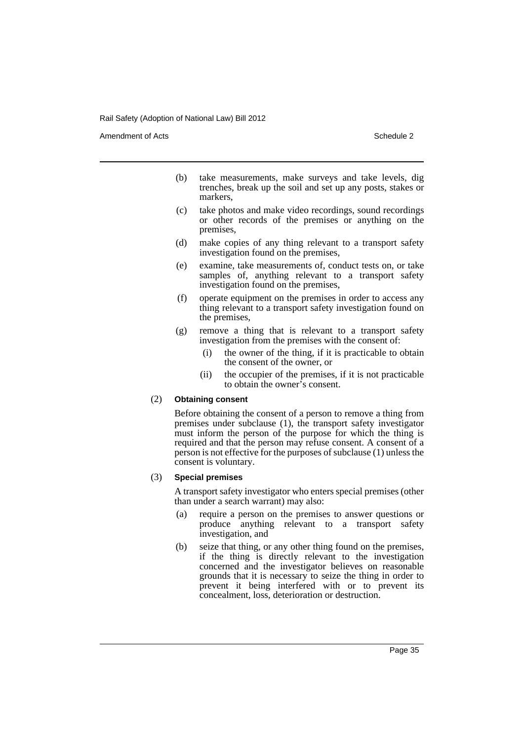Amendment of Acts **Schedule 2** and the 2 and the 2 and 2 and 2 and 2 and 2 and 2 and 2 and 2 and 2 and 2 and 2 and 2 and 2 and 2 and 2 and 2 and 2 and 2 and 2 and 2 and 2 and 2 and 2 and 2 and 2 and 2 and 2 and 2 and 2 and

- (b) take measurements, make surveys and take levels, dig trenches, break up the soil and set up any posts, stakes or markers,
- (c) take photos and make video recordings, sound recordings or other records of the premises or anything on the premises,
- (d) make copies of any thing relevant to a transport safety investigation found on the premises,
- (e) examine, take measurements of, conduct tests on, or take samples of, anything relevant to a transport safety investigation found on the premises,
- (f) operate equipment on the premises in order to access any thing relevant to a transport safety investigation found on the premises,
- (g) remove a thing that is relevant to a transport safety investigation from the premises with the consent of:
	- (i) the owner of the thing, if it is practicable to obtain the consent of the owner, or
	- (ii) the occupier of the premises, if it is not practicable to obtain the owner's consent.

## (2) **Obtaining consent**

Before obtaining the consent of a person to remove a thing from premises under subclause (1), the transport safety investigator must inform the person of the purpose for which the thing is required and that the person may refuse consent. A consent of a person is not effective for the purposes of subclause (1) unless the consent is voluntary.

#### (3) **Special premises**

A transport safety investigator who enters special premises (other than under a search warrant) may also:

- (a) require a person on the premises to answer questions or produce anything relevant to a transport safety investigation, and
- (b) seize that thing, or any other thing found on the premises, if the thing is directly relevant to the investigation concerned and the investigator believes on reasonable grounds that it is necessary to seize the thing in order to prevent it being interfered with or to prevent its concealment, loss, deterioration or destruction.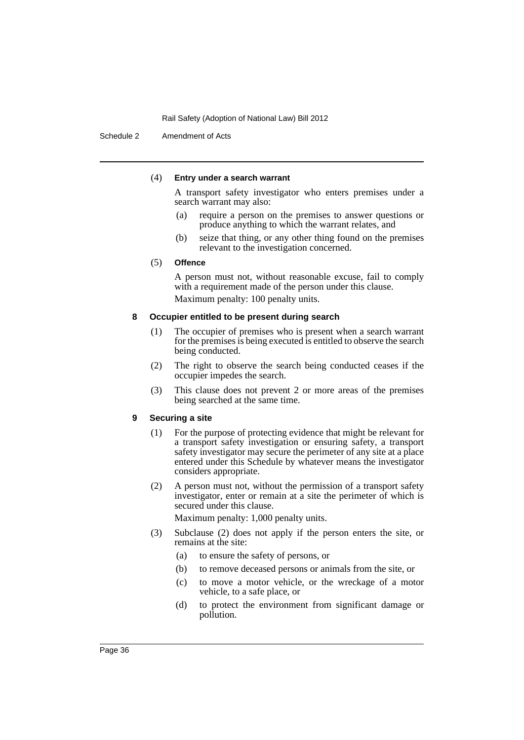Schedule 2 Amendment of Acts

#### (4) **Entry under a search warrant**

A transport safety investigator who enters premises under a search warrant may also:

- (a) require a person on the premises to answer questions or produce anything to which the warrant relates, and
- (b) seize that thing, or any other thing found on the premises relevant to the investigation concerned.

#### (5) **Offence**

A person must not, without reasonable excuse, fail to comply with a requirement made of the person under this clause. Maximum penalty: 100 penalty units.

#### **8 Occupier entitled to be present during search**

- (1) The occupier of premises who is present when a search warrant for the premises is being executed is entitled to observe the search being conducted.
- (2) The right to observe the search being conducted ceases if the occupier impedes the search.
- (3) This clause does not prevent 2 or more areas of the premises being searched at the same time.

## **9 Securing a site**

- (1) For the purpose of protecting evidence that might be relevant for a transport safety investigation or ensuring safety, a transport safety investigator may secure the perimeter of any site at a place entered under this Schedule by whatever means the investigator considers appropriate.
- (2) A person must not, without the permission of a transport safety investigator, enter or remain at a site the perimeter of which is secured under this clause.

Maximum penalty: 1,000 penalty units.

- (3) Subclause (2) does not apply if the person enters the site, or remains at the site:
	- (a) to ensure the safety of persons, or
	- (b) to remove deceased persons or animals from the site, or
	- (c) to move a motor vehicle, or the wreckage of a motor vehicle, to a safe place, or
	- (d) to protect the environment from significant damage or pollution.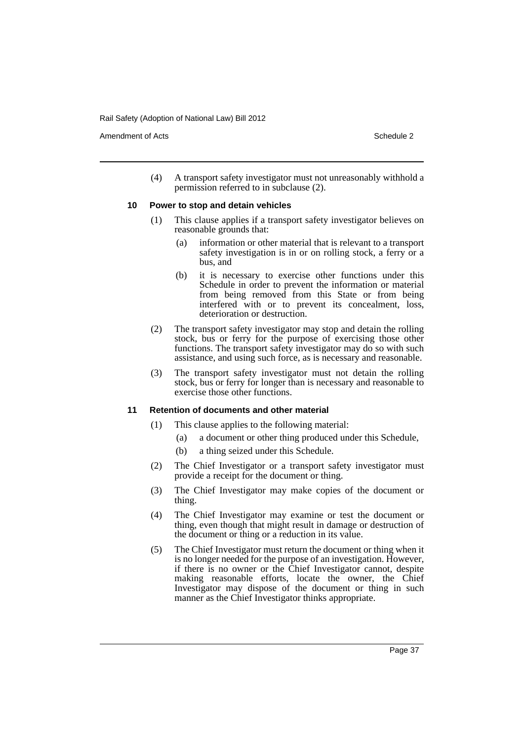Amendment of Acts **Schedule 2** and the 2 and the 2 and 2 and 2 and 2 and 2 and 2 and 2 and 2 and 2 and 2 and 2 and 2 and 2 and 2 and 2 and 2 and 2 and 2 and 2 and 2 and 2 and 2 and 2 and 2 and 2 and 2 and 2 and 2 and 2 and

(4) A transport safety investigator must not unreasonably withhold a permission referred to in subclause (2).

#### **10 Power to stop and detain vehicles**

- (1) This clause applies if a transport safety investigator believes on reasonable grounds that:
	- (a) information or other material that is relevant to a transport safety investigation is in or on rolling stock, a ferry or a bus, and
	- (b) it is necessary to exercise other functions under this Schedule in order to prevent the information or material from being removed from this State or from being interfered with or to prevent its concealment, loss, deterioration or destruction.
- (2) The transport safety investigator may stop and detain the rolling stock, bus or ferry for the purpose of exercising those other functions. The transport safety investigator may do so with such assistance, and using such force, as is necessary and reasonable.
- (3) The transport safety investigator must not detain the rolling stock, bus or ferry for longer than is necessary and reasonable to exercise those other functions.

## **11 Retention of documents and other material**

- (1) This clause applies to the following material:
	- (a) a document or other thing produced under this Schedule,
	- (b) a thing seized under this Schedule.
- (2) The Chief Investigator or a transport safety investigator must provide a receipt for the document or thing.
- (3) The Chief Investigator may make copies of the document or thing.
- (4) The Chief Investigator may examine or test the document or thing, even though that might result in damage or destruction of the document or thing or a reduction in its value.
- (5) The Chief Investigator must return the document or thing when it is no longer needed for the purpose of an investigation. However, if there is no owner or the Chief Investigator cannot, despite making reasonable efforts, locate the owner, the Chief Investigator may dispose of the document or thing in such manner as the Chief Investigator thinks appropriate.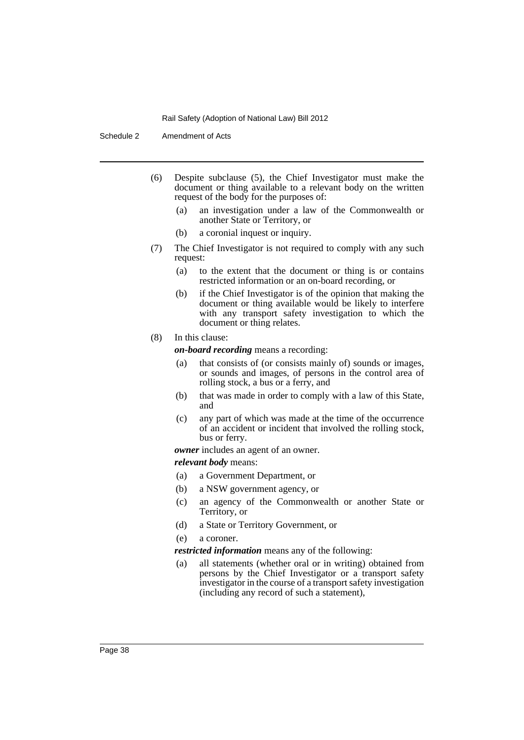Schedule 2 Amendment of Acts

- (6) Despite subclause (5), the Chief Investigator must make the document or thing available to a relevant body on the written request of the body for the purposes of:
	- (a) an investigation under a law of the Commonwealth or another State or Territory, or
	- (b) a coronial inquest or inquiry.
- (7) The Chief Investigator is not required to comply with any such request:
	- (a) to the extent that the document or thing is or contains restricted information or an on-board recording, or
	- (b) if the Chief Investigator is of the opinion that making the document or thing available would be likely to interfere with any transport safety investigation to which the document or thing relates.

## (8) In this clause:

*on-board recording* means a recording:

- (a) that consists of (or consists mainly of) sounds or images, or sounds and images, of persons in the control area of rolling stock, a bus or a ferry, and
- (b) that was made in order to comply with a law of this State, and
- (c) any part of which was made at the time of the occurrence of an accident or incident that involved the rolling stock, bus or ferry.

*owner* includes an agent of an owner.

*relevant body* means:

- (a) a Government Department, or
- (b) a NSW government agency, or
- (c) an agency of the Commonwealth or another State or Territory, or
- (d) a State or Territory Government, or

(e) a coroner.

*restricted information* means any of the following:

(a) all statements (whether oral or in writing) obtained from persons by the Chief Investigator or a transport safety investigator in the course of a transport safety investigation (including any record of such a statement),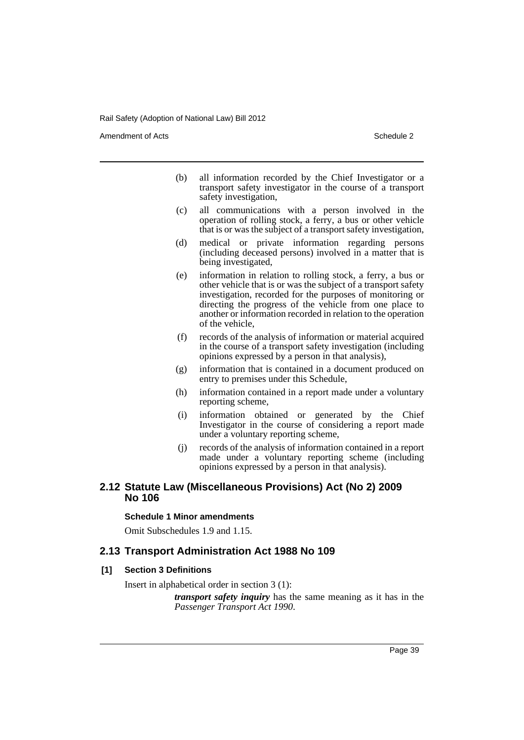Amendment of Acts **Schedule 2** and the 2 and the 2 and 2 and 2 and 2 and 2 and 2 and 2 and 2 and 2 and 2 and 2 and 2 and 2 and 2 and 2 and 2 and 2 and 2 and 2 and 2 and 2 and 2 and 2 and 2 and 2 and 2 and 2 and 2 and 2 and

- (b) all information recorded by the Chief Investigator or a transport safety investigator in the course of a transport safety investigation,
- (c) all communications with a person involved in the operation of rolling stock, a ferry, a bus or other vehicle that is or was the subject of a transport safety investigation,
- (d) medical or private information regarding persons (including deceased persons) involved in a matter that is being investigated,
- (e) information in relation to rolling stock, a ferry, a bus or other vehicle that is or was the subject of a transport safety investigation, recorded for the purposes of monitoring or directing the progress of the vehicle from one place to another or information recorded in relation to the operation of the vehicle,
- (f) records of the analysis of information or material acquired in the course of a transport safety investigation (including opinions expressed by a person in that analysis),
- (g) information that is contained in a document produced on entry to premises under this Schedule,
- (h) information contained in a report made under a voluntary reporting scheme,
- (i) information obtained or generated by the Chief Investigator in the course of considering a report made under a voluntary reporting scheme,
- (j) records of the analysis of information contained in a report made under a voluntary reporting scheme (including opinions expressed by a person in that analysis).

# **2.12 Statute Law (Miscellaneous Provisions) Act (No 2) 2009 No 106**

## **Schedule 1 Minor amendments**

Omit Subschedules 1.9 and 1.15.

# **2.13 Transport Administration Act 1988 No 109**

## **[1] Section 3 Definitions**

Insert in alphabetical order in section 3 (1):

*transport safety inquiry* has the same meaning as it has in the *Passenger Transport Act 1990*.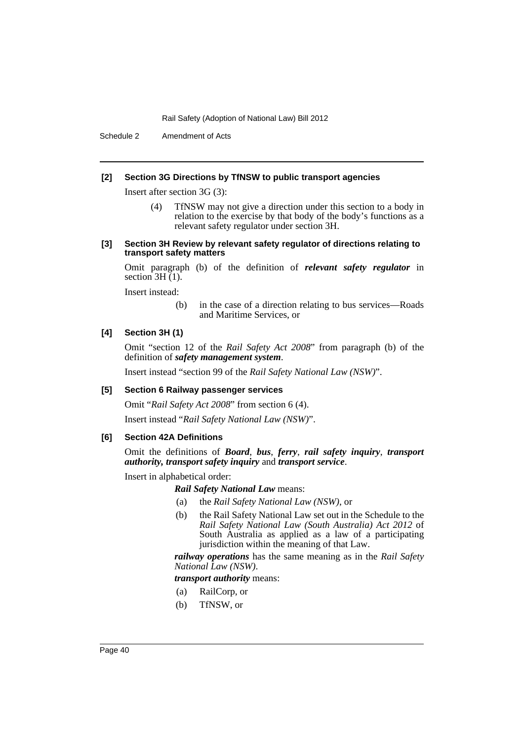Schedule 2 Amendment of Acts

## **[2] Section 3G Directions by TfNSW to public transport agencies**

Insert after section 3G (3):

- (4) TfNSW may not give a direction under this section to a body in relation to the exercise by that body of the body's functions as a relevant safety regulator under section 3H.
- **[3] Section 3H Review by relevant safety regulator of directions relating to transport safety matters**

Omit paragraph (b) of the definition of *relevant safety regulator* in section  $3H(1)$ .

Insert instead:

(b) in the case of a direction relating to bus services—Roads and Maritime Services, or

## **[4] Section 3H (1)**

Omit "section 12 of the *Rail Safety Act 2008*" from paragraph (b) of the definition of *safety management system*.

Insert instead "section 99 of the *Rail Safety National Law (NSW)*".

## **[5] Section 6 Railway passenger services**

Omit "*Rail Safety Act 2008*" from section 6 (4).

Insert instead "*Rail Safety National Law (NSW)*".

# **[6] Section 42A Definitions**

Omit the definitions of *Board*, *bus*, *ferry*, *rail safety inquiry*, *transport authority, transport safety inquiry* and *transport service*.

Insert in alphabetical order:

*Rail Safety National Law* means:

- (a) the *Rail Safety National Law (NSW)*, or
- (b) the Rail Safety National Law set out in the Schedule to the *Rail Safety National Law (South Australia) Act 2012* of South Australia as applied as a law of a participating jurisdiction within the meaning of that Law.

*railway operations* has the same meaning as in the *Rail Safety National Law (NSW)*.

## *transport authority* means:

- (a) RailCorp, or
- (b) TfNSW, or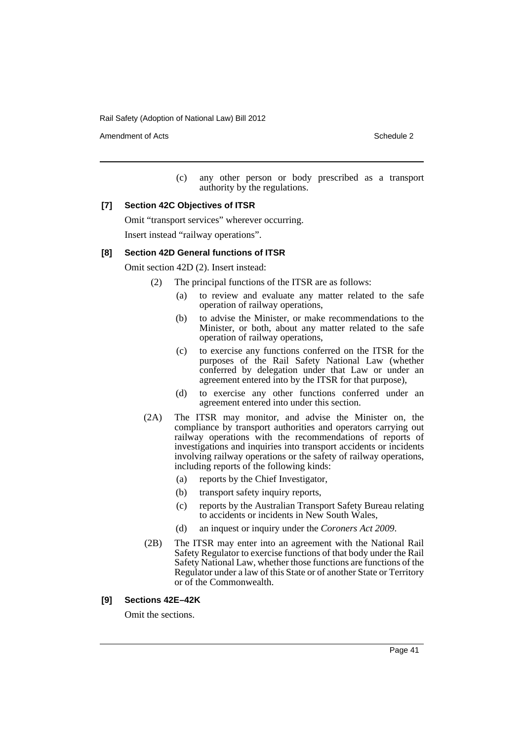Amendment of Acts **Schedule 2** and the 2 and the 2 and 2 and 2 and 2 and 2 and 2 and 2 and 2 and 2 and 2 and 2 and 2 and 2 and 2 and 2 and 2 and 2 and 2 and 2 and 2 and 2 and 2 and 2 and 2 and 2 and 2 and 2 and 2 and 2 and

(c) any other person or body prescribed as a transport authority by the regulations.

#### **[7] Section 42C Objectives of ITSR**

Omit "transport services" wherever occurring. Insert instead "railway operations".

#### **[8] Section 42D General functions of ITSR**

Omit section 42D (2). Insert instead:

- (2) The principal functions of the ITSR are as follows:
	- (a) to review and evaluate any matter related to the safe operation of railway operations,
	- (b) to advise the Minister, or make recommendations to the Minister, or both, about any matter related to the safe operation of railway operations,
	- (c) to exercise any functions conferred on the ITSR for the purposes of the Rail Safety National Law (whether conferred by delegation under that Law or under an agreement entered into by the ITSR for that purpose),
	- (d) to exercise any other functions conferred under an agreement entered into under this section.
- (2A) The ITSR may monitor, and advise the Minister on, the compliance by transport authorities and operators carrying out railway operations with the recommendations of reports of investigations and inquiries into transport accidents or incidents involving railway operations or the safety of railway operations, including reports of the following kinds:
	- (a) reports by the Chief Investigator,
	- (b) transport safety inquiry reports,
	- (c) reports by the Australian Transport Safety Bureau relating to accidents or incidents in New South Wales,
	- (d) an inquest or inquiry under the *Coroners Act 2009*.
- (2B) The ITSR may enter into an agreement with the National Rail Safety Regulator to exercise functions of that body under the Rail Safety National Law, whether those functions are functions of the Regulator under a law of this State or of another State or Territory or of the Commonwealth.

## **[9] Sections 42E–42K**

Omit the sections.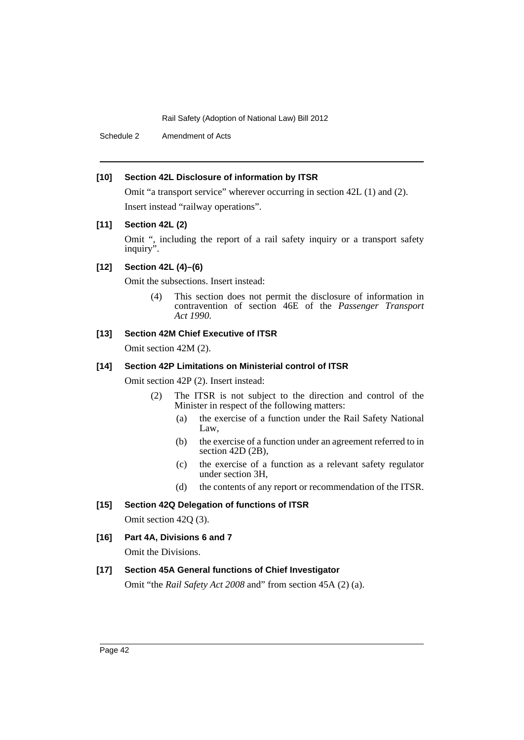Schedule 2 Amendment of Acts

# **[10] Section 42L Disclosure of information by ITSR**

Omit "a transport service" wherever occurring in section 42L (1) and (2). Insert instead "railway operations".

# **[11] Section 42L (2)**

Omit ", including the report of a rail safety inquiry or a transport safety inquiry".

# **[12] Section 42L (4)–(6)**

Omit the subsections. Insert instead:

(4) This section does not permit the disclosure of information in contravention of section 46E of the *Passenger Transport Act 1990*.

# **[13] Section 42M Chief Executive of ITSR**

Omit section 42M (2).

## **[14] Section 42P Limitations on Ministerial control of ITSR**

Omit section 42P (2). Insert instead:

- (2) The ITSR is not subject to the direction and control of the Minister in respect of the following matters:
	- (a) the exercise of a function under the Rail Safety National Law,
	- (b) the exercise of a function under an agreement referred to in section 42D (2B),
	- (c) the exercise of a function as a relevant safety regulator under section 3H,
	- (d) the contents of any report or recommendation of the ITSR.

# **[15] Section 42Q Delegation of functions of ITSR**

Omit section 42Q (3).

**[16] Part 4A, Divisions 6 and 7**

Omit the Divisions.

# **[17] Section 45A General functions of Chief Investigator**

Omit "the *Rail Safety Act 2008* and" from section 45A (2) (a).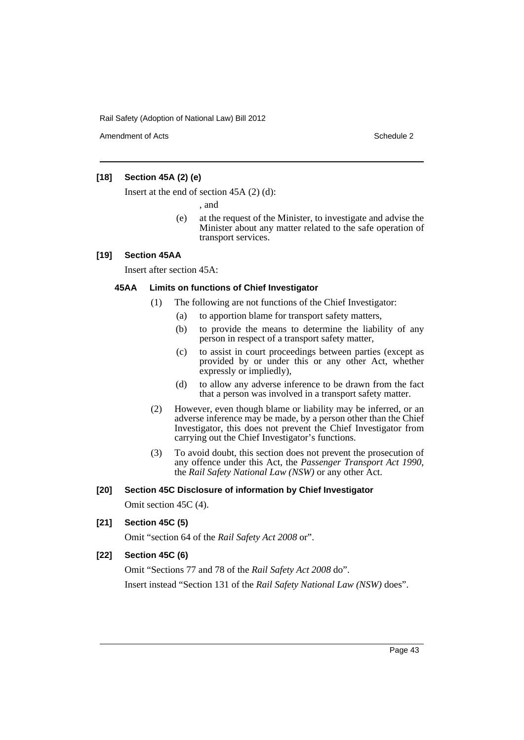Amendment of Acts **Schedule 2** and 2 and 2 and 2 and 2 and 2 and 2 and 2 and 2 and 2 and 2 and 2 and 2 and 2 and 2 and 2 and 2 and 2 and 2 and 2 and 2 and 2 and 2 and 2 and 2 and 2 and 2 and 2 and 2 and 2 and 2 and 2 and 2

# **[18] Section 45A (2) (e)**

Insert at the end of section 45A (2) (d):

, and

(e) at the request of the Minister, to investigate and advise the Minister about any matter related to the safe operation of transport services.

# **[19] Section 45AA**

Insert after section 45A:

## **45AA Limits on functions of Chief Investigator**

- (1) The following are not functions of the Chief Investigator:
	- (a) to apportion blame for transport safety matters,
	- (b) to provide the means to determine the liability of any person in respect of a transport safety matter,
	- (c) to assist in court proceedings between parties (except as provided by or under this or any other Act, whether expressly or impliedly),
	- (d) to allow any adverse inference to be drawn from the fact that a person was involved in a transport safety matter.
- (2) However, even though blame or liability may be inferred, or an adverse inference may be made, by a person other than the Chief Investigator, this does not prevent the Chief Investigator from carrying out the Chief Investigator's functions.
- (3) To avoid doubt, this section does not prevent the prosecution of any offence under this Act, the *Passenger Transport Act 1990*, the *Rail Safety National Law (NSW)* or any other Act.

## **[20] Section 45C Disclosure of information by Chief Investigator**

Omit section 45C (4).

**[21] Section 45C (5)**

Omit "section 64 of the *Rail Safety Act 2008* or".

## **[22] Section 45C (6)**

Omit "Sections 77 and 78 of the *Rail Safety Act 2008* do". Insert instead "Section 131 of the *Rail Safety National Law (NSW)* does".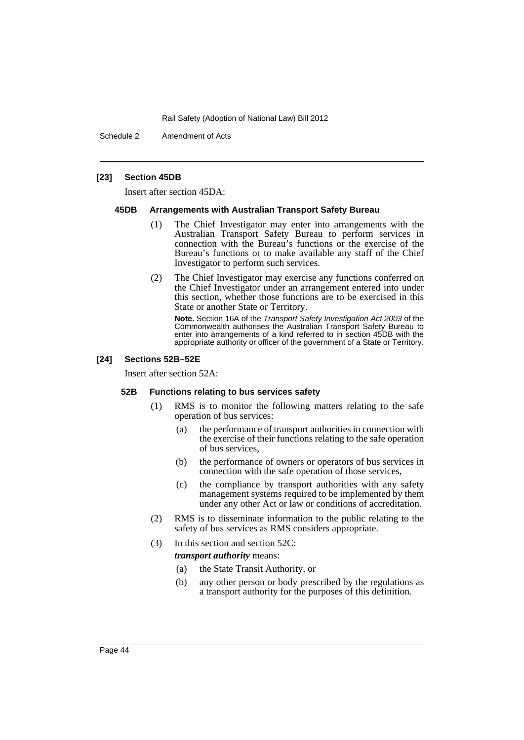Schedule 2 Amendment of Acts

## **[23] Section 45DB**

Insert after section 45DA:

#### **45DB Arrangements with Australian Transport Safety Bureau**

- (1) The Chief Investigator may enter into arrangements with the Australian Transport Safety Bureau to perform services in connection with the Bureau's functions or the exercise of the Bureau's functions or to make available any staff of the Chief Investigator to perform such services.
- (2) The Chief Investigator may exercise any functions conferred on the Chief Investigator under an arrangement entered into under this section, whether those functions are to be exercised in this State or another State or Territory.

**Note.** Section 16A of the *Transport Safety Investigation Act 2003* of the Commonwealth authorises the Australian Transport Safety Bureau to enter into arrangements of a kind referred to in section 45DB with the appropriate authority or officer of the government of a State or Territory.

#### **[24] Sections 52B–52E**

Insert after section 52A:

#### **52B Functions relating to bus services safety**

- (1) RMS is to monitor the following matters relating to the safe operation of bus services:
	- (a) the performance of transport authorities in connection with the exercise of their functions relating to the safe operation of bus services,
	- (b) the performance of owners or operators of bus services in connection with the safe operation of those services,
	- (c) the compliance by transport authorities with any safety management systems required to be implemented by them under any other Act or law or conditions of accreditation.
- (2) RMS is to disseminate information to the public relating to the safety of bus services as RMS considers appropriate.
- (3) In this section and section 52C: *transport authority* means:
	- (a) the State Transit Authority, or
	- (b) any other person or body prescribed by the regulations as a transport authority for the purposes of this definition.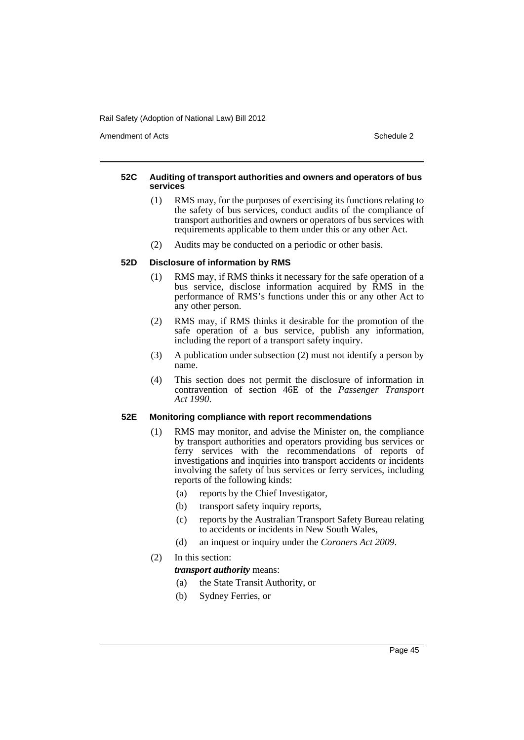Amendment of Acts **Schedule 2** and the 2 and the 2 and 2 and 2 and 2 and 2 and 2 and 2 and 2 and 2 and 2 and 2 and 2 and 2 and 2 and 2 and 2 and 2 and 2 and 2 and 2 and 2 and 2 and 2 and 2 and 2 and 2 and 2 and 2 and 2 and

## **52C Auditing of transport authorities and owners and operators of bus services**

- (1) RMS may, for the purposes of exercising its functions relating to the safety of bus services, conduct audits of the compliance of transport authorities and owners or operators of bus services with requirements applicable to them under this or any other Act.
- (2) Audits may be conducted on a periodic or other basis.

## **52D Disclosure of information by RMS**

- (1) RMS may, if RMS thinks it necessary for the safe operation of a bus service, disclose information acquired by RMS in the performance of RMS's functions under this or any other Act to any other person.
- (2) RMS may, if RMS thinks it desirable for the promotion of the safe operation of a bus service, publish any information, including the report of a transport safety inquiry.
- (3) A publication under subsection (2) must not identify a person by name.
- (4) This section does not permit the disclosure of information in contravention of section 46E of the *Passenger Transport Act 1990*.

## **52E Monitoring compliance with report recommendations**

- (1) RMS may monitor, and advise the Minister on, the compliance by transport authorities and operators providing bus services or ferry services with the recommendations of reports of investigations and inquiries into transport accidents or incidents involving the safety of bus services or ferry services, including reports of the following kinds:
	- (a) reports by the Chief Investigator,
	- (b) transport safety inquiry reports,
	- (c) reports by the Australian Transport Safety Bureau relating to accidents or incidents in New South Wales,
	- (d) an inquest or inquiry under the *Coroners Act 2009*.

# (2) In this section:

*transport authority* means:

(a) the State Transit Authority, or

(b) Sydney Ferries, or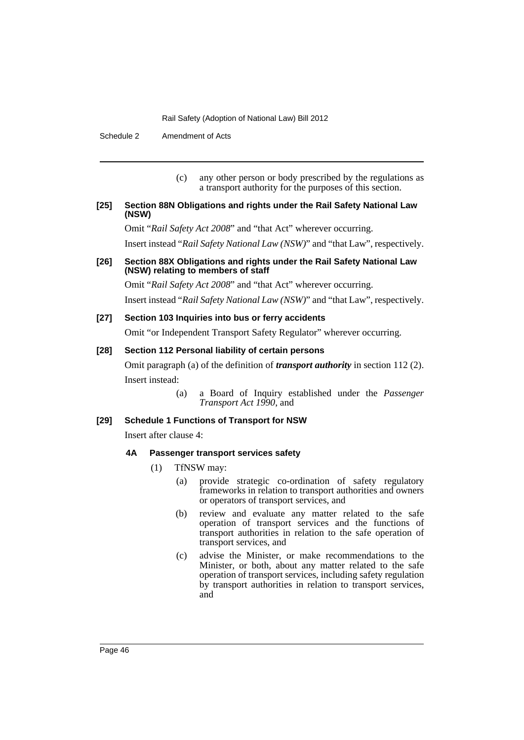Schedule 2 Amendment of Acts

(c) any other person or body prescribed by the regulations as a transport authority for the purposes of this section.

## **[25] Section 88N Obligations and rights under the Rail Safety National Law (NSW)**

Omit "*Rail Safety Act 2008*" and "that Act" wherever occurring.

Insert instead "*Rail Safety National Law (NSW)*" and "that Law", respectively.

## **[26] Section 88X Obligations and rights under the Rail Safety National Law (NSW) relating to members of staff**

Omit "*Rail Safety Act 2008*" and "that Act" wherever occurring.

Insert instead "*Rail Safety National Law (NSW)*" and "that Law", respectively.

## **[27] Section 103 Inquiries into bus or ferry accidents**

Omit "or Independent Transport Safety Regulator" wherever occurring.

## **[28] Section 112 Personal liability of certain persons**

Omit paragraph (a) of the definition of *transport authority* in section 112 (2). Insert instead:

> (a) a Board of Inquiry established under the *Passenger Transport Act 1990*, and

## **[29] Schedule 1 Functions of Transport for NSW**

Insert after clause 4:

#### **4A Passenger transport services safety**

- (1) TfNSW may:
	- (a) provide strategic co-ordination of safety regulatory frameworks in relation to transport authorities and owners or operators of transport services, and
	- (b) review and evaluate any matter related to the safe operation of transport services and the functions of transport authorities in relation to the safe operation of transport services, and
	- (c) advise the Minister, or make recommendations to the Minister, or both, about any matter related to the safe operation of transport services, including safety regulation by transport authorities in relation to transport services, and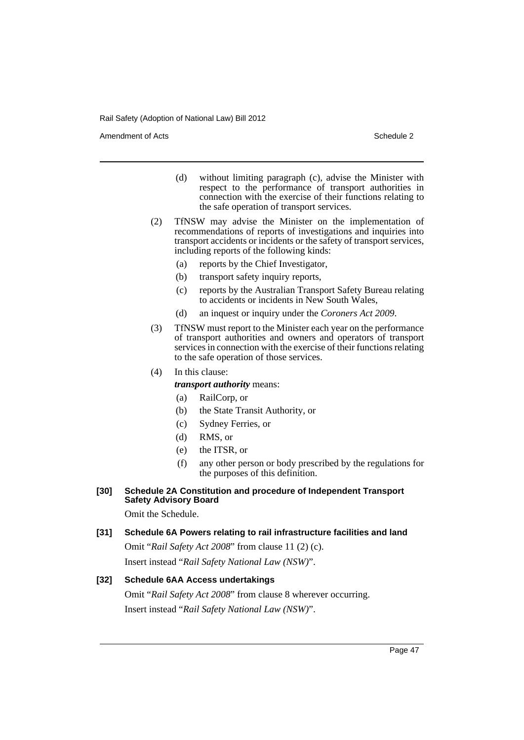Amendment of Acts **Schedule 2** and the 2 and the 2 and 2 and 2 and 2 and 2 and 2 and 2 and 2 and 2 and 2 and 2 and 2 and 2 and 2 and 2 and 2 and 2 and 2 and 2 and 2 and 2 and 2 and 2 and 2 and 2 and 2 and 2 and 2 and 2 and

- (d) without limiting paragraph (c), advise the Minister with respect to the performance of transport authorities in connection with the exercise of their functions relating to the safe operation of transport services.
- (2) TfNSW may advise the Minister on the implementation of recommendations of reports of investigations and inquiries into transport accidents or incidents or the safety of transport services, including reports of the following kinds:
	- (a) reports by the Chief Investigator,
	- (b) transport safety inquiry reports,
	- (c) reports by the Australian Transport Safety Bureau relating to accidents or incidents in New South Wales,
	- (d) an inquest or inquiry under the *Coroners Act 2009*.
- (3) TfNSW must report to the Minister each year on the performance of transport authorities and owners and operators of transport services in connection with the exercise of their functions relating to the safe operation of those services.
- (4) In this clause:
	- *transport authority* means:
	- (a) RailCorp, or
	- (b) the State Transit Authority, or
	- (c) Sydney Ferries, or
	- (d) RMS, or
	- (e) the ITSR, or
	- (f) any other person or body prescribed by the regulations for the purposes of this definition.

## **[30] Schedule 2A Constitution and procedure of Independent Transport Safety Advisory Board**

Omit the Schedule.

## **[31] Schedule 6A Powers relating to rail infrastructure facilities and land**

Omit "*Rail Safety Act 2008*" from clause 11 (2) (c). Insert instead "*Rail Safety National Law (NSW)*".

#### **[32] Schedule 6AA Access undertakings**

Omit "*Rail Safety Act 2008*" from clause 8 wherever occurring. Insert instead "*Rail Safety National Law (NSW)*".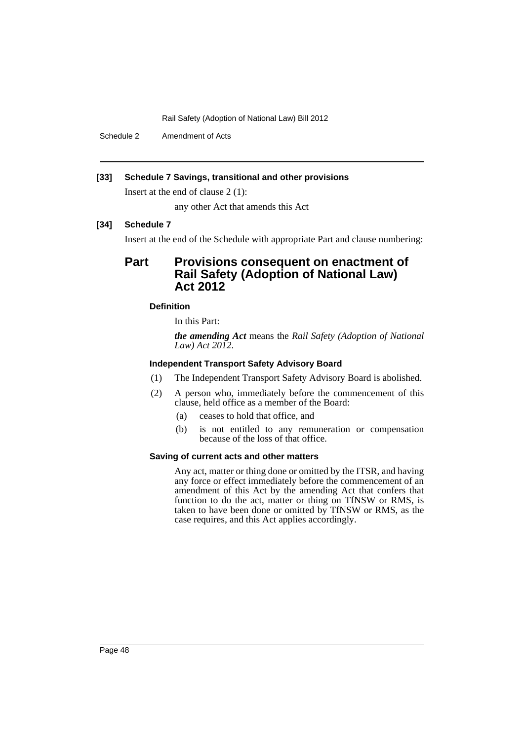Schedule 2 Amendment of Acts

# **[33] Schedule 7 Savings, transitional and other provisions**

Insert at the end of clause 2 (1):

any other Act that amends this Act

# **[34] Schedule 7**

Insert at the end of the Schedule with appropriate Part and clause numbering:

# **Part Provisions consequent on enactment of Rail Safety (Adoption of National Law) Act 2012**

# **Definition**

In this Part:

*the amending Act* means the *Rail Safety (Adoption of National Law) Act 2012*.

# **Independent Transport Safety Advisory Board**

- (1) The Independent Transport Safety Advisory Board is abolished.
- (2) A person who, immediately before the commencement of this clause, held office as a member of the Board:
	- (a) ceases to hold that office, and
	- (b) is not entitled to any remuneration or compensation because of the loss of that office.

## **Saving of current acts and other matters**

Any act, matter or thing done or omitted by the ITSR, and having any force or effect immediately before the commencement of an amendment of this Act by the amending Act that confers that function to do the act, matter or thing on TfNSW or RMS, is taken to have been done or omitted by TfNSW or RMS, as the case requires, and this Act applies accordingly.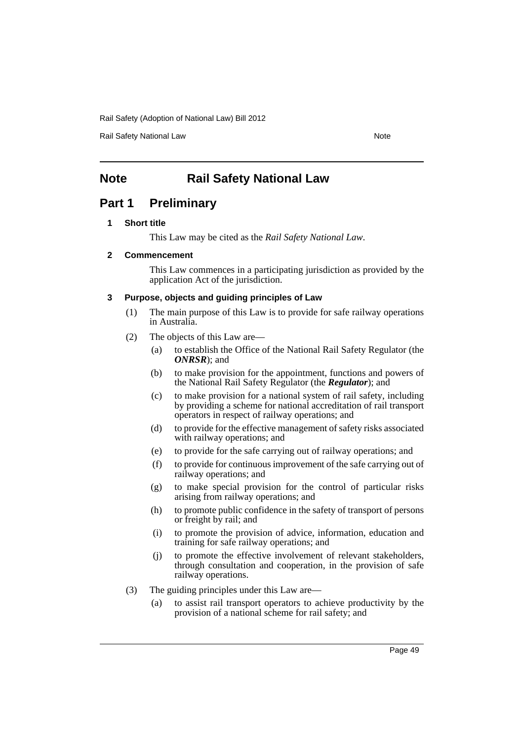Rail Safety National Law Note 2008 and 2009 and 2009 and 2009 and 2009 and 2009 and 2009 and 2009 and 2009 and 2009 and 2009 and 2009 and 2009 and 2009 and 2009 and 2009 and 2009 and 2009 and 2009 and 2009 and 2009 and 200

# **Note** Rail Safety National Law

# **Part 1 Preliminary**

## **1 Short title**

This Law may be cited as the *Rail Safety National Law*.

## **2 Commencement**

This Law commences in a participating jurisdiction as provided by the application Act of the jurisdiction.

# **3 Purpose, objects and guiding principles of Law**

- (1) The main purpose of this Law is to provide for safe railway operations in Australia.
- (2) The objects of this Law are—
	- (a) to establish the Office of the National Rail Safety Regulator (the *ONRSR*); and
	- (b) to make provision for the appointment, functions and powers of the National Rail Safety Regulator (the *Regulator*); and
	- (c) to make provision for a national system of rail safety, including by providing a scheme for national accreditation of rail transport operators in respect of railway operations; and
	- (d) to provide for the effective management of safety risks associated with railway operations; and
	- (e) to provide for the safe carrying out of railway operations; and
	- (f) to provide for continuous improvement of the safe carrying out of railway operations; and
	- (g) to make special provision for the control of particular risks arising from railway operations; and
	- (h) to promote public confidence in the safety of transport of persons or freight by rail; and
	- (i) to promote the provision of advice, information, education and training for safe railway operations; and
	- (j) to promote the effective involvement of relevant stakeholders, through consultation and cooperation, in the provision of safe railway operations.
- (3) The guiding principles under this Law are—
	- (a) to assist rail transport operators to achieve productivity by the provision of a national scheme for rail safety; and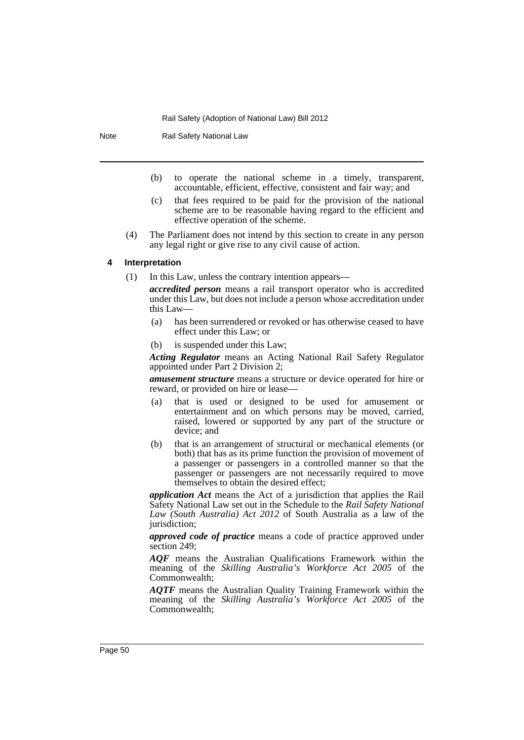Note Rail Safety National Law

- (b) to operate the national scheme in a timely, transparent, accountable, efficient, effective, consistent and fair way; and
- (c) that fees required to be paid for the provision of the national scheme are to be reasonable having regard to the efficient and effective operation of the scheme.
- (4) The Parliament does not intend by this section to create in any person any legal right or give rise to any civil cause of action.

#### **4 Interpretation**

(1) In this Law, unless the contrary intention appears—

*accredited person* means a rail transport operator who is accredited under this Law, but does not include a person whose accreditation under this Law—

- (a) has been surrendered or revoked or has otherwise ceased to have effect under this Law; or
- (b) is suspended under this Law;

*Acting Regulator* means an Acting National Rail Safety Regulator appointed under Part 2 Division 2;

*amusement structure* means a structure or device operated for hire or reward, or provided on hire or lease—

- (a) that is used or designed to be used for amusement or entertainment and on which persons may be moved, carried, raised, lowered or supported by any part of the structure or device; and
- (b) that is an arrangement of structural or mechanical elements (or both) that has as its prime function the provision of movement of a passenger or passengers in a controlled manner so that the passenger or passengers are not necessarily required to move themselves to obtain the desired effect;

*application Act* means the Act of a jurisdiction that applies the Rail Safety National Law set out in the Schedule to the *Rail Safety National Law (South Australia) Act 2012* of South Australia as a law of the jurisdiction;

*approved code of practice* means a code of practice approved under section 249;

*AQF* means the Australian Qualifications Framework within the meaning of the *Skilling Australia's Workforce Act 2005* of the Commonwealth;

*AQTF* means the Australian Quality Training Framework within the meaning of the *Skilling Australia's Workforce Act 2005* of the Commonwealth;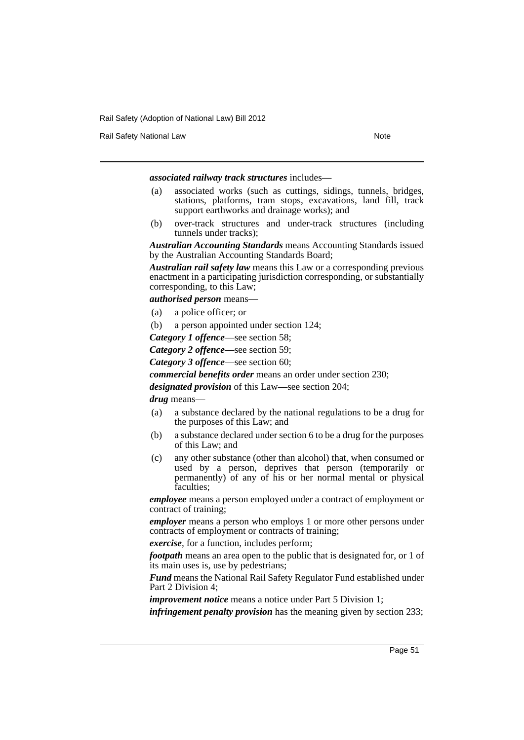Rail Safety National Law Note 2008 and 2009 and 2009 and 2009 and 2009 and 2009 and 2009 and 2009 and 2009 and 2009 and 2009 and 2009 and 2009 and 2009 and 2009 and 2009 and 2009 and 2009 and 2009 and 2009 and 2009 and 200

*associated railway track structures* includes—

- (a) associated works (such as cuttings, sidings, tunnels, bridges, stations, platforms, tram stops, excavations, land fill, track support earthworks and drainage works); and
- (b) over-track structures and under-track structures (including tunnels under tracks);

*Australian Accounting Standards* means Accounting Standards issued by the Australian Accounting Standards Board;

*Australian rail safety law* means this Law or a corresponding previous enactment in a participating jurisdiction corresponding, or substantially corresponding, to this Law;

*authorised person* means—

- (a) a police officer; or
- (b) a person appointed under section 124;

*Category 1 offence*—see section 58;

*Category 2 offence*—see section 59;

*Category 3 offence*—see section 60;

*commercial benefits order* means an order under section 230;

*designated provision* of this Law—see section 204;

*drug* means—

- (a) a substance declared by the national regulations to be a drug for the purposes of this Law; and
- (b) a substance declared under section 6 to be a drug for the purposes of this Law; and
- (c) any other substance (other than alcohol) that, when consumed or used by a person, deprives that person (temporarily or permanently) of any of his or her normal mental or physical faculties;

*employee* means a person employed under a contract of employment or contract of training;

*employer* means a person who employs 1 or more other persons under contracts of employment or contracts of training;

*exercise*, for a function, includes perform;

*footpath* means an area open to the public that is designated for, or 1 of its main uses is, use by pedestrians;

*Fund* means the National Rail Safety Regulator Fund established under Part 2 Division 4;

*improvement notice* means a notice under Part 5 Division 1;

*infringement penalty provision* has the meaning given by section 233;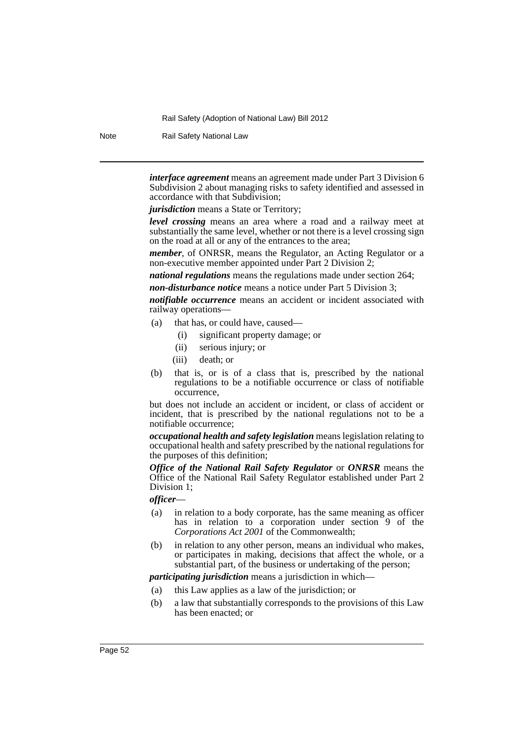Note Rail Safety National Law

*interface agreement* means an agreement made under Part 3 Division 6 Subdivision 2 about managing risks to safety identified and assessed in accordance with that Subdivision;

*jurisdiction* means a State or Territory:

*level crossing* means an area where a road and a railway meet at substantially the same level, whether or not there is a level crossing sign on the road at all or any of the entrances to the area;

*member*, of ONRSR, means the Regulator, an Acting Regulator or a non-executive member appointed under Part 2 Division 2;

*national regulations* means the regulations made under section 264; *non-disturbance notice* means a notice under Part 5 Division 3;

*notifiable occurrence* means an accident or incident associated with railway operations—

- (a) that has, or could have, caused—
	- (i) significant property damage; or
	- (ii) serious injury; or
	- (iii) death; or
- (b) that is, or is of a class that is, prescribed by the national regulations to be a notifiable occurrence or class of notifiable occurrence,

but does not include an accident or incident, or class of accident or incident, that is prescribed by the national regulations not to be a notifiable occurrence;

*occupational health and safety legislation* means legislation relating to occupational health and safety prescribed by the national regulations for the purposes of this definition;

*Office of the National Rail Safety Regulator* or *ONRSR* means the Office of the National Rail Safety Regulator established under Part 2 Division 1;

#### *officer*—

- (a) in relation to a body corporate, has the same meaning as officer has in relation to a corporation under section 9 of the *Corporations Act 2001* of the Commonwealth;
- (b) in relation to any other person, means an individual who makes, or participates in making, decisions that affect the whole, or a substantial part, of the business or undertaking of the person;

#### *participating jurisdiction* means a jurisdiction in which—

- (a) this Law applies as a law of the jurisdiction; or
- (b) a law that substantially corresponds to the provisions of this Law has been enacted; or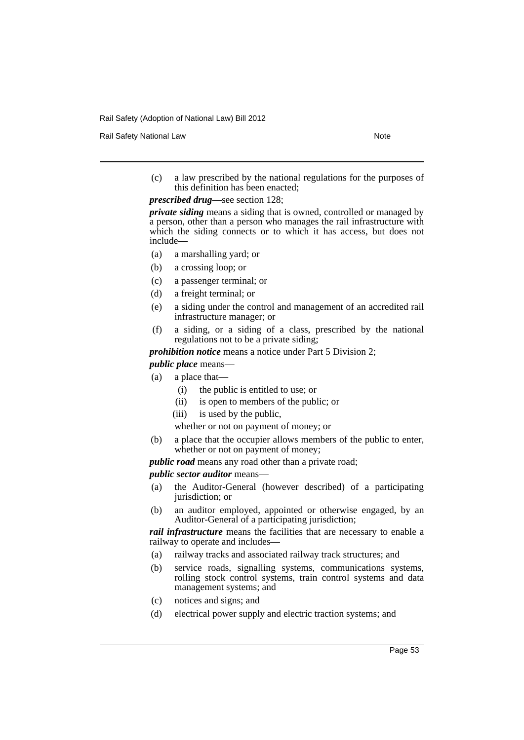Rail Safety National Law Note 2008 and 2009 and 2009 and 2009 and 2009 and 2009 and 2009 and 2009 and 2009 and 2009 and 2009 and 2009 and 2009 and 2009 and 2009 and 2009 and 2009 and 2009 and 2009 and 2009 and 2009 and 200

(c) a law prescribed by the national regulations for the purposes of this definition has been enacted;

*prescribed drug*—see section 128;

*private siding* means a siding that is owned, controlled or managed by a person, other than a person who manages the rail infrastructure with which the siding connects or to which it has access, but does not include—

- (a) a marshalling yard; or
- (b) a crossing loop; or
- (c) a passenger terminal; or
- (d) a freight terminal; or
- (e) a siding under the control and management of an accredited rail infrastructure manager; or
- (f) a siding, or a siding of a class, prescribed by the national regulations not to be a private siding;

*prohibition notice* means a notice under Part 5 Division 2; *public place* means—

- (a) a place that—
	- (i) the public is entitled to use; or
	- (ii) is open to members of the public; or
	- (iii) is used by the public,

whether or not on payment of money; or

(b) a place that the occupier allows members of the public to enter, whether or not on payment of money;

*public road* means any road other than a private road;

*public sector auditor* means—

- (a) the Auditor-General (however described) of a participating jurisdiction; or
- (b) an auditor employed, appointed or otherwise engaged, by an Auditor-General of a participating jurisdiction;

*rail infrastructure* means the facilities that are necessary to enable a railway to operate and includes—

- (a) railway tracks and associated railway track structures; and
- (b) service roads, signalling systems, communications systems, rolling stock control systems, train control systems and data management systems; and
- (c) notices and signs; and
- (d) electrical power supply and electric traction systems; and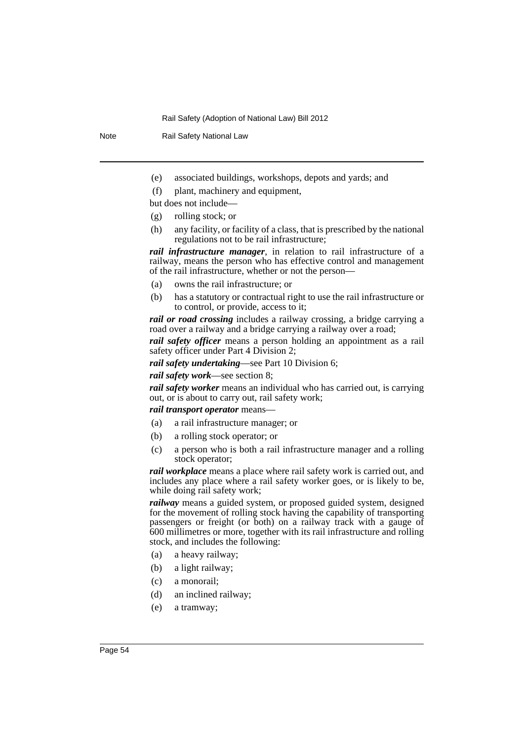Note Rail Safety National Law

- (e) associated buildings, workshops, depots and yards; and
- (f) plant, machinery and equipment,

but does not include—

- (g) rolling stock; or
- (h) any facility, or facility of a class, that is prescribed by the national regulations not to be rail infrastructure;

*rail infrastructure manager*, in relation to rail infrastructure of a railway, means the person who has effective control and management of the rail infrastructure, whether or not the person—

- (a) owns the rail infrastructure; or
- (b) has a statutory or contractual right to use the rail infrastructure or to control, or provide, access to it;

*rail or road crossing* includes a railway crossing, a bridge carrying a road over a railway and a bridge carrying a railway over a road;

*rail safety officer* means a person holding an appointment as a rail safety officer under Part 4 Division 2;

*rail safety undertaking*—see Part 10 Division 6;

*rail safety work*—see section 8;

*rail safety worker* means an individual who has carried out, is carrying out, or is about to carry out, rail safety work;

#### *rail transport operator* means—

- (a) a rail infrastructure manager; or
- (b) a rolling stock operator; or
- (c) a person who is both a rail infrastructure manager and a rolling stock operator;

*rail workplace* means a place where rail safety work is carried out, and includes any place where a rail safety worker goes, or is likely to be, while doing rail safety work;

*railway* means a guided system, or proposed guided system, designed for the movement of rolling stock having the capability of transporting passengers or freight (or both) on a railway track with a gauge of 600 millimetres or more, together with its rail infrastructure and rolling stock, and includes the following:

- (a) a heavy railway;
- (b) a light railway;
- (c) a monorail;
- (d) an inclined railway;
- (e) a tramway;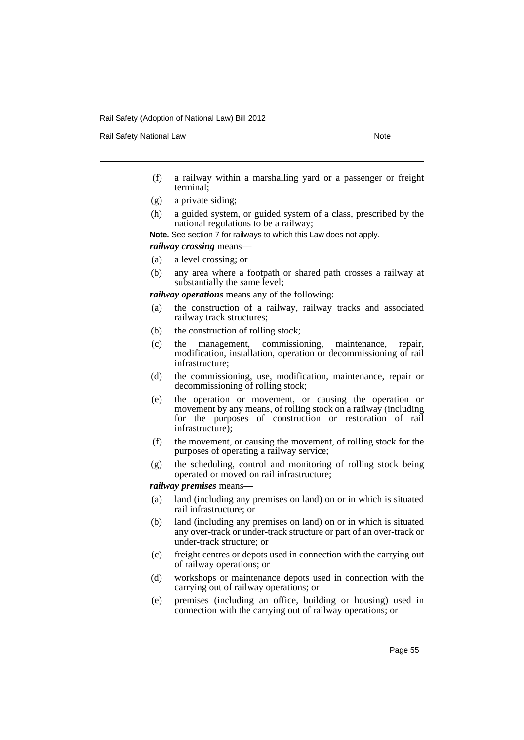Rail Safety National Law Note 2008 and 2009 and 2009 and 2009 and 2009 and 2009 and 2009 and 2009 and 2009 and 2009 and 2009 and 2009 and 2009 and 2009 and 2009 and 2009 and 2009 and 2009 and 2009 and 2009 and 2009 and 200

- (f) a railway within a marshalling yard or a passenger or freight terminal;
- (g) a private siding;
- (h) a guided system, or guided system of a class, prescribed by the national regulations to be a railway;

**Note.** See section 7 for railways to which this Law does not apply.

*railway crossing* means—

- (a) a level crossing; or
- (b) any area where a footpath or shared path crosses a railway at substantially the same level;

*railway operations* means any of the following:

- (a) the construction of a railway, railway tracks and associated railway track structures;
- (b) the construction of rolling stock;
- (c) the management, commissioning, maintenance, repair, modification, installation, operation or decommissioning of rail infrastructure;
- (d) the commissioning, use, modification, maintenance, repair or decommissioning of rolling stock;
- (e) the operation or movement, or causing the operation or movement by any means, of rolling stock on a railway (including for the purposes of construction or restoration of rail infrastructure);
- (f) the movement, or causing the movement, of rolling stock for the purposes of operating a railway service;
- (g) the scheduling, control and monitoring of rolling stock being operated or moved on rail infrastructure;

*railway premises* means—

- (a) land (including any premises on land) on or in which is situated rail infrastructure; or
- (b) land (including any premises on land) on or in which is situated any over-track or under-track structure or part of an over-track or under-track structure; or
- (c) freight centres or depots used in connection with the carrying out of railway operations; or
- (d) workshops or maintenance depots used in connection with the carrying out of railway operations; or
- (e) premises (including an office, building or housing) used in connection with the carrying out of railway operations; or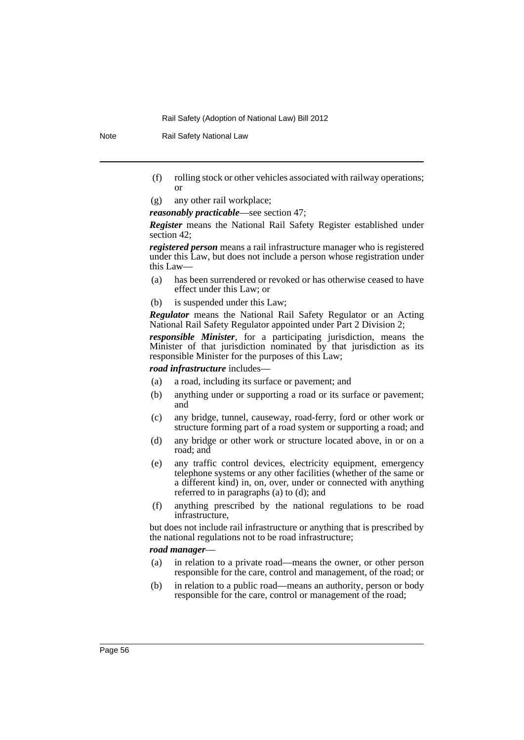Note Rail Safety National Law

- (f) rolling stock or other vehicles associated with railway operations; or
- (g) any other rail workplace;

*reasonably practicable*—see section 47;

*Register* means the National Rail Safety Register established under section 42;

*registered person* means a rail infrastructure manager who is registered under this Law, but does not include a person whose registration under this Law—

- (a) has been surrendered or revoked or has otherwise ceased to have effect under this Law; or
- (b) is suspended under this Law;

*Regulator* means the National Rail Safety Regulator or an Acting National Rail Safety Regulator appointed under Part 2 Division 2;

*responsible Minister*, for a participating jurisdiction, means the Minister of that jurisdiction nominated by that jurisdiction as its responsible Minister for the purposes of this Law;

*road infrastructure* includes—

- (a) a road, including its surface or pavement; and
- (b) anything under or supporting a road or its surface or pavement; and
- (c) any bridge, tunnel, causeway, road-ferry, ford or other work or structure forming part of a road system or supporting a road; and
- (d) any bridge or other work or structure located above, in or on a road; and
- (e) any traffic control devices, electricity equipment, emergency telephone systems or any other facilities (whether of the same or a different kind) in, on, over, under or connected with anything referred to in paragraphs (a) to (d); and
- (f) anything prescribed by the national regulations to be road infrastructure,

but does not include rail infrastructure or anything that is prescribed by the national regulations not to be road infrastructure;

#### *road manager*—

- (a) in relation to a private road—means the owner, or other person responsible for the care, control and management, of the road; or
- (b) in relation to a public road—means an authority, person or body responsible for the care, control or management of the road;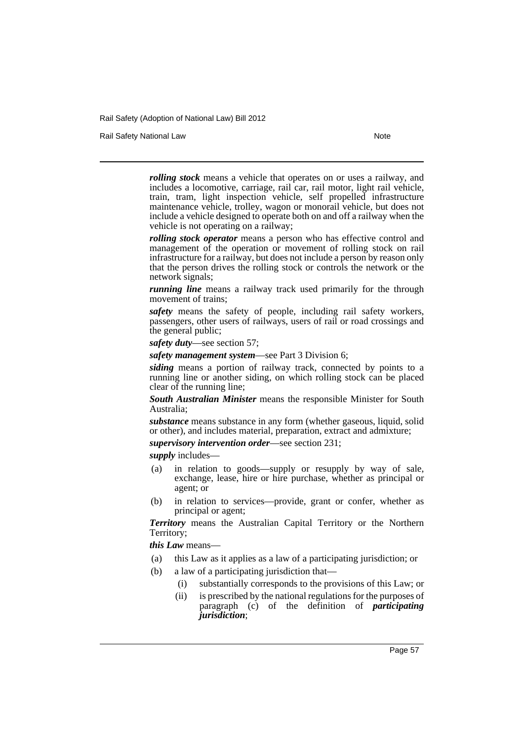Rail Safety National Law Note 2008 and 2009 and 2009 and 2009 and 2009 and 2009 and 2009 and 2009 and 2009 and 2009 and 2009 and 2009 and 2009 and 2009 and 2009 and 2009 and 2009 and 2009 and 2009 and 2009 and 2009 and 200

*rolling stock* means a vehicle that operates on or uses a railway, and includes a locomotive, carriage, rail car, rail motor, light rail vehicle, train, tram, light inspection vehicle, self propelled infrastructure maintenance vehicle, trolley, wagon or monorail vehicle, but does not include a vehicle designed to operate both on and off a railway when the vehicle is not operating on a railway;

*rolling stock operator* means a person who has effective control and management of the operation or movement of rolling stock on rail infrastructure for a railway, but does not include a person by reason only that the person drives the rolling stock or controls the network or the network signals;

*running line* means a railway track used primarily for the through movement of trains;

*safety* means the safety of people, including rail safety workers, passengers, other users of railways, users of rail or road crossings and the general public;

*safety duty*—see section 57;

*safety management system*—see Part 3 Division 6;

*siding* means a portion of railway track, connected by points to a running line or another siding, on which rolling stock can be placed clear of the running line;

*South Australian Minister* means the responsible Minister for South Australia;

*substance* means substance in any form (whether gaseous, liquid, solid or other), and includes material, preparation, extract and admixture;

*supervisory intervention order*—see section 231;

*supply* includes—

- (a) in relation to goods—supply or resupply by way of sale, exchange, lease, hire or hire purchase, whether as principal or agent; or
- (b) in relation to services—provide, grant or confer, whether as principal or agent;

*Territory* means the Australian Capital Territory or the Northern Territory;

*this Law* means—

- (a) this Law as it applies as a law of a participating jurisdiction; or
- (b) a law of a participating jurisdiction that—
	- (i) substantially corresponds to the provisions of this Law; or
	- (ii) is prescribed by the national regulations for the purposes of paragraph (c) of the definition of *participating jurisdiction*;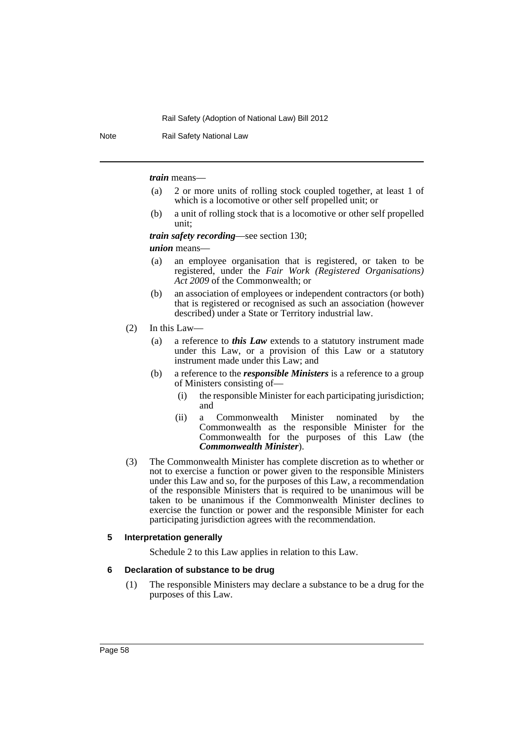Note Rail Safety National Law

*train* means—

- (a) 2 or more units of rolling stock coupled together, at least 1 of which is a locomotive or other self propelled unit; or
- (b) a unit of rolling stock that is a locomotive or other self propelled unit;

*train safety recording*—see section 130;

*union* means—

- (a) an employee organisation that is registered, or taken to be registered, under the *Fair Work (Registered Organisations) Act 2009* of the Commonwealth; or
- (b) an association of employees or independent contractors (or both) that is registered or recognised as such an association (however described) under a State or Territory industrial law.
- (2) In this Law—
	- (a) a reference to *this Law* extends to a statutory instrument made under this Law, or a provision of this Law or a statutory instrument made under this Law; and
	- (b) a reference to the *responsible Ministers* is a reference to a group of Ministers consisting of—
		- (i) the responsible Minister for each participating jurisdiction; and
		- (ii) a Commonwealth Minister nominated by the Commonwealth as the responsible Minister for the Commonwealth for the purposes of this Law (the *Commonwealth Minister*).
- (3) The Commonwealth Minister has complete discretion as to whether or not to exercise a function or power given to the responsible Ministers under this Law and so, for the purposes of this Law, a recommendation of the responsible Ministers that is required to be unanimous will be taken to be unanimous if the Commonwealth Minister declines to exercise the function or power and the responsible Minister for each participating jurisdiction agrees with the recommendation.

#### **5 Interpretation generally**

Schedule 2 to this Law applies in relation to this Law.

#### **6 Declaration of substance to be drug**

(1) The responsible Ministers may declare a substance to be a drug for the purposes of this Law.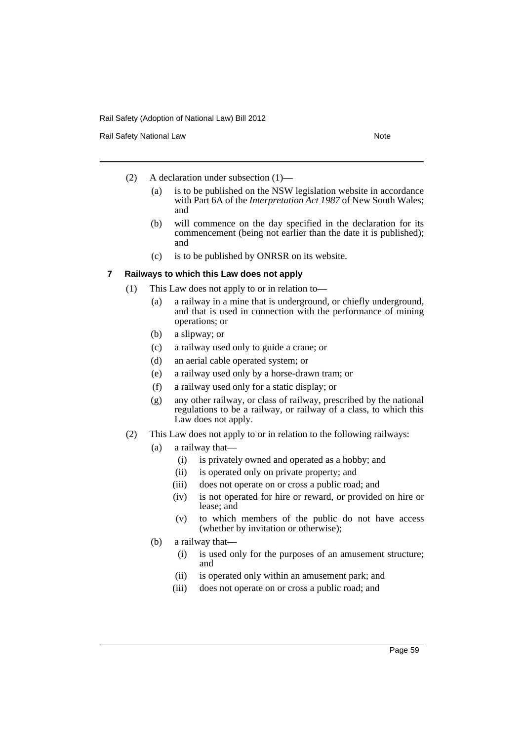Rail Safety National Law Note 2008 and 2009 and 2009 and 2009 and 2009 and 2009 and 2009 and 2009 and 2009 and 2009 and 2009 and 2009 and 2009 and 2009 and 2009 and 2009 and 2009 and 2009 and 2009 and 2009 and 2009 and 200

- (2) A declaration under subsection (1)—
	- (a) is to be published on the NSW legislation website in accordance with Part 6A of the *Interpretation Act 1987* of New South Wales; and
	- (b) will commence on the day specified in the declaration for its commencement (being not earlier than the date it is published); and
	- (c) is to be published by ONRSR on its website.

#### **7 Railways to which this Law does not apply**

- (1) This Law does not apply to or in relation to—
	- (a) a railway in a mine that is underground, or chiefly underground, and that is used in connection with the performance of mining operations; or
	- (b) a slipway; or
	- (c) a railway used only to guide a crane; or
	- (d) an aerial cable operated system; or
	- (e) a railway used only by a horse-drawn tram; or
	- (f) a railway used only for a static display; or
	- (g) any other railway, or class of railway, prescribed by the national regulations to be a railway, or railway of a class, to which this Law does not apply.
- (2) This Law does not apply to or in relation to the following railways:
	- (a) a railway that—
		- (i) is privately owned and operated as a hobby; and
		- (ii) is operated only on private property; and
		- (iii) does not operate on or cross a public road; and
		- (iv) is not operated for hire or reward, or provided on hire or lease; and
		- (v) to which members of the public do not have access (whether by invitation or otherwise);
	- (b) a railway that—
		- (i) is used only for the purposes of an amusement structure; and
		- (ii) is operated only within an amusement park; and
		- (iii) does not operate on or cross a public road; and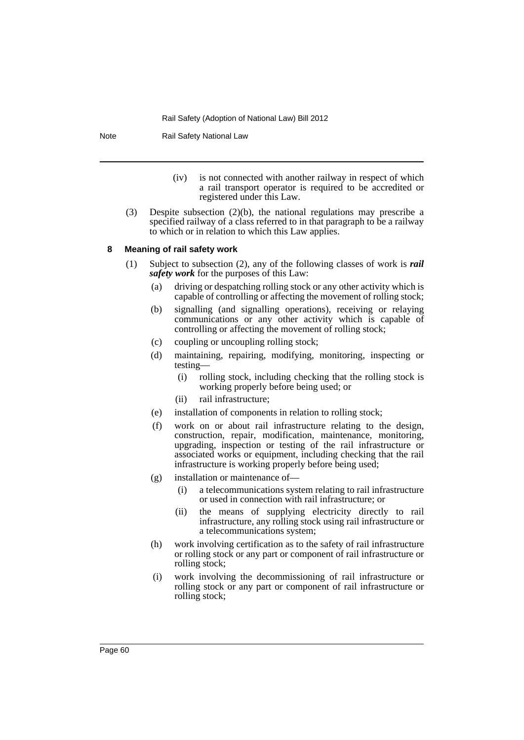Note Rail Safety National Law

- (iv) is not connected with another railway in respect of which a rail transport operator is required to be accredited or registered under this Law.
- (3) Despite subsection (2)(b), the national regulations may prescribe a specified railway of a class referred to in that paragraph to be a railway to which or in relation to which this Law applies.

## **8 Meaning of rail safety work**

- (1) Subject to subsection (2), any of the following classes of work is *rail safety work* for the purposes of this Law:
	- (a) driving or despatching rolling stock or any other activity which is capable of controlling or affecting the movement of rolling stock;
	- (b) signalling (and signalling operations), receiving or relaying communications or any other activity which is capable of controlling or affecting the movement of rolling stock;
	- (c) coupling or uncoupling rolling stock;
	- (d) maintaining, repairing, modifying, monitoring, inspecting or testing—
		- (i) rolling stock, including checking that the rolling stock is working properly before being used; or
		- (ii) rail infrastructure;
	- (e) installation of components in relation to rolling stock;
	- (f) work on or about rail infrastructure relating to the design, construction, repair, modification, maintenance, monitoring, upgrading, inspection or testing of the rail infrastructure or associated works or equipment, including checking that the rail infrastructure is working properly before being used;
	- (g) installation or maintenance of—
		- (i) a telecommunications system relating to rail infrastructure or used in connection with rail infrastructure; or
		- (ii) the means of supplying electricity directly to rail infrastructure, any rolling stock using rail infrastructure or a telecommunications system;
	- (h) work involving certification as to the safety of rail infrastructure or rolling stock or any part or component of rail infrastructure or rolling stock;
	- (i) work involving the decommissioning of rail infrastructure or rolling stock or any part or component of rail infrastructure or rolling stock;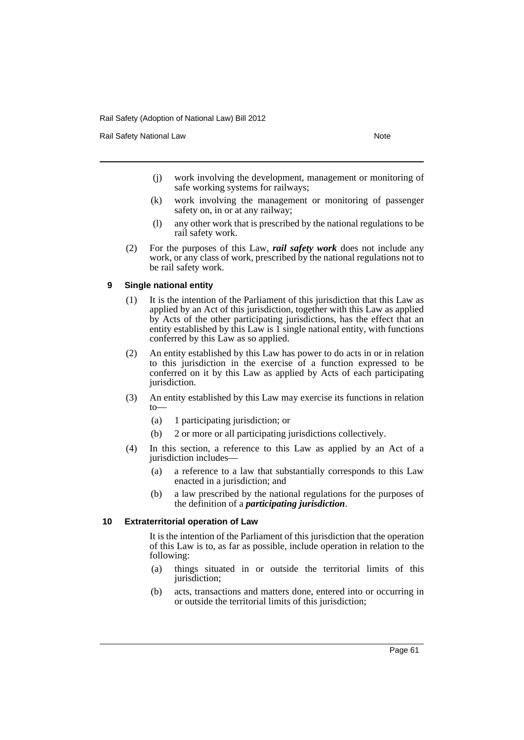Rail Safety National Law Note 2008 and 2009 and 2009 and 2009 and 2009 and 2009 and 2009 and 2009 and 2009 and 2009 and 2009 and 2009 and 2009 and 2009 and 2009 and 2009 and 2009 and 2009 and 2009 and 2009 and 2009 and 200

- (j) work involving the development, management or monitoring of safe working systems for railways;
- (k) work involving the management or monitoring of passenger safety on, in or at any railway;
- (l) any other work that is prescribed by the national regulations to be rail safety work.
- (2) For the purposes of this Law, *rail safety work* does not include any work, or any class of work, prescribed by the national regulations not to be rail safety work.

## **9 Single national entity**

- (1) It is the intention of the Parliament of this jurisdiction that this Law as applied by an Act of this jurisdiction, together with this Law as applied by Acts of the other participating jurisdictions, has the effect that an entity established by this Law is 1 single national entity, with functions conferred by this Law as so applied.
- (2) An entity established by this Law has power to do acts in or in relation to this jurisdiction in the exercise of a function expressed to be conferred on it by this Law as applied by Acts of each participating jurisdiction.
- (3) An entity established by this Law may exercise its functions in relation to—
	- (a) 1 participating jurisdiction; or
	- (b) 2 or more or all participating jurisdictions collectively.
- (4) In this section, a reference to this Law as applied by an Act of a jurisdiction includes—
	- (a) a reference to a law that substantially corresponds to this Law enacted in a jurisdiction; and
	- (b) a law prescribed by the national regulations for the purposes of the definition of a *participating jurisdiction*.

## **10 Extraterritorial operation of Law**

It is the intention of the Parliament of this jurisdiction that the operation of this Law is to, as far as possible, include operation in relation to the following:

- (a) things situated in or outside the territorial limits of this jurisdiction;
- (b) acts, transactions and matters done, entered into or occurring in or outside the territorial limits of this jurisdiction;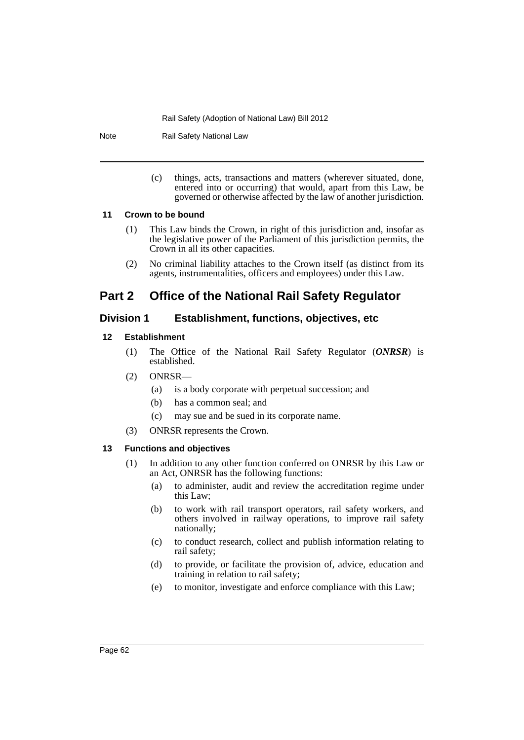Note Rail Safety National Law

(c) things, acts, transactions and matters (wherever situated, done, entered into or occurring) that would, apart from this Law, be governed or otherwise affected by the law of another jurisdiction.

# **11 Crown to be bound**

- (1) This Law binds the Crown, in right of this jurisdiction and, insofar as the legislative power of the Parliament of this jurisdiction permits, the Crown in all its other capacities.
- (2) No criminal liability attaches to the Crown itself (as distinct from its agents, instrumentalities, officers and employees) under this Law.

# **Part 2 Office of the National Rail Safety Regulator**

# **Division 1 Establishment, functions, objectives, etc**

# **12 Establishment**

- (1) The Office of the National Rail Safety Regulator (*ONRSR*) is established.
- (2) ONRSR—
	- (a) is a body corporate with perpetual succession; and
	- (b) has a common seal; and
	- (c) may sue and be sued in its corporate name.
- (3) ONRSR represents the Crown.

# **13 Functions and objectives**

- (1) In addition to any other function conferred on ONRSR by this Law or an Act, ONRSR has the following functions:
	- (a) to administer, audit and review the accreditation regime under this Law;
	- (b) to work with rail transport operators, rail safety workers, and others involved in railway operations, to improve rail safety nationally;
	- (c) to conduct research, collect and publish information relating to rail safety;
	- (d) to provide, or facilitate the provision of, advice, education and training in relation to rail safety;
	- (e) to monitor, investigate and enforce compliance with this Law;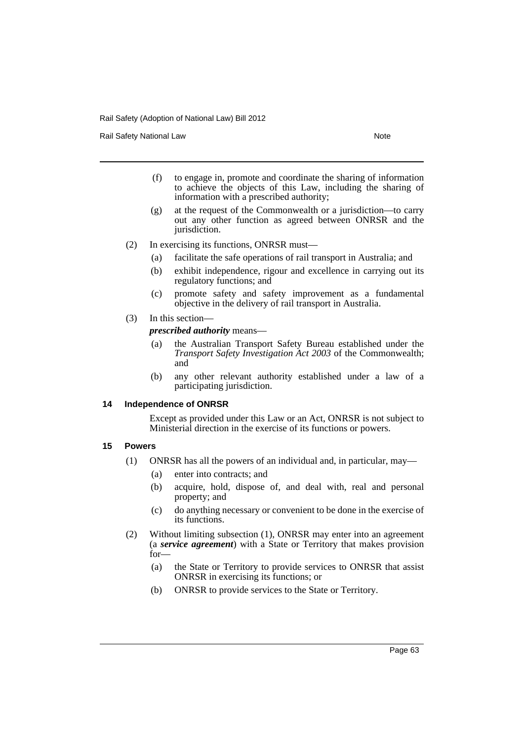Rail Safety National Law Note 2008 and 2009 and 2009 and 2009 and 2009 and 2009 and 2009 and 2009 and 2009 and 2009 and 2009 and 2009 and 2009 and 2009 and 2009 and 2009 and 2009 and 2009 and 2009 and 2009 and 2009 and 200

- (f) to engage in, promote and coordinate the sharing of information to achieve the objects of this Law, including the sharing of information with a prescribed authority;
- (g) at the request of the Commonwealth or a jurisdiction—to carry out any other function as agreed between ONRSR and the jurisdiction.
- (2) In exercising its functions, ONRSR must—
	- (a) facilitate the safe operations of rail transport in Australia; and
	- (b) exhibit independence, rigour and excellence in carrying out its regulatory functions; and
	- (c) promote safety and safety improvement as a fundamental objective in the delivery of rail transport in Australia.
- (3) In this section—

*prescribed authority* means—

- (a) the Australian Transport Safety Bureau established under the *Transport Safety Investigation Act 2003* of the Commonwealth; and
- (b) any other relevant authority established under a law of a participating jurisdiction.

#### **14 Independence of ONRSR**

Except as provided under this Law or an Act, ONRSR is not subject to Ministerial direction in the exercise of its functions or powers.

## **15 Powers**

- (1) ONRSR has all the powers of an individual and, in particular, may—
	- (a) enter into contracts; and
	- (b) acquire, hold, dispose of, and deal with, real and personal property; and
	- (c) do anything necessary or convenient to be done in the exercise of its functions.
- (2) Without limiting subsection (1), ONRSR may enter into an agreement (a *service agreement*) with a State or Territory that makes provision for—
	- (a) the State or Territory to provide services to ONRSR that assist ONRSR in exercising its functions; or
	- (b) ONRSR to provide services to the State or Territory.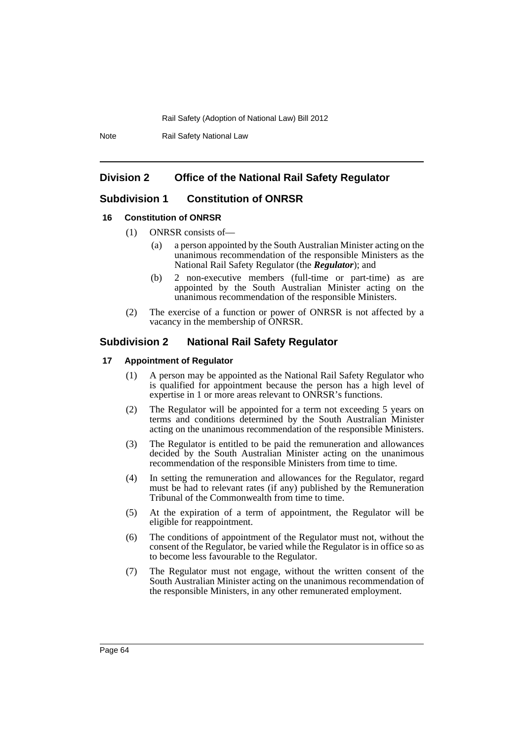Note Rail Safety National Law

# **Division 2 Office of the National Rail Safety Regulator**

# **Subdivision 1 Constitution of ONRSR**

#### **16 Constitution of ONRSR**

- (1) ONRSR consists of—
	- (a) a person appointed by the South Australian Minister acting on the unanimous recommendation of the responsible Ministers as the National Rail Safety Regulator (the *Regulator*); and
	- (b) 2 non-executive members (full-time or part-time) as are appointed by the South Australian Minister acting on the unanimous recommendation of the responsible Ministers.
- (2) The exercise of a function or power of ONRSR is not affected by a vacancy in the membership of ONRSR.

# **Subdivision 2 National Rail Safety Regulator**

#### **17 Appointment of Regulator**

- (1) A person may be appointed as the National Rail Safety Regulator who is qualified for appointment because the person has a high level of expertise in 1 or more areas relevant to ONRSR's functions.
- (2) The Regulator will be appointed for a term not exceeding 5 years on terms and conditions determined by the South Australian Minister acting on the unanimous recommendation of the responsible Ministers.
- (3) The Regulator is entitled to be paid the remuneration and allowances decided by the South Australian Minister acting on the unanimous recommendation of the responsible Ministers from time to time.
- (4) In setting the remuneration and allowances for the Regulator, regard must be had to relevant rates (if any) published by the Remuneration Tribunal of the Commonwealth from time to time.
- (5) At the expiration of a term of appointment, the Regulator will be eligible for reappointment.
- (6) The conditions of appointment of the Regulator must not, without the consent of the Regulator, be varied while the Regulator is in office so as to become less favourable to the Regulator.
- (7) The Regulator must not engage, without the written consent of the South Australian Minister acting on the unanimous recommendation of the responsible Ministers, in any other remunerated employment.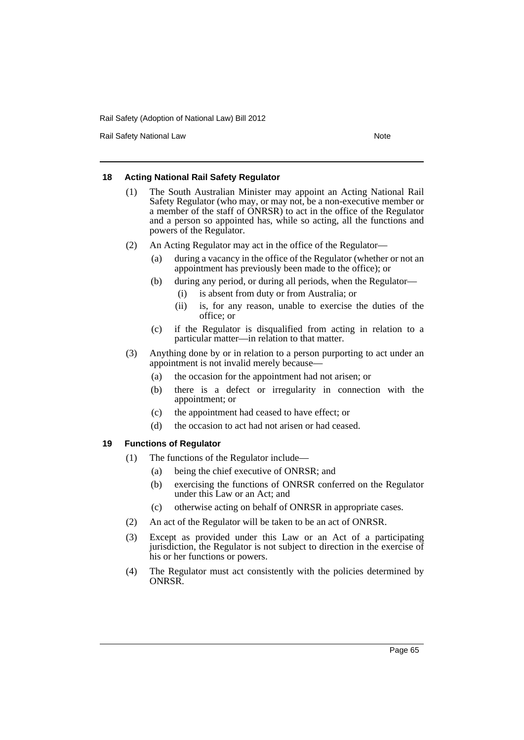Rail Safety National Law Note 2008 and 2009 and 2009 and 2009 and 2009 and 2009 and 2009 and 2009 and 2009 and 2009 and 2009 and 2009 and 2009 and 2009 and 2009 and 2009 and 2009 and 2009 and 2009 and 2009 and 2009 and 200

## **18 Acting National Rail Safety Regulator**

- (1) The South Australian Minister may appoint an Acting National Rail Safety Regulator (who may, or may not, be a non-executive member or a member of the staff of ONRSR) to act in the office of the Regulator and a person so appointed has, while so acting, all the functions and powers of the Regulator.
- (2) An Acting Regulator may act in the office of the Regulator—
	- (a) during a vacancy in the office of the Regulator (whether or not an appointment has previously been made to the office); or
	- (b) during any period, or during all periods, when the Regulator—
		- (i) is absent from duty or from Australia; or
		- (ii) is, for any reason, unable to exercise the duties of the office; or
	- (c) if the Regulator is disqualified from acting in relation to a particular matter—in relation to that matter.
- (3) Anything done by or in relation to a person purporting to act under an appointment is not invalid merely because—
	- (a) the occasion for the appointment had not arisen; or
	- (b) there is a defect or irregularity in connection with the appointment; or
	- (c) the appointment had ceased to have effect; or
	- (d) the occasion to act had not arisen or had ceased.

# **19 Functions of Regulator**

- (1) The functions of the Regulator include—
	- (a) being the chief executive of ONRSR; and
	- (b) exercising the functions of ONRSR conferred on the Regulator under this Law or an Act; and
	- (c) otherwise acting on behalf of ONRSR in appropriate cases.
- (2) An act of the Regulator will be taken to be an act of ONRSR.
- (3) Except as provided under this Law or an Act of a participating jurisdiction, the Regulator is not subject to direction in the exercise of his or her functions or powers.
- (4) The Regulator must act consistently with the policies determined by ONRSR.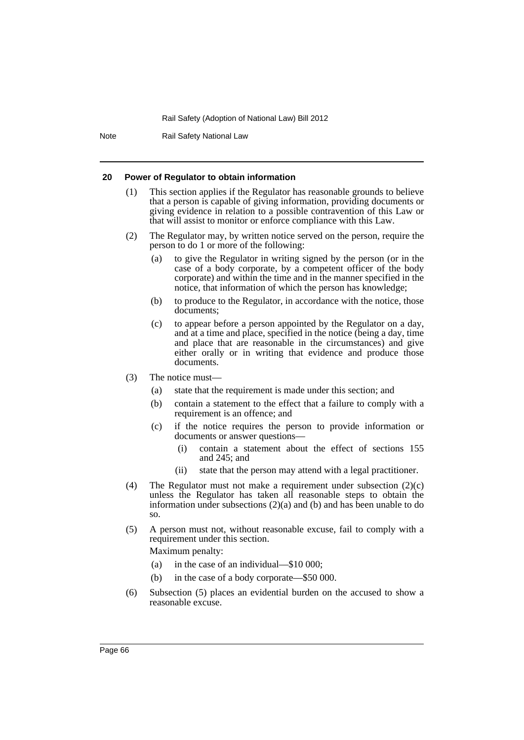Note Rail Safety National Law

#### **20 Power of Regulator to obtain information**

- (1) This section applies if the Regulator has reasonable grounds to believe that a person is capable of giving information, providing documents or giving evidence in relation to a possible contravention of this Law or that will assist to monitor or enforce compliance with this Law.
- (2) The Regulator may, by written notice served on the person, require the person to do 1 or more of the following:
	- (a) to give the Regulator in writing signed by the person (or in the case of a body corporate, by a competent officer of the body corporate) and within the time and in the manner specified in the notice, that information of which the person has knowledge;
	- (b) to produce to the Regulator, in accordance with the notice, those documents;
	- (c) to appear before a person appointed by the Regulator on a day, and at a time and place, specified in the notice (being a day, time and place that are reasonable in the circumstances) and give either orally or in writing that evidence and produce those documents.
- (3) The notice must—
	- (a) state that the requirement is made under this section; and
	- (b) contain a statement to the effect that a failure to comply with a requirement is an offence; and
	- (c) if the notice requires the person to provide information or documents or answer questions—
		- (i) contain a statement about the effect of sections 155 and 245; and
		- (ii) state that the person may attend with a legal practitioner.
- (4) The Regulator must not make a requirement under subsection (2)(c) unless the Regulator has taken all reasonable steps to obtain the information under subsections  $(2)(a)$  and  $(b)$  and has been unable to do so.
- (5) A person must not, without reasonable excuse, fail to comply with a requirement under this section. Maximum penalty:
	- (a) in the case of an individual—\$10 000;
	- (b) in the case of a body corporate—\$50 000.
- (6) Subsection (5) places an evidential burden on the accused to show a reasonable excuse.

Page 66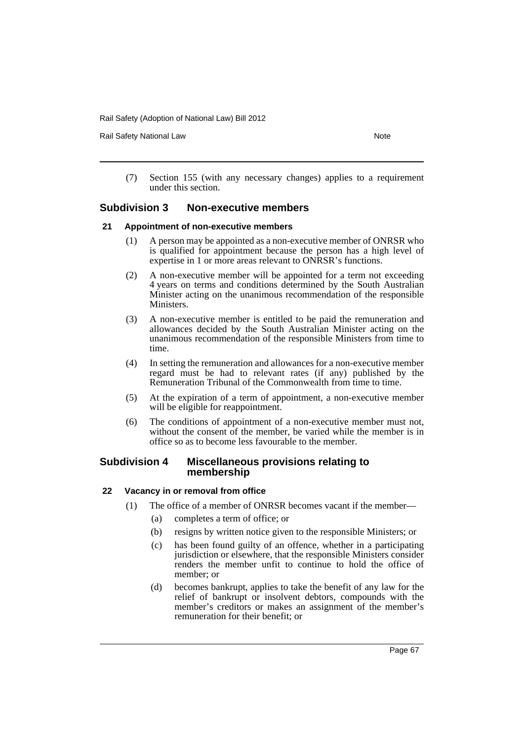Rail Safety National Law Note 2008 and 2009 and 2009 and 2009 and 2009 and 2009 and 2009 and 2009 and 2009 and 2009 and 2009 and 2009 and 2009 and 2009 and 2009 and 2009 and 2009 and 2009 and 2009 and 2009 and 2009 and 200

(7) Section 155 (with any necessary changes) applies to a requirement under this section.

# **Subdivision 3 Non-executive members**

#### **21 Appointment of non-executive members**

- (1) A person may be appointed as a non-executive member of ONRSR who is qualified for appointment because the person has a high level of expertise in 1 or more areas relevant to ONRSR's functions.
- (2) A non-executive member will be appointed for a term not exceeding 4 years on terms and conditions determined by the South Australian Minister acting on the unanimous recommendation of the responsible Ministers.
- (3) A non-executive member is entitled to be paid the remuneration and allowances decided by the South Australian Minister acting on the unanimous recommendation of the responsible Ministers from time to time.
- (4) In setting the remuneration and allowances for a non-executive member regard must be had to relevant rates (if any) published by the Remuneration Tribunal of the Commonwealth from time to time.
- (5) At the expiration of a term of appointment, a non-executive member will be eligible for reappointment.
- (6) The conditions of appointment of a non-executive member must not, without the consent of the member, be varied while the member is in office so as to become less favourable to the member.

## **Subdivision 4 Miscellaneous provisions relating to membership**

## **22 Vacancy in or removal from office**

- (1) The office of a member of ONRSR becomes vacant if the member—
	- (a) completes a term of office; or
	- (b) resigns by written notice given to the responsible Ministers; or
	- (c) has been found guilty of an offence, whether in a participating jurisdiction or elsewhere, that the responsible Ministers consider renders the member unfit to continue to hold the office of member; or
	- (d) becomes bankrupt, applies to take the benefit of any law for the relief of bankrupt or insolvent debtors, compounds with the member's creditors or makes an assignment of the member's remuneration for their benefit; or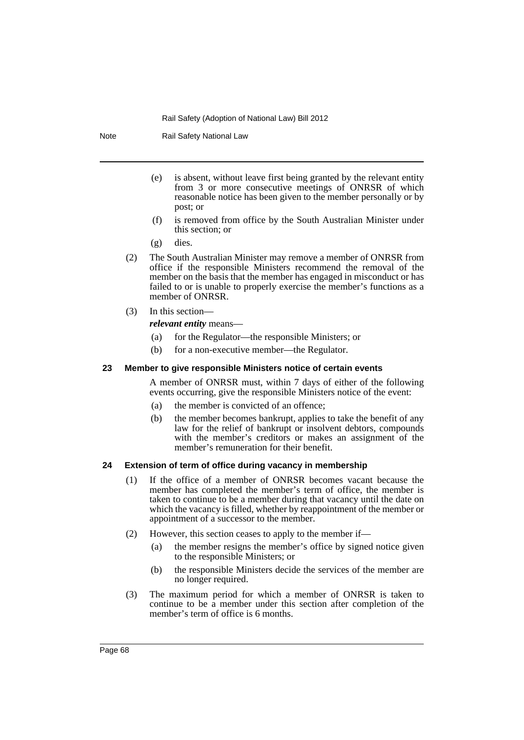Note Rail Safety National Law

- (e) is absent, without leave first being granted by the relevant entity from 3 or more consecutive meetings of ONRSR of which reasonable notice has been given to the member personally or by post; or
- (f) is removed from office by the South Australian Minister under this section; or
- (g) dies.
- (2) The South Australian Minister may remove a member of ONRSR from office if the responsible Ministers recommend the removal of the member on the basis that the member has engaged in misconduct or has failed to or is unable to properly exercise the member's functions as a member of ONRSR.
- (3) In this section—

*relevant entity* means—

- (a) for the Regulator—the responsible Ministers; or
- (b) for a non-executive member—the Regulator.

#### **23 Member to give responsible Ministers notice of certain events**

A member of ONRSR must, within 7 days of either of the following events occurring, give the responsible Ministers notice of the event:

- (a) the member is convicted of an offence;
- (b) the member becomes bankrupt, applies to take the benefit of any law for the relief of bankrupt or insolvent debtors, compounds with the member's creditors or makes an assignment of the member's remuneration for their benefit.

#### **24 Extension of term of office during vacancy in membership**

- (1) If the office of a member of ONRSR becomes vacant because the member has completed the member's term of office, the member is taken to continue to be a member during that vacancy until the date on which the vacancy is filled, whether by reappointment of the member or appointment of a successor to the member.
- (2) However, this section ceases to apply to the member if—
	- (a) the member resigns the member's office by signed notice given to the responsible Ministers; or
	- (b) the responsible Ministers decide the services of the member are no longer required.
- (3) The maximum period for which a member of ONRSR is taken to continue to be a member under this section after completion of the member's term of office is 6 months.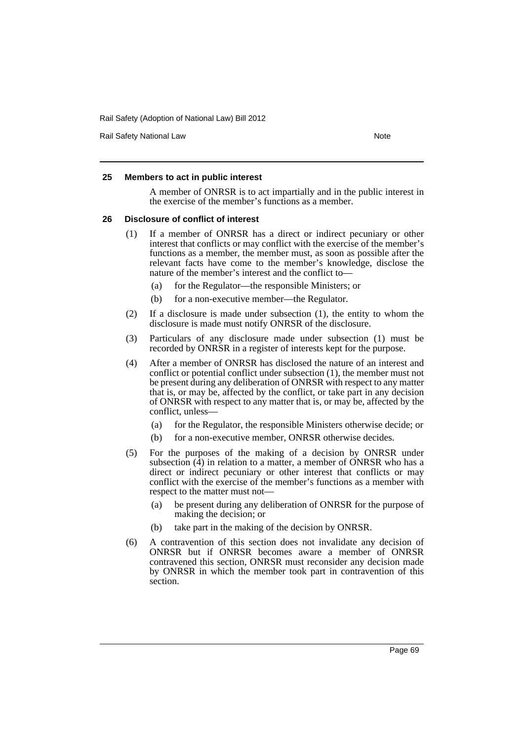Rail Safety National Law Note 2008 and 2009 and 2009 and 2009 and 2009 and 2009 and 2009 and 2009 and 2009 and 2009 and 2009 and 2009 and 2009 and 2009 and 2009 and 2009 and 2009 and 2009 and 2009 and 2009 and 2009 and 200

## **25 Members to act in public interest**

A member of ONRSR is to act impartially and in the public interest in the exercise of the member's functions as a member.

#### **26 Disclosure of conflict of interest**

- (1) If a member of ONRSR has a direct or indirect pecuniary or other interest that conflicts or may conflict with the exercise of the member's functions as a member, the member must, as soon as possible after the relevant facts have come to the member's knowledge, disclose the nature of the member's interest and the conflict to—
	- (a) for the Regulator—the responsible Ministers; or
	- (b) for a non-executive member—the Regulator.
- (2) If a disclosure is made under subsection (1), the entity to whom the disclosure is made must notify ONRSR of the disclosure.
- (3) Particulars of any disclosure made under subsection (1) must be recorded by ONRSR in a register of interests kept for the purpose.
- (4) After a member of ONRSR has disclosed the nature of an interest and conflict or potential conflict under subsection (1), the member must not be present during any deliberation of ONRSR with respect to any matter that is, or may be, affected by the conflict, or take part in any decision of ONRSR with respect to any matter that is, or may be, affected by the conflict, unless—
	- (a) for the Regulator, the responsible Ministers otherwise decide; or
	- (b) for a non-executive member, ONRSR otherwise decides.
- (5) For the purposes of the making of a decision by ONRSR under subsection  $(\hat{4})$  in relation to a matter, a member of ONRSR who has a direct or indirect pecuniary or other interest that conflicts or may conflict with the exercise of the member's functions as a member with respect to the matter must not—
	- (a) be present during any deliberation of ONRSR for the purpose of making the decision; or
	- (b) take part in the making of the decision by ONRSR.
- (6) A contravention of this section does not invalidate any decision of ONRSR but if ONRSR becomes aware a member of ONRSR contravened this section, ONRSR must reconsider any decision made by ONRSR in which the member took part in contravention of this section.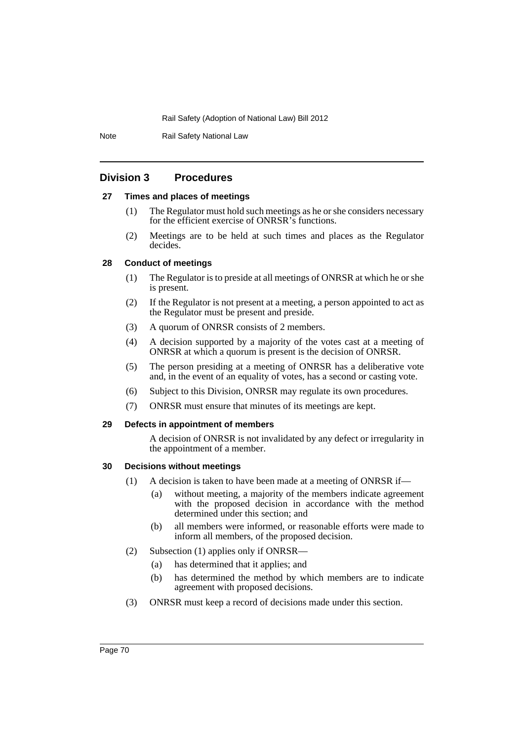Note Rail Safety National Law

# **Division 3 Procedures**

## **27 Times and places of meetings**

- (1) The Regulator must hold such meetings as he or she considers necessary for the efficient exercise of ONRSR's functions.
- (2) Meetings are to be held at such times and places as the Regulator decides.

## **28 Conduct of meetings**

- (1) The Regulator is to preside at all meetings of ONRSR at which he or she is present.
- (2) If the Regulator is not present at a meeting, a person appointed to act as the Regulator must be present and preside.
- (3) A quorum of ONRSR consists of 2 members.
- (4) A decision supported by a majority of the votes cast at a meeting of ONRSR at which a quorum is present is the decision of ONRSR.
- (5) The person presiding at a meeting of ONRSR has a deliberative vote and, in the event of an equality of votes, has a second or casting vote.
- (6) Subject to this Division, ONRSR may regulate its own procedures.
- (7) ONRSR must ensure that minutes of its meetings are kept.

#### **29 Defects in appointment of members**

A decision of ONRSR is not invalidated by any defect or irregularity in the appointment of a member.

## **30 Decisions without meetings**

- (1) A decision is taken to have been made at a meeting of ONRSR if—
	- (a) without meeting, a majority of the members indicate agreement with the proposed decision in accordance with the method determined under this section; and
	- (b) all members were informed, or reasonable efforts were made to inform all members, of the proposed decision.
- (2) Subsection (1) applies only if ONRSR—
	- (a) has determined that it applies; and
	- (b) has determined the method by which members are to indicate agreement with proposed decisions.
- (3) ONRSR must keep a record of decisions made under this section.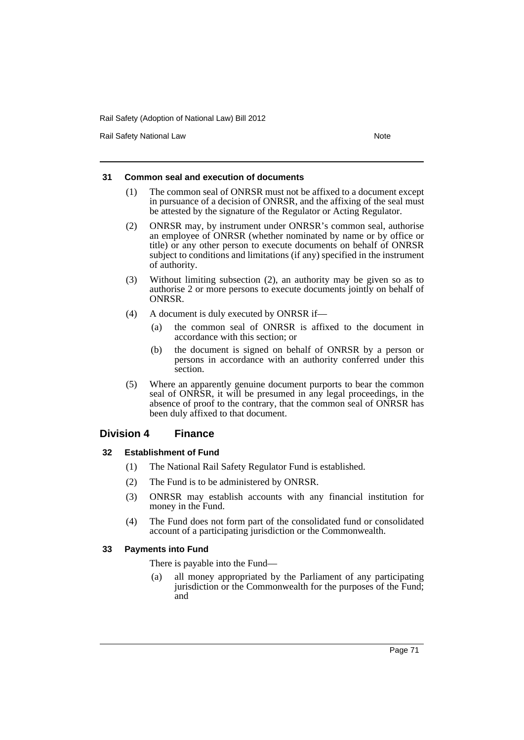Rail Safety National Law Note 2008 and 2009 and 2009 and 2009 and 2009 and 2009 and 2009 and 2009 and 2009 and 2009 and 2009 and 2009 and 2009 and 2009 and 2009 and 2009 and 2009 and 2009 and 2009 and 2009 and 2009 and 200

### **31 Common seal and execution of documents**

- (1) The common seal of ONRSR must not be affixed to a document except in pursuance of a decision of ONRSR, and the affixing of the seal must be attested by the signature of the Regulator or Acting Regulator.
- (2) ONRSR may, by instrument under ONRSR's common seal, authorise an employee of ONRSR (whether nominated by name or by office or title) or any other person to execute documents on behalf of ONRSR subject to conditions and limitations (if any) specified in the instrument of authority.
- (3) Without limiting subsection (2), an authority may be given so as to authorise 2 or more persons to execute documents jointly on behalf of ONRSR.
- (4) A document is duly executed by ONRSR if—
	- (a) the common seal of ONRSR is affixed to the document in accordance with this section; or
	- (b) the document is signed on behalf of ONRSR by a person or persons in accordance with an authority conferred under this section.
- (5) Where an apparently genuine document purports to bear the common seal of ONRSR, it will be presumed in any legal proceedings, in the absence of proof to the contrary, that the common seal of ONRSR has been duly affixed to that document.

## **Division 4 Finance**

### **32 Establishment of Fund**

- (1) The National Rail Safety Regulator Fund is established.
- (2) The Fund is to be administered by ONRSR.
- (3) ONRSR may establish accounts with any financial institution for money in the Fund.
- (4) The Fund does not form part of the consolidated fund or consolidated account of a participating jurisdiction or the Commonwealth.

### **33 Payments into Fund**

There is payable into the Fund—

(a) all money appropriated by the Parliament of any participating jurisdiction or the Commonwealth for the purposes of the Fund; and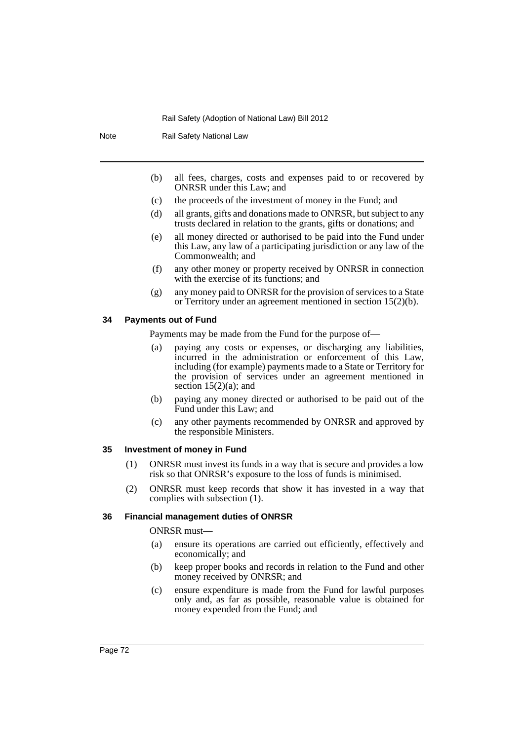Note Rail Safety National Law

- (b) all fees, charges, costs and expenses paid to or recovered by ONRSR under this Law; and
- (c) the proceeds of the investment of money in the Fund; and
- (d) all grants, gifts and donations made to ONRSR, but subject to any trusts declared in relation to the grants, gifts or donations; and
- (e) all money directed or authorised to be paid into the Fund under this Law, any law of a participating jurisdiction or any law of the Commonwealth; and
- (f) any other money or property received by ONRSR in connection with the exercise of its functions; and
- (g) any money paid to ONRSR for the provision of services to a State or Territory under an agreement mentioned in section 15(2)(b).

#### **34 Payments out of Fund**

Payments may be made from the Fund for the purpose of—

- (a) paying any costs or expenses, or discharging any liabilities, incurred in the administration or enforcement of this Law, including (for example) payments made to a State or Territory for the provision of services under an agreement mentioned in section  $15(2)(a)$ ; and
- (b) paying any money directed or authorised to be paid out of the Fund under this Law; and
- (c) any other payments recommended by ONRSR and approved by the responsible Ministers.

### **35 Investment of money in Fund**

- (1) ONRSR must invest its funds in a way that is secure and provides a low risk so that ONRSR's exposure to the loss of funds is minimised.
- (2) ONRSR must keep records that show it has invested in a way that complies with subsection (1).

### **36 Financial management duties of ONRSR**

ONRSR must—

- (a) ensure its operations are carried out efficiently, effectively and economically; and
- (b) keep proper books and records in relation to the Fund and other money received by ONRSR; and
- (c) ensure expenditure is made from the Fund for lawful purposes only and, as far as possible, reasonable value is obtained for money expended from the Fund; and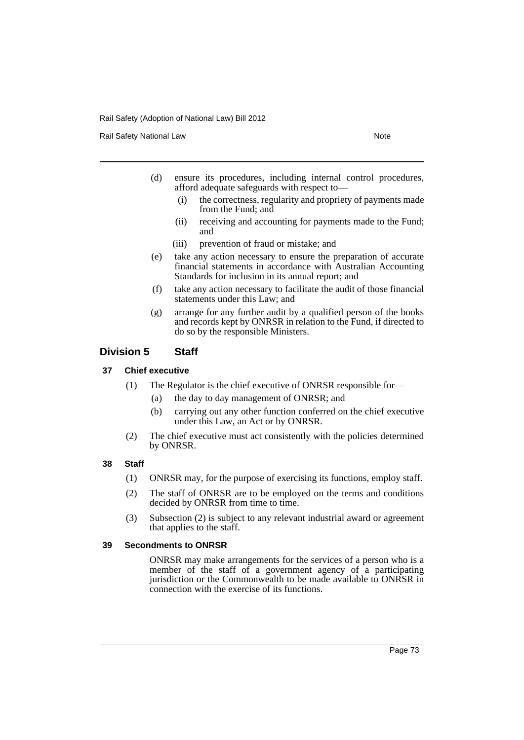Rail Safety National Law Note 2008 and 2009 and 2009 and 2009 and 2009 and 2009 and 2009 and 2009 and 2009 and 2009 and 2009 and 2009 and 2009 and 2009 and 2009 and 2009 and 2009 and 2009 and 2009 and 2009 and 2009 and 200

- (d) ensure its procedures, including internal control procedures, afford adequate safeguards with respect to—
	- (i) the correctness, regularity and propriety of payments made from the Fund; and
	- (ii) receiving and accounting for payments made to the Fund; and
	- (iii) prevention of fraud or mistake; and
- (e) take any action necessary to ensure the preparation of accurate financial statements in accordance with Australian Accounting Standards for inclusion in its annual report; and
- (f) take any action necessary to facilitate the audit of those financial statements under this Law; and
- (g) arrange for any further audit by a qualified person of the books and records kept by ONRSR in relation to the Fund, if directed to do so by the responsible Ministers.

## **Division 5 Staff**

## **37 Chief executive**

- (1) The Regulator is the chief executive of ONRSR responsible for—
	- (a) the day to day management of ONRSR; and
	- (b) carrying out any other function conferred on the chief executive under this Law, an Act or by ONRSR.
- (2) The chief executive must act consistently with the policies determined by ONRSR.

### **38 Staff**

- (1) ONRSR may, for the purpose of exercising its functions, employ staff.
- (2) The staff of ONRSR are to be employed on the terms and conditions decided by ONRSR from time to time.
- (3) Subsection (2) is subject to any relevant industrial award or agreement that applies to the staff.

#### **39 Secondments to ONRSR**

ONRSR may make arrangements for the services of a person who is a member of the staff of a government agency of a participating jurisdiction or the Commonwealth to be made available to ONRSR in connection with the exercise of its functions.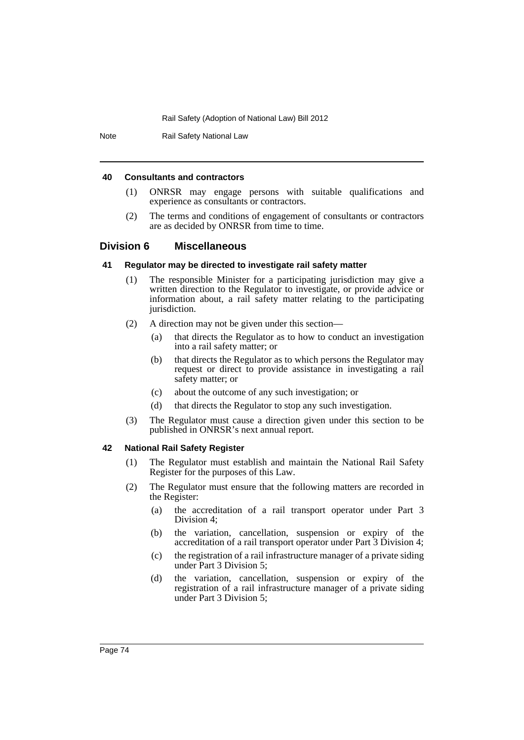Note Rail Safety National Law

#### **40 Consultants and contractors**

- (1) ONRSR may engage persons with suitable qualifications and experience as consultants or contractors.
- (2) The terms and conditions of engagement of consultants or contractors are as decided by ONRSR from time to time.

## **Division 6 Miscellaneous**

#### **41 Regulator may be directed to investigate rail safety matter**

- (1) The responsible Minister for a participating jurisdiction may give a written direction to the Regulator to investigate, or provide advice or information about, a rail safety matter relating to the participating jurisdiction.
- (2) A direction may not be given under this section—
	- (a) that directs the Regulator as to how to conduct an investigation into a rail safety matter; or
	- (b) that directs the Regulator as to which persons the Regulator may request or direct to provide assistance in investigating a rail safety matter; or
	- (c) about the outcome of any such investigation; or
	- (d) that directs the Regulator to stop any such investigation.
- (3) The Regulator must cause a direction given under this section to be published in ONRSR's next annual report.

## **42 National Rail Safety Register**

- (1) The Regulator must establish and maintain the National Rail Safety Register for the purposes of this Law.
- (2) The Regulator must ensure that the following matters are recorded in the Register:
	- (a) the accreditation of a rail transport operator under Part 3 Division 4;
	- (b) the variation, cancellation, suspension or expiry of the accreditation of a rail transport operator under Part 3 Division 4;
	- (c) the registration of a rail infrastructure manager of a private siding under Part 3 Division 5;
	- (d) the variation, cancellation, suspension or expiry of the registration of a rail infrastructure manager of a private siding under Part 3 Division 5;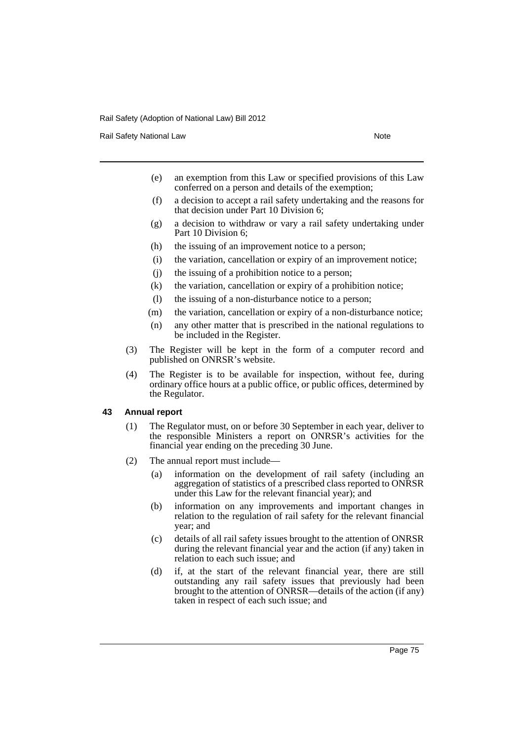Rail Safety National Law Note 2008 and 2009 and 2009 and 2009 and 2009 and 2009 and 2009 and 2009 and 2009 and 2009 and 2009 and 2009 and 2009 and 2009 and 2009 and 2009 and 2009 and 2009 and 2009 and 2009 and 2009 and 200

- (e) an exemption from this Law or specified provisions of this Law conferred on a person and details of the exemption;
- (f) a decision to accept a rail safety undertaking and the reasons for that decision under Part 10 Division 6;
- (g) a decision to withdraw or vary a rail safety undertaking under Part 10 Division 6;
- (h) the issuing of an improvement notice to a person;
- (i) the variation, cancellation or expiry of an improvement notice;
- (j) the issuing of a prohibition notice to a person;
- (k) the variation, cancellation or expiry of a prohibition notice;
- (l) the issuing of a non-disturbance notice to a person;
- (m) the variation, cancellation or expiry of a non-disturbance notice;
- (n) any other matter that is prescribed in the national regulations to be included in the Register.
- (3) The Register will be kept in the form of a computer record and published on ONRSR's website.
- (4) The Register is to be available for inspection, without fee, during ordinary office hours at a public office, or public offices, determined by the Regulator.

### **43 Annual report**

- (1) The Regulator must, on or before 30 September in each year, deliver to the responsible Ministers a report on ONRSR's activities for the financial year ending on the preceding 30 June.
- (2) The annual report must include—
	- (a) information on the development of rail safety (including an aggregation of statistics of a prescribed class reported to ONRSR under this Law for the relevant financial year); and
	- (b) information on any improvements and important changes in relation to the regulation of rail safety for the relevant financial year; and
	- (c) details of all rail safety issues brought to the attention of ONRSR during the relevant financial year and the action (if any) taken in relation to each such issue; and
	- (d) if, at the start of the relevant financial year, there are still outstanding any rail safety issues that previously had been brought to the attention of ONRSR—details of the action (if any) taken in respect of each such issue; and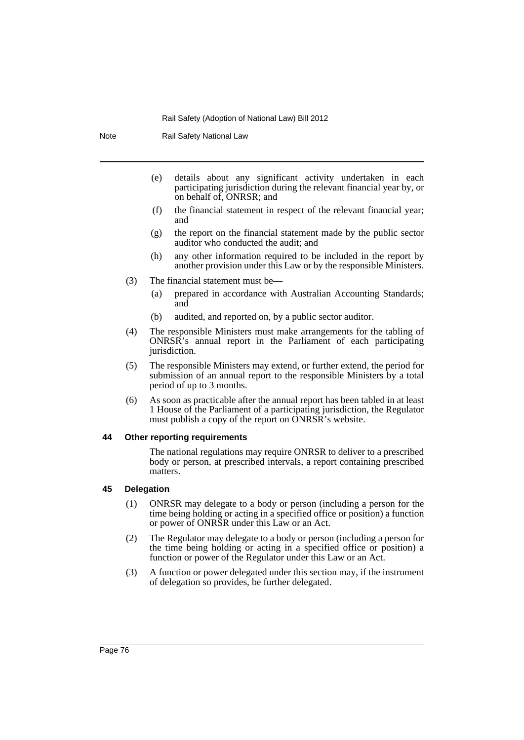Note Rail Safety National Law

- (e) details about any significant activity undertaken in each participating jurisdiction during the relevant financial year by, or on behalf of, ONRSR; and
- (f) the financial statement in respect of the relevant financial year; and
- (g) the report on the financial statement made by the public sector auditor who conducted the audit; and
- (h) any other information required to be included in the report by another provision under this Law or by the responsible Ministers.
- (3) The financial statement must be—
	- (a) prepared in accordance with Australian Accounting Standards; and
	- (b) audited, and reported on, by a public sector auditor.
- (4) The responsible Ministers must make arrangements for the tabling of ONRSR's annual report in the Parliament of each participating jurisdiction.
- (5) The responsible Ministers may extend, or further extend, the period for submission of an annual report to the responsible Ministers by a total period of up to 3 months.
- (6) As soon as practicable after the annual report has been tabled in at least 1 House of the Parliament of a participating jurisdiction, the Regulator must publish a copy of the report on ONRSR's website.

#### **44 Other reporting requirements**

The national regulations may require ONRSR to deliver to a prescribed body or person, at prescribed intervals, a report containing prescribed matters.

### **45 Delegation**

- (1) ONRSR may delegate to a body or person (including a person for the time being holding or acting in a specified office or position) a function or power of ONRSR under this Law or an Act.
- (2) The Regulator may delegate to a body or person (including a person for the time being holding or acting in a specified office or position) a function or power of the Regulator under this Law or an Act.
- (3) A function or power delegated under this section may, if the instrument of delegation so provides, be further delegated.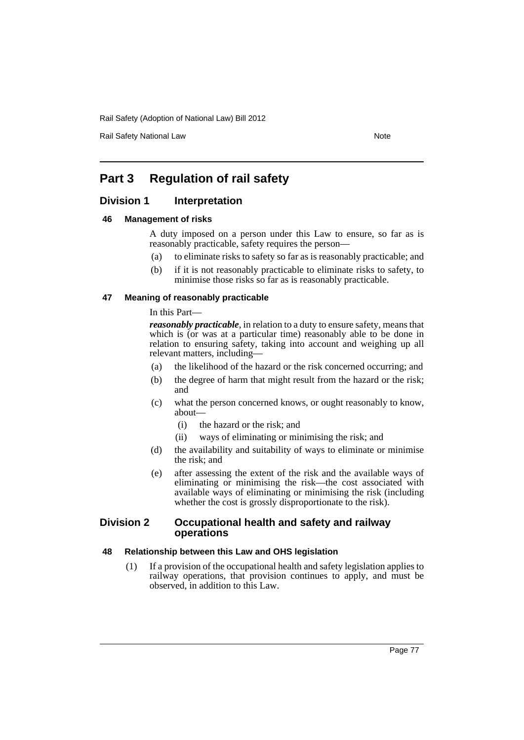Rail Safety National Law Note 2008 and 2009 and 2009 and 2009 and 2009 and 2009 and 2009 and 2009 and 2009 and 2009 and 2009 and 2009 and 2009 and 2009 and 2009 and 2009 and 2009 and 2009 and 2009 and 2009 and 2009 and 200

# **Part 3 Regulation of rail safety**

## **Division 1** Interpretation

### **46 Management of risks**

A duty imposed on a person under this Law to ensure, so far as is reasonably practicable, safety requires the person—

- (a) to eliminate risks to safety so far as is reasonably practicable; and
- (b) if it is not reasonably practicable to eliminate risks to safety, to minimise those risks so far as is reasonably practicable.

### **47 Meaning of reasonably practicable**

In this Part—

*reasonably practicable*, in relation to a duty to ensure safety, means that which is (or was at a particular time) reasonably able to be done in relation to ensuring safety, taking into account and weighing up all relevant matters, including—

- (a) the likelihood of the hazard or the risk concerned occurring; and
- (b) the degree of harm that might result from the hazard or the risk; and
- (c) what the person concerned knows, or ought reasonably to know, about—
	- (i) the hazard or the risk; and
	- (ii) ways of eliminating or minimising the risk; and
- (d) the availability and suitability of ways to eliminate or minimise the risk; and
- (e) after assessing the extent of the risk and the available ways of eliminating or minimising the risk—the cost associated with available ways of eliminating or minimising the risk (including whether the cost is grossly disproportionate to the risk).

### **Division 2 Occupational health and safety and railway operations**

### **48 Relationship between this Law and OHS legislation**

(1) If a provision of the occupational health and safety legislation applies to railway operations, that provision continues to apply, and must be observed, in addition to this Law.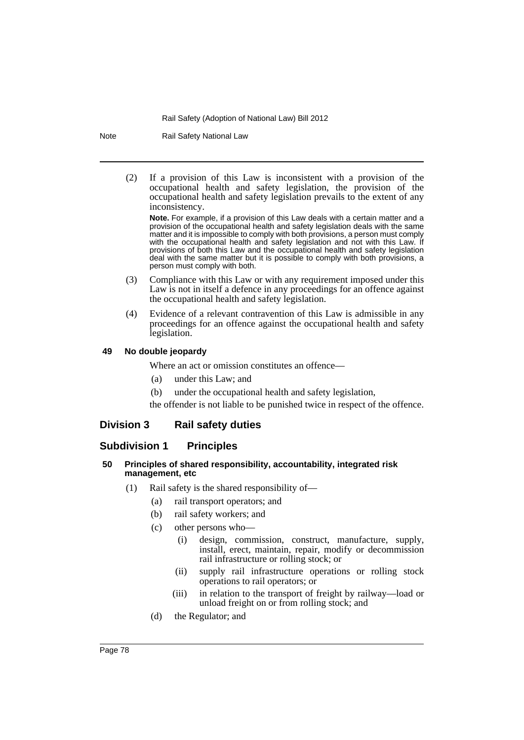Note Rail Safety National Law

(2) If a provision of this Law is inconsistent with a provision of the occupational health and safety legislation, the provision of the occupational health and safety legislation prevails to the extent of any inconsistency.

**Note.** For example, if a provision of this Law deals with a certain matter and a provision of the occupational health and safety legislation deals with the same matter and it is impossible to comply with both provisions, a person must comply with the occupational health and safety legislation and not with this Law. If provisions of both this Law and the occupational health and safety legislation deal with the same matter but it is possible to comply with both provisions, a person must comply with both.

- (3) Compliance with this Law or with any requirement imposed under this Law is not in itself a defence in any proceedings for an offence against the occupational health and safety legislation.
- (4) Evidence of a relevant contravention of this Law is admissible in any proceedings for an offence against the occupational health and safety legislation.

## **49 No double jeopardy**

Where an act or omission constitutes an offence—

- (a) under this Law; and
- (b) under the occupational health and safety legislation,

the offender is not liable to be punished twice in respect of the offence.

## **Division 3 Rail safety duties**

## **Subdivision 1 Principles**

### **50 Principles of shared responsibility, accountability, integrated risk management, etc**

- (1) Rail safety is the shared responsibility of—
	- (a) rail transport operators; and
	- (b) rail safety workers; and
	- (c) other persons who—
		- (i) design, commission, construct, manufacture, supply, install, erect, maintain, repair, modify or decommission rail infrastructure or rolling stock; or
		- (ii) supply rail infrastructure operations or rolling stock operations to rail operators; or
		- (iii) in relation to the transport of freight by railway—load or unload freight on or from rolling stock; and
	- (d) the Regulator; and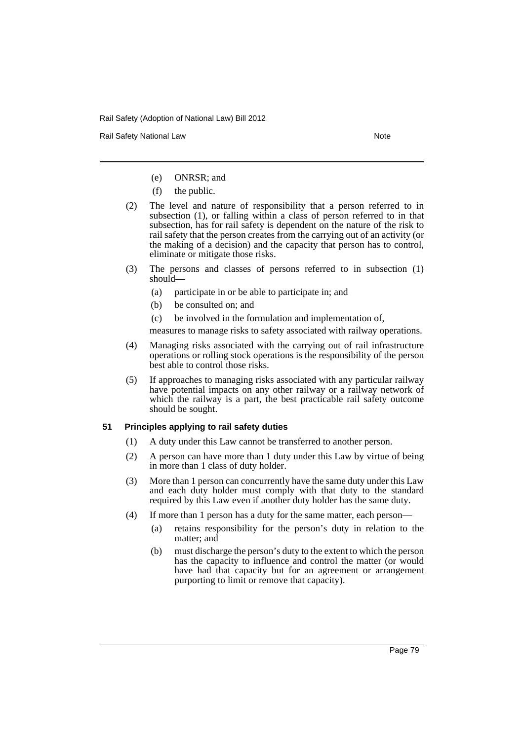Rail Safety National Law Note 2008 and 2009 and 2009 and 2009 and 2009 and 2009 and 2009 and 2009 and 2009 and 2009 and 2009 and 2009 and 2009 and 2009 and 2009 and 2009 and 2009 and 2009 and 2009 and 2009 and 2009 and 200

- (e) ONRSR; and
- (f) the public.
- (2) The level and nature of responsibility that a person referred to in subsection (1), or falling within a class of person referred to in that subsection, has for rail safety is dependent on the nature of the risk to rail safety that the person creates from the carrying out of an activity (or the making of a decision) and the capacity that person has to control, eliminate or mitigate those risks.
- (3) The persons and classes of persons referred to in subsection (1) should—
	- (a) participate in or be able to participate in; and
	- (b) be consulted on; and
	- (c) be involved in the formulation and implementation of,

measures to manage risks to safety associated with railway operations.

- (4) Managing risks associated with the carrying out of rail infrastructure operations or rolling stock operations is the responsibility of the person best able to control those risks.
- (5) If approaches to managing risks associated with any particular railway have potential impacts on any other railway or a railway network of which the railway is a part, the best practicable rail safety outcome should be sought.

## **51 Principles applying to rail safety duties**

- (1) A duty under this Law cannot be transferred to another person.
- (2) A person can have more than 1 duty under this Law by virtue of being in more than 1 class of duty holder.
- (3) More than 1 person can concurrently have the same duty under this Law and each duty holder must comply with that duty to the standard required by this Law even if another duty holder has the same duty.
- (4) If more than 1 person has a duty for the same matter, each person—
	- (a) retains responsibility for the person's duty in relation to the matter; and
	- (b) must discharge the person's duty to the extent to which the person has the capacity to influence and control the matter (or would have had that capacity but for an agreement or arrangement purporting to limit or remove that capacity).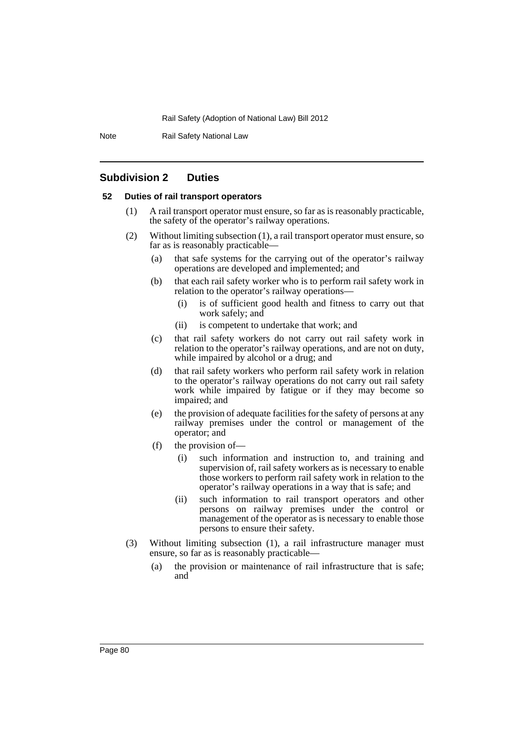Note Rail Safety National Law

## **Subdivision 2 Duties**

### **52 Duties of rail transport operators**

- (1) A rail transport operator must ensure, so far as is reasonably practicable, the safety of the operator's railway operations.
- (2) Without limiting subsection (1), a rail transport operator must ensure, so far as is reasonably practicable—
	- (a) that safe systems for the carrying out of the operator's railway operations are developed and implemented; and
	- (b) that each rail safety worker who is to perform rail safety work in relation to the operator's railway operations—
		- (i) is of sufficient good health and fitness to carry out that work safely; and
		- (ii) is competent to undertake that work; and
	- (c) that rail safety workers do not carry out rail safety work in relation to the operator's railway operations, and are not on duty, while impaired by alcohol or a drug; and
	- (d) that rail safety workers who perform rail safety work in relation to the operator's railway operations do not carry out rail safety work while impaired by fatigue or if they may become so impaired; and
	- (e) the provision of adequate facilities for the safety of persons at any railway premises under the control or management of the operator; and
	- (f) the provision of—
		- (i) such information and instruction to, and training and supervision of, rail safety workers as is necessary to enable those workers to perform rail safety work in relation to the operator's railway operations in a way that is safe; and
		- (ii) such information to rail transport operators and other persons on railway premises under the control or management of the operator as is necessary to enable those persons to ensure their safety.
- (3) Without limiting subsection (1), a rail infrastructure manager must ensure, so far as is reasonably practicable—
	- (a) the provision or maintenance of rail infrastructure that is safe; and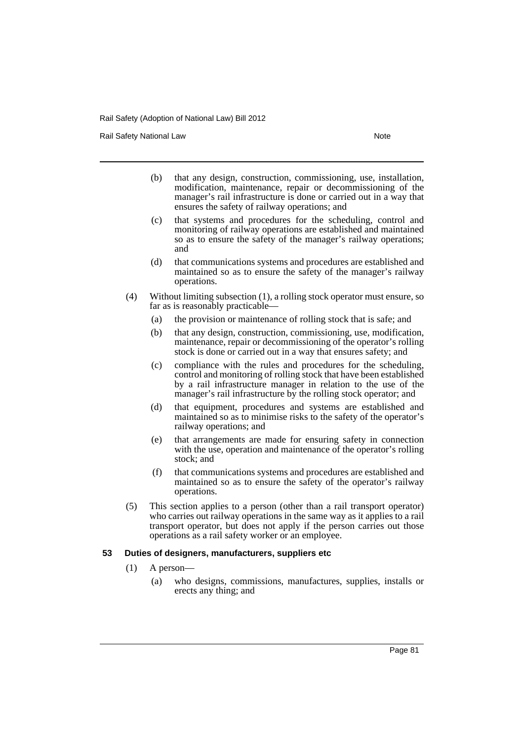Rail Safety National Law Note 2008 and 2009 and 2009 and 2009 and 2009 and 2009 and 2009 and 2009 and 2009 and 2009 and 2009 and 2009 and 2009 and 2009 and 2009 and 2009 and 2009 and 2009 and 2009 and 2009 and 2009 and 200

- (b) that any design, construction, commissioning, use, installation, modification, maintenance, repair or decommissioning of the manager's rail infrastructure is done or carried out in a way that ensures the safety of railway operations; and
- (c) that systems and procedures for the scheduling, control and monitoring of railway operations are established and maintained so as to ensure the safety of the manager's railway operations; and
- (d) that communications systems and procedures are established and maintained so as to ensure the safety of the manager's railway operations.
- (4) Without limiting subsection (1), a rolling stock operator must ensure, so far as is reasonably practicable—
	- (a) the provision or maintenance of rolling stock that is safe; and
	- (b) that any design, construction, commissioning, use, modification, maintenance, repair or decommissioning of the operator's rolling stock is done or carried out in a way that ensures safety; and
	- (c) compliance with the rules and procedures for the scheduling, control and monitoring of rolling stock that have been established by a rail infrastructure manager in relation to the use of the manager's rail infrastructure by the rolling stock operator; and
	- (d) that equipment, procedures and systems are established and maintained so as to minimise risks to the safety of the operator's railway operations; and
	- (e) that arrangements are made for ensuring safety in connection with the use, operation and maintenance of the operator's rolling stock; and
	- (f) that communications systems and procedures are established and maintained so as to ensure the safety of the operator's railway operations.
- (5) This section applies to a person (other than a rail transport operator) who carries out railway operations in the same way as it applies to a rail transport operator, but does not apply if the person carries out those operations as a rail safety worker or an employee.

### **53 Duties of designers, manufacturers, suppliers etc**

- (1) A person—
	- (a) who designs, commissions, manufactures, supplies, installs or erects any thing; and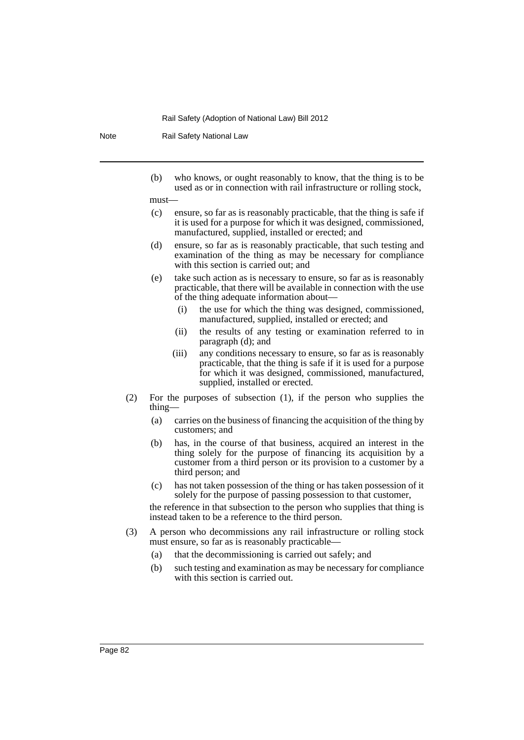Note Rail Safety National Law

(b) who knows, or ought reasonably to know, that the thing is to be used as or in connection with rail infrastructure or rolling stock,

#### must—

- (c) ensure, so far as is reasonably practicable, that the thing is safe if it is used for a purpose for which it was designed, commissioned, manufactured, supplied, installed or erected; and
- (d) ensure, so far as is reasonably practicable, that such testing and examination of the thing as may be necessary for compliance with this section is carried out; and
- (e) take such action as is necessary to ensure, so far as is reasonably practicable, that there will be available in connection with the use of the thing adequate information about—
	- (i) the use for which the thing was designed, commissioned, manufactured, supplied, installed or erected; and
	- (ii) the results of any testing or examination referred to in paragraph (d); and
	- (iii) any conditions necessary to ensure, so far as is reasonably practicable, that the thing is safe if it is used for a purpose for which it was designed, commissioned, manufactured, supplied, installed or erected.
- (2) For the purposes of subsection (1), if the person who supplies the thing—
	- (a) carries on the business of financing the acquisition of the thing by customers; and
	- (b) has, in the course of that business, acquired an interest in the thing solely for the purpose of financing its acquisition by a customer from a third person or its provision to a customer by a third person; and
	- (c) has not taken possession of the thing or has taken possession of it solely for the purpose of passing possession to that customer,

the reference in that subsection to the person who supplies that thing is instead taken to be a reference to the third person.

- (3) A person who decommissions any rail infrastructure or rolling stock must ensure, so far as is reasonably practicable—
	- (a) that the decommissioning is carried out safely; and
	- (b) such testing and examination as may be necessary for compliance with this section is carried out.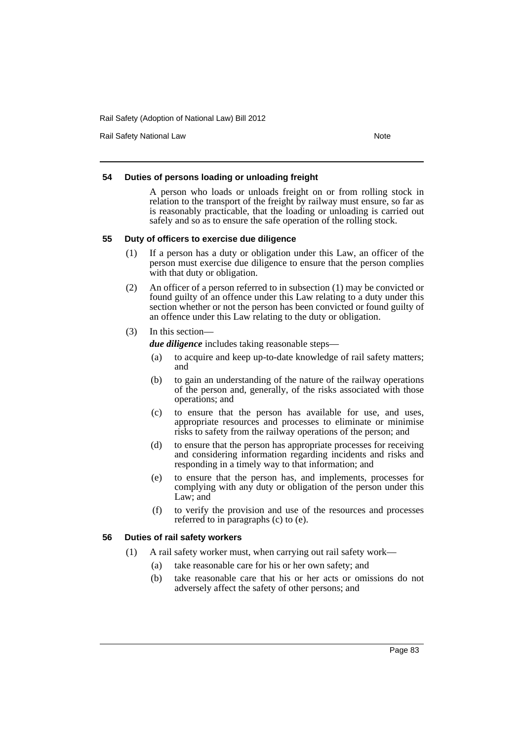Rail Safety National Law Note 2008 and 2009 and 2009 and 2009 and 2009 and 2009 and 2009 and 2009 and 2009 and 2009 and 2009 and 2009 and 2009 and 2009 and 2009 and 2009 and 2009 and 2009 and 2009 and 2009 and 2009 and 200

### **54 Duties of persons loading or unloading freight**

A person who loads or unloads freight on or from rolling stock in relation to the transport of the freight by railway must ensure, so far as is reasonably practicable, that the loading or unloading is carried out safely and so as to ensure the safe operation of the rolling stock.

#### **55 Duty of officers to exercise due diligence**

- (1) If a person has a duty or obligation under this Law, an officer of the person must exercise due diligence to ensure that the person complies with that duty or obligation.
- (2) An officer of a person referred to in subsection (1) may be convicted or found guilty of an offence under this Law relating to a duty under this section whether or not the person has been convicted or found guilty of an offence under this Law relating to the duty or obligation.
- (3) In this section—

*due diligence* includes taking reasonable steps—

- (a) to acquire and keep up-to-date knowledge of rail safety matters; and
- (b) to gain an understanding of the nature of the railway operations of the person and, generally, of the risks associated with those operations; and
- (c) to ensure that the person has available for use, and uses, appropriate resources and processes to eliminate or minimise risks to safety from the railway operations of the person; and
- (d) to ensure that the person has appropriate processes for receiving and considering information regarding incidents and risks and responding in a timely way to that information; and
- (e) to ensure that the person has, and implements, processes for complying with any duty or obligation of the person under this Law; and
- (f) to verify the provision and use of the resources and processes referred to in paragraphs (c) to (e).

### **56 Duties of rail safety workers**

- (1) A rail safety worker must, when carrying out rail safety work—
	- (a) take reasonable care for his or her own safety; and
	- (b) take reasonable care that his or her acts or omissions do not adversely affect the safety of other persons; and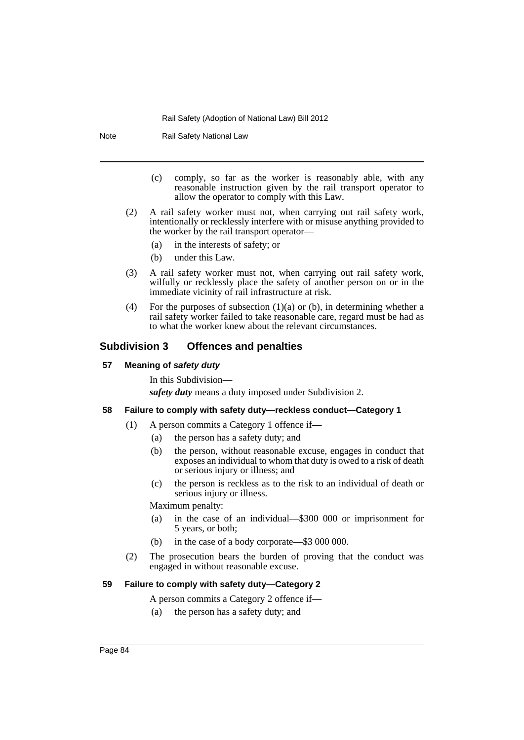Note Rail Safety National Law

- (c) comply, so far as the worker is reasonably able, with any reasonable instruction given by the rail transport operator to allow the operator to comply with this Law.
- (2) A rail safety worker must not, when carrying out rail safety work, intentionally or recklessly interfere with or misuse anything provided to the worker by the rail transport operator—
	- (a) in the interests of safety; or
	- (b) under this Law.
- (3) A rail safety worker must not, when carrying out rail safety work, wilfully or recklessly place the safety of another person on or in the immediate vicinity of rail infrastructure at risk.
- (4) For the purposes of subsection  $(1)(a)$  or  $(b)$ , in determining whether a rail safety worker failed to take reasonable care, regard must be had as to what the worker knew about the relevant circumstances.

## **Subdivision 3 Offences and penalties**

#### **57 Meaning of** *safety duty*

In this Subdivision—

*safety duty* means a duty imposed under Subdivision 2.

## **58 Failure to comply with safety duty—reckless conduct—Category 1**

- (1) A person commits a Category 1 offence if—
	- (a) the person has a safety duty; and
	- (b) the person, without reasonable excuse, engages in conduct that exposes an individual to whom that duty is owed to a risk of death or serious injury or illness; and
	- (c) the person is reckless as to the risk to an individual of death or serious injury or illness.

### Maximum penalty:

- (a) in the case of an individual—\$300 000 or imprisonment for 5 years, or both;
- (b) in the case of a body corporate—\$3 000 000.
- (2) The prosecution bears the burden of proving that the conduct was engaged in without reasonable excuse.

### **59 Failure to comply with safety duty—Category 2**

- A person commits a Category 2 offence if—
- (a) the person has a safety duty; and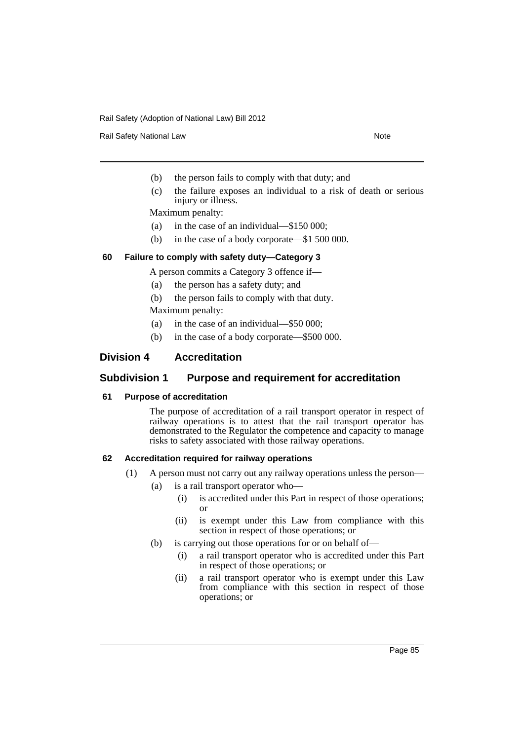Rail Safety National Law Note 2008 and 2009 and 2009 and 2009 and 2009 and 2009 and 2009 and 2009 and 2009 and 2009 and 2009 and 2009 and 2009 and 2009 and 2009 and 2009 and 2009 and 2009 and 2009 and 2009 and 2009 and 200

- (b) the person fails to comply with that duty; and
- (c) the failure exposes an individual to a risk of death or serious injury or illness.

Maximum penalty:

- (a) in the case of an individual—\$150 000;
- (b) in the case of a body corporate—\$1 500 000.

## **60 Failure to comply with safety duty—Category 3**

A person commits a Category 3 offence if—

- (a) the person has a safety duty; and
- (b) the person fails to comply with that duty.

Maximum penalty:

- (a) in the case of an individual—\$50 000;
- (b) in the case of a body corporate—\$500 000.

## **Division 4 Accreditation**

## **Subdivision 1 Purpose and requirement for accreditation**

### **61 Purpose of accreditation**

The purpose of accreditation of a rail transport operator in respect of railway operations is to attest that the rail transport operator has demonstrated to the Regulator the competence and capacity to manage risks to safety associated with those railway operations.

### **62 Accreditation required for railway operations**

- (1) A person must not carry out any railway operations unless the person—
	- (a) is a rail transport operator who—
		- (i) is accredited under this Part in respect of those operations; or
		- (ii) is exempt under this Law from compliance with this section in respect of those operations; or
	- (b) is carrying out those operations for or on behalf of—
		- (i) a rail transport operator who is accredited under this Part in respect of those operations; or
		- (ii) a rail transport operator who is exempt under this Law from compliance with this section in respect of those operations; or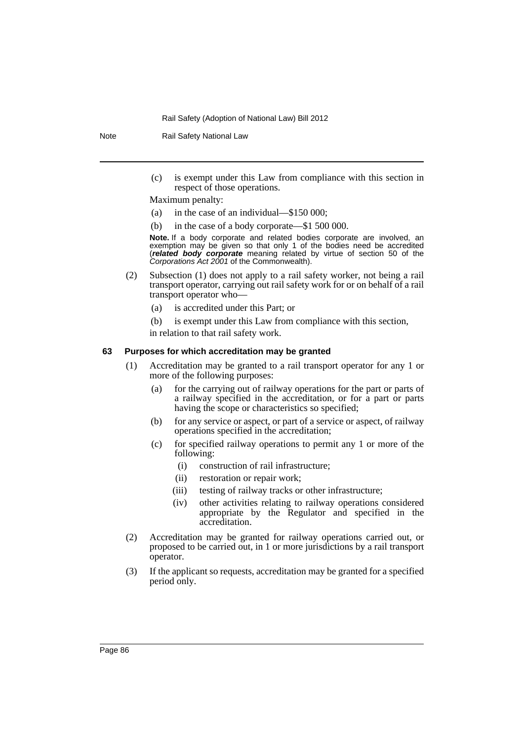Note Rail Safety National Law

(c) is exempt under this Law from compliance with this section in respect of those operations.

Maximum penalty:

- (a) in the case of an individual—\$150 000;
- (b) in the case of a body corporate—\$1 500 000.

**Note.** If a body corporate and related bodies corporate are involved, an exemption may be given so that only 1 of the bodies need be accredited (*related body corporate* meaning related by virtue of section 50 of the *Corporations Act 2001* of the Commonwealth).

- (2) Subsection (1) does not apply to a rail safety worker, not being a rail transport operator, carrying out rail safety work for or on behalf of a rail transport operator who—
	- (a) is accredited under this Part; or
	- (b) is exempt under this Law from compliance with this section,

in relation to that rail safety work.

## **63 Purposes for which accreditation may be granted**

- (1) Accreditation may be granted to a rail transport operator for any 1 or more of the following purposes:
	- (a) for the carrying out of railway operations for the part or parts of a railway specified in the accreditation, or for a part or parts having the scope or characteristics so specified;
	- (b) for any service or aspect, or part of a service or aspect, of railway operations specified in the accreditation;
	- (c) for specified railway operations to permit any 1 or more of the following:
		- (i) construction of rail infrastructure;
		- (ii) restoration or repair work;
		- (iii) testing of railway tracks or other infrastructure;
		- (iv) other activities relating to railway operations considered appropriate by the Regulator and specified in the accreditation.
- (2) Accreditation may be granted for railway operations carried out, or proposed to be carried out, in 1 or more jurisdictions by a rail transport operator.
- (3) If the applicant so requests, accreditation may be granted for a specified period only.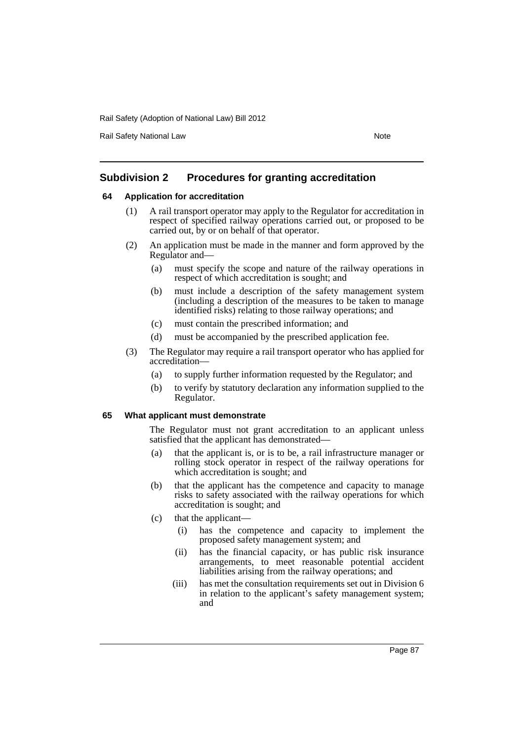Rail Safety National Law Note 2008 and 2009 and 2009 and 2009 and 2009 and 2009 and 2009 and 2009 and 2009 and 2009 and 2009 and 2009 and 2009 and 2009 and 2009 and 2009 and 2009 and 2009 and 2009 and 2009 and 2009 and 200

## **Subdivision 2 Procedures for granting accreditation**

### **64 Application for accreditation**

- (1) A rail transport operator may apply to the Regulator for accreditation in respect of specified railway operations carried out, or proposed to be carried out, by or on behalf of that operator.
- (2) An application must be made in the manner and form approved by the Regulator and—
	- (a) must specify the scope and nature of the railway operations in respect of which accreditation is sought; and
	- (b) must include a description of the safety management system (including a description of the measures to be taken to manage identified risks) relating to those railway operations; and
	- (c) must contain the prescribed information; and
	- (d) must be accompanied by the prescribed application fee.
- (3) The Regulator may require a rail transport operator who has applied for accreditation—
	- (a) to supply further information requested by the Regulator; and
	- (b) to verify by statutory declaration any information supplied to the Regulator.

### **65 What applicant must demonstrate**

The Regulator must not grant accreditation to an applicant unless satisfied that the applicant has demonstrated—

- (a) that the applicant is, or is to be, a rail infrastructure manager or rolling stock operator in respect of the railway operations for which accreditation is sought; and
- (b) that the applicant has the competence and capacity to manage risks to safety associated with the railway operations for which accreditation is sought; and
- (c) that the applicant—
	- (i) has the competence and capacity to implement the proposed safety management system; and
	- (ii) has the financial capacity, or has public risk insurance arrangements, to meet reasonable potential accident liabilities arising from the railway operations; and
	- (iii) has met the consultation requirements set out in Division 6 in relation to the applicant's safety management system; and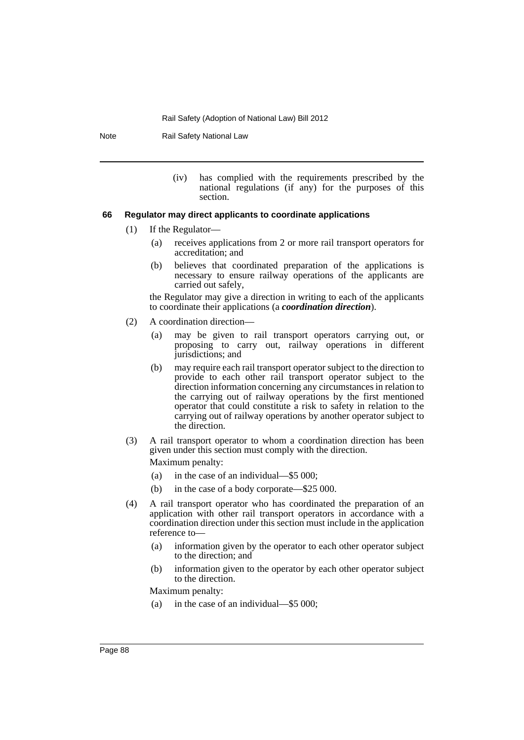Note Rail Safety National Law

(iv) has complied with the requirements prescribed by the national regulations (if any) for the purposes of this section.

### **66 Regulator may direct applicants to coordinate applications**

- (1) If the Regulator—
	- (a) receives applications from 2 or more rail transport operators for accreditation; and
	- (b) believes that coordinated preparation of the applications is necessary to ensure railway operations of the applicants are carried out safely,

the Regulator may give a direction in writing to each of the applicants to coordinate their applications (a *coordination direction*).

- (2) A coordination direction—
	- (a) may be given to rail transport operators carrying out, or proposing to carry out, railway operations in different jurisdictions; and
	- (b) may require each rail transport operator subject to the direction to provide to each other rail transport operator subject to the direction information concerning any circumstances in relation to the carrying out of railway operations by the first mentioned operator that could constitute a risk to safety in relation to the carrying out of railway operations by another operator subject to the direction.
- (3) A rail transport operator to whom a coordination direction has been given under this section must comply with the direction. Maximum penalty:

- (a) in the case of an individual—\$5 000;
- (b) in the case of a body corporate—\$25 000.
- (4) A rail transport operator who has coordinated the preparation of an application with other rail transport operators in accordance with a coordination direction under this section must include in the application reference to—
	- (a) information given by the operator to each other operator subject to the direction; and
	- (b) information given to the operator by each other operator subject to the direction.

Maximum penalty:

(a) in the case of an individual—\$5 000;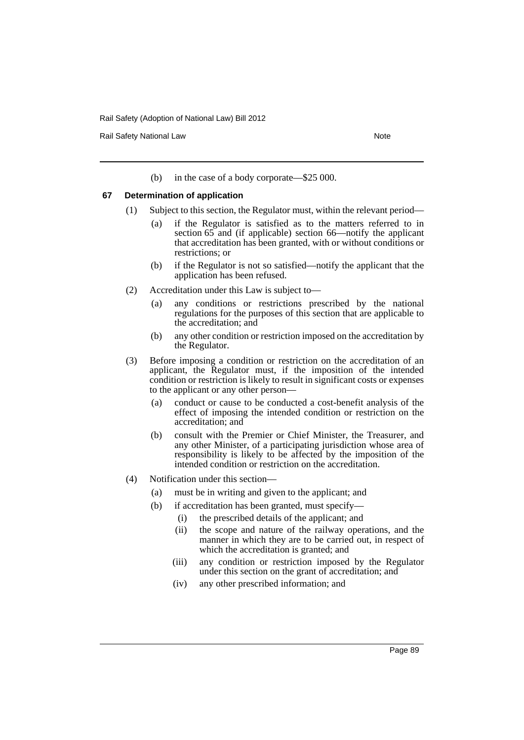Rail Safety National Law Note 2008 and 2009 and 2009 and 2009 and 2009 and 2009 and 2009 and 2009 and 2009 and 2009 and 2009 and 2009 and 2009 and 2009 and 2009 and 2009 and 2009 and 2009 and 2009 and 2009 and 2009 and 200

(b) in the case of a body corporate—\$25 000.

#### **67 Determination of application**

- (1) Subject to this section, the Regulator must, within the relevant period—
	- (a) if the Regulator is satisfied as to the matters referred to in section 65 and (if applicable) section 66—notify the applicant that accreditation has been granted, with or without conditions or restrictions; or
	- (b) if the Regulator is not so satisfied—notify the applicant that the application has been refused.
- (2) Accreditation under this Law is subject to—
	- (a) any conditions or restrictions prescribed by the national regulations for the purposes of this section that are applicable to the accreditation; and
	- (b) any other condition or restriction imposed on the accreditation by the Regulator.
- (3) Before imposing a condition or restriction on the accreditation of an applicant, the Regulator must, if the imposition of the intended condition or restriction is likely to result in significant costs or expenses to the applicant or any other person—
	- (a) conduct or cause to be conducted a cost-benefit analysis of the effect of imposing the intended condition or restriction on the accreditation; and
	- (b) consult with the Premier or Chief Minister, the Treasurer, and any other Minister, of a participating jurisdiction whose area of responsibility is likely to be affected by the imposition of the intended condition or restriction on the accreditation.
- (4) Notification under this section—
	- (a) must be in writing and given to the applicant; and
	- (b) if accreditation has been granted, must specify—
		- (i) the prescribed details of the applicant; and
		- (ii) the scope and nature of the railway operations, and the manner in which they are to be carried out, in respect of which the accreditation is granted; and
		- (iii) any condition or restriction imposed by the Regulator under this section on the grant of accreditation; and
		- (iv) any other prescribed information; and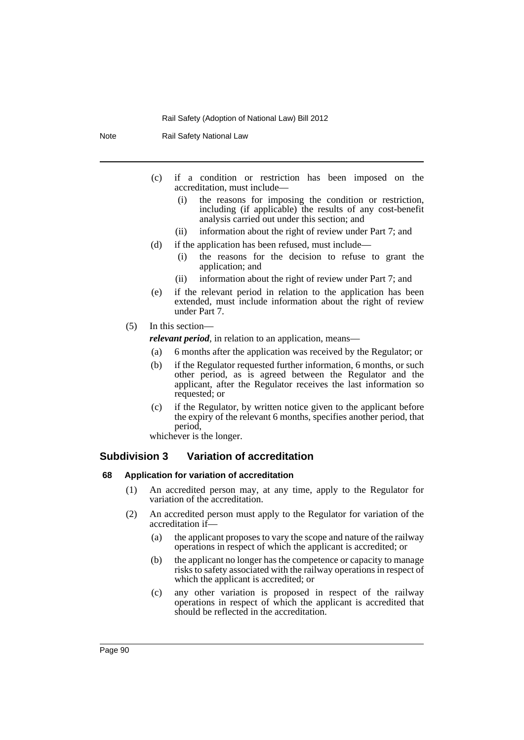Note Rail Safety National Law

- (c) if a condition or restriction has been imposed on the accreditation, must include—
	- (i) the reasons for imposing the condition or restriction, including (if applicable) the results of any cost-benefit analysis carried out under this section; and
	- (ii) information about the right of review under Part 7; and
- (d) if the application has been refused, must include—
	- (i) the reasons for the decision to refuse to grant the application; and
	- (ii) information about the right of review under Part 7; and
- (e) if the relevant period in relation to the application has been extended, must include information about the right of review under Part 7.
- (5) In this section—

*relevant period*, in relation to an application, means—

- (a) 6 months after the application was received by the Regulator; or
- (b) if the Regulator requested further information, 6 months, or such other period, as is agreed between the Regulator and the applicant, after the Regulator receives the last information so requested; or
- (c) if the Regulator, by written notice given to the applicant before the expiry of the relevant 6 months, specifies another period, that period,

whichever is the longer.

## **Subdivision 3 Variation of accreditation**

#### **68 Application for variation of accreditation**

- (1) An accredited person may, at any time, apply to the Regulator for variation of the accreditation.
- (2) An accredited person must apply to the Regulator for variation of the accreditation if—
	- (a) the applicant proposes to vary the scope and nature of the railway operations in respect of which the applicant is accredited; or
	- (b) the applicant no longer has the competence or capacity to manage risks to safety associated with the railway operations in respect of which the applicant is accredited; or
	- (c) any other variation is proposed in respect of the railway operations in respect of which the applicant is accredited that should be reflected in the accreditation.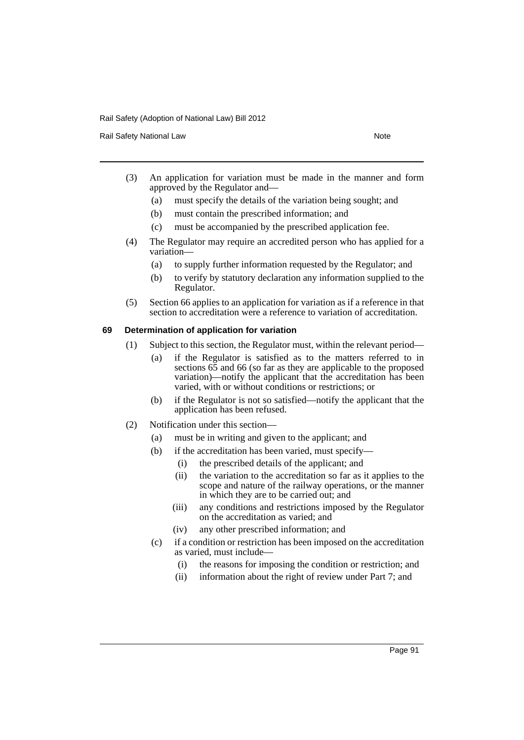Rail Safety National Law Note 2008 and 2009 and 2009 and 2009 and 2009 and 2009 and 2009 and 2009 and 2009 and 2009 and 2009 and 2009 and 2009 and 2009 and 2009 and 2009 and 2009 and 2009 and 2009 and 2009 and 2009 and 200

- (3) An application for variation must be made in the manner and form approved by the Regulator and—
	- (a) must specify the details of the variation being sought; and
	- (b) must contain the prescribed information; and
	- (c) must be accompanied by the prescribed application fee.
- (4) The Regulator may require an accredited person who has applied for a variation—
	- (a) to supply further information requested by the Regulator; and
	- (b) to verify by statutory declaration any information supplied to the Regulator.
- (5) Section 66 applies to an application for variation as if a reference in that section to accreditation were a reference to variation of accreditation.

### **69 Determination of application for variation**

- (1) Subject to this section, the Regulator must, within the relevant period—
	- (a) if the Regulator is satisfied as to the matters referred to in sections 65 and 66 (so far as they are applicable to the proposed variation)—notify the applicant that the accreditation has been varied, with or without conditions or restrictions; or
	- (b) if the Regulator is not so satisfied—notify the applicant that the application has been refused.
- (2) Notification under this section—
	- (a) must be in writing and given to the applicant; and
	- (b) if the accreditation has been varied, must specify—
		- (i) the prescribed details of the applicant; and
		- (ii) the variation to the accreditation so far as it applies to the scope and nature of the railway operations, or the manner in which they are to be carried out; and
		- (iii) any conditions and restrictions imposed by the Regulator on the accreditation as varied; and
		- (iv) any other prescribed information; and
	- (c) if a condition or restriction has been imposed on the accreditation as varied, must include—
		- (i) the reasons for imposing the condition or restriction; and
		- (ii) information about the right of review under Part 7; and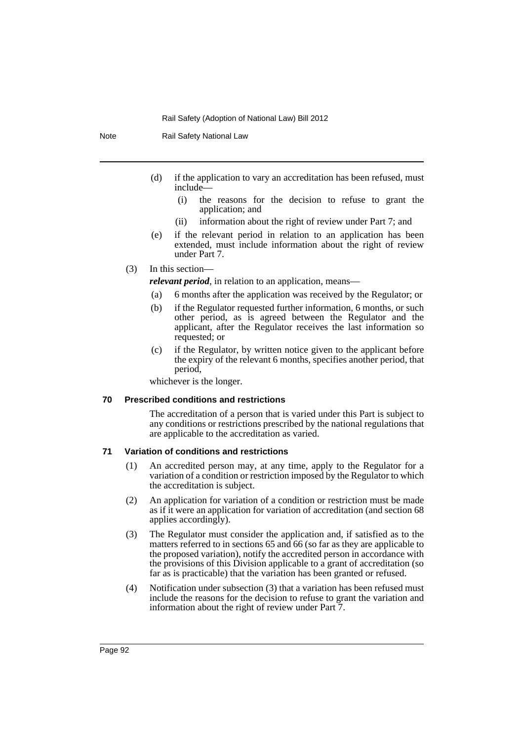Note Rail Safety National Law

- (d) if the application to vary an accreditation has been refused, must include—
	- (i) the reasons for the decision to refuse to grant the application; and
	- (ii) information about the right of review under Part 7; and
- (e) if the relevant period in relation to an application has been extended, must include information about the right of review under Part 7.

### (3) In this section—

*relevant period*, in relation to an application, means—

- (a) 6 months after the application was received by the Regulator; or
- (b) if the Regulator requested further information, 6 months, or such other period, as is agreed between the Regulator and the applicant, after the Regulator receives the last information so requested; or
- (c) if the Regulator, by written notice given to the applicant before the expiry of the relevant 6 months, specifies another period, that period,

whichever is the longer.

#### **70 Prescribed conditions and restrictions**

The accreditation of a person that is varied under this Part is subject to any conditions or restrictions prescribed by the national regulations that are applicable to the accreditation as varied.

### **71 Variation of conditions and restrictions**

- (1) An accredited person may, at any time, apply to the Regulator for a variation of a condition or restriction imposed by the Regulator to which the accreditation is subject.
- (2) An application for variation of a condition or restriction must be made as if it were an application for variation of accreditation (and section 68 applies accordingly).
- (3) The Regulator must consider the application and, if satisfied as to the matters referred to in sections 65 and 66 (so far as they are applicable to the proposed variation), notify the accredited person in accordance with the provisions of this Division applicable to a grant of accreditation (so far as is practicable) that the variation has been granted or refused.
- (4) Notification under subsection (3) that a variation has been refused must include the reasons for the decision to refuse to grant the variation and information about the right of review under Part 7.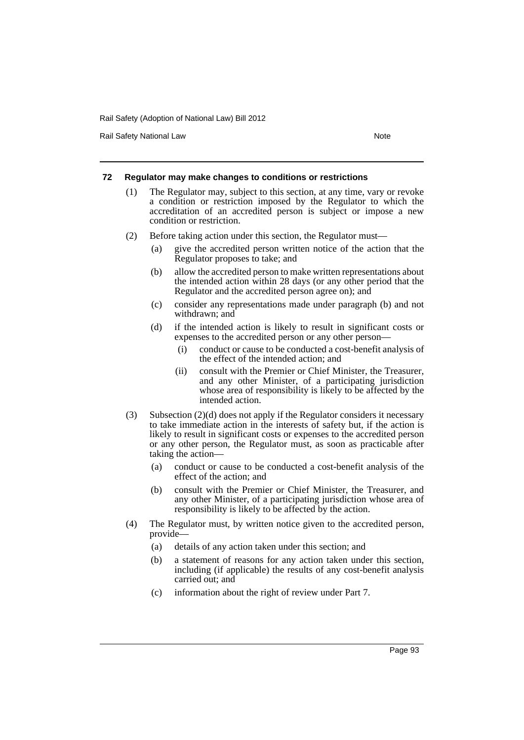Rail Safety National Law Note 2008 and 2009 and 2009 and 2009 and 2009 and 2009 and 2009 and 2009 and 2009 and 2009 and 2009 and 2009 and 2009 and 2009 and 2009 and 2009 and 2009 and 2009 and 2009 and 2009 and 2009 and 200

#### **72 Regulator may make changes to conditions or restrictions**

- (1) The Regulator may, subject to this section, at any time, vary or revoke a condition or restriction imposed by the Regulator to which the accreditation of an accredited person is subject or impose a new condition or restriction.
- (2) Before taking action under this section, the Regulator must—
	- (a) give the accredited person written notice of the action that the Regulator proposes to take; and
	- (b) allow the accredited person to make written representations about the intended action within 28 days (or any other period that the Regulator and the accredited person agree on); and
	- (c) consider any representations made under paragraph (b) and not withdrawn; and
	- (d) if the intended action is likely to result in significant costs or expenses to the accredited person or any other person—
		- (i) conduct or cause to be conducted a cost-benefit analysis of the effect of the intended action; and
		- (ii) consult with the Premier or Chief Minister, the Treasurer, and any other Minister, of a participating jurisdiction whose area of responsibility is likely to be affected by the intended action.
- (3) Subsection (2)(d) does not apply if the Regulator considers it necessary to take immediate action in the interests of safety but, if the action is likely to result in significant costs or expenses to the accredited person or any other person, the Regulator must, as soon as practicable after taking the action—
	- (a) conduct or cause to be conducted a cost-benefit analysis of the effect of the action; and
	- (b) consult with the Premier or Chief Minister, the Treasurer, and any other Minister, of a participating jurisdiction whose area of responsibility is likely to be affected by the action.
- (4) The Regulator must, by written notice given to the accredited person, provide—
	- (a) details of any action taken under this section; and
	- (b) a statement of reasons for any action taken under this section, including (if applicable) the results of any cost-benefit analysis carried out; and
	- (c) information about the right of review under Part 7.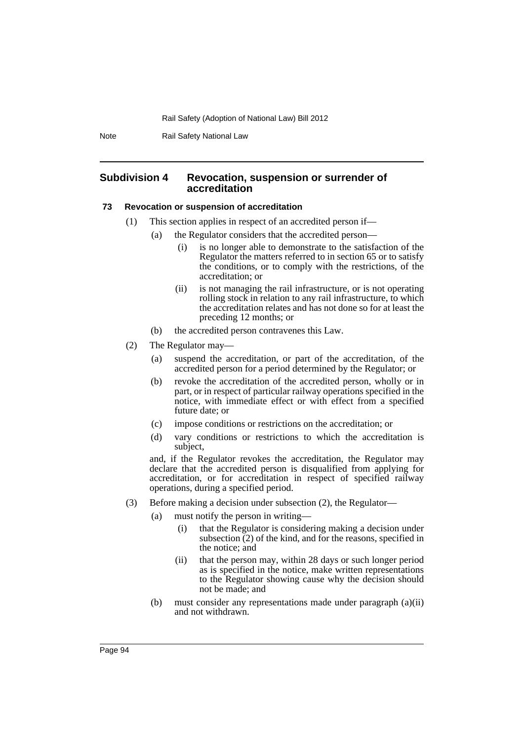Note Rail Safety National Law

### **Subdivision 4 Revocation, suspension or surrender of accreditation**

#### **73 Revocation or suspension of accreditation**

- (1) This section applies in respect of an accredited person if—
	- (a) the Regulator considers that the accredited person—
		- (i) is no longer able to demonstrate to the satisfaction of the Regulator the matters referred to in section 65 or to satisfy the conditions, or to comply with the restrictions, of the accreditation; or
		- (ii) is not managing the rail infrastructure, or is not operating rolling stock in relation to any rail infrastructure, to which the accreditation relates and has not done so for at least the preceding 12 months; or
	- (b) the accredited person contravenes this Law.
- (2) The Regulator may—
	- (a) suspend the accreditation, or part of the accreditation, of the accredited person for a period determined by the Regulator; or
	- (b) revoke the accreditation of the accredited person, wholly or in part, or in respect of particular railway operations specified in the notice, with immediate effect or with effect from a specified future date; or
	- (c) impose conditions or restrictions on the accreditation; or
	- (d) vary conditions or restrictions to which the accreditation is subject,

and, if the Regulator revokes the accreditation, the Regulator may declare that the accredited person is disqualified from applying for accreditation, or for accreditation in respect of specified railway operations, during a specified period.

- (3) Before making a decision under subsection (2), the Regulator—
	- (a) must notify the person in writing—
		- (i) that the Regulator is considering making a decision under subsection  $(2)$  of the kind, and for the reasons, specified in the notice; and
		- (ii) that the person may, within 28 days or such longer period as is specified in the notice, make written representations to the Regulator showing cause why the decision should not be made; and
	- (b) must consider any representations made under paragraph (a)(ii) and not withdrawn.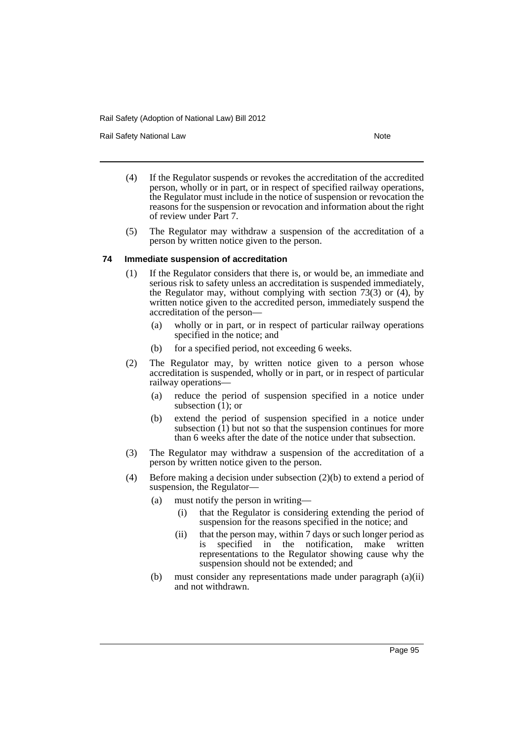Rail Safety National Law Note 2008 and 2009 and 2009 and 2009 and 2009 and 2009 and 2009 and 2009 and 2009 and 2009 and 2009 and 2009 and 2009 and 2009 and 2009 and 2009 and 2009 and 2009 and 2009 and 2009 and 2009 and 200

- (4) If the Regulator suspends or revokes the accreditation of the accredited person, wholly or in part, or in respect of specified railway operations, the Regulator must include in the notice of suspension or revocation the reasons for the suspension or revocation and information about the right of review under Part 7.
- (5) The Regulator may withdraw a suspension of the accreditation of a person by written notice given to the person.

### **74 Immediate suspension of accreditation**

- (1) If the Regulator considers that there is, or would be, an immediate and serious risk to safety unless an accreditation is suspended immediately, the Regulator may, without complying with section 73(3) or (4), by written notice given to the accredited person, immediately suspend the accreditation of the person—
	- (a) wholly or in part, or in respect of particular railway operations specified in the notice; and
	- (b) for a specified period, not exceeding 6 weeks.
- (2) The Regulator may, by written notice given to a person whose accreditation is suspended, wholly or in part, or in respect of particular railway operations—
	- (a) reduce the period of suspension specified in a notice under subsection  $(1)$ ; or
	- (b) extend the period of suspension specified in a notice under subsection  $(1)$  but not so that the suspension continues for more than 6 weeks after the date of the notice under that subsection.
- (3) The Regulator may withdraw a suspension of the accreditation of a person by written notice given to the person.
- (4) Before making a decision under subsection (2)(b) to extend a period of suspension, the Regulator—
	- (a) must notify the person in writing—
		- (i) that the Regulator is considering extending the period of suspension for the reasons specified in the notice; and
		- (ii) that the person may, within 7 days or such longer period as is specified in the notification, make written representations to the Regulator showing cause why the suspension should not be extended; and
	- (b) must consider any representations made under paragraph (a)(ii) and not withdrawn.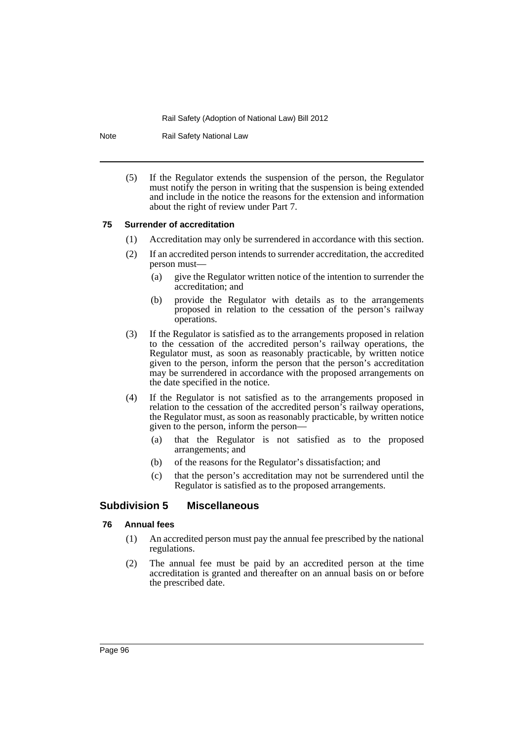Note Rail Safety National Law

(5) If the Regulator extends the suspension of the person, the Regulator must notify the person in writing that the suspension is being extended and include in the notice the reasons for the extension and information about the right of review under Part 7.

#### **75 Surrender of accreditation**

- (1) Accreditation may only be surrendered in accordance with this section.
- (2) If an accredited person intends to surrender accreditation, the accredited person must—
	- (a) give the Regulator written notice of the intention to surrender the accreditation; and
	- (b) provide the Regulator with details as to the arrangements proposed in relation to the cessation of the person's railway operations.
- (3) If the Regulator is satisfied as to the arrangements proposed in relation to the cessation of the accredited person's railway operations, the Regulator must, as soon as reasonably practicable, by written notice given to the person, inform the person that the person's accreditation may be surrendered in accordance with the proposed arrangements on the date specified in the notice.
- (4) If the Regulator is not satisfied as to the arrangements proposed in relation to the cessation of the accredited person's railway operations, the Regulator must, as soon as reasonably practicable, by written notice given to the person, inform the person—
	- (a) that the Regulator is not satisfied as to the proposed arrangements; and
	- (b) of the reasons for the Regulator's dissatisfaction; and
	- (c) that the person's accreditation may not be surrendered until the Regulator is satisfied as to the proposed arrangements.

## **Subdivision 5 Miscellaneous**

### **76 Annual fees**

- (1) An accredited person must pay the annual fee prescribed by the national regulations.
- (2) The annual fee must be paid by an accredited person at the time accreditation is granted and thereafter on an annual basis on or before the prescribed date.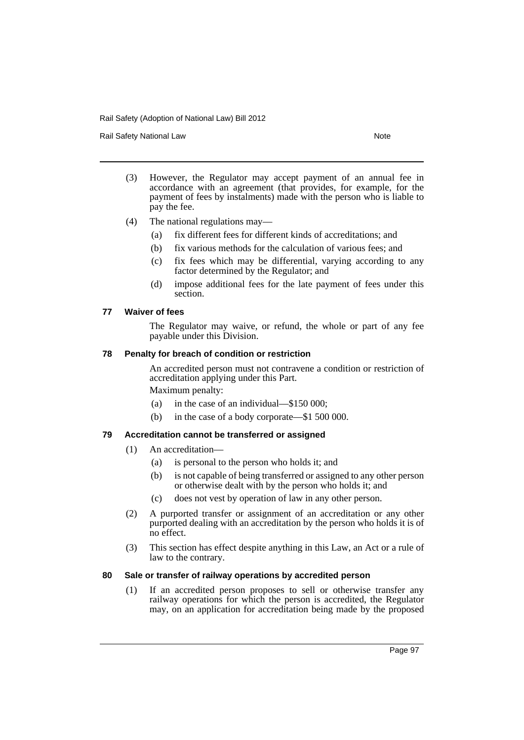Rail Safety National Law Note 2008 and 2009 and 2009 and 2009 and 2009 and 2009 and 2009 and 2009 and 2009 and 2009 and 2009 and 2009 and 2009 and 2009 and 2009 and 2009 and 2009 and 2009 and 2009 and 2009 and 2009 and 200

- (3) However, the Regulator may accept payment of an annual fee in accordance with an agreement (that provides, for example, for the payment of fees by instalments) made with the person who is liable to pay the fee.
- (4) The national regulations may—
	- (a) fix different fees for different kinds of accreditations; and
	- (b) fix various methods for the calculation of various fees; and
	- (c) fix fees which may be differential, varying according to any factor determined by the Regulator; and
	- (d) impose additional fees for the late payment of fees under this section.

### **77 Waiver of fees**

The Regulator may waive, or refund, the whole or part of any fee payable under this Division.

### **78 Penalty for breach of condition or restriction**

An accredited person must not contravene a condition or restriction of accreditation applying under this Part.

Maximum penalty:

- (a) in the case of an individual—\$150 000;
- (b) in the case of a body corporate—\$1 500 000.

### **79 Accreditation cannot be transferred or assigned**

- (1) An accreditation—
	- (a) is personal to the person who holds it; and
	- (b) is not capable of being transferred or assigned to any other person or otherwise dealt with by the person who holds it; and
	- (c) does not vest by operation of law in any other person.
- (2) A purported transfer or assignment of an accreditation or any other purported dealing with an accreditation by the person who holds it is of no effect.
- (3) This section has effect despite anything in this Law, an Act or a rule of law to the contrary.

## **80 Sale or transfer of railway operations by accredited person**

(1) If an accredited person proposes to sell or otherwise transfer any railway operations for which the person is accredited, the Regulator may, on an application for accreditation being made by the proposed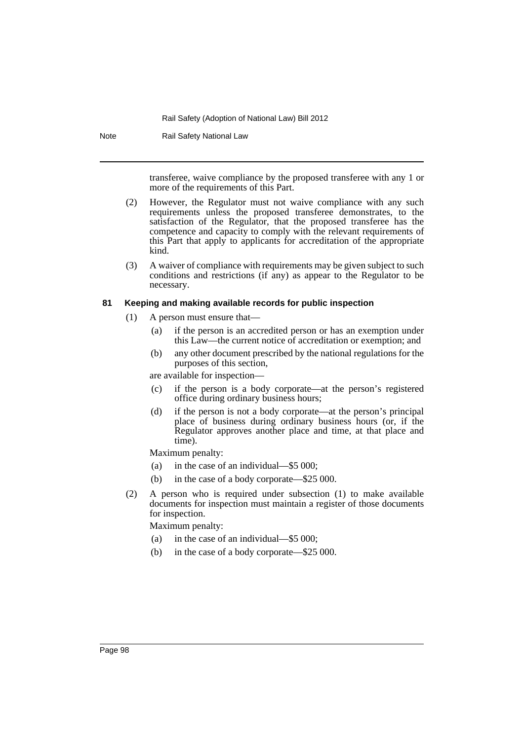Note Rail Safety National Law

transferee, waive compliance by the proposed transferee with any 1 or more of the requirements of this Part.

- (2) However, the Regulator must not waive compliance with any such requirements unless the proposed transferee demonstrates, to the satisfaction of the Regulator, that the proposed transferee has the competence and capacity to comply with the relevant requirements of this Part that apply to applicants for accreditation of the appropriate kind.
- (3) A waiver of compliance with requirements may be given subject to such conditions and restrictions (if any) as appear to the Regulator to be necessary.

#### **81 Keeping and making available records for public inspection**

- (1) A person must ensure that—
	- (a) if the person is an accredited person or has an exemption under this Law—the current notice of accreditation or exemption; and
	- (b) any other document prescribed by the national regulations for the purposes of this section,

are available for inspection—

- (c) if the person is a body corporate—at the person's registered office during ordinary business hours;
- (d) if the person is not a body corporate—at the person's principal place of business during ordinary business hours (or, if the Regulator approves another place and time, at that place and time).

Maximum penalty:

- (a) in the case of an individual—\$5 000;
- (b) in the case of a body corporate—\$25 000.
- (2) A person who is required under subsection (1) to make available documents for inspection must maintain a register of those documents for inspection.

Maximum penalty:

- (a) in the case of an individual—\$5 000;
- (b) in the case of a body corporate—\$25 000.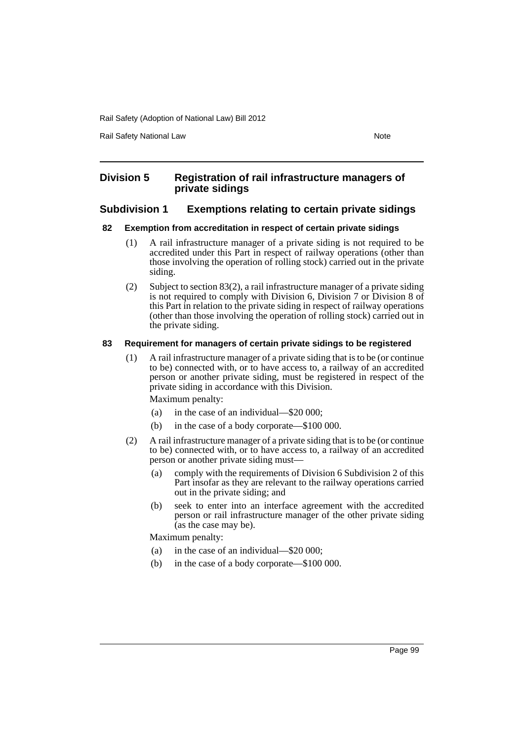Rail Safety National Law Note 2008 and 2009 and 2009 and 2009 and 2009 and 2009 and 2009 and 2009 and 2009 and 2009 and 2009 and 2009 and 2009 and 2009 and 2009 and 2009 and 2009 and 2009 and 2009 and 2009 and 2009 and 200

## **Division 5 Registration of rail infrastructure managers of private sidings**

## **Subdivision 1 Exemptions relating to certain private sidings**

### **82 Exemption from accreditation in respect of certain private sidings**

- (1) A rail infrastructure manager of a private siding is not required to be accredited under this Part in respect of railway operations (other than those involving the operation of rolling stock) carried out in the private siding.
- (2) Subject to section 83(2), a rail infrastructure manager of a private siding is not required to comply with Division 6, Division 7 or Division 8 of this Part in relation to the private siding in respect of railway operations (other than those involving the operation of rolling stock) carried out in the private siding.

### **83 Requirement for managers of certain private sidings to be registered**

(1) A rail infrastructure manager of a private siding that is to be (or continue to be) connected with, or to have access to, a railway of an accredited person or another private siding, must be registered in respect of the private siding in accordance with this Division.

Maximum penalty:

- (a) in the case of an individual—\$20 000;
- (b) in the case of a body corporate—\$100 000.
- (2) A rail infrastructure manager of a private siding that is to be (or continue to be) connected with, or to have access to, a railway of an accredited person or another private siding must—
	- (a) comply with the requirements of Division 6 Subdivision 2 of this Part insofar as they are relevant to the railway operations carried out in the private siding; and
	- (b) seek to enter into an interface agreement with the accredited person or rail infrastructure manager of the other private siding (as the case may be).

Maximum penalty:

- (a) in the case of an individual—\$20 000;
- (b) in the case of a body corporate—\$100 000.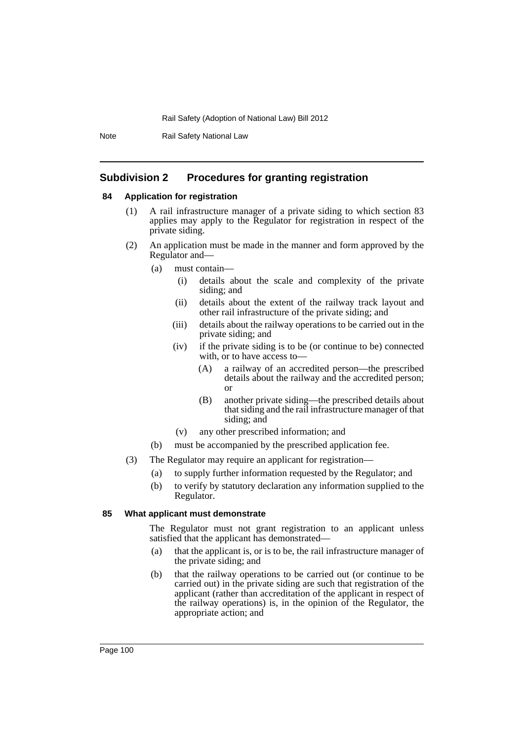Note Rail Safety National Law

## **Subdivision 2 Procedures for granting registration**

### **84 Application for registration**

- (1) A rail infrastructure manager of a private siding to which section 83 applies may apply to the Regulator for registration in respect of the private siding.
- (2) An application must be made in the manner and form approved by the Regulator and—
	- (a) must contain—
		- (i) details about the scale and complexity of the private siding; and
		- (ii) details about the extent of the railway track layout and other rail infrastructure of the private siding; and
		- (iii) details about the railway operations to be carried out in the private siding; and
		- (iv) if the private siding is to be (or continue to be) connected with, or to have access to—
			- (A) a railway of an accredited person—the prescribed details about the railway and the accredited person; or
			- (B) another private siding—the prescribed details about that siding and the rail infrastructure manager of that siding; and
		- (v) any other prescribed information; and
	- (b) must be accompanied by the prescribed application fee.
- (3) The Regulator may require an applicant for registration—
	- (a) to supply further information requested by the Regulator; and
	- (b) to verify by statutory declaration any information supplied to the Regulator.

#### **85 What applicant must demonstrate**

The Regulator must not grant registration to an applicant unless satisfied that the applicant has demonstrated—

- (a) that the applicant is, or is to be, the rail infrastructure manager of the private siding; and
- (b) that the railway operations to be carried out (or continue to be carried out) in the private siding are such that registration of the applicant (rather than accreditation of the applicant in respect of the railway operations) is, in the opinion of the Regulator, the appropriate action; and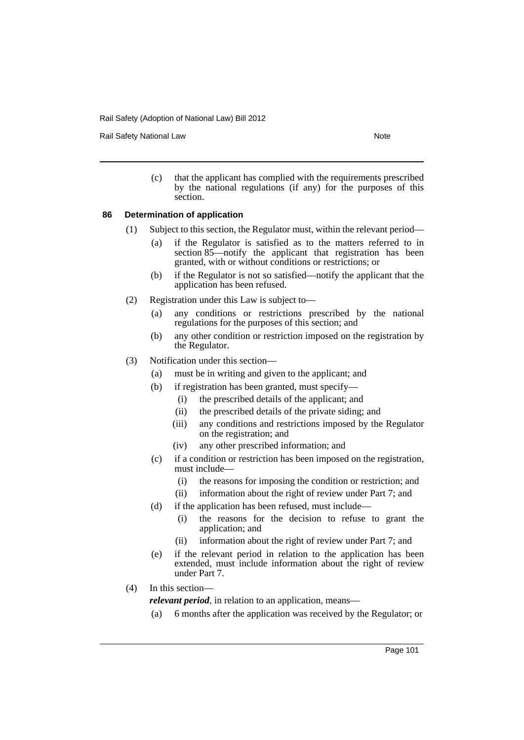Rail Safety National Law Note 2008 and 2009 and 2009 and 2009 and 2009 and 2009 and 2009 and 2009 and 2009 and 2009 and 2009 and 2009 and 2009 and 2009 and 2009 and 2009 and 2009 and 2009 and 2009 and 2009 and 2009 and 200

(c) that the applicant has complied with the requirements prescribed by the national regulations (if any) for the purposes of this section.

### **86 Determination of application**

- (1) Subject to this section, the Regulator must, within the relevant period—
	- (a) if the Regulator is satisfied as to the matters referred to in section 85—notify the applicant that registration has been granted, with or without conditions or restrictions; or
	- (b) if the Regulator is not so satisfied—notify the applicant that the application has been refused.
- (2) Registration under this Law is subject to—
	- (a) any conditions or restrictions prescribed by the national regulations for the purposes of this section; and
	- (b) any other condition or restriction imposed on the registration by the Regulator.
- (3) Notification under this section—
	- (a) must be in writing and given to the applicant; and
	- (b) if registration has been granted, must specify—
		- (i) the prescribed details of the applicant; and
		- (ii) the prescribed details of the private siding; and
		- (iii) any conditions and restrictions imposed by the Regulator on the registration; and
		- (iv) any other prescribed information; and
	- (c) if a condition or restriction has been imposed on the registration, must include—
		- (i) the reasons for imposing the condition or restriction; and
		- (ii) information about the right of review under Part 7; and
	- (d) if the application has been refused, must include—
		- (i) the reasons for the decision to refuse to grant the application; and
		- (ii) information about the right of review under Part 7; and
	- (e) if the relevant period in relation to the application has been extended, must include information about the right of review under Part 7.
- (4) In this section—

*relevant period*, in relation to an application, means—

(a) 6 months after the application was received by the Regulator; or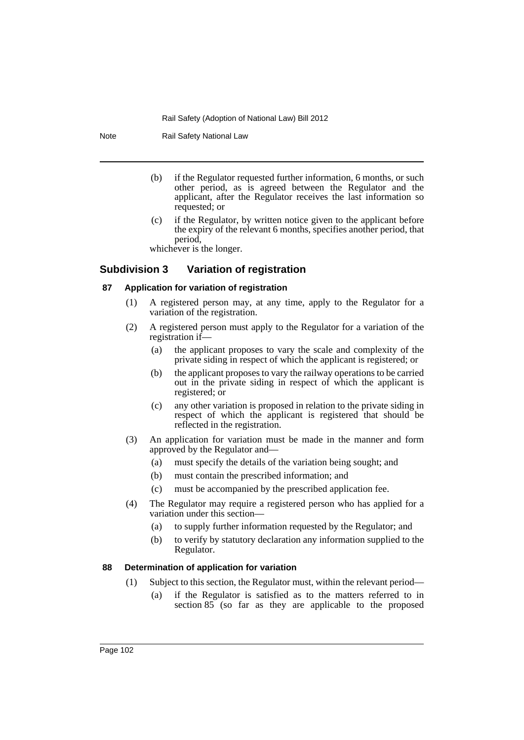Note Rail Safety National Law

- (b) if the Regulator requested further information, 6 months, or such other period, as is agreed between the Regulator and the applicant, after the Regulator receives the last information so requested; or
- (c) if the Regulator, by written notice given to the applicant before the expiry of the relevant 6 months, specifies another period, that period,

whichever is the longer.

## **Subdivision 3 Variation of registration**

### **87 Application for variation of registration**

- (1) A registered person may, at any time, apply to the Regulator for a variation of the registration.
- (2) A registered person must apply to the Regulator for a variation of the registration if—
	- (a) the applicant proposes to vary the scale and complexity of the private siding in respect of which the applicant is registered; or
	- (b) the applicant proposes to vary the railway operations to be carried out in the private siding in respect of which the applicant is registered; or
	- (c) any other variation is proposed in relation to the private siding in respect of which the applicant is registered that should be reflected in the registration.
- (3) An application for variation must be made in the manner and form approved by the Regulator and—
	- (a) must specify the details of the variation being sought; and
	- (b) must contain the prescribed information; and
	- (c) must be accompanied by the prescribed application fee.
- (4) The Regulator may require a registered person who has applied for a variation under this section—
	- (a) to supply further information requested by the Regulator; and
	- (b) to verify by statutory declaration any information supplied to the Regulator.

## **88 Determination of application for variation**

- (1) Subject to this section, the Regulator must, within the relevant period—
	- (a) if the Regulator is satisfied as to the matters referred to in section 85 (so far as they are applicable to the proposed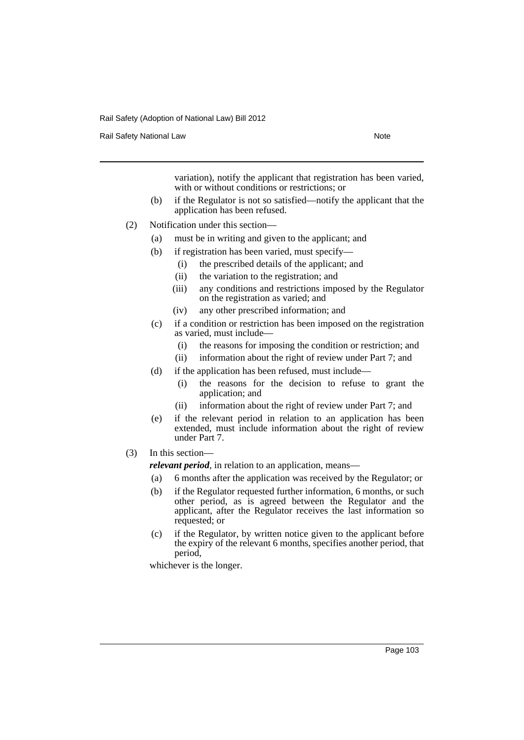Rail Safety National Law Note 2008 and 2009 and 2009 and 2009 and 2009 and 2009 and 2009 and 2009 and 2009 and 2009 and 2009 and 2009 and 2009 and 2009 and 2009 and 2009 and 2009 and 2009 and 2009 and 2009 and 2009 and 200

variation), notify the applicant that registration has been varied, with or without conditions or restrictions; or

- (b) if the Regulator is not so satisfied—notify the applicant that the application has been refused.
- (2) Notification under this section—
	- (a) must be in writing and given to the applicant; and
	- (b) if registration has been varied, must specify—
		- (i) the prescribed details of the applicant; and
		- (ii) the variation to the registration; and
		- (iii) any conditions and restrictions imposed by the Regulator on the registration as varied; and
		- (iv) any other prescribed information; and
	- (c) if a condition or restriction has been imposed on the registration as varied, must include—
		- (i) the reasons for imposing the condition or restriction; and
		- (ii) information about the right of review under Part 7; and
	- (d) if the application has been refused, must include—
		- (i) the reasons for the decision to refuse to grant the application; and
		- (ii) information about the right of review under Part 7; and
	- (e) if the relevant period in relation to an application has been extended, must include information about the right of review under Part 7.
- (3) In this section—

*relevant period*, in relation to an application, means—

- (a) 6 months after the application was received by the Regulator; or
- (b) if the Regulator requested further information, 6 months, or such other period, as is agreed between the Regulator and the applicant, after the Regulator receives the last information so requested; or
- (c) if the Regulator, by written notice given to the applicant before the expiry of the relevant 6 months, specifies another period, that period,

whichever is the longer.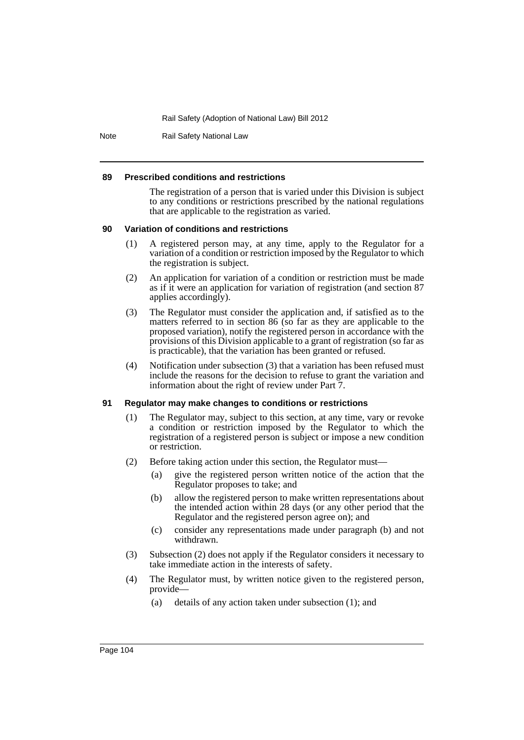Note Rail Safety National Law

#### **89 Prescribed conditions and restrictions**

The registration of a person that is varied under this Division is subject to any conditions or restrictions prescribed by the national regulations that are applicable to the registration as varied.

#### **90 Variation of conditions and restrictions**

- (1) A registered person may, at any time, apply to the Regulator for a variation of a condition or restriction imposed by the Regulator to which the registration is subject.
- (2) An application for variation of a condition or restriction must be made as if it were an application for variation of registration (and section 87 applies accordingly).
- (3) The Regulator must consider the application and, if satisfied as to the matters referred to in section 86 (so far as they are applicable to the proposed variation), notify the registered person in accordance with the provisions of this Division applicable to a grant of registration (so far as is practicable), that the variation has been granted or refused.
- (4) Notification under subsection (3) that a variation has been refused must include the reasons for the decision to refuse to grant the variation and information about the right of review under Part 7.

#### **91 Regulator may make changes to conditions or restrictions**

- (1) The Regulator may, subject to this section, at any time, vary or revoke a condition or restriction imposed by the Regulator to which the registration of a registered person is subject or impose a new condition or restriction.
- (2) Before taking action under this section, the Regulator must—
	- (a) give the registered person written notice of the action that the Regulator proposes to take; and
	- (b) allow the registered person to make written representations about the intended action within 28 days (or any other period that the Regulator and the registered person agree on); and
	- (c) consider any representations made under paragraph (b) and not withdrawn.
- (3) Subsection (2) does not apply if the Regulator considers it necessary to take immediate action in the interests of safety.
- (4) The Regulator must, by written notice given to the registered person, provide—
	- (a) details of any action taken under subsection (1); and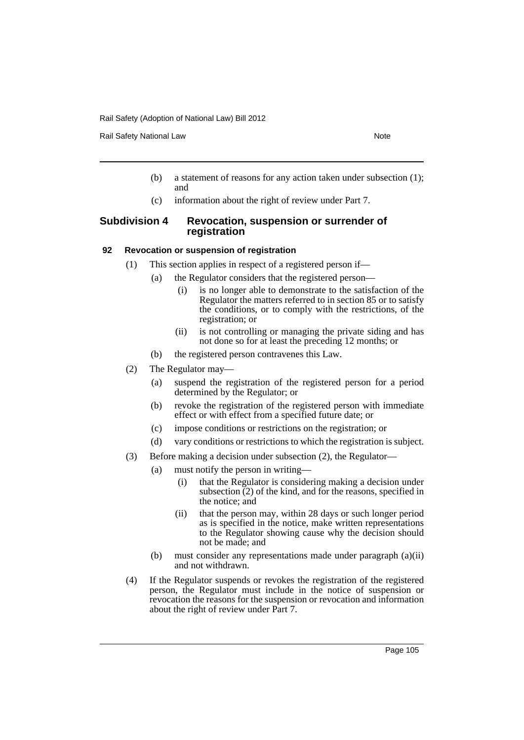Rail Safety National Law Note 2008 and 2009 and 2009 and 2009 and 2009 and 2009 and 2009 and 2009 and 2009 and 2009 and 2009 and 2009 and 2009 and 2009 and 2009 and 2009 and 2009 and 2009 and 2009 and 2009 and 2009 and 200

- (b) a statement of reasons for any action taken under subsection (1); and
- (c) information about the right of review under Part 7.

## **Subdivision 4 Revocation, suspension or surrender of registration**

### **92 Revocation or suspension of registration**

- (1) This section applies in respect of a registered person if—
	- (a) the Regulator considers that the registered person—
		- (i) is no longer able to demonstrate to the satisfaction of the Regulator the matters referred to in section 85 or to satisfy the conditions, or to comply with the restrictions, of the registration; or
		- (ii) is not controlling or managing the private siding and has not done so for at least the preceding 12 months; or
		- (b) the registered person contravenes this Law.
- (2) The Regulator may—
	- (a) suspend the registration of the registered person for a period determined by the Regulator; or
	- (b) revoke the registration of the registered person with immediate effect or with effect from a specified future date; or
	- (c) impose conditions or restrictions on the registration; or
	- (d) vary conditions or restrictions to which the registration is subject.
- (3) Before making a decision under subsection (2), the Regulator—
	- (a) must notify the person in writing—
		- (i) that the Regulator is considering making a decision under subsection  $(2)$  of the kind, and for the reasons, specified in the notice; and
		- (ii) that the person may, within 28 days or such longer period as is specified in the notice, make written representations to the Regulator showing cause why the decision should not be made; and
	- (b) must consider any representations made under paragraph (a)(ii) and not withdrawn.
- (4) If the Regulator suspends or revokes the registration of the registered person, the Regulator must include in the notice of suspension or revocation the reasons for the suspension or revocation and information about the right of review under Part 7.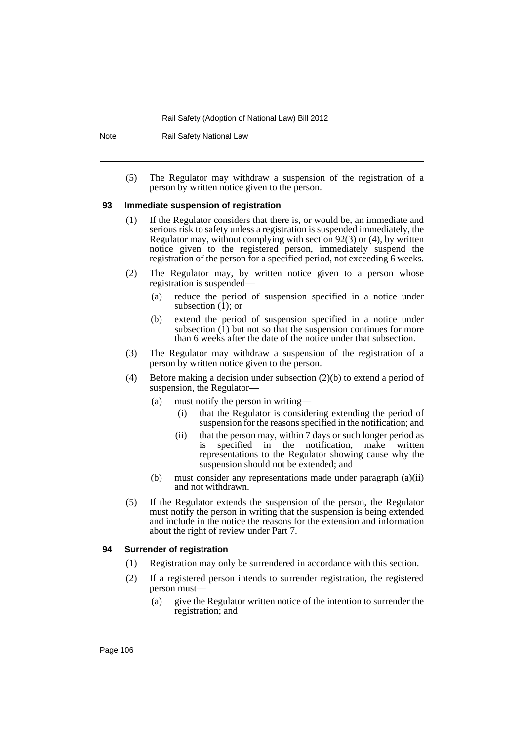Note Rail Safety National Law

(5) The Regulator may withdraw a suspension of the registration of a person by written notice given to the person.

#### **93 Immediate suspension of registration**

- (1) If the Regulator considers that there is, or would be, an immediate and serious risk to safety unless a registration is suspended immediately, the Regulator may, without complying with section 92(3) or (4), by written notice given to the registered person, immediately suspend the registration of the person for a specified period, not exceeding 6 weeks.
- (2) The Regulator may, by written notice given to a person whose registration is suspended—
	- (a) reduce the period of suspension specified in a notice under subsection  $(1)$ ; or
	- (b) extend the period of suspension specified in a notice under subsection  $(1)$  but not so that the suspension continues for more than 6 weeks after the date of the notice under that subsection.
- (3) The Regulator may withdraw a suspension of the registration of a person by written notice given to the person.
- (4) Before making a decision under subsection (2)(b) to extend a period of suspension, the Regulator—
	- (a) must notify the person in writing—
		- (i) that the Regulator is considering extending the period of suspension for the reasons specified in the notification; and
		- (ii) that the person may, within 7 days or such longer period as is specified in the notification, make written representations to the Regulator showing cause why the suspension should not be extended; and
	- (b) must consider any representations made under paragraph (a)(ii) and not withdrawn.
- (5) If the Regulator extends the suspension of the person, the Regulator must notify the person in writing that the suspension is being extended and include in the notice the reasons for the extension and information about the right of review under Part 7.

#### **94 Surrender of registration**

- (1) Registration may only be surrendered in accordance with this section.
- (2) If a registered person intends to surrender registration, the registered person must—
	- (a) give the Regulator written notice of the intention to surrender the registration; and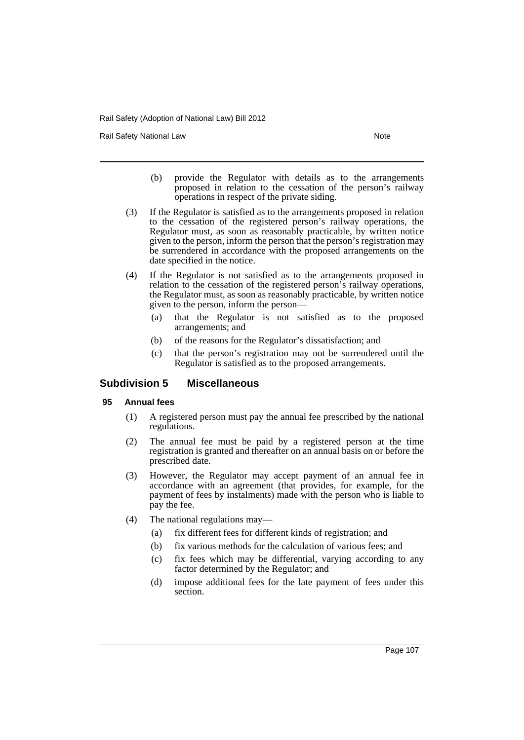Rail Safety National Law Note 2008 and 2009 and 2009 and 2009 and 2009 and 2009 and 2009 and 2009 and 2009 and 2009 and 2009 and 2009 and 2009 and 2009 and 2009 and 2009 and 2009 and 2009 and 2009 and 2009 and 2009 and 200

- (b) provide the Regulator with details as to the arrangements proposed in relation to the cessation of the person's railway operations in respect of the private siding.
- (3) If the Regulator is satisfied as to the arrangements proposed in relation to the cessation of the registered person's railway operations, the Regulator must, as soon as reasonably practicable, by written notice given to the person, inform the person that the person's registration may be surrendered in accordance with the proposed arrangements on the date specified in the notice.
- (4) If the Regulator is not satisfied as to the arrangements proposed in relation to the cessation of the registered person's railway operations, the Regulator must, as soon as reasonably practicable, by written notice given to the person, inform the person—
	- (a) that the Regulator is not satisfied as to the proposed arrangements; and
	- (b) of the reasons for the Regulator's dissatisfaction; and
	- (c) that the person's registration may not be surrendered until the Regulator is satisfied as to the proposed arrangements.

# **Subdivision 5 Miscellaneous**

# **95 Annual fees**

- (1) A registered person must pay the annual fee prescribed by the national regulations.
- (2) The annual fee must be paid by a registered person at the time registration is granted and thereafter on an annual basis on or before the prescribed date.
- (3) However, the Regulator may accept payment of an annual fee in accordance with an agreement (that provides, for example, for the payment of fees by instalments) made with the person who is liable to pay the fee.
- (4) The national regulations may—
	- (a) fix different fees for different kinds of registration; and
	- (b) fix various methods for the calculation of various fees; and
	- (c) fix fees which may be differential, varying according to any factor determined by the Regulator; and
	- (d) impose additional fees for the late payment of fees under this section.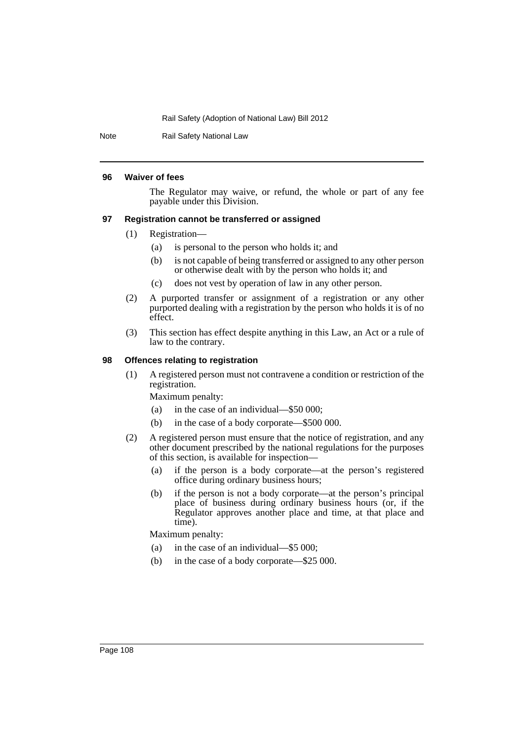Note Rail Safety National Law

#### **96 Waiver of fees**

The Regulator may waive, or refund, the whole or part of any fee payable under this Division.

#### **97 Registration cannot be transferred or assigned**

- (1) Registration—
	- (a) is personal to the person who holds it; and
	- (b) is not capable of being transferred or assigned to any other person or otherwise dealt with by the person who holds it; and
	- (c) does not vest by operation of law in any other person.
- (2) A purported transfer or assignment of a registration or any other purported dealing with a registration by the person who holds it is of no effect.
- (3) This section has effect despite anything in this Law, an Act or a rule of law to the contrary.

### **98 Offences relating to registration**

(1) A registered person must not contravene a condition or restriction of the registration.

Maximum penalty:

- (a) in the case of an individual—\$50 000;
- (b) in the case of a body corporate—\$500 000.
- (2) A registered person must ensure that the notice of registration, and any other document prescribed by the national regulations for the purposes of this section, is available for inspection—
	- (a) if the person is a body corporate—at the person's registered office during ordinary business hours;
	- (b) if the person is not a body corporate—at the person's principal place of business during ordinary business hours (or, if the Regulator approves another place and time, at that place and time).

Maximum penalty:

- (a) in the case of an individual—\$5 000;
- (b) in the case of a body corporate—\$25 000.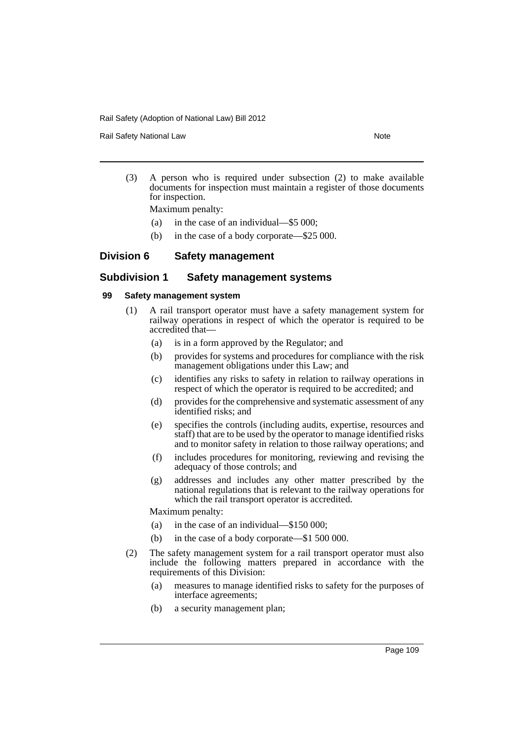Rail Safety National Law Note 2008 and 2009 and 2009 and 2009 and 2009 and 2009 and 2009 and 2009 and 2009 and 2009 and 2009 and 2009 and 2009 and 2009 and 2009 and 2009 and 2009 and 2009 and 2009 and 2009 and 2009 and 200

(3) A person who is required under subsection (2) to make available documents for inspection must maintain a register of those documents for inspection.

Maximum penalty:

- (a) in the case of an individual—\$5 000;
- (b) in the case of a body corporate—\$25 000.

# **Division 6 Safety management**

# **Subdivision 1 Safety management systems**

## **99 Safety management system**

- (1) A rail transport operator must have a safety management system for railway operations in respect of which the operator is required to be accredited that—
	- (a) is in a form approved by the Regulator; and
	- (b) provides for systems and procedures for compliance with the risk management obligations under this Law; and
	- (c) identifies any risks to safety in relation to railway operations in respect of which the operator is required to be accredited; and
	- (d) provides for the comprehensive and systematic assessment of any identified risks; and
	- (e) specifies the controls (including audits, expertise, resources and staff) that are to be used by the operator to manage identified risks and to monitor safety in relation to those railway operations; and
	- (f) includes procedures for monitoring, reviewing and revising the adequacy of those controls; and
	- (g) addresses and includes any other matter prescribed by the national regulations that is relevant to the railway operations for which the rail transport operator is accredited.

Maximum penalty:

- (a) in the case of an individual—\$150 000;
- (b) in the case of a body corporate—\$1 500 000.
- (2) The safety management system for a rail transport operator must also include the following matters prepared in accordance with the requirements of this Division:
	- (a) measures to manage identified risks to safety for the purposes of interface agreements;
	- (b) a security management plan;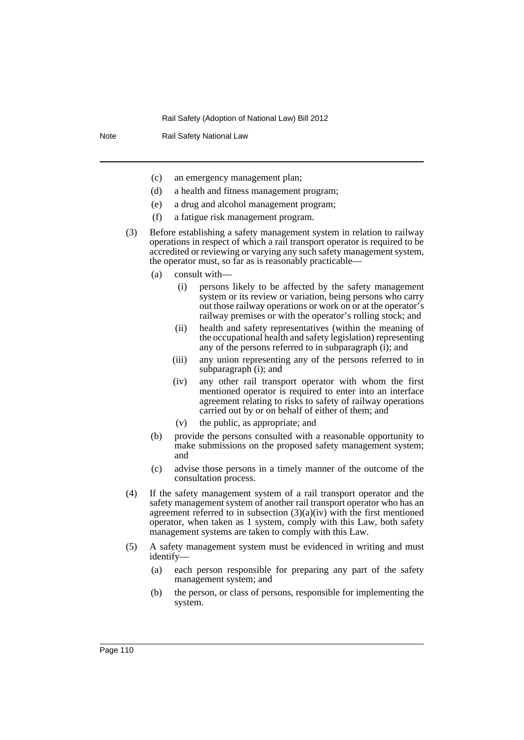Note Rail Safety National Law

- (c) an emergency management plan;
- (d) a health and fitness management program;
- (e) a drug and alcohol management program;
- (f) a fatigue risk management program.
- (3) Before establishing a safety management system in relation to railway operations in respect of which a rail transport operator is required to be accredited or reviewing or varying any such safety management system, the operator must, so far as is reasonably practicable—
	- (a) consult with—
		- (i) persons likely to be affected by the safety management system or its review or variation, being persons who carry out those railway operations or work on or at the operator's railway premises or with the operator's rolling stock; and
		- (ii) health and safety representatives (within the meaning of the occupational health and safety legislation) representing any of the persons referred to in subparagraph (i); and
		- (iii) any union representing any of the persons referred to in subparagraph (i); and
		- (iv) any other rail transport operator with whom the first mentioned operator is required to enter into an interface agreement relating to risks to safety of railway operations carried out by or on behalf of either of them; and
		- (v) the public, as appropriate; and
	- (b) provide the persons consulted with a reasonable opportunity to make submissions on the proposed safety management system; and
	- (c) advise those persons in a timely manner of the outcome of the consultation process.
- (4) If the safety management system of a rail transport operator and the safety management system of another rail transport operator who has an agreement referred to in subsection  $(3)(a)(iv)$  with the first mentioned operator, when taken as 1 system, comply with this Law, both safety management systems are taken to comply with this Law.
- (5) A safety management system must be evidenced in writing and must identify—
	- (a) each person responsible for preparing any part of the safety management system; and
	- (b) the person, or class of persons, responsible for implementing the system.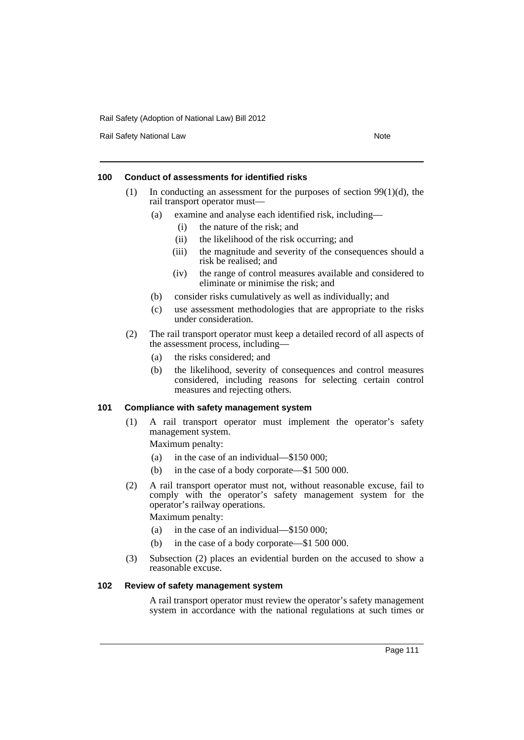Rail Safety National Law Note 2008 and 2009 and 2009 and 2009 and 2009 and 2009 and 2009 and 2009 and 2009 and 2009 and 2009 and 2009 and 2009 and 2009 and 2009 and 2009 and 2009 and 2009 and 2009 and 2009 and 2009 and 200

## **100 Conduct of assessments for identified risks**

- (1) In conducting an assessment for the purposes of section  $99(1)(d)$ , the rail transport operator must—
	- (a) examine and analyse each identified risk, including—
		- (i) the nature of the risk; and
		- (ii) the likelihood of the risk occurring; and
		- (iii) the magnitude and severity of the consequences should a risk be realised; and
		- (iv) the range of control measures available and considered to eliminate or minimise the risk; and
	- (b) consider risks cumulatively as well as individually; and
	- (c) use assessment methodologies that are appropriate to the risks under consideration.
- (2) The rail transport operator must keep a detailed record of all aspects of the assessment process, including—
	- (a) the risks considered; and
	- (b) the likelihood, severity of consequences and control measures considered, including reasons for selecting certain control measures and rejecting others.

#### **101 Compliance with safety management system**

- (1) A rail transport operator must implement the operator's safety management system.
	- Maximum penalty:
	- (a) in the case of an individual—\$150 000;
	- (b) in the case of a body corporate—\$1 500 000.
- (2) A rail transport operator must not, without reasonable excuse, fail to comply with the operator's safety management system for the operator's railway operations.

Maximum penalty:

- (a) in the case of an individual—\$150 000;
- (b) in the case of a body corporate—\$1 500 000.
- (3) Subsection (2) places an evidential burden on the accused to show a reasonable excuse.

#### **102 Review of safety management system**

A rail transport operator must review the operator's safety management system in accordance with the national regulations at such times or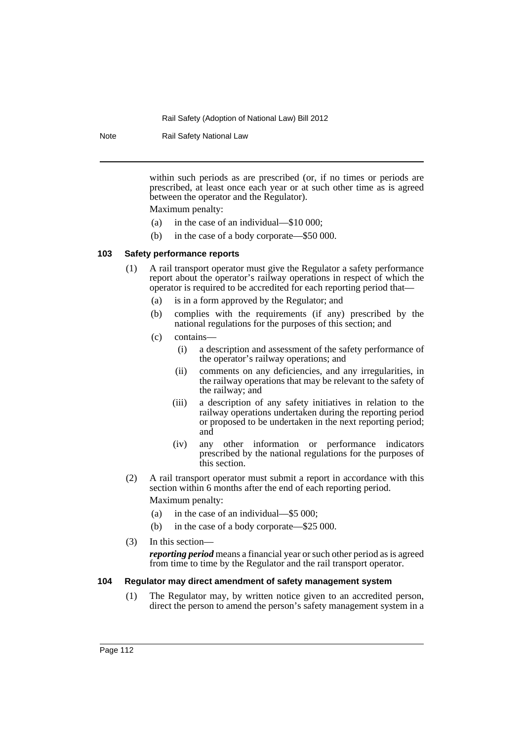Note Rail Safety National Law

within such periods as are prescribed (or, if no times or periods are prescribed, at least once each year or at such other time as is agreed between the operator and the Regulator). Maximum penalty:

- (a) in the case of an individual—\$10 000;
- (b) in the case of a body corporate—\$50 000.

# **103 Safety performance reports**

- (1) A rail transport operator must give the Regulator a safety performance report about the operator's railway operations in respect of which the operator is required to be accredited for each reporting period that—
	- (a) is in a form approved by the Regulator; and
	- (b) complies with the requirements (if any) prescribed by the national regulations for the purposes of this section; and
	- (c) contains—
		- (i) a description and assessment of the safety performance of the operator's railway operations; and
		- (ii) comments on any deficiencies, and any irregularities, in the railway operations that may be relevant to the safety of the railway; and
		- (iii) a description of any safety initiatives in relation to the railway operations undertaken during the reporting period or proposed to be undertaken in the next reporting period; and
		- (iv) any other information or performance indicators prescribed by the national regulations for the purposes of this section.
- (2) A rail transport operator must submit a report in accordance with this section within 6 months after the end of each reporting period.

Maximum penalty:

- (a) in the case of an individual—\$5 000;
- (b) in the case of a body corporate—\$25 000.
- (3) In this section—

*reporting period* means a financial year or such other period as is agreed from time to time by the Regulator and the rail transport operator.

## **104 Regulator may direct amendment of safety management system**

(1) The Regulator may, by written notice given to an accredited person, direct the person to amend the person's safety management system in a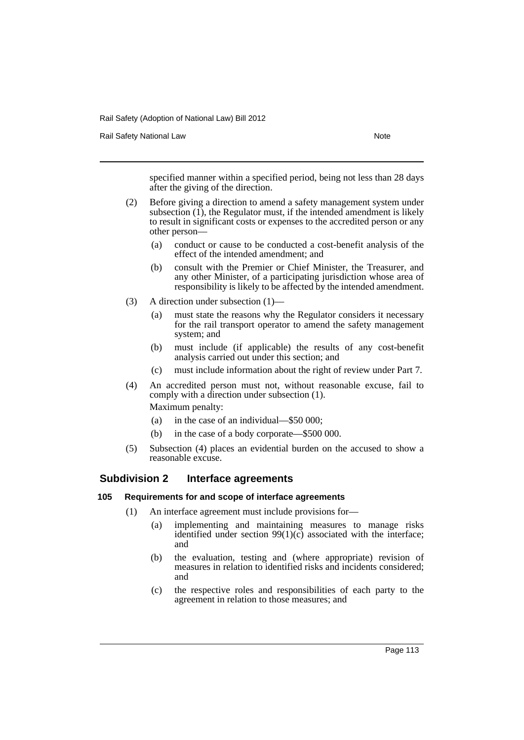Rail Safety National Law Note 2008 and 2009 and 2009 and 2009 and 2009 and 2009 and 2009 and 2009 and 2009 and 2009 and 2009 and 2009 and 2009 and 2009 and 2009 and 2009 and 2009 and 2009 and 2009 and 2009 and 2009 and 200

specified manner within a specified period, being not less than 28 days after the giving of the direction.

- (2) Before giving a direction to amend a safety management system under subsection  $(1)$ , the Regulator must, if the intended amendment is likely to result in significant costs or expenses to the accredited person or any other person—
	- (a) conduct or cause to be conducted a cost-benefit analysis of the effect of the intended amendment; and
	- (b) consult with the Premier or Chief Minister, the Treasurer, and any other Minister, of a participating jurisdiction whose area of responsibility is likely to be affected by the intended amendment.
- (3) A direction under subsection (1)—
	- (a) must state the reasons why the Regulator considers it necessary for the rail transport operator to amend the safety management system; and
	- (b) must include (if applicable) the results of any cost-benefit analysis carried out under this section; and
	- (c) must include information about the right of review under Part 7.
- (4) An accredited person must not, without reasonable excuse, fail to comply with a direction under subsection (1).

Maximum penalty:

- (a) in the case of an individual—\$50 000;
- (b) in the case of a body corporate—\$500 000.
- (5) Subsection (4) places an evidential burden on the accused to show a reasonable excuse.

# **Subdivision 2 Interface agreements**

## **105 Requirements for and scope of interface agreements**

- (1) An interface agreement must include provisions for—
	- (a) implementing and maintaining measures to manage risks identified under section  $99(1)(c)$  associated with the interface; and
	- (b) the evaluation, testing and (where appropriate) revision of measures in relation to identified risks and incidents considered; and
	- (c) the respective roles and responsibilities of each party to the agreement in relation to those measures; and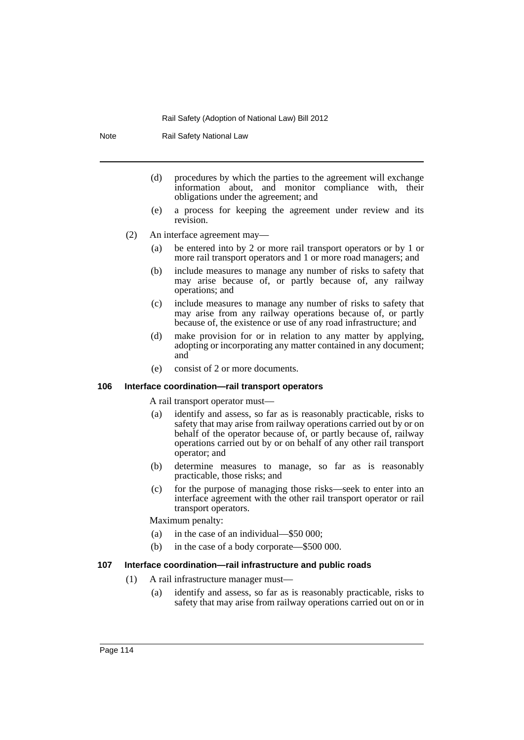Note Rail Safety National Law

- (d) procedures by which the parties to the agreement will exchange information about, and monitor compliance with, their obligations under the agreement; and
- (e) a process for keeping the agreement under review and its revision.
- (2) An interface agreement may—
	- (a) be entered into by 2 or more rail transport operators or by 1 or more rail transport operators and 1 or more road managers; and
	- (b) include measures to manage any number of risks to safety that may arise because of, or partly because of, any railway operations; and
	- (c) include measures to manage any number of risks to safety that may arise from any railway operations because of, or partly because of, the existence or use of any road infrastructure; and
	- (d) make provision for or in relation to any matter by applying, adopting or incorporating any matter contained in any document; and
	- (e) consist of 2 or more documents.

#### **106 Interface coordination—rail transport operators**

A rail transport operator must—

- (a) identify and assess, so far as is reasonably practicable, risks to safety that may arise from railway operations carried out by or on behalf of the operator because of, or partly because of, railway operations carried out by or on behalf of any other rail transport operator; and
- (b) determine measures to manage, so far as is reasonably practicable, those risks; and
- (c) for the purpose of managing those risks—seek to enter into an interface agreement with the other rail transport operator or rail transport operators.

Maximum penalty:

- (a) in the case of an individual—\$50 000;
- (b) in the case of a body corporate—\$500 000.

#### **107 Interface coordination—rail infrastructure and public roads**

- (1) A rail infrastructure manager must—
	- (a) identify and assess, so far as is reasonably practicable, risks to safety that may arise from railway operations carried out on or in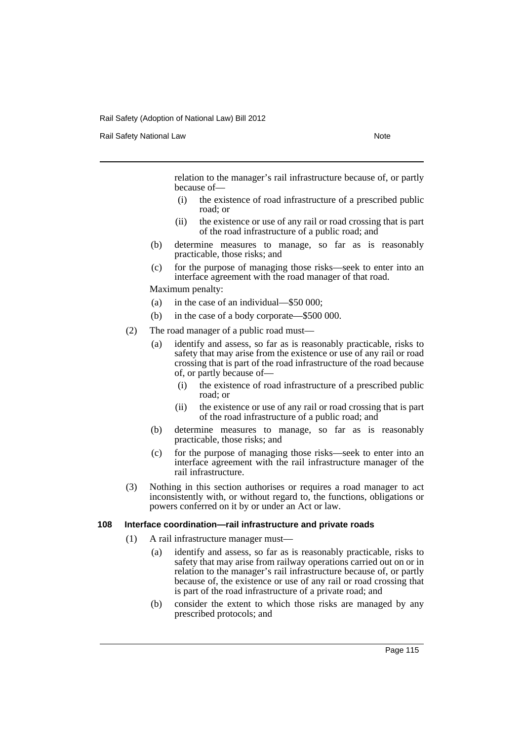Rail Safety National Law Note 2008 and 2009 and 2009 and 2009 and 2009 and 2009 and 2009 and 2009 and 2009 and 2009 and 2009 and 2009 and 2009 and 2009 and 2009 and 2009 and 2009 and 2009 and 2009 and 2009 and 2009 and 200

relation to the manager's rail infrastructure because of, or partly because of—

- (i) the existence of road infrastructure of a prescribed public road; or
- (ii) the existence or use of any rail or road crossing that is part of the road infrastructure of a public road; and
- (b) determine measures to manage, so far as is reasonably practicable, those risks; and
- (c) for the purpose of managing those risks—seek to enter into an interface agreement with the road manager of that road.

Maximum penalty:

- (a) in the case of an individual—\$50 000;
- (b) in the case of a body corporate—\$500 000.
- (2) The road manager of a public road must—
	- (a) identify and assess, so far as is reasonably practicable, risks to safety that may arise from the existence or use of any rail or road crossing that is part of the road infrastructure of the road because of, or partly because of—
		- (i) the existence of road infrastructure of a prescribed public road; or
		- (ii) the existence or use of any rail or road crossing that is part of the road infrastructure of a public road; and
	- (b) determine measures to manage, so far as is reasonably practicable, those risks; and
	- (c) for the purpose of managing those risks—seek to enter into an interface agreement with the rail infrastructure manager of the rail infrastructure.
- (3) Nothing in this section authorises or requires a road manager to act inconsistently with, or without regard to, the functions, obligations or powers conferred on it by or under an Act or law.

#### **108 Interface coordination—rail infrastructure and private roads**

- (1) A rail infrastructure manager must—
	- (a) identify and assess, so far as is reasonably practicable, risks to safety that may arise from railway operations carried out on or in relation to the manager's rail infrastructure because of, or partly because of, the existence or use of any rail or road crossing that is part of the road infrastructure of a private road; and
	- (b) consider the extent to which those risks are managed by any prescribed protocols; and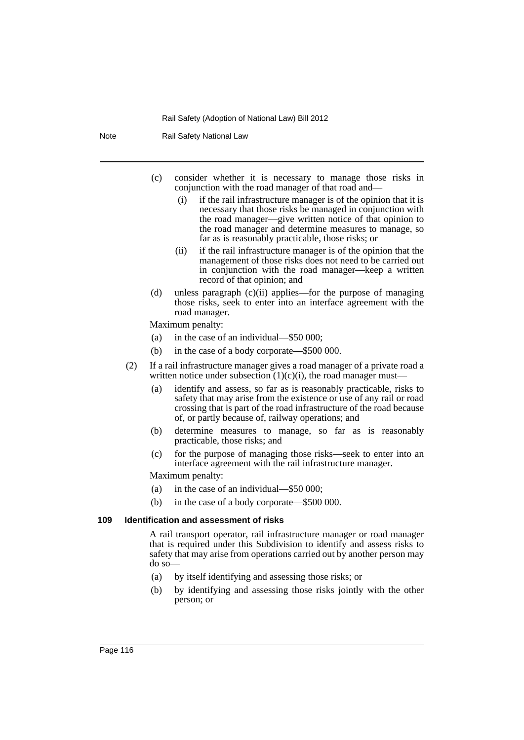Note Rail Safety National Law

- (c) consider whether it is necessary to manage those risks in conjunction with the road manager of that road and—
	- (i) if the rail infrastructure manager is of the opinion that it is necessary that those risks be managed in conjunction with the road manager—give written notice of that opinion to the road manager and determine measures to manage, so far as is reasonably practicable, those risks; or
	- (ii) if the rail infrastructure manager is of the opinion that the management of those risks does not need to be carried out in conjunction with the road manager—keep a written record of that opinion; and
- (d) unless paragraph (c)(ii) applies—for the purpose of managing those risks, seek to enter into an interface agreement with the road manager.

Maximum penalty:

- (a) in the case of an individual—\$50 000;
- (b) in the case of a body corporate—\$500 000.
- (2) If a rail infrastructure manager gives a road manager of a private road a written notice under subsection  $(1)(c)(i)$ , the road manager must-
	- (a) identify and assess, so far as is reasonably practicable, risks to safety that may arise from the existence or use of any rail or road crossing that is part of the road infrastructure of the road because of, or partly because of, railway operations; and
	- (b) determine measures to manage, so far as is reasonably practicable, those risks; and
	- (c) for the purpose of managing those risks—seek to enter into an interface agreement with the rail infrastructure manager.

Maximum penalty:

- (a) in the case of an individual—\$50 000;
- (b) in the case of a body corporate—\$500 000.

#### **109 Identification and assessment of risks**

A rail transport operator, rail infrastructure manager or road manager that is required under this Subdivision to identify and assess risks to safety that may arise from operations carried out by another person may do so—

- (a) by itself identifying and assessing those risks; or
- (b) by identifying and assessing those risks jointly with the other person; or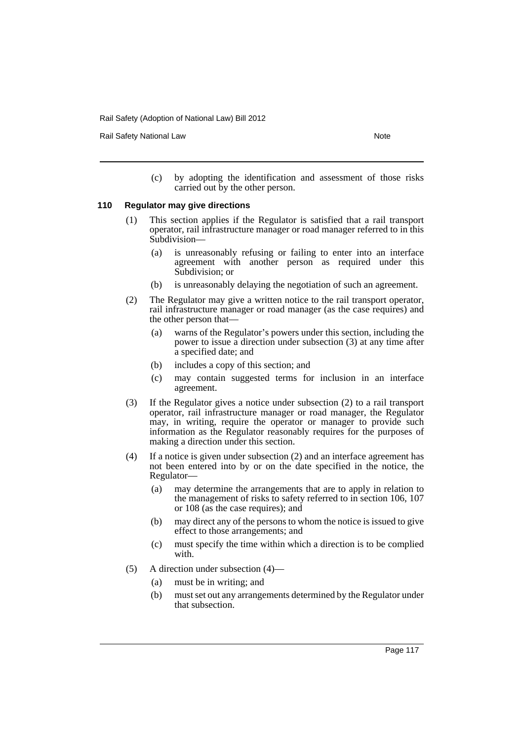Rail Safety National Law Note 2008 and 2009 and 2009 and 2009 and 2009 and 2009 and 2009 and 2009 and 2009 and 2009 and 2009 and 2009 and 2009 and 2009 and 2009 and 2009 and 2009 and 2009 and 2009 and 2009 and 2009 and 200

(c) by adopting the identification and assessment of those risks carried out by the other person.

# **110 Regulator may give directions**

- (1) This section applies if the Regulator is satisfied that a rail transport operator, rail infrastructure manager or road manager referred to in this Subdivision—
	- (a) is unreasonably refusing or failing to enter into an interface agreement with another person as required under this Subdivision; or
	- (b) is unreasonably delaying the negotiation of such an agreement.
- (2) The Regulator may give a written notice to the rail transport operator, rail infrastructure manager or road manager (as the case requires) and the other person that—
	- (a) warns of the Regulator's powers under this section, including the power to issue a direction under subsection (3) at any time after a specified date; and
	- (b) includes a copy of this section; and
	- (c) may contain suggested terms for inclusion in an interface agreement.
- (3) If the Regulator gives a notice under subsection (2) to a rail transport operator, rail infrastructure manager or road manager, the Regulator may, in writing, require the operator or manager to provide such information as the Regulator reasonably requires for the purposes of making a direction under this section.
- (4) If a notice is given under subsection (2) and an interface agreement has not been entered into by or on the date specified in the notice, the Regulator—
	- (a) may determine the arrangements that are to apply in relation to the management of risks to safety referred to in section 106, 107 or 108 (as the case requires); and
	- (b) may direct any of the persons to whom the notice is issued to give effect to those arrangements; and
	- (c) must specify the time within which a direction is to be complied with.
- (5) A direction under subsection (4)—
	- (a) must be in writing; and
	- (b) must set out any arrangements determined by the Regulator under that subsection.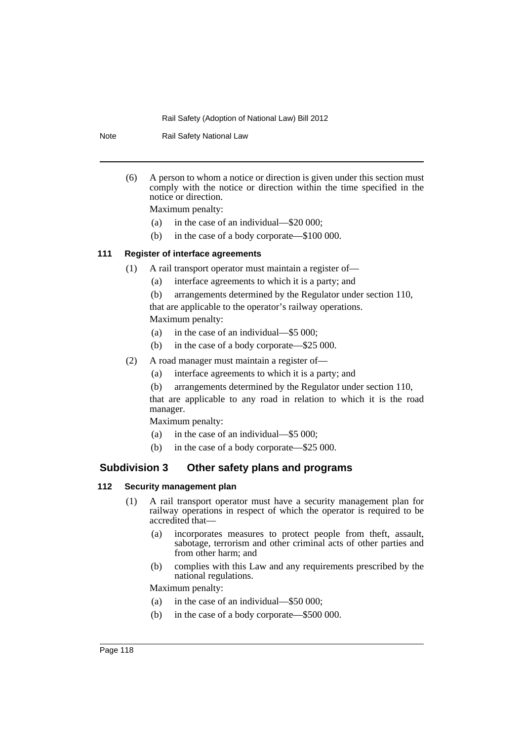Note Rail Safety National Law

- (6) A person to whom a notice or direction is given under this section must comply with the notice or direction within the time specified in the notice or direction. Maximum penalty:
	- (a) in the case of an individual—\$20 000;
	- (b) in the case of a body corporate—\$100 000.

# **111 Register of interface agreements**

- (1) A rail transport operator must maintain a register of—
	- (a) interface agreements to which it is a party; and
	- (b) arrangements determined by the Regulator under section 110,

that are applicable to the operator's railway operations. Maximum penalty:

- (a) in the case of an individual—\$5 000;
- (b) in the case of a body corporate—\$25 000.
- (2) A road manager must maintain a register of—
	- (a) interface agreements to which it is a party; and
	- (b) arrangements determined by the Regulator under section 110,

that are applicable to any road in relation to which it is the road manager.

Maximum penalty:

- (a) in the case of an individual—\$5 000;
- (b) in the case of a body corporate—\$25 000.

# **Subdivision 3 Other safety plans and programs**

## **112 Security management plan**

- (1) A rail transport operator must have a security management plan for railway operations in respect of which the operator is required to be accredited that—
	- (a) incorporates measures to protect people from theft, assault, sabotage, terrorism and other criminal acts of other parties and from other harm; and
	- (b) complies with this Law and any requirements prescribed by the national regulations.

Maximum penalty:

- (a) in the case of an individual—\$50 000;
- (b) in the case of a body corporate—\$500 000.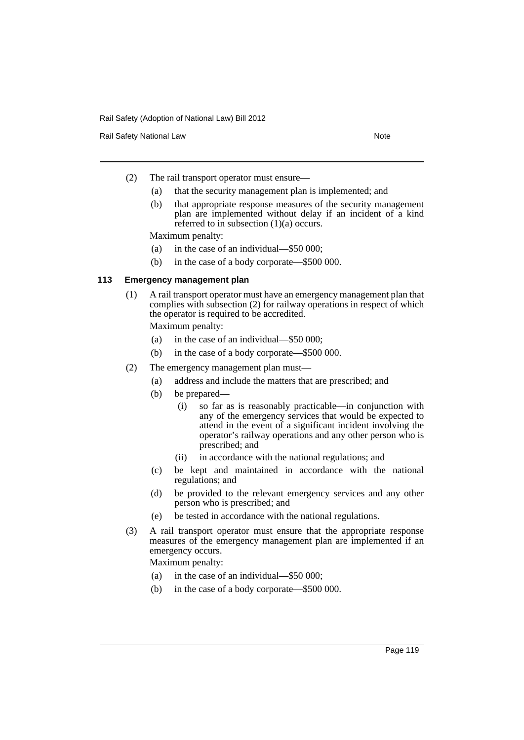Rail Safety National Law Note 2008 and 2009 and 2009 and 2009 and 2009 and 2009 and 2009 and 2009 and 2009 and 2009 and 2009 and 2009 and 2009 and 2009 and 2009 and 2009 and 2009 and 2009 and 2009 and 2009 and 2009 and 200

- (2) The rail transport operator must ensure—
	- (a) that the security management plan is implemented; and
	- (b) that appropriate response measures of the security management plan are implemented without delay if an incident of a kind referred to in subsection  $(1)(a)$  occurs.

Maximum penalty:

- (a) in the case of an individual—\$50 000;
- (b) in the case of a body corporate—\$500 000.

#### **113 Emergency management plan**

(1) A rail transport operator must have an emergency management plan that complies with subsection (2) for railway operations in respect of which the operator is required to be accredited.

Maximum penalty:

- (a) in the case of an individual—\$50 000;
- (b) in the case of a body corporate—\$500 000.
- (2) The emergency management plan must—
	- (a) address and include the matters that are prescribed; and
	- (b) be prepared—
		- (i) so far as is reasonably practicable—in conjunction with any of the emergency services that would be expected to attend in the event of a significant incident involving the operator's railway operations and any other person who is prescribed; and
		- (ii) in accordance with the national regulations; and
	- (c) be kept and maintained in accordance with the national regulations; and
	- (d) be provided to the relevant emergency services and any other person who is prescribed; and
	- (e) be tested in accordance with the national regulations.
- (3) A rail transport operator must ensure that the appropriate response measures of the emergency management plan are implemented if an emergency occurs.

Maximum penalty:

- (a) in the case of an individual—\$50 000;
- (b) in the case of a body corporate—\$500 000.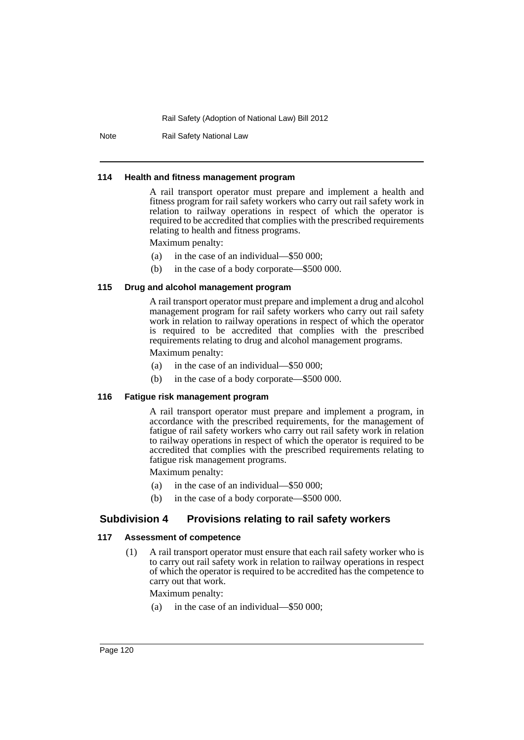Note Rail Safety National Law

#### **114 Health and fitness management program**

A rail transport operator must prepare and implement a health and fitness program for rail safety workers who carry out rail safety work in relation to railway operations in respect of which the operator is required to be accredited that complies with the prescribed requirements relating to health and fitness programs.

Maximum penalty:

- (a) in the case of an individual—\$50 000;
- (b) in the case of a body corporate—\$500 000.

## **115 Drug and alcohol management program**

A rail transport operator must prepare and implement a drug and alcohol management program for rail safety workers who carry out rail safety work in relation to railway operations in respect of which the operator is required to be accredited that complies with the prescribed requirements relating to drug and alcohol management programs.

Maximum penalty:

- (a) in the case of an individual—\$50 000;
- (b) in the case of a body corporate—\$500 000.

#### **116 Fatigue risk management program**

A rail transport operator must prepare and implement a program, in accordance with the prescribed requirements, for the management of fatigue of rail safety workers who carry out rail safety work in relation to railway operations in respect of which the operator is required to be accredited that complies with the prescribed requirements relating to fatigue risk management programs.

Maximum penalty:

- (a) in the case of an individual—\$50 000;
- (b) in the case of a body corporate—\$500 000.

# **Subdivision 4 Provisions relating to rail safety workers**

#### **117 Assessment of competence**

(1) A rail transport operator must ensure that each rail safety worker who is to carry out rail safety work in relation to railway operations in respect of which the operator is required to be accredited has the competence to carry out that work.

Maximum penalty:

(a) in the case of an individual—\$50 000;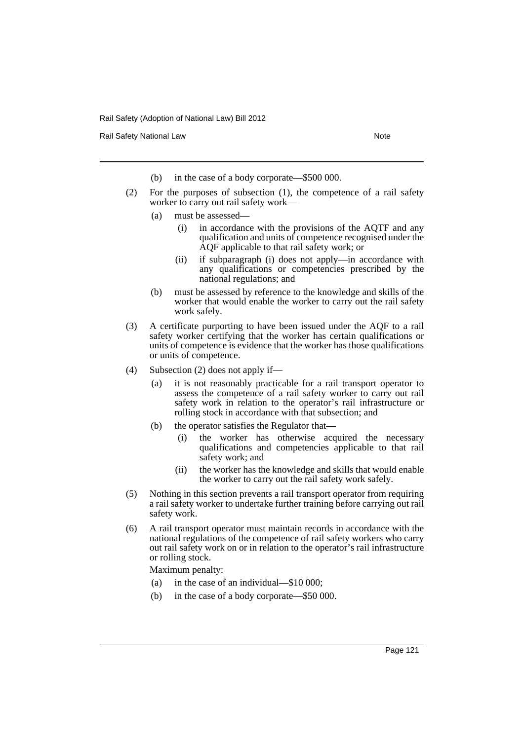Rail Safety National Law Note 2008 and 2009 and 2009 and 2009 and 2009 and 2009 and 2009 and 2009 and 2009 and 2009 and 2009 and 2009 and 2009 and 2009 and 2009 and 2009 and 2009 and 2009 and 2009 and 2009 and 2009 and 200

- (b) in the case of a body corporate—\$500 000.
- (2) For the purposes of subsection (1), the competence of a rail safety worker to carry out rail safety work—
	- (a) must be assessed—
		- (i) in accordance with the provisions of the AQTF and any qualification and units of competence recognised under the AQF applicable to that rail safety work; or
		- (ii) if subparagraph (i) does not apply—in accordance with any qualifications or competencies prescribed by the national regulations; and
	- (b) must be assessed by reference to the knowledge and skills of the worker that would enable the worker to carry out the rail safety work safely.
- (3) A certificate purporting to have been issued under the AQF to a rail safety worker certifying that the worker has certain qualifications or units of competence is evidence that the worker has those qualifications or units of competence.
- (4) Subsection (2) does not apply if—
	- (a) it is not reasonably practicable for a rail transport operator to assess the competence of a rail safety worker to carry out rail safety work in relation to the operator's rail infrastructure or rolling stock in accordance with that subsection; and
	- (b) the operator satisfies the Regulator that—
		- (i) the worker has otherwise acquired the necessary qualifications and competencies applicable to that rail safety work; and
		- (ii) the worker has the knowledge and skills that would enable the worker to carry out the rail safety work safely.
- (5) Nothing in this section prevents a rail transport operator from requiring a rail safety worker to undertake further training before carrying out rail safety work.
- (6) A rail transport operator must maintain records in accordance with the national regulations of the competence of rail safety workers who carry out rail safety work on or in relation to the operator's rail infrastructure or rolling stock.

Maximum penalty:

- (a) in the case of an individual—\$10 000;
- (b) in the case of a body corporate—\$50 000.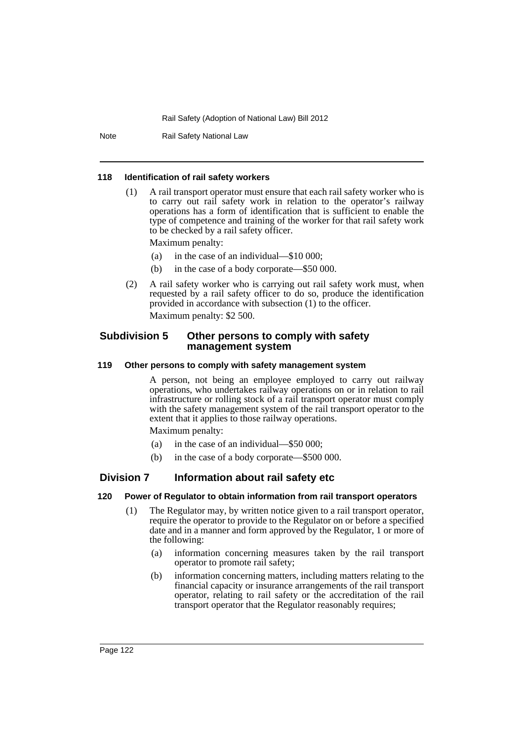Note Rail Safety National Law

#### **118 Identification of rail safety workers**

(1) A rail transport operator must ensure that each rail safety worker who is to carry out rail safety work in relation to the operator's railway operations has a form of identification that is sufficient to enable the type of competence and training of the worker for that rail safety work to be checked by a rail safety officer.

Maximum penalty:

- (a) in the case of an individual—\$10 000;
- (b) in the case of a body corporate—\$50 000.
- (2) A rail safety worker who is carrying out rail safety work must, when requested by a rail safety officer to do so, produce the identification provided in accordance with subsection (1) to the officer. Maximum penalty: \$2 500.

# **Subdivision 5 Other persons to comply with safety management system**

## **119 Other persons to comply with safety management system**

A person, not being an employee employed to carry out railway operations, who undertakes railway operations on or in relation to rail infrastructure or rolling stock of a rail transport operator must comply with the safety management system of the rail transport operator to the extent that it applies to those railway operations.

Maximum penalty:

- (a) in the case of an individual—\$50 000;
- (b) in the case of a body corporate—\$500 000.

# **Division 7 Information about rail safety etc**

#### **120 Power of Regulator to obtain information from rail transport operators**

- (1) The Regulator may, by written notice given to a rail transport operator, require the operator to provide to the Regulator on or before a specified date and in a manner and form approved by the Regulator, 1 or more of the following:
	- (a) information concerning measures taken by the rail transport operator to promote rail safety;
	- (b) information concerning matters, including matters relating to the financial capacity or insurance arrangements of the rail transport operator, relating to rail safety or the accreditation of the rail transport operator that the Regulator reasonably requires;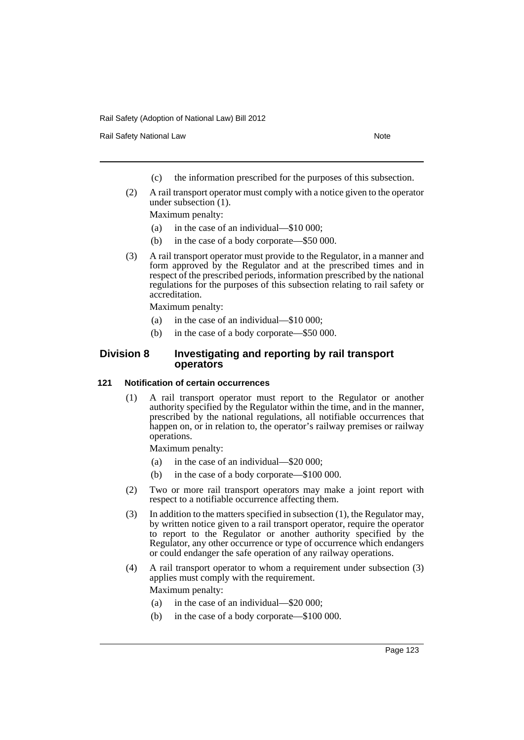Rail Safety National Law Note 2008 and 2009 and 2009 and 2009 and 2009 and 2009 and 2009 and 2009 and 2009 and 2009 and 2009 and 2009 and 2009 and 2009 and 2009 and 2009 and 2009 and 2009 and 2009 and 2009 and 2009 and 200

- (c) the information prescribed for the purposes of this subsection.
- (2) A rail transport operator must comply with a notice given to the operator under subsection (1).

Maximum penalty:

- (a) in the case of an individual—\$10 000;
- (b) in the case of a body corporate—\$50 000.
- (3) A rail transport operator must provide to the Regulator, in a manner and form approved by the Regulator and at the prescribed times and in respect of the prescribed periods, information prescribed by the national regulations for the purposes of this subsection relating to rail safety or accreditation.

Maximum penalty:

- (a) in the case of an individual—\$10 000;
- (b) in the case of a body corporate—\$50 000.

# **Division 8 Investigating and reporting by rail transport operators**

## **121 Notification of certain occurrences**

(1) A rail transport operator must report to the Regulator or another authority specified by the Regulator within the time, and in the manner, prescribed by the national regulations, all notifiable occurrences that happen on, or in relation to, the operator's railway premises or railway operations.

Maximum penalty:

- (a) in the case of an individual—\$20 000;
- (b) in the case of a body corporate—\$100 000.
- (2) Two or more rail transport operators may make a joint report with respect to a notifiable occurrence affecting them.
- (3) In addition to the matters specified in subsection (1), the Regulator may, by written notice given to a rail transport operator, require the operator to report to the Regulator or another authority specified by the Regulator, any other occurrence or type of occurrence which endangers or could endanger the safe operation of any railway operations.
- (4) A rail transport operator to whom a requirement under subsection (3) applies must comply with the requirement. Maximum penalty:
	- (a) in the case of an individual—\$20 000;
	- (b) in the case of a body corporate—\$100 000.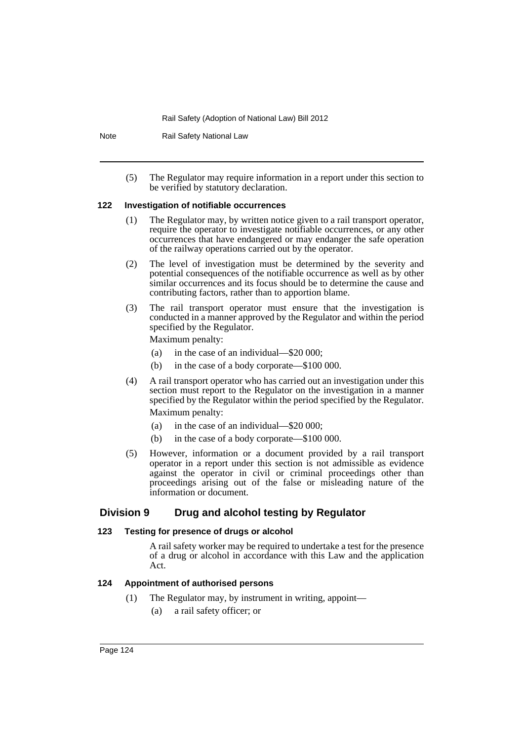Note Rail Safety National Law

(5) The Regulator may require information in a report under this section to be verified by statutory declaration.

#### **122 Investigation of notifiable occurrences**

- (1) The Regulator may, by written notice given to a rail transport operator, require the operator to investigate notifiable occurrences, or any other occurrences that have endangered or may endanger the safe operation of the railway operations carried out by the operator.
- (2) The level of investigation must be determined by the severity and potential consequences of the notifiable occurrence as well as by other similar occurrences and its focus should be to determine the cause and contributing factors, rather than to apportion blame.
- (3) The rail transport operator must ensure that the investigation is conducted in a manner approved by the Regulator and within the period specified by the Regulator.

Maximum penalty:

- (a) in the case of an individual—\$20 000;
- (b) in the case of a body corporate—\$100 000.
- (4) A rail transport operator who has carried out an investigation under this section must report to the Regulator on the investigation in a manner specified by the Regulator within the period specified by the Regulator. Maximum penalty:
	- (a) in the case of an individual—\$20 000;
	- (b) in the case of a body corporate—\$100 000.
- (5) However, information or a document provided by a rail transport operator in a report under this section is not admissible as evidence against the operator in civil or criminal proceedings other than proceedings arising out of the false or misleading nature of the information or document.

# **Division 9 Drug and alcohol testing by Regulator**

#### **123 Testing for presence of drugs or alcohol**

A rail safety worker may be required to undertake a test for the presence of a drug or alcohol in accordance with this Law and the application Act.

# **124 Appointment of authorised persons**

- (1) The Regulator may, by instrument in writing, appoint—
	- (a) a rail safety officer; or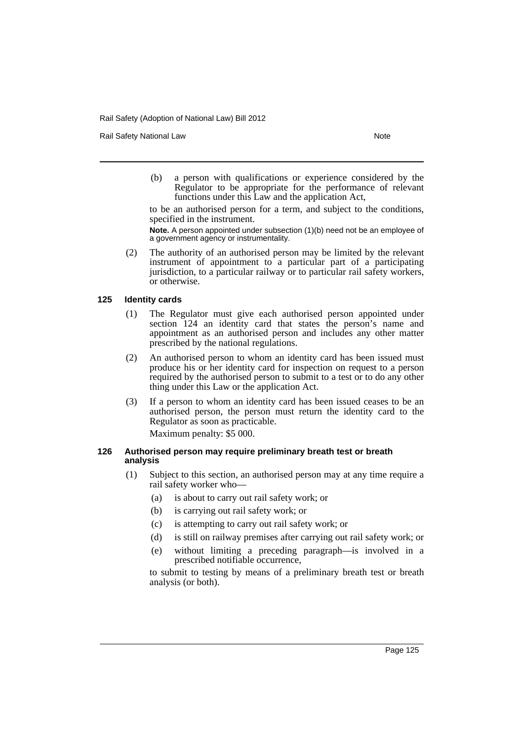Rail Safety National Law Note 2008 and 2009 and 2009 and 2009 and 2009 and 2009 and 2009 and 2009 and 2009 and 2009 and 2009 and 2009 and 2009 and 2009 and 2009 and 2009 and 2009 and 2009 and 2009 and 2009 and 2009 and 200

(b) a person with qualifications or experience considered by the Regulator to be appropriate for the performance of relevant functions under this Law and the application Act,

to be an authorised person for a term, and subject to the conditions, specified in the instrument.

**Note.** A person appointed under subsection (1)(b) need not be an employee of a government agency or instrumentality.

(2) The authority of an authorised person may be limited by the relevant instrument of appointment to a particular part of a participating jurisdiction, to a particular railway or to particular rail safety workers, or otherwise.

## **125 Identity cards**

- (1) The Regulator must give each authorised person appointed under section 124 an identity card that states the person's name and appointment as an authorised person and includes any other matter prescribed by the national regulations.
- (2) An authorised person to whom an identity card has been issued must produce his or her identity card for inspection on request to a person required by the authorised person to submit to a test or to do any other thing under this Law or the application Act.
- (3) If a person to whom an identity card has been issued ceases to be an authorised person, the person must return the identity card to the Regulator as soon as practicable.

Maximum penalty: \$5 000.

## **126 Authorised person may require preliminary breath test or breath analysis**

- (1) Subject to this section, an authorised person may at any time require a rail safety worker who—
	- (a) is about to carry out rail safety work; or
	- (b) is carrying out rail safety work; or
	- (c) is attempting to carry out rail safety work; or
	- (d) is still on railway premises after carrying out rail safety work; or
	- (e) without limiting a preceding paragraph—is involved in a prescribed notifiable occurrence,

to submit to testing by means of a preliminary breath test or breath analysis (or both).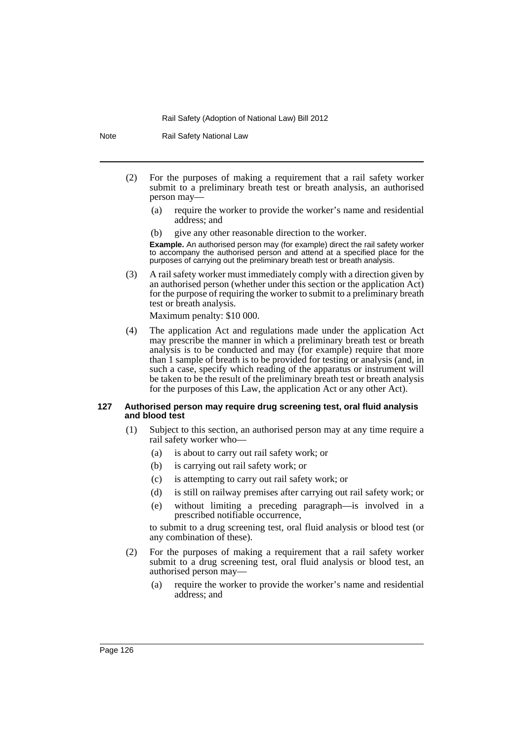Note Rail Safety National Law

- (2) For the purposes of making a requirement that a rail safety worker submit to a preliminary breath test or breath analysis, an authorised person may—
	- (a) require the worker to provide the worker's name and residential address; and
	- give any other reasonable direction to the worker.

**Example.** An authorised person may (for example) direct the rail safety worker to accompany the authorised person and attend at a specified place for the purposes of carrying out the preliminary breath test or breath analysis.

(3) A rail safety worker must immediately comply with a direction given by an authorised person (whether under this section or the application Act) for the purpose of requiring the worker to submit to a preliminary breath test or breath analysis.

Maximum penalty: \$10 000.

(4) The application Act and regulations made under the application Act may prescribe the manner in which a preliminary breath test or breath analysis is to be conducted and may (for example) require that more than 1 sample of breath is to be provided for testing or analysis (and, in such a case, specify which reading of the apparatus or instrument will be taken to be the result of the preliminary breath test or breath analysis for the purposes of this Law, the application Act or any other Act).

## **127 Authorised person may require drug screening test, oral fluid analysis and blood test**

- (1) Subject to this section, an authorised person may at any time require a rail safety worker who—
	- (a) is about to carry out rail safety work; or
	- (b) is carrying out rail safety work; or
	- (c) is attempting to carry out rail safety work; or
	- (d) is still on railway premises after carrying out rail safety work; or
	- (e) without limiting a preceding paragraph—is involved in a prescribed notifiable occurrence,

to submit to a drug screening test, oral fluid analysis or blood test (or any combination of these).

- (2) For the purposes of making a requirement that a rail safety worker submit to a drug screening test, oral fluid analysis or blood test, an authorised person may—
	- (a) require the worker to provide the worker's name and residential address; and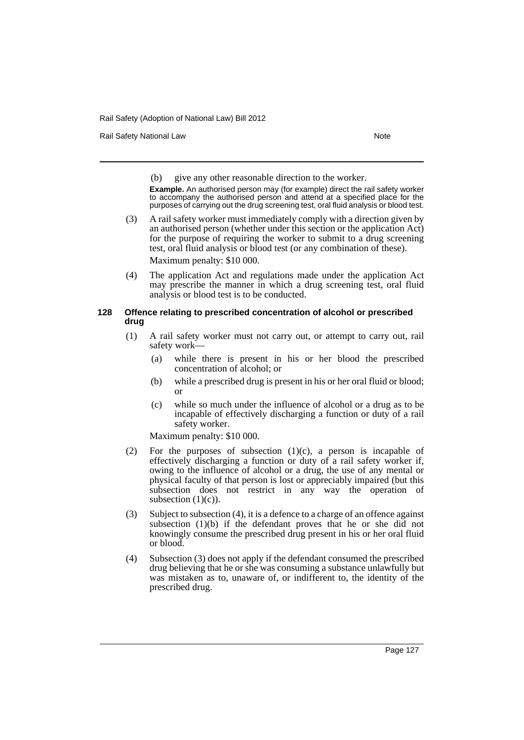Rail Safety National Law Note 2008 and 2009 and 2009 and 2009 and 2009 and 2009 and 2009 and 2009 and 2009 and 2009 and 2009 and 2009 and 2009 and 2009 and 2009 and 2009 and 2009 and 2009 and 2009 and 2009 and 2009 and 200

(b) give any other reasonable direction to the worker.

**Example.** An authorised person may (for example) direct the rail safety worker to accompany the authorised person and attend at a specified place for the purposes of carrying out the drug screening test, oral fluid analysis or blood test.

- (3) A rail safety worker must immediately comply with a direction given by an authorised person (whether under this section or the application Act) for the purpose of requiring the worker to submit to a drug screening test, oral fluid analysis or blood test (or any combination of these). Maximum penalty: \$10 000.
- (4) The application Act and regulations made under the application Act may prescribe the manner in which a drug screening test, oral fluid analysis or blood test is to be conducted.

# **128 Offence relating to prescribed concentration of alcohol or prescribed drug**

- (1) A rail safety worker must not carry out, or attempt to carry out, rail safety work—
	- (a) while there is present in his or her blood the prescribed concentration of alcohol; or
	- (b) while a prescribed drug is present in his or her oral fluid or blood; or
	- (c) while so much under the influence of alcohol or a drug as to be incapable of effectively discharging a function or duty of a rail safety worker.

Maximum penalty: \$10 000.

- (2) For the purposes of subsection  $(1)(c)$ , a person is incapable of effectively discharging a function or duty of a rail safety worker if, owing to the influence of alcohol or a drug, the use of any mental or physical faculty of that person is lost or appreciably impaired (but this subsection does not restrict in any way the operation of subsection  $(1)(c)$ ).
- (3) Subject to subsection (4), it is a defence to a charge of an offence against subsection (1)(b) if the defendant proves that he or she did not knowingly consume the prescribed drug present in his or her oral fluid or blood.
- (4) Subsection (3) does not apply if the defendant consumed the prescribed drug believing that he or she was consuming a substance unlawfully but was mistaken as to, unaware of, or indifferent to, the identity of the prescribed drug.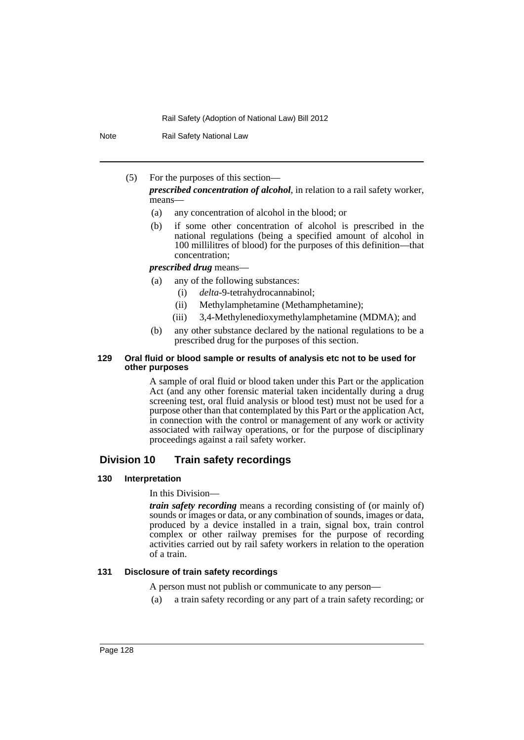Note Rail Safety National Law

(5) For the purposes of this section—

*prescribed concentration of alcohol*, in relation to a rail safety worker, means—

- (a) any concentration of alcohol in the blood; or
- (b) if some other concentration of alcohol is prescribed in the national regulations (being a specified amount of alcohol in 100 millilitres of blood) for the purposes of this definition—that concentration;

#### *prescribed drug* means—

- (a) any of the following substances:
	- (i) *delta*-9-tetrahydrocannabinol;
	- (ii) Methylamphetamine (Methamphetamine);
	- (iii) 3,4-Methylenedioxymethylamphetamine (MDMA); and
- (b) any other substance declared by the national regulations to be a prescribed drug for the purposes of this section.

## **129 Oral fluid or blood sample or results of analysis etc not to be used for other purposes**

A sample of oral fluid or blood taken under this Part or the application Act (and any other forensic material taken incidentally during a drug screening test, oral fluid analysis or blood test) must not be used for a purpose other than that contemplated by this Part or the application Act, in connection with the control or management of any work or activity associated with railway operations, or for the purpose of disciplinary proceedings against a rail safety worker.

# **Division 10 Train safety recordings**

## **130 Interpretation**

## In this Division—

*train safety recording* means a recording consisting of (or mainly of) sounds or images or data, or any combination of sounds, images or data, produced by a device installed in a train, signal box, train control complex or other railway premises for the purpose of recording activities carried out by rail safety workers in relation to the operation of a train.

# **131 Disclosure of train safety recordings**

A person must not publish or communicate to any person—

(a) a train safety recording or any part of a train safety recording; or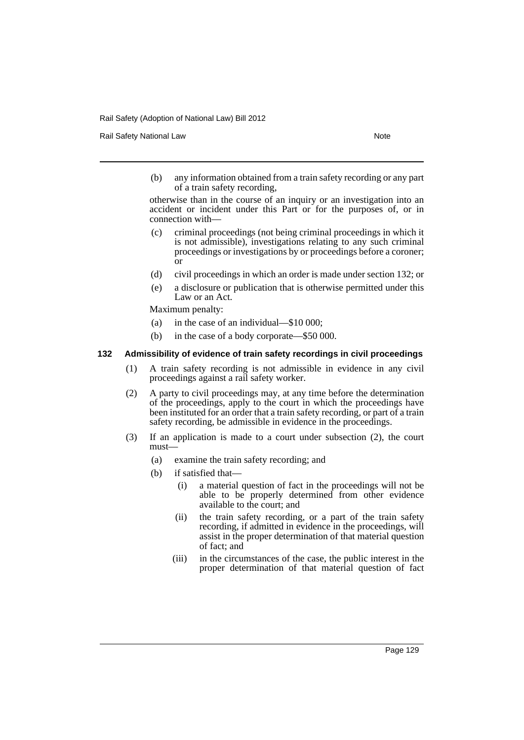Rail Safety National Law Note 2008 and 2009 and 2009 and 2009 and 2009 and 2009 and 2009 and 2009 and 2009 and 2009 and 2009 and 2009 and 2009 and 2009 and 2009 and 2009 and 2009 and 2009 and 2009 and 2009 and 2009 and 200

(b) any information obtained from a train safety recording or any part of a train safety recording,

otherwise than in the course of an inquiry or an investigation into an accident or incident under this Part or for the purposes of, or in connection with—

- (c) criminal proceedings (not being criminal proceedings in which it is not admissible), investigations relating to any such criminal proceedings or investigations by or proceedings before a coroner; or
- (d) civil proceedings in which an order is made under section 132; or
- (e) a disclosure or publication that is otherwise permitted under this Law or an Act.

Maximum penalty:

- (a) in the case of an individual—\$10 000;
- (b) in the case of a body corporate—\$50 000.

#### **132 Admissibility of evidence of train safety recordings in civil proceedings**

- (1) A train safety recording is not admissible in evidence in any civil proceedings against a rail safety worker.
- (2) A party to civil proceedings may, at any time before the determination of the proceedings, apply to the court in which the proceedings have been instituted for an order that a train safety recording, or part of a train safety recording, be admissible in evidence in the proceedings.
- (3) If an application is made to a court under subsection (2), the court must—
	- (a) examine the train safety recording; and
	- (b) if satisfied that—
		- (i) a material question of fact in the proceedings will not be able to be properly determined from other evidence available to the court; and
		- (ii) the train safety recording, or a part of the train safety recording, if admitted in evidence in the proceedings, will assist in the proper determination of that material question of fact; and
		- (iii) in the circumstances of the case, the public interest in the proper determination of that material question of fact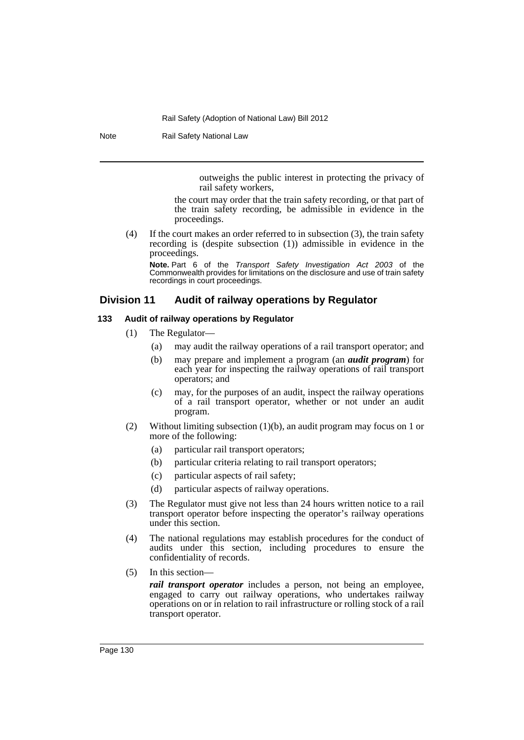Note Rail Safety National Law

outweighs the public interest in protecting the privacy of rail safety workers,

the court may order that the train safety recording, or that part of the train safety recording, be admissible in evidence in the proceedings.

(4) If the court makes an order referred to in subsection (3), the train safety recording is (despite subsection (1)) admissible in evidence in the proceedings.

**Note.** Part 6 of the *Transport Safety Investigation Act 2003* of the Commonwealth provides for limitations on the disclosure and use of train safety recordings in court proceedings.

# **Division 11 Audit of railway operations by Regulator**

## **133 Audit of railway operations by Regulator**

- (1) The Regulator—
	- (a) may audit the railway operations of a rail transport operator; and
	- (b) may prepare and implement a program (an *audit program*) for each year for inspecting the railway operations of rail transport operators; and
	- (c) may, for the purposes of an audit, inspect the railway operations of a rail transport operator, whether or not under an audit program.
- (2) Without limiting subsection (1)(b), an audit program may focus on 1 or more of the following:
	- (a) particular rail transport operators;
	- (b) particular criteria relating to rail transport operators;
	- (c) particular aspects of rail safety;
	- (d) particular aspects of railway operations.
- (3) The Regulator must give not less than 24 hours written notice to a rail transport operator before inspecting the operator's railway operations under this section.
- (4) The national regulations may establish procedures for the conduct of audits under this section, including procedures to ensure the confidentiality of records.
- (5) In this section—

*rail transport operator* includes a person, not being an employee, engaged to carry out railway operations, who undertakes railway operations on or in relation to rail infrastructure or rolling stock of a rail transport operator.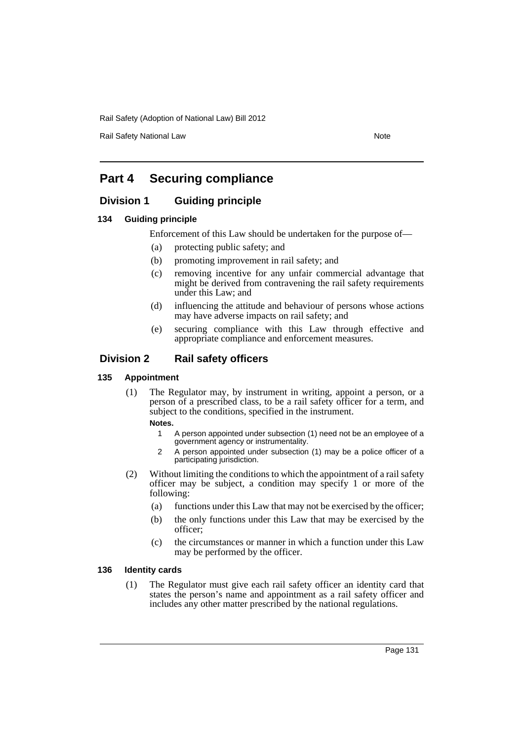Rail Safety National Law Note 2008 and 2009 and 2009 and 2009 and 2009 and 2009 and 2009 and 2009 and 2009 and 2009 and 2009 and 2009 and 2009 and 2009 and 2009 and 2009 and 2009 and 2009 and 2009 and 2009 and 2009 and 200

# **Part 4 Securing compliance**

# **Division 1 Guiding principle**

## **134 Guiding principle**

Enforcement of this Law should be undertaken for the purpose of—

- (a) protecting public safety; and
- (b) promoting improvement in rail safety; and
- (c) removing incentive for any unfair commercial advantage that might be derived from contravening the rail safety requirements under this Law; and
- (d) influencing the attitude and behaviour of persons whose actions may have adverse impacts on rail safety; and
- (e) securing compliance with this Law through effective and appropriate compliance and enforcement measures.

# **Division 2 Rail safety officers**

#### **135 Appointment**

(1) The Regulator may, by instrument in writing, appoint a person, or a person of a prescribed class, to be a rail safety officer for a term, and subject to the conditions, specified in the instrument.

# **Notes.**

- 1 A person appointed under subsection (1) need not be an employee of a government agency or instrumentality.
- 2 A person appointed under subsection (1) may be a police officer of a participating jurisdiction.
- (2) Without limiting the conditions to which the appointment of a rail safety officer may be subject, a condition may specify 1 or more of the following:
	- (a) functions under this Law that may not be exercised by the officer;
	- (b) the only functions under this Law that may be exercised by the officer;
	- (c) the circumstances or manner in which a function under this Law may be performed by the officer.

#### **136 Identity cards**

(1) The Regulator must give each rail safety officer an identity card that states the person's name and appointment as a rail safety officer and includes any other matter prescribed by the national regulations.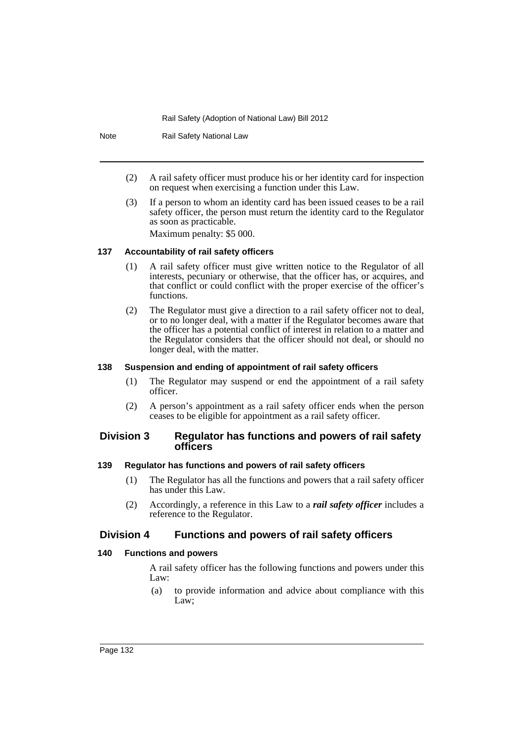Note Rail Safety National Law

- (2) A rail safety officer must produce his or her identity card for inspection on request when exercising a function under this Law.
- (3) If a person to whom an identity card has been issued ceases to be a rail safety officer, the person must return the identity card to the Regulator as soon as practicable.

Maximum penalty: \$5 000.

# **137 Accountability of rail safety officers**

- (1) A rail safety officer must give written notice to the Regulator of all interests, pecuniary or otherwise, that the officer has, or acquires, and that conflict or could conflict with the proper exercise of the officer's functions.
- (2) The Regulator must give a direction to a rail safety officer not to deal, or to no longer deal, with a matter if the Regulator becomes aware that the officer has a potential conflict of interest in relation to a matter and the Regulator considers that the officer should not deal, or should no longer deal, with the matter.

# **138 Suspension and ending of appointment of rail safety officers**

- (1) The Regulator may suspend or end the appointment of a rail safety officer.
- (2) A person's appointment as a rail safety officer ends when the person ceases to be eligible for appointment as a rail safety officer.

# **Division 3 Regulator has functions and powers of rail safety officers**

## **139 Regulator has functions and powers of rail safety officers**

- (1) The Regulator has all the functions and powers that a rail safety officer has under this Law.
- (2) Accordingly, a reference in this Law to a *rail safety officer* includes a reference to the Regulator.

# **Division 4 Functions and powers of rail safety officers**

# **140 Functions and powers**

A rail safety officer has the following functions and powers under this Law:

(a) to provide information and advice about compliance with this Law;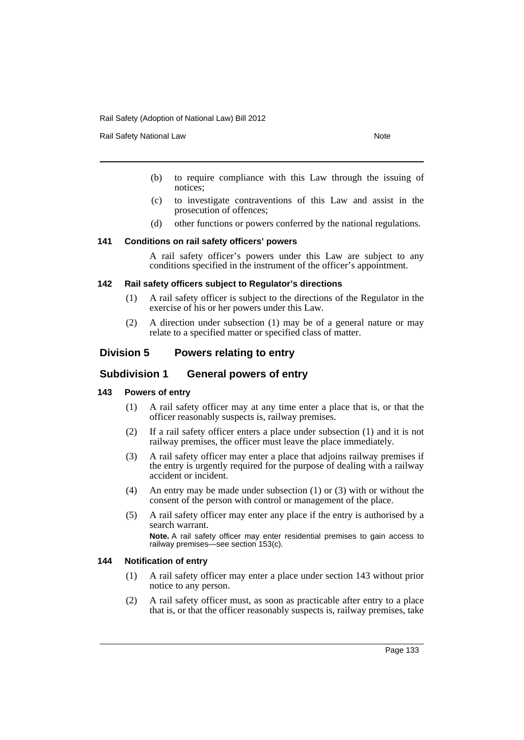Rail Safety National Law Note 2008 and 2009 and 2009 and 2009 and 2009 and 2009 and 2009 and 2009 and 2009 and 2009 and 2009 and 2009 and 2009 and 2009 and 2009 and 2009 and 2009 and 2009 and 2009 and 2009 and 2009 and 200

- (b) to require compliance with this Law through the issuing of notices;
- (c) to investigate contraventions of this Law and assist in the prosecution of offences;
- (d) other functions or powers conferred by the national regulations.

#### **141 Conditions on rail safety officers' powers**

A rail safety officer's powers under this Law are subject to any conditions specified in the instrument of the officer's appointment.

#### **142 Rail safety officers subject to Regulator's directions**

- (1) A rail safety officer is subject to the directions of the Regulator in the exercise of his or her powers under this Law.
- (2) A direction under subsection (1) may be of a general nature or may relate to a specified matter or specified class of matter.

# **Division 5 Powers relating to entry**

# **Subdivision 1 General powers of entry**

## **143 Powers of entry**

- (1) A rail safety officer may at any time enter a place that is, or that the officer reasonably suspects is, railway premises.
- (2) If a rail safety officer enters a place under subsection (1) and it is not railway premises, the officer must leave the place immediately.
- (3) A rail safety officer may enter a place that adjoins railway premises if the entry is urgently required for the purpose of dealing with a railway accident or incident.
- (4) An entry may be made under subsection (1) or (3) with or without the consent of the person with control or management of the place.
- (5) A rail safety officer may enter any place if the entry is authorised by a search warrant.

**Note.** A rail safety officer may enter residential premises to gain access to railway premises—see section 153(c).

#### **144 Notification of entry**

- (1) A rail safety officer may enter a place under section 143 without prior notice to any person.
- (2) A rail safety officer must, as soon as practicable after entry to a place that is, or that the officer reasonably suspects is, railway premises, take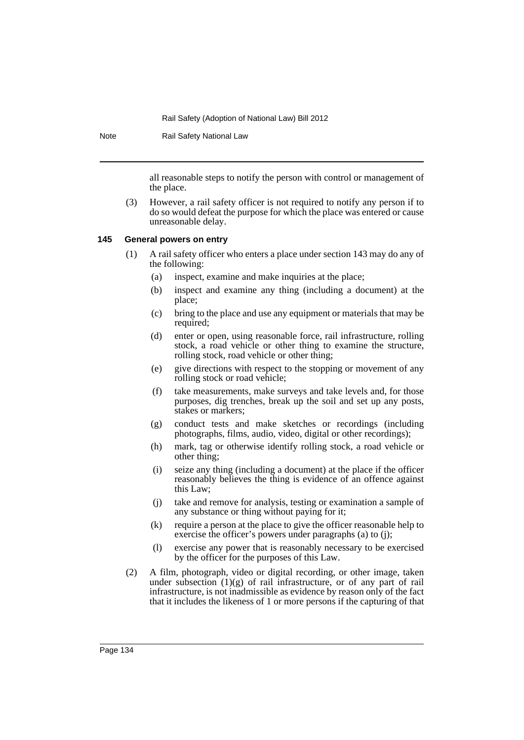Note Rail Safety National Law

all reasonable steps to notify the person with control or management of the place.

(3) However, a rail safety officer is not required to notify any person if to do so would defeat the purpose for which the place was entered or cause unreasonable delay.

## **145 General powers on entry**

- (1) A rail safety officer who enters a place under section 143 may do any of the following:
	- (a) inspect, examine and make inquiries at the place;
	- (b) inspect and examine any thing (including a document) at the place;
	- (c) bring to the place and use any equipment or materials that may be required;
	- (d) enter or open, using reasonable force, rail infrastructure, rolling stock, a road vehicle or other thing to examine the structure, rolling stock, road vehicle or other thing;
	- (e) give directions with respect to the stopping or movement of any rolling stock or road vehicle;
	- (f) take measurements, make surveys and take levels and, for those purposes, dig trenches, break up the soil and set up any posts, stakes or markers;
	- (g) conduct tests and make sketches or recordings (including photographs, films, audio, video, digital or other recordings);
	- (h) mark, tag or otherwise identify rolling stock, a road vehicle or other thing;
	- (i) seize any thing (including a document) at the place if the officer reasonably believes the thing is evidence of an offence against this Law;
	- (j) take and remove for analysis, testing or examination a sample of any substance or thing without paying for it;
	- (k) require a person at the place to give the officer reasonable help to exercise the officer's powers under paragraphs (a) to (j);
	- (l) exercise any power that is reasonably necessary to be exercised by the officer for the purposes of this Law.
- (2) A film, photograph, video or digital recording, or other image, taken under subsection  $(1)(g)$  of rail infrastructure, or of any part of rail infrastructure, is not inadmissible as evidence by reason only of the fact that it includes the likeness of 1 or more persons if the capturing of that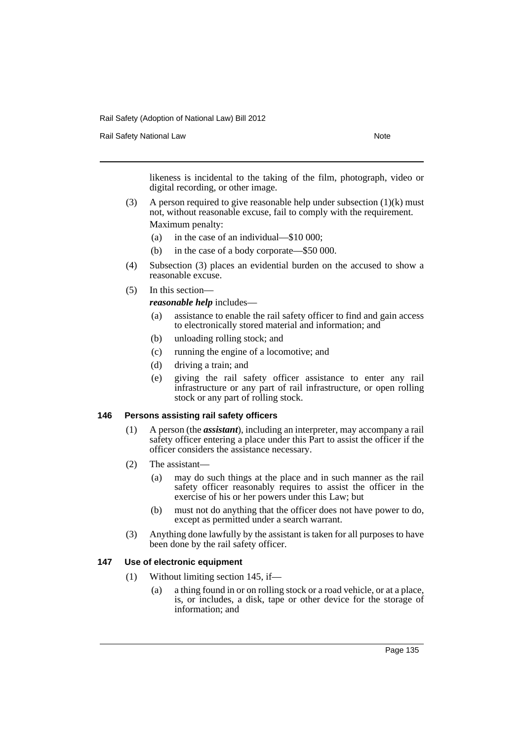Rail Safety National Law Note 2008 and 2009 and 2009 and 2009 and 2009 and 2009 and 2009 and 2009 and 2009 and 2009 and 2009 and 2009 and 2009 and 2009 and 2009 and 2009 and 2009 and 2009 and 2009 and 2009 and 2009 and 200

likeness is incidental to the taking of the film, photograph, video or digital recording, or other image.

- (3) A person required to give reasonable help under subsection  $(1)(k)$  must not, without reasonable excuse, fail to comply with the requirement. Maximum penalty:
	- (a) in the case of an individual—\$10 000;
	- (b) in the case of a body corporate—\$50 000.
- (4) Subsection (3) places an evidential burden on the accused to show a reasonable excuse.
- (5) In this section—

*reasonable help* includes—

- (a) assistance to enable the rail safety officer to find and gain access to electronically stored material and information; and
- (b) unloading rolling stock; and
- (c) running the engine of a locomotive; and
- (d) driving a train; and
- (e) giving the rail safety officer assistance to enter any rail infrastructure or any part of rail infrastructure, or open rolling stock or any part of rolling stock.

## **146 Persons assisting rail safety officers**

- (1) A person (the *assistant*), including an interpreter, may accompany a rail safety officer entering a place under this Part to assist the officer if the officer considers the assistance necessary.
- (2) The assistant—
	- (a) may do such things at the place and in such manner as the rail safety officer reasonably requires to assist the officer in the exercise of his or her powers under this Law; but
	- (b) must not do anything that the officer does not have power to do, except as permitted under a search warrant.
- (3) Anything done lawfully by the assistant is taken for all purposes to have been done by the rail safety officer.

#### **147 Use of electronic equipment**

- (1) Without limiting section 145, if—
	- (a) a thing found in or on rolling stock or a road vehicle, or at a place, is, or includes, a disk, tape or other device for the storage of information; and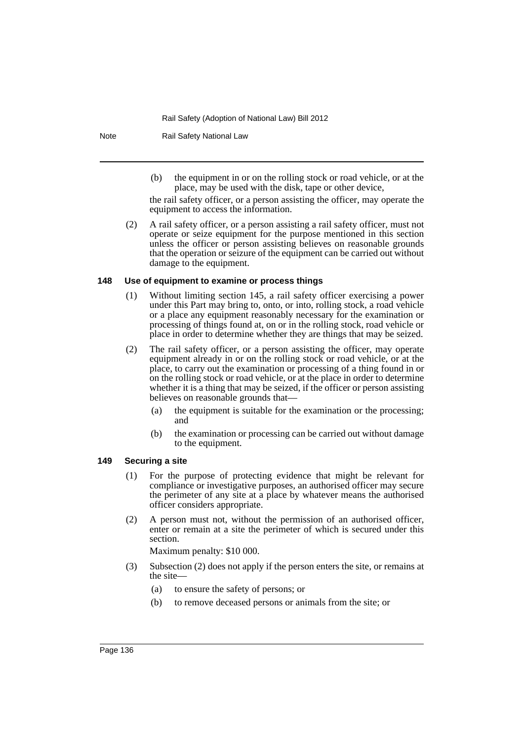Note Rail Safety National Law

(b) the equipment in or on the rolling stock or road vehicle, or at the place, may be used with the disk, tape or other device,

the rail safety officer, or a person assisting the officer, may operate the equipment to access the information.

(2) A rail safety officer, or a person assisting a rail safety officer, must not operate or seize equipment for the purpose mentioned in this section unless the officer or person assisting believes on reasonable grounds that the operation or seizure of the equipment can be carried out without damage to the equipment.

#### **148 Use of equipment to examine or process things**

- (1) Without limiting section 145, a rail safety officer exercising a power under this Part may bring to, onto, or into, rolling stock, a road vehicle or a place any equipment reasonably necessary for the examination or processing of things found at, on or in the rolling stock, road vehicle or place in order to determine whether they are things that may be seized.
- (2) The rail safety officer, or a person assisting the officer, may operate equipment already in or on the rolling stock or road vehicle, or at the place, to carry out the examination or processing of a thing found in or on the rolling stock or road vehicle, or at the place in order to determine whether it is a thing that may be seized, if the officer or person assisting believes on reasonable grounds that—
	- (a) the equipment is suitable for the examination or the processing; and
	- (b) the examination or processing can be carried out without damage to the equipment.

#### **149 Securing a site**

- (1) For the purpose of protecting evidence that might be relevant for compliance or investigative purposes, an authorised officer may secure the perimeter of any site at a place by whatever means the authorised officer considers appropriate.
- (2) A person must not, without the permission of an authorised officer, enter or remain at a site the perimeter of which is secured under this section.

Maximum penalty: \$10 000.

- (3) Subsection (2) does not apply if the person enters the site, or remains at the site—
	- (a) to ensure the safety of persons; or
	- (b) to remove deceased persons or animals from the site; or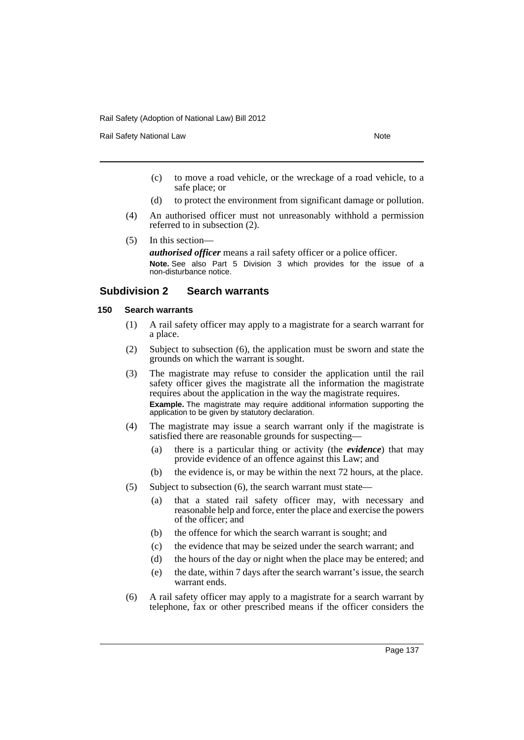Rail Safety National Law Note 2008 and 2009 and 2009 and 2009 and 2009 and 2009 and 2009 and 2009 and 2009 and 2009 and 2009 and 2009 and 2009 and 2009 and 2009 and 2009 and 2009 and 2009 and 2009 and 2009 and 2009 and 200

- (c) to move a road vehicle, or the wreckage of a road vehicle, to a safe place; or
- (d) to protect the environment from significant damage or pollution.
- (4) An authorised officer must not unreasonably withhold a permission referred to in subsection (2).
- (5) In this section—

*authorised officer* means a rail safety officer or a police officer. **Note.** See also Part 5 Division 3 which provides for the issue of a non-disturbance notice.

# **Subdivision 2 Search warrants**

#### **150 Search warrants**

- (1) A rail safety officer may apply to a magistrate for a search warrant for a place.
- (2) Subject to subsection (6), the application must be sworn and state the grounds on which the warrant is sought.
- (3) The magistrate may refuse to consider the application until the rail safety officer gives the magistrate all the information the magistrate requires about the application in the way the magistrate requires. **Example.** The magistrate may require additional information supporting the application to be given by statutory declaration.
- (4) The magistrate may issue a search warrant only if the magistrate is satisfied there are reasonable grounds for suspecting—
	- (a) there is a particular thing or activity (the *evidence*) that may provide evidence of an offence against this Law; and
	- (b) the evidence is, or may be within the next 72 hours, at the place.
- (5) Subject to subsection (6), the search warrant must state—
	- (a) that a stated rail safety officer may, with necessary and reasonable help and force, enter the place and exercise the powers of the officer; and
	- (b) the offence for which the search warrant is sought; and
	- (c) the evidence that may be seized under the search warrant; and
	- (d) the hours of the day or night when the place may be entered; and
	- (e) the date, within 7 days after the search warrant's issue, the search warrant ends.
- (6) A rail safety officer may apply to a magistrate for a search warrant by telephone, fax or other prescribed means if the officer considers the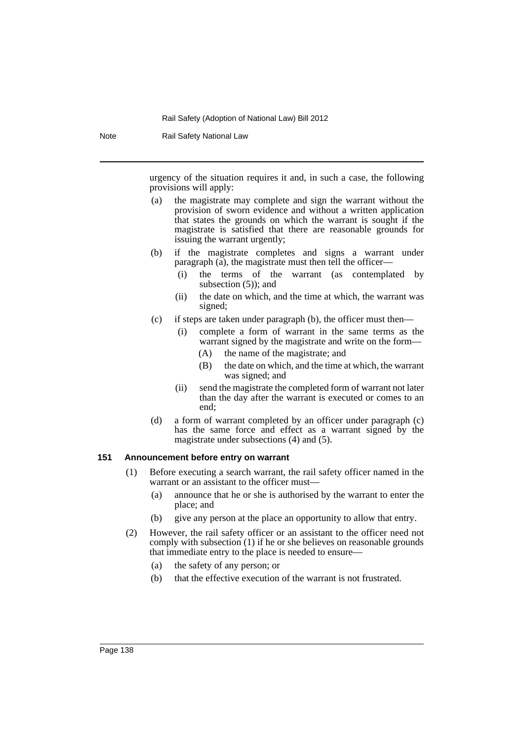Note Rail Safety National Law

urgency of the situation requires it and, in such a case, the following provisions will apply:

- (a) the magistrate may complete and sign the warrant without the provision of sworn evidence and without a written application that states the grounds on which the warrant is sought if the magistrate is satisfied that there are reasonable grounds for issuing the warrant urgently;
- (b) if the magistrate completes and signs a warrant under paragraph (a), the magistrate must then tell the officer—
	- (i) the terms of the warrant (as contemplated by subsection (5)); and
	- (ii) the date on which, and the time at which, the warrant was signed;
- (c) if steps are taken under paragraph (b), the officer must then—
	- (i) complete a form of warrant in the same terms as the warrant signed by the magistrate and write on the form—
		- (A) the name of the magistrate; and
		- (B) the date on which, and the time at which, the warrant was signed; and
	- (ii) send the magistrate the completed form of warrant not later than the day after the warrant is executed or comes to an end;
- (d) a form of warrant completed by an officer under paragraph (c) has the same force and effect as a warrant signed by the magistrate under subsections (4) and (5).

## **151 Announcement before entry on warrant**

- (1) Before executing a search warrant, the rail safety officer named in the warrant or an assistant to the officer must-
	- (a) announce that he or she is authorised by the warrant to enter the place; and
	- (b) give any person at the place an opportunity to allow that entry.
- (2) However, the rail safety officer or an assistant to the officer need not comply with subsection (1) if he or she believes on reasonable grounds that immediate entry to the place is needed to ensure—
	- (a) the safety of any person; or
	- (b) that the effective execution of the warrant is not frustrated.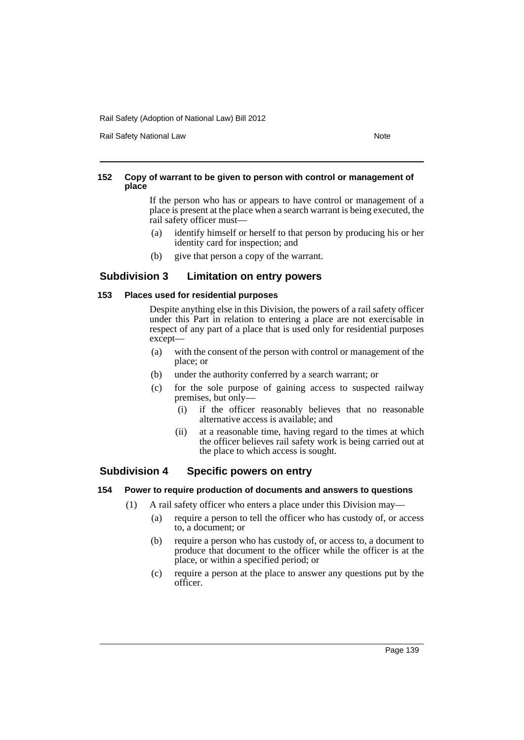Rail Safety National Law Note 2012 12:30 Note 2014

## **152 Copy of warrant to be given to person with control or management of place**

If the person who has or appears to have control or management of a place is present at the place when a search warrant is being executed, the rail safety officer must—

- (a) identify himself or herself to that person by producing his or her identity card for inspection; and
- (b) give that person a copy of the warrant.

# **Subdivision 3 Limitation on entry powers**

# **153 Places used for residential purposes**

Despite anything else in this Division, the powers of a rail safety officer under this Part in relation to entering a place are not exercisable in respect of any part of a place that is used only for residential purposes except—

- (a) with the consent of the person with control or management of the place; or
- (b) under the authority conferred by a search warrant; or
- (c) for the sole purpose of gaining access to suspected railway premises, but only—
	- (i) if the officer reasonably believes that no reasonable alternative access is available; and
	- (ii) at a reasonable time, having regard to the times at which the officer believes rail safety work is being carried out at the place to which access is sought.

# **Subdivision 4 Specific powers on entry**

## **154 Power to require production of documents and answers to questions**

- (1) A rail safety officer who enters a place under this Division may—
	- (a) require a person to tell the officer who has custody of, or access to, a document; or
	- (b) require a person who has custody of, or access to, a document to produce that document to the officer while the officer is at the place, or within a specified period; or
	- (c) require a person at the place to answer any questions put by the officer.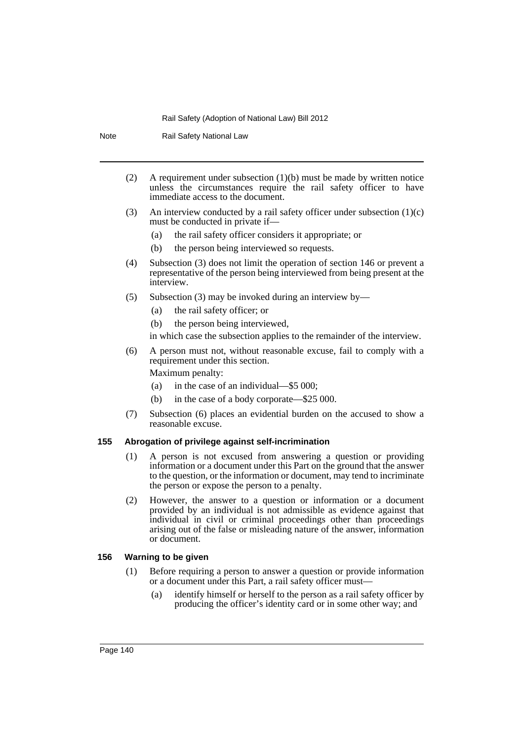Note Rail Safety National Law

- (2) A requirement under subsection  $(1)(b)$  must be made by written notice unless the circumstances require the rail safety officer to have immediate access to the document.
- (3) An interview conducted by a rail safety officer under subsection  $(1)(c)$ must be conducted in private if—
	- (a) the rail safety officer considers it appropriate; or
	- (b) the person being interviewed so requests.
- (4) Subsection (3) does not limit the operation of section 146 or prevent a representative of the person being interviewed from being present at the interview.
- (5) Subsection (3) may be invoked during an interview by—
	- (a) the rail safety officer; or
	- (b) the person being interviewed,
	- in which case the subsection applies to the remainder of the interview.
- (6) A person must not, without reasonable excuse, fail to comply with a requirement under this section.

Maximum penalty:

- (a) in the case of an individual—\$5 000;
- (b) in the case of a body corporate—\$25 000.
- (7) Subsection (6) places an evidential burden on the accused to show a reasonable excuse.

#### **155 Abrogation of privilege against self-incrimination**

- (1) A person is not excused from answering a question or providing information or a document under this Part on the ground that the answer to the question, or the information or document, may tend to incriminate the person or expose the person to a penalty.
- (2) However, the answer to a question or information or a document provided by an individual is not admissible as evidence against that individual in civil or criminal proceedings other than proceedings arising out of the false or misleading nature of the answer, information or document.

#### **156 Warning to be given**

- (1) Before requiring a person to answer a question or provide information or a document under this Part, a rail safety officer must—
	- (a) identify himself or herself to the person as a rail safety officer by producing the officer's identity card or in some other way; and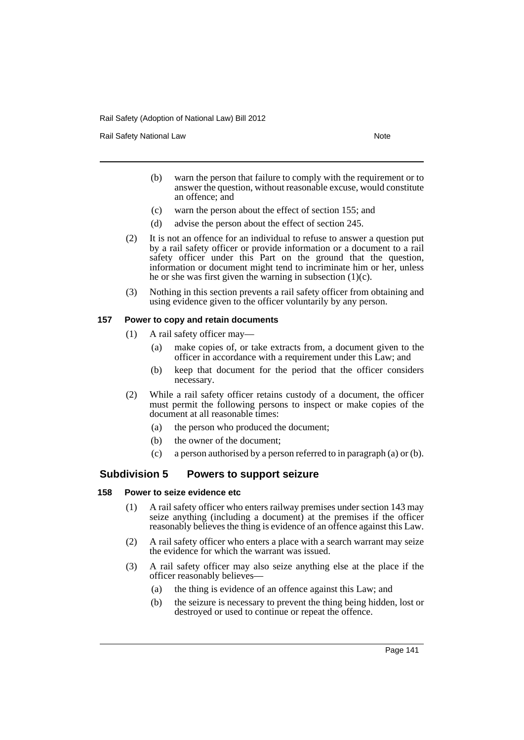Rail Safety National Law Note 2008 and 2009 and 2009 and 2009 and 2009 and 2009 and 2009 and 2009 and 2009 and 2009 and 2009 and 2009 and 2009 and 2009 and 2009 and 2009 and 2009 and 2009 and 2009 and 2009 and 2009 and 200

- (b) warn the person that failure to comply with the requirement or to answer the question, without reasonable excuse, would constitute an offence; and
- (c) warn the person about the effect of section 155; and
- (d) advise the person about the effect of section 245.
- (2) It is not an offence for an individual to refuse to answer a question put by a rail safety officer or provide information or a document to a rail safety officer under this Part on the ground that the question, information or document might tend to incriminate him or her, unless he or she was first given the warning in subsection  $(1)(c)$ .
- (3) Nothing in this section prevents a rail safety officer from obtaining and using evidence given to the officer voluntarily by any person.

#### **157 Power to copy and retain documents**

- (1) A rail safety officer may—
	- (a) make copies of, or take extracts from, a document given to the officer in accordance with a requirement under this Law; and
	- (b) keep that document for the period that the officer considers necessary.
- (2) While a rail safety officer retains custody of a document, the officer must permit the following persons to inspect or make copies of the document at all reasonable times:
	- (a) the person who produced the document;
	- (b) the owner of the document;
	- (c) a person authorised by a person referred to in paragraph (a) or (b).

# **Subdivision 5 Powers to support seizure**

#### **158 Power to seize evidence etc**

- (1) A rail safety officer who enters railway premises under section 143 may seize anything (including a document) at the premises if the officer reasonably believes the thing is evidence of an offence against this Law.
- (2) A rail safety officer who enters a place with a search warrant may seize the evidence for which the warrant was issued.
- (3) A rail safety officer may also seize anything else at the place if the officer reasonably believes—
	- (a) the thing is evidence of an offence against this Law; and
	- (b) the seizure is necessary to prevent the thing being hidden, lost or destroyed or used to continue or repeat the offence.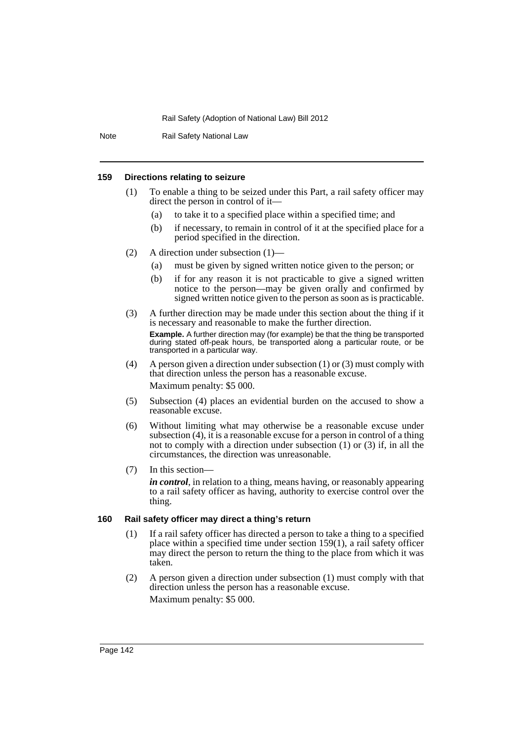Note Rail Safety National Law

## **159 Directions relating to seizure**

- (1) To enable a thing to be seized under this Part, a rail safety officer may direct the person in control of it—
	- (a) to take it to a specified place within a specified time; and
	- (b) if necessary, to remain in control of it at the specified place for a period specified in the direction.
- (2) A direction under subsection (1)—
	- (a) must be given by signed written notice given to the person; or
	- (b) if for any reason it is not practicable to give a signed written notice to the person—may be given orally and confirmed by signed written notice given to the person as soon as is practicable.
- (3) A further direction may be made under this section about the thing if it is necessary and reasonable to make the further direction. **Example.** A further direction may (for example) be that the thing be transported during stated off-peak hours, be transported along a particular route, or be transported in a particular way.
- (4) A person given a direction under subsection (1) or (3) must comply with that direction unless the person has a reasonable excuse. Maximum penalty: \$5 000.
- (5) Subsection (4) places an evidential burden on the accused to show a reasonable excuse.
- (6) Without limiting what may otherwise be a reasonable excuse under subsection (4), it is a reasonable excuse for a person in control of a thing not to comply with a direction under subsection (1) or (3) if, in all the circumstances, the direction was unreasonable.
- (7) In this section—

*in control*, in relation to a thing, means having, or reasonably appearing to a rail safety officer as having, authority to exercise control over the thing.

# **160 Rail safety officer may direct a thing's return**

- (1) If a rail safety officer has directed a person to take a thing to a specified place within a specified time under section 159(1), a rail safety officer may direct the person to return the thing to the place from which it was taken.
- (2) A person given a direction under subsection (1) must comply with that direction unless the person has a reasonable excuse. Maximum penalty: \$5 000.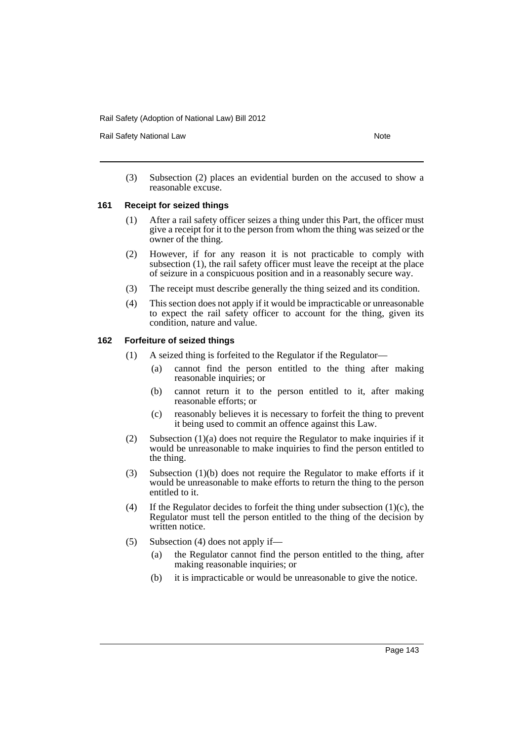Rail Safety National Law Note 2008 and 2009 and 2009 and 2009 and 2009 and 2009 and 2009 and 2009 and 2009 and 2009 and 2009 and 2009 and 2009 and 2009 and 2009 and 2009 and 2009 and 2009 and 2009 and 2009 and 2009 and 200

(3) Subsection (2) places an evidential burden on the accused to show a reasonable excuse.

### **161 Receipt for seized things**

- (1) After a rail safety officer seizes a thing under this Part, the officer must give a receipt for it to the person from whom the thing was seized or the owner of the thing.
- (2) However, if for any reason it is not practicable to comply with subsection (1), the rail safety officer must leave the receipt at the place of seizure in a conspicuous position and in a reasonably secure way.
- (3) The receipt must describe generally the thing seized and its condition.
- (4) This section does not apply if it would be impracticable or unreasonable to expect the rail safety officer to account for the thing, given its condition, nature and value.

### **162 Forfeiture of seized things**

- (1) A seized thing is forfeited to the Regulator if the Regulator—
	- (a) cannot find the person entitled to the thing after making reasonable inquiries; or
	- (b) cannot return it to the person entitled to it, after making reasonable efforts; or
	- (c) reasonably believes it is necessary to forfeit the thing to prevent it being used to commit an offence against this Law.
- (2) Subsection (1)(a) does not require the Regulator to make inquiries if it would be unreasonable to make inquiries to find the person entitled to the thing.
- (3) Subsection (1)(b) does not require the Regulator to make efforts if it would be unreasonable to make efforts to return the thing to the person entitled to it.
- (4) If the Regulator decides to forfeit the thing under subsection  $(1)(c)$ , the Regulator must tell the person entitled to the thing of the decision by written notice.
- (5) Subsection (4) does not apply if—
	- (a) the Regulator cannot find the person entitled to the thing, after making reasonable inquiries; or
	- (b) it is impracticable or would be unreasonable to give the notice.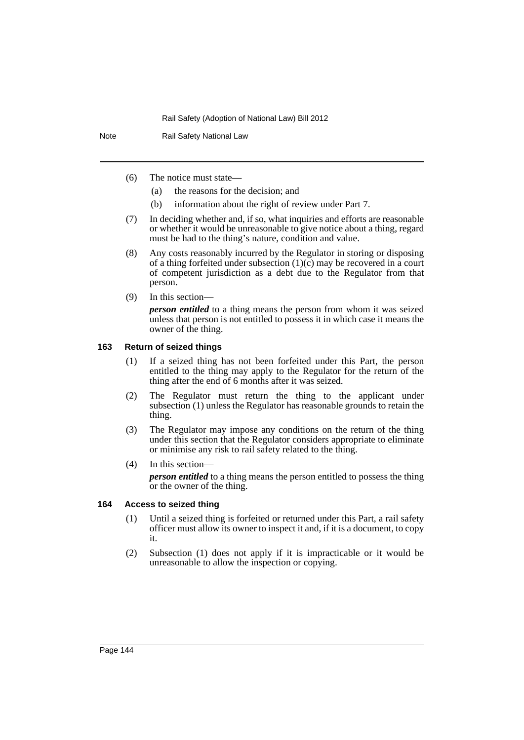Note Rail Safety National Law

- (6) The notice must state—
	- (a) the reasons for the decision; and
	- (b) information about the right of review under Part 7.
- (7) In deciding whether and, if so, what inquiries and efforts are reasonable or whether it would be unreasonable to give notice about a thing, regard must be had to the thing's nature, condition and value.
- (8) Any costs reasonably incurred by the Regulator in storing or disposing of a thing forfeited under subsection  $(1)(c)$  may be recovered in a court of competent jurisdiction as a debt due to the Regulator from that person.
- (9) In this section—

*person entitled* to a thing means the person from whom it was seized unless that person is not entitled to possess it in which case it means the owner of the thing.

### **163 Return of seized things**

- (1) If a seized thing has not been forfeited under this Part, the person entitled to the thing may apply to the Regulator for the return of the thing after the end of 6 months after it was seized.
- (2) The Regulator must return the thing to the applicant under subsection (1) unless the Regulator has reasonable grounds to retain the thing.
- (3) The Regulator may impose any conditions on the return of the thing under this section that the Regulator considers appropriate to eliminate or minimise any risk to rail safety related to the thing.
- (4) In this section—

*person entitled* to a thing means the person entitled to possess the thing or the owner of the thing.

## **164 Access to seized thing**

- (1) Until a seized thing is forfeited or returned under this Part, a rail safety officer must allow its owner to inspect it and, if it is a document, to copy it.
- (2) Subsection (1) does not apply if it is impracticable or it would be unreasonable to allow the inspection or copying.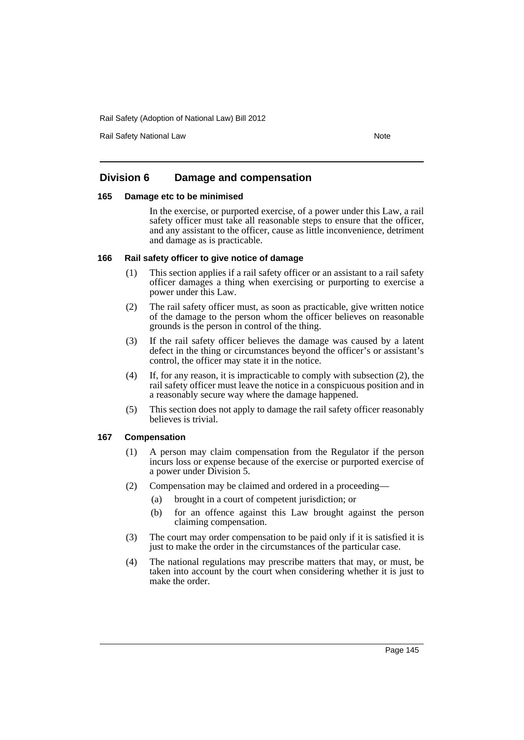Rail Safety National Law Note 2008 and 2009 and 2009 and 2009 and 2009 and 2009 and 2009 and 2009 and 2009 and 2009 and 2009 and 2009 and 2009 and 2009 and 2009 and 2009 and 2009 and 2009 and 2009 and 2009 and 2009 and 200

# **Division 6 Damage and compensation**

### **165 Damage etc to be minimised**

In the exercise, or purported exercise, of a power under this Law, a rail safety officer must take all reasonable steps to ensure that the officer, and any assistant to the officer, cause as little inconvenience, detriment and damage as is practicable.

### **166 Rail safety officer to give notice of damage**

- (1) This section applies if a rail safety officer or an assistant to a rail safety officer damages a thing when exercising or purporting to exercise a power under this Law.
- (2) The rail safety officer must, as soon as practicable, give written notice of the damage to the person whom the officer believes on reasonable grounds is the person in control of the thing.
- (3) If the rail safety officer believes the damage was caused by a latent defect in the thing or circumstances beyond the officer's or assistant's control, the officer may state it in the notice.
- (4) If, for any reason, it is impracticable to comply with subsection (2), the rail safety officer must leave the notice in a conspicuous position and in a reasonably secure way where the damage happened.
- (5) This section does not apply to damage the rail safety officer reasonably believes is trivial.

## **167 Compensation**

- (1) A person may claim compensation from the Regulator if the person incurs loss or expense because of the exercise or purported exercise of a power under Division 5.
- (2) Compensation may be claimed and ordered in a proceeding—
	- (a) brought in a court of competent jurisdiction; or
	- (b) for an offence against this Law brought against the person claiming compensation.
- (3) The court may order compensation to be paid only if it is satisfied it is just to make the order in the circumstances of the particular case.
- (4) The national regulations may prescribe matters that may, or must, be taken into account by the court when considering whether it is just to make the order.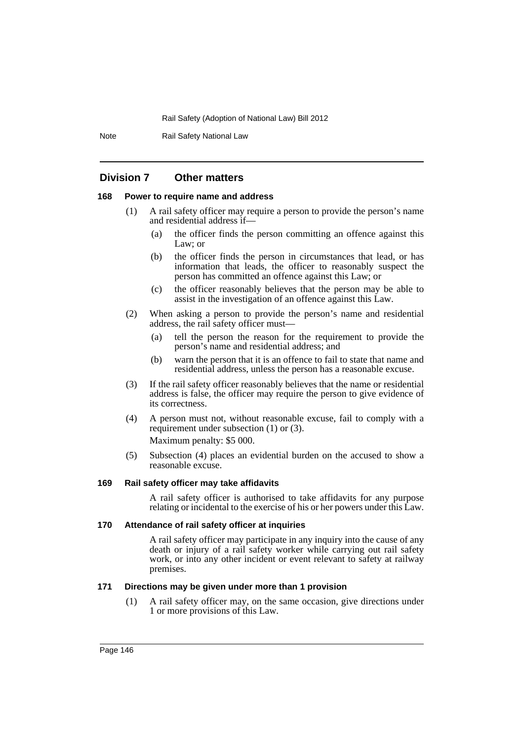Note Rail Safety National Law

# **Division 7 Other matters**

## **168 Power to require name and address**

- (1) A rail safety officer may require a person to provide the person's name and residential address if—
	- (a) the officer finds the person committing an offence against this Law; or
	- (b) the officer finds the person in circumstances that lead, or has information that leads, the officer to reasonably suspect the person has committed an offence against this Law; or
	- (c) the officer reasonably believes that the person may be able to assist in the investigation of an offence against this Law.
- (2) When asking a person to provide the person's name and residential address, the rail safety officer must—
	- (a) tell the person the reason for the requirement to provide the person's name and residential address; and
	- (b) warn the person that it is an offence to fail to state that name and residential address, unless the person has a reasonable excuse.
- (3) If the rail safety officer reasonably believes that the name or residential address is false, the officer may require the person to give evidence of its correctness.
- (4) A person must not, without reasonable excuse, fail to comply with a requirement under subsection (1) or (3). Maximum penalty: \$5 000.
- (5) Subsection (4) places an evidential burden on the accused to show a reasonable excuse.

### **169 Rail safety officer may take affidavits**

A rail safety officer is authorised to take affidavits for any purpose relating or incidental to the exercise of his or her powers under this Law.

## **170 Attendance of rail safety officer at inquiries**

A rail safety officer may participate in any inquiry into the cause of any death or injury of a rail safety worker while carrying out rail safety work, or into any other incident or event relevant to safety at railway premises.

### **171 Directions may be given under more than 1 provision**

(1) A rail safety officer may, on the same occasion, give directions under 1 or more provisions of this Law.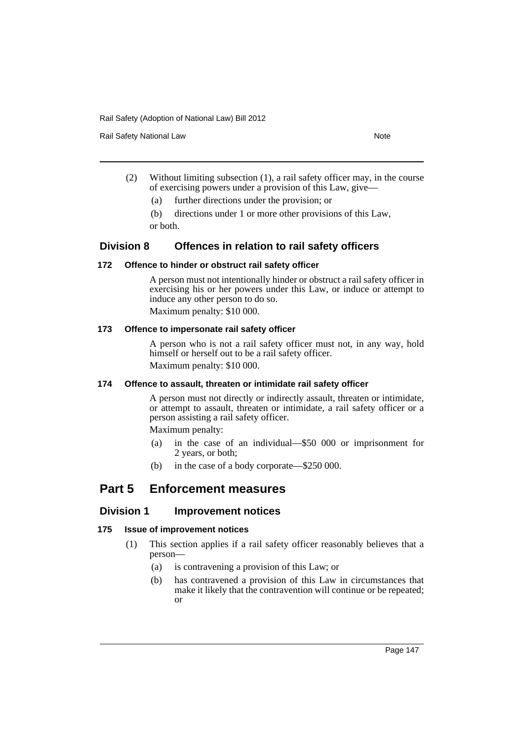Rail Safety National Law Note 2008 and 2009 and 2009 and 2009 and 2009 and 2009 and 2009 and 2009 and 2009 and 2009 and 2009 and 2009 and 2009 and 2009 and 2009 and 2009 and 2009 and 2009 and 2009 and 2009 and 2009 and 200

- (2) Without limiting subsection (1), a rail safety officer may, in the course of exercising powers under a provision of this Law, give—
	- (a) further directions under the provision; or

(b) directions under 1 or more other provisions of this Law, or both.

# **Division 8 Offences in relation to rail safety officers**

## **172 Offence to hinder or obstruct rail safety officer**

A person must not intentionally hinder or obstruct a rail safety officer in exercising his or her powers under this Law, or induce or attempt to induce any other person to do so.

Maximum penalty: \$10 000.

## **173 Offence to impersonate rail safety officer**

A person who is not a rail safety officer must not, in any way, hold himself or herself out to be a rail safety officer. Maximum penalty: \$10 000.

# **174 Offence to assault, threaten or intimidate rail safety officer**

A person must not directly or indirectly assault, threaten or intimidate, or attempt to assault, threaten or intimidate, a rail safety officer or a person assisting a rail safety officer.

Maximum penalty:

- (a) in the case of an individual—\$50 000 or imprisonment for 2 years, or both;
- (b) in the case of a body corporate—\$250 000.

# **Part 5 Enforcement measures**

# **Division 1 Improvement notices**

# **175 Issue of improvement notices**

- (1) This section applies if a rail safety officer reasonably believes that a person—
	- (a) is contravening a provision of this Law; or
	- (b) has contravened a provision of this Law in circumstances that make it likely that the contravention will continue or be repeated; or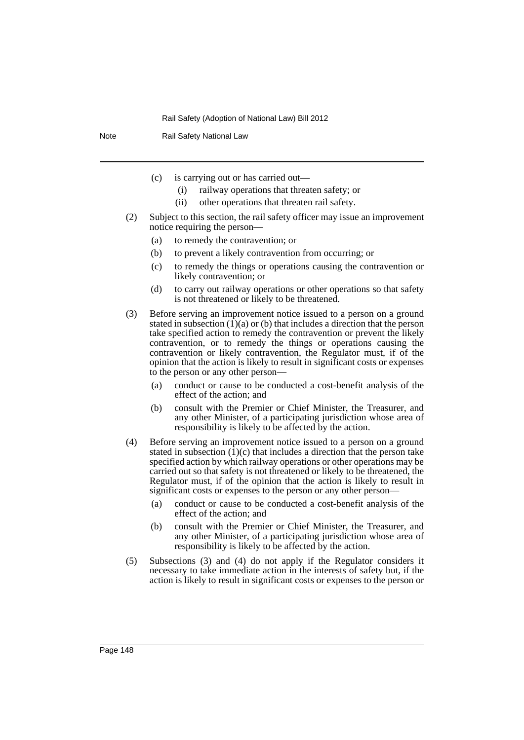Note Rail Safety National Law

- (c) is carrying out or has carried out—
	- (i) railway operations that threaten safety; or
	- (ii) other operations that threaten rail safety.
- (2) Subject to this section, the rail safety officer may issue an improvement notice requiring the person—
	- (a) to remedy the contravention; or
	- (b) to prevent a likely contravention from occurring; or
	- (c) to remedy the things or operations causing the contravention or likely contravention; or
	- (d) to carry out railway operations or other operations so that safety is not threatened or likely to be threatened.
- (3) Before serving an improvement notice issued to a person on a ground stated in subsection  $(1)(a)$  or (b) that includes a direction that the person take specified action to remedy the contravention or prevent the likely contravention, or to remedy the things or operations causing the contravention or likely contravention, the Regulator must, if of the opinion that the action is likely to result in significant costs or expenses to the person or any other person—
	- (a) conduct or cause to be conducted a cost-benefit analysis of the effect of the action; and
	- (b) consult with the Premier or Chief Minister, the Treasurer, and any other Minister, of a participating jurisdiction whose area of responsibility is likely to be affected by the action.
- (4) Before serving an improvement notice issued to a person on a ground stated in subsection  $(1)(c)$  that includes a direction that the person take specified action by which railway operations or other operations may be carried out so that safety is not threatened or likely to be threatened, the Regulator must, if of the opinion that the action is likely to result in significant costs or expenses to the person or any other person—
	- (a) conduct or cause to be conducted a cost-benefit analysis of the effect of the action; and
	- (b) consult with the Premier or Chief Minister, the Treasurer, and any other Minister, of a participating jurisdiction whose area of responsibility is likely to be affected by the action.
- (5) Subsections (3) and (4) do not apply if the Regulator considers it necessary to take immediate action in the interests of safety but, if the action is likely to result in significant costs or expenses to the person or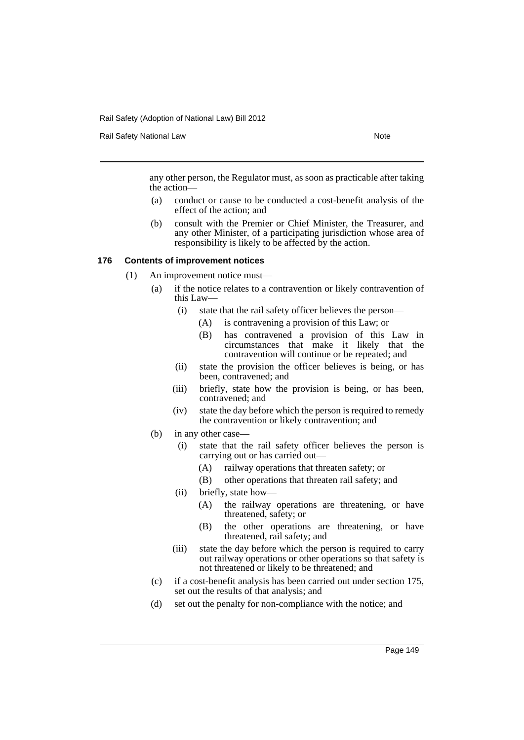Rail Safety National Law Note 2008 and 2009 and 2009 and 2009 and 2009 and 2009 and 2009 and 2009 and 2009 and 2009 and 2009 and 2009 and 2009 and 2009 and 2009 and 2009 and 2009 and 2009 and 2009 and 2009 and 2009 and 200

any other person, the Regulator must, as soon as practicable after taking the action—

- (a) conduct or cause to be conducted a cost-benefit analysis of the effect of the action; and
- (b) consult with the Premier or Chief Minister, the Treasurer, and any other Minister, of a participating jurisdiction whose area of responsibility is likely to be affected by the action.

## **176 Contents of improvement notices**

- (1) An improvement notice must—
	- (a) if the notice relates to a contravention or likely contravention of this Law—
		- (i) state that the rail safety officer believes the person—
			- (A) is contravening a provision of this Law; or
			- (B) has contravened a provision of this Law in circumstances that make it likely that the contravention will continue or be repeated; and
		- (ii) state the provision the officer believes is being, or has been, contravened; and
		- (iii) briefly, state how the provision is being, or has been, contravened; and
		- (iv) state the day before which the person is required to remedy the contravention or likely contravention; and
		- (b) in any other case—
			- (i) state that the rail safety officer believes the person is carrying out or has carried out—
				- (A) railway operations that threaten safety; or
				- (B) other operations that threaten rail safety; and
			- (ii) briefly, state how—
				- (A) the railway operations are threatening, or have threatened, safety; or
				- (B) the other operations are threatening, or have threatened, rail safety; and
			- (iii) state the day before which the person is required to carry out railway operations or other operations so that safety is not threatened or likely to be threatened; and
		- (c) if a cost-benefit analysis has been carried out under section 175, set out the results of that analysis; and
		- (d) set out the penalty for non-compliance with the notice; and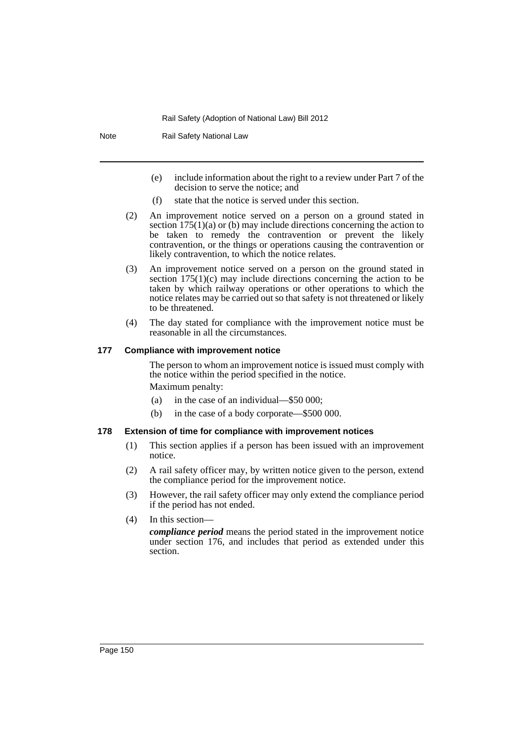Note Rail Safety National Law

- (e) include information about the right to a review under Part 7 of the decision to serve the notice; and
- (f) state that the notice is served under this section.
- (2) An improvement notice served on a person on a ground stated in section  $175(1)(a)$  or (b) may include directions concerning the action to be taken to remedy the contravention or prevent the likely contravention, or the things or operations causing the contravention or likely contravention, to which the notice relates.
- (3) An improvement notice served on a person on the ground stated in section 175(1)(c) may include directions concerning the action to be taken by which railway operations or other operations to which the notice relates may be carried out so that safety is not threatened or likely to be threatened.
- (4) The day stated for compliance with the improvement notice must be reasonable in all the circumstances.

### **177 Compliance with improvement notice**

The person to whom an improvement notice is issued must comply with the notice within the period specified in the notice.

Maximum penalty:

- (a) in the case of an individual—\$50 000;
- (b) in the case of a body corporate—\$500 000.

## **178 Extension of time for compliance with improvement notices**

- (1) This section applies if a person has been issued with an improvement notice.
- (2) A rail safety officer may, by written notice given to the person, extend the compliance period for the improvement notice.
- (3) However, the rail safety officer may only extend the compliance period if the period has not ended.
- (4) In this section—

*compliance period* means the period stated in the improvement notice under section 176, and includes that period as extended under this section.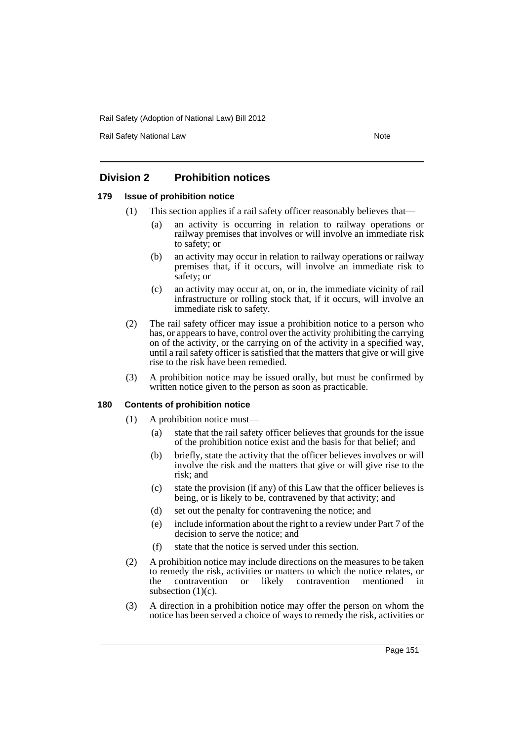Rail Safety National Law Note 2008 and 2009 and 2009 and 2009 and 2009 and 2009 and 2009 and 2009 and 2009 and 2009 and 2009 and 2009 and 2009 and 2009 and 2009 and 2009 and 2009 and 2009 and 2009 and 2009 and 2009 and 200

# **Division 2 Prohibition notices**

# **179 Issue of prohibition notice**

- (1) This section applies if a rail safety officer reasonably believes that—
	- (a) an activity is occurring in relation to railway operations or railway premises that involves or will involve an immediate risk to safety; or
	- (b) an activity may occur in relation to railway operations or railway premises that, if it occurs, will involve an immediate risk to safety; or
	- (c) an activity may occur at, on, or in, the immediate vicinity of rail infrastructure or rolling stock that, if it occurs, will involve an immediate risk to safety.
- (2) The rail safety officer may issue a prohibition notice to a person who has, or appears to have, control over the activity prohibiting the carrying on of the activity, or the carrying on of the activity in a specified way, until a rail safety officer is satisfied that the matters that give or will give rise to the risk have been remedied.
- (3) A prohibition notice may be issued orally, but must be confirmed by written notice given to the person as soon as practicable.

## **180 Contents of prohibition notice**

- (1) A prohibition notice must—
	- (a) state that the rail safety officer believes that grounds for the issue of the prohibition notice exist and the basis for that belief; and
	- (b) briefly, state the activity that the officer believes involves or will involve the risk and the matters that give or will give rise to the risk; and
	- (c) state the provision (if any) of this Law that the officer believes is being, or is likely to be, contravened by that activity; and
	- (d) set out the penalty for contravening the notice; and
	- (e) include information about the right to a review under Part 7 of the decision to serve the notice; and
	- (f) state that the notice is served under this section.
- (2) A prohibition notice may include directions on the measures to be taken to remedy the risk, activities or matters to which the notice relates, or the contravention or likely contravention mentioned in subsection  $(1)(c)$ .
- (3) A direction in a prohibition notice may offer the person on whom the notice has been served a choice of ways to remedy the risk, activities or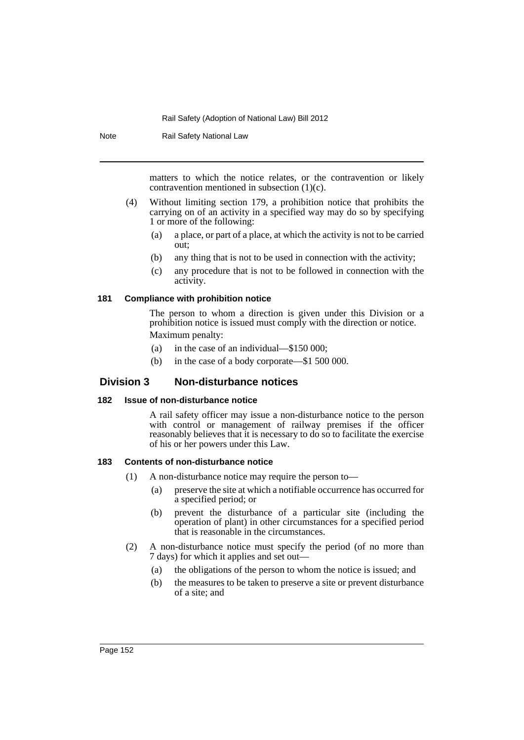Note Rail Safety National Law

matters to which the notice relates, or the contravention or likely contravention mentioned in subsection (1)(c).

- (4) Without limiting section 179, a prohibition notice that prohibits the carrying on of an activity in a specified way may do so by specifying 1 or more of the following:
	- (a) a place, or part of a place, at which the activity is not to be carried out;
	- (b) any thing that is not to be used in connection with the activity;
	- (c) any procedure that is not to be followed in connection with the activity.

### **181 Compliance with prohibition notice**

The person to whom a direction is given under this Division or a prohibition notice is issued must comply with the direction or notice. Maximum penalty:

- (a) in the case of an individual—\$150 000;
- (b) in the case of a body corporate—\$1 500 000.

## **Division 3 Non-disturbance notices**

## **182 Issue of non-disturbance notice**

A rail safety officer may issue a non-disturbance notice to the person with control or management of railway premises if the officer reasonably believes that it is necessary to do so to facilitate the exercise of his or her powers under this Law.

### **183 Contents of non-disturbance notice**

- (1) A non-disturbance notice may require the person to—
	- (a) preserve the site at which a notifiable occurrence has occurred for a specified period; or
	- (b) prevent the disturbance of a particular site (including the operation of plant) in other circumstances for a specified period that is reasonable in the circumstances.
- (2) A non-disturbance notice must specify the period (of no more than 7 days) for which it applies and set out—
	- (a) the obligations of the person to whom the notice is issued; and
	- (b) the measures to be taken to preserve a site or prevent disturbance of a site; and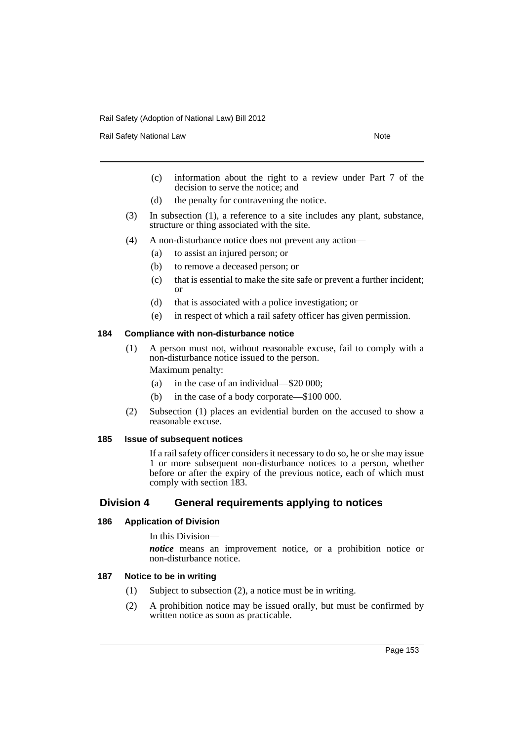Rail Safety National Law Note 2012 12:30 Note 2014

- (c) information about the right to a review under Part 7 of the decision to serve the notice; and
- (d) the penalty for contravening the notice.
- (3) In subsection (1), a reference to a site includes any plant, substance, structure or thing associated with the site.
- (4) A non-disturbance notice does not prevent any action—
	- (a) to assist an injured person; or
	- (b) to remove a deceased person; or
	- (c) that is essential to make the site safe or prevent a further incident; or
	- (d) that is associated with a police investigation; or
	- (e) in respect of which a rail safety officer has given permission.

### **184 Compliance with non-disturbance notice**

(1) A person must not, without reasonable excuse, fail to comply with a non-disturbance notice issued to the person.

Maximum penalty:

- (a) in the case of an individual—\$20 000;
- (b) in the case of a body corporate—\$100 000.
- (2) Subsection (1) places an evidential burden on the accused to show a reasonable excuse.

### **185 Issue of subsequent notices**

If a rail safety officer considers it necessary to do so, he or she may issue 1 or more subsequent non-disturbance notices to a person, whether before or after the expiry of the previous notice, each of which must comply with section 183.

# **Division 4 General requirements applying to notices**

### **186 Application of Division**

In this Division—

*notice* means an improvement notice, or a prohibition notice or non-disturbance notice.

## **187 Notice to be in writing**

- (1) Subject to subsection (2), a notice must be in writing.
- (2) A prohibition notice may be issued orally, but must be confirmed by written notice as soon as practicable.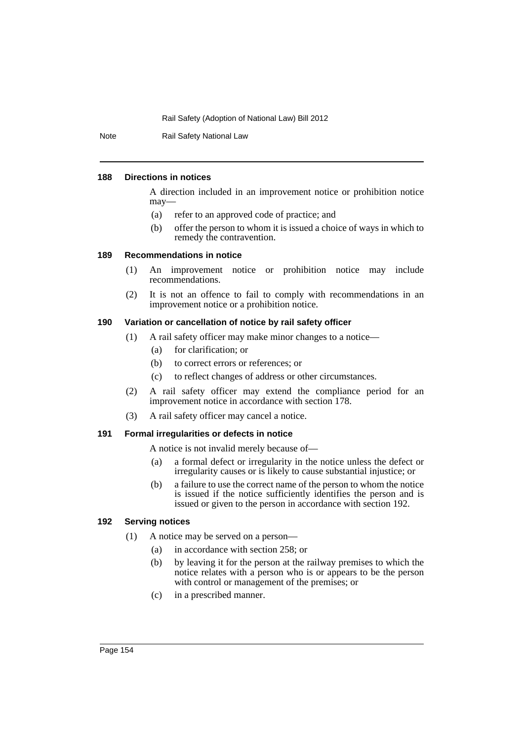Note Rail Safety National Law

### **188 Directions in notices**

A direction included in an improvement notice or prohibition notice may—

- (a) refer to an approved code of practice; and
- (b) offer the person to whom it is issued a choice of ways in which to remedy the contravention.

## **189 Recommendations in notice**

- (1) An improvement notice or prohibition notice may include recommendations.
- (2) It is not an offence to fail to comply with recommendations in an improvement notice or a prohibition notice.

## **190 Variation or cancellation of notice by rail safety officer**

- (1) A rail safety officer may make minor changes to a notice—
	- (a) for clarification; or
	- (b) to correct errors or references; or
	- (c) to reflect changes of address or other circumstances.
- (2) A rail safety officer may extend the compliance period for an improvement notice in accordance with section 178.
- (3) A rail safety officer may cancel a notice.

## **191 Formal irregularities or defects in notice**

A notice is not invalid merely because of—

- (a) a formal defect or irregularity in the notice unless the defect or irregularity causes or is likely to cause substantial injustice; or
- (b) a failure to use the correct name of the person to whom the notice is issued if the notice sufficiently identifies the person and is issued or given to the person in accordance with section 192.

## **192 Serving notices**

- (1) A notice may be served on a person—
	- (a) in accordance with section 258; or
	- (b) by leaving it for the person at the railway premises to which the notice relates with a person who is or appears to be the person with control or management of the premises; or
	- (c) in a prescribed manner.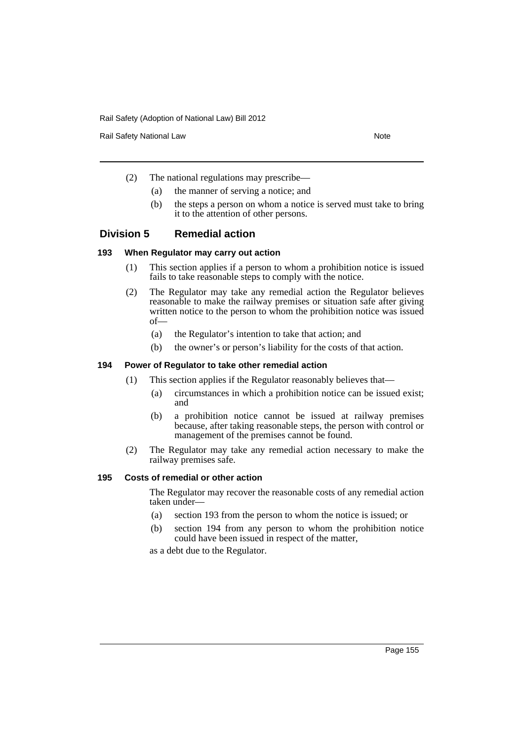Rail Safety National Law Note 30 and 200 and 200 and 200 and 200 and 200 and 200 and 200 and 200 and 200 and 20

- (2) The national regulations may prescribe—
	- (a) the manner of serving a notice; and
	- (b) the steps a person on whom a notice is served must take to bring it to the attention of other persons.

# **Division 5 Remedial action**

## **193 When Regulator may carry out action**

- (1) This section applies if a person to whom a prohibition notice is issued fails to take reasonable steps to comply with the notice.
- (2) The Regulator may take any remedial action the Regulator believes reasonable to make the railway premises or situation safe after giving written notice to the person to whom the prohibition notice was issued of—
	- (a) the Regulator's intention to take that action; and
	- (b) the owner's or person's liability for the costs of that action.

## **194 Power of Regulator to take other remedial action**

- (1) This section applies if the Regulator reasonably believes that—
	- (a) circumstances in which a prohibition notice can be issued exist; and
	- (b) a prohibition notice cannot be issued at railway premises because, after taking reasonable steps, the person with control or management of the premises cannot be found.
- (2) The Regulator may take any remedial action necessary to make the railway premises safe.

## **195 Costs of remedial or other action**

The Regulator may recover the reasonable costs of any remedial action taken under—

- (a) section 193 from the person to whom the notice is issued; or
- (b) section 194 from any person to whom the prohibition notice could have been issued in respect of the matter,

as a debt due to the Regulator.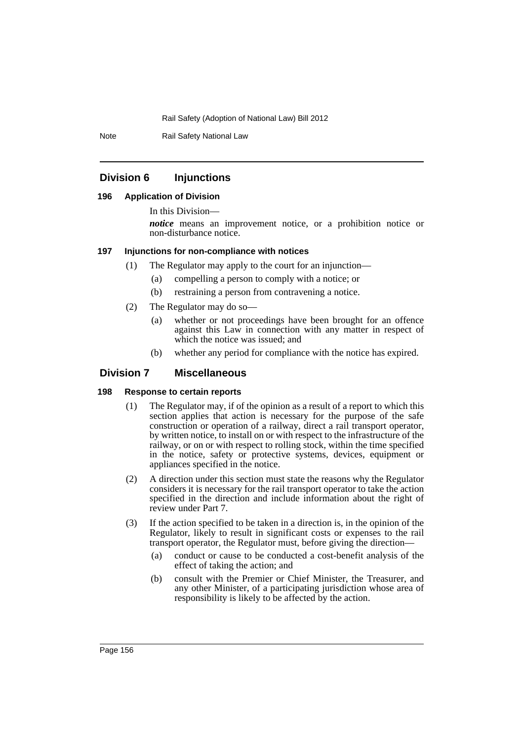Note Rail Safety National Law

## **Division 6 Injunctions**

### **196 Application of Division**

In this Division—

*notice* means an improvement notice, or a prohibition notice or non-disturbance notice.

### **197 Injunctions for non-compliance with notices**

- (1) The Regulator may apply to the court for an injunction—
	- (a) compelling a person to comply with a notice; or
	- (b) restraining a person from contravening a notice.
- (2) The Regulator may do so—
	- (a) whether or not proceedings have been brought for an offence against this Law in connection with any matter in respect of which the notice was issued; and
	- (b) whether any period for compliance with the notice has expired.

## **Division 7 Miscellaneous**

## **198 Response to certain reports**

- (1) The Regulator may, if of the opinion as a result of a report to which this section applies that action is necessary for the purpose of the safe construction or operation of a railway, direct a rail transport operator, by written notice, to install on or with respect to the infrastructure of the railway, or on or with respect to rolling stock, within the time specified in the notice, safety or protective systems, devices, equipment or appliances specified in the notice.
- (2) A direction under this section must state the reasons why the Regulator considers it is necessary for the rail transport operator to take the action specified in the direction and include information about the right of review under Part 7.
- (3) If the action specified to be taken in a direction is, in the opinion of the Regulator, likely to result in significant costs or expenses to the rail transport operator, the Regulator must, before giving the direction—
	- (a) conduct or cause to be conducted a cost-benefit analysis of the effect of taking the action; and
	- (b) consult with the Premier or Chief Minister, the Treasurer, and any other Minister, of a participating jurisdiction whose area of responsibility is likely to be affected by the action.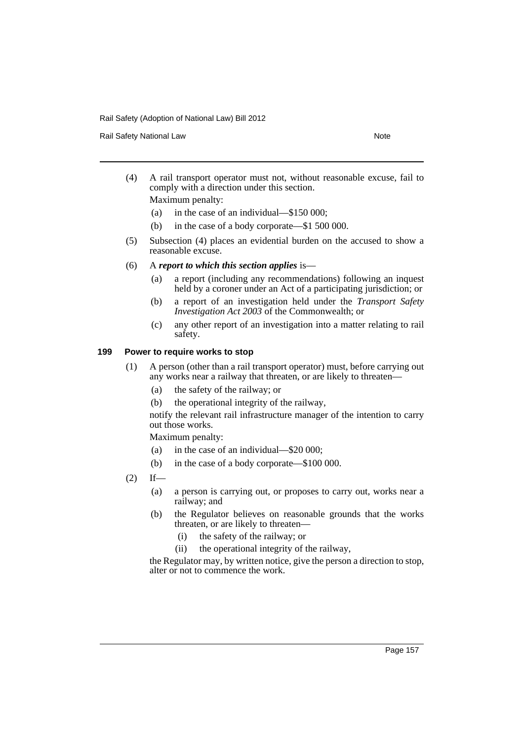Rail Safety National Law Note 30 and 200 and 200 and 200 and 200 and 200 and 200 and 200 and 200 and 200 and 20

(4) A rail transport operator must not, without reasonable excuse, fail to comply with a direction under this section.

Maximum penalty:

- (a) in the case of an individual—\$150 000;
- (b) in the case of a body corporate—\$1 500 000.
- (5) Subsection (4) places an evidential burden on the accused to show a reasonable excuse.
- (6) A *report to which this section applies* is—
	- (a) a report (including any recommendations) following an inquest held by a coroner under an Act of a participating jurisdiction; or
	- (b) a report of an investigation held under the *Transport Safety Investigation Act 2003* of the Commonwealth; or
	- (c) any other report of an investigation into a matter relating to rail safety.

# **199 Power to require works to stop**

- (1) A person (other than a rail transport operator) must, before carrying out any works near a railway that threaten, or are likely to threaten—
	- (a) the safety of the railway; or
	- (b) the operational integrity of the railway,

notify the relevant rail infrastructure manager of the intention to carry out those works.

Maximum penalty:

- (a) in the case of an individual—\$20 000;
- (b) in the case of a body corporate—\$100 000.
- $(2)$  If—
	- (a) a person is carrying out, or proposes to carry out, works near a railway; and
	- (b) the Regulator believes on reasonable grounds that the works threaten, or are likely to threaten—
		- (i) the safety of the railway; or
		- (ii) the operational integrity of the railway,

the Regulator may, by written notice, give the person a direction to stop, alter or not to commence the work.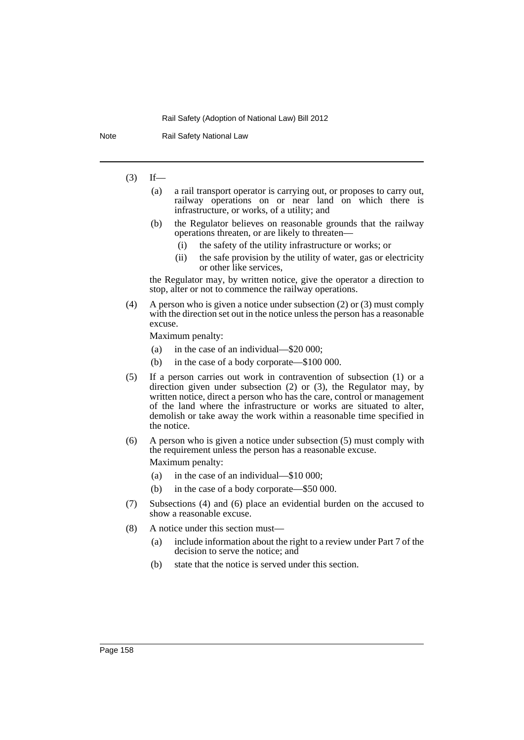Note Rail Safety National Law

# $(3)$  If—

- (a) a rail transport operator is carrying out, or proposes to carry out, railway operations on or near land on which there is infrastructure, or works, of a utility; and
- (b) the Regulator believes on reasonable grounds that the railway operations threaten, or are likely to threaten—
	- (i) the safety of the utility infrastructure or works; or
	- (ii) the safe provision by the utility of water, gas or electricity or other like services,

the Regulator may, by written notice, give the operator a direction to stop, alter or not to commence the railway operations.

(4) A person who is given a notice under subsection (2) or (3) must comply with the direction set out in the notice unless the person has a reasonable excuse.

Maximum penalty:

- (a) in the case of an individual—\$20 000;
- (b) in the case of a body corporate—\$100 000.
- (5) If a person carries out work in contravention of subsection (1) or a direction given under subsection (2) or (3), the Regulator may, by written notice, direct a person who has the care, control or management of the land where the infrastructure or works are situated to alter, demolish or take away the work within a reasonable time specified in the notice.
- (6) A person who is given a notice under subsection (5) must comply with the requirement unless the person has a reasonable excuse. Maximum penalty:
	- (a) in the case of an individual—\$10 000;
	- (b) in the case of a body corporate—\$50 000.
- (7) Subsections (4) and (6) place an evidential burden on the accused to show a reasonable excuse.
- (8) A notice under this section must—
	- (a) include information about the right to a review under Part 7 of the decision to serve the notice; and
	- (b) state that the notice is served under this section.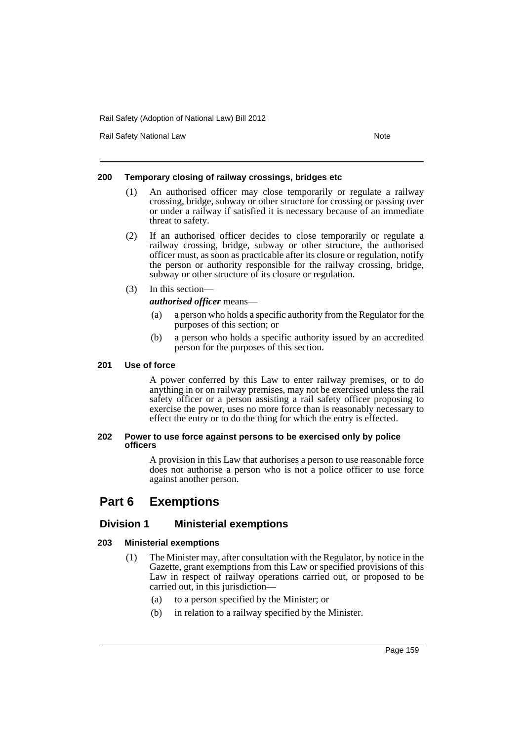Rail Safety National Law Note 2008 and 2009 and 2009 and 2009 and 2009 and 2009 and 2009 and 2009 and 2009 and 2009 and 2009 and 2009 and 2009 and 2009 and 2009 and 2009 and 2009 and 2009 and 2009 and 2009 and 2009 and 200

## **200 Temporary closing of railway crossings, bridges etc**

- (1) An authorised officer may close temporarily or regulate a railway crossing, bridge, subway or other structure for crossing or passing over or under a railway if satisfied it is necessary because of an immediate threat to safety.
- (2) If an authorised officer decides to close temporarily or regulate a railway crossing, bridge, subway or other structure, the authorised officer must, as soon as practicable after its closure or regulation, notify the person or authority responsible for the railway crossing, bridge, subway or other structure of its closure or regulation.
- (3) In this section—

*authorised officer* means—

- (a) a person who holds a specific authority from the Regulator for the purposes of this section; or
- (b) a person who holds a specific authority issued by an accredited person for the purposes of this section.

## **201 Use of force**

A power conferred by this Law to enter railway premises, or to do anything in or on railway premises, may not be exercised unless the rail safety officer or a person assisting a rail safety officer proposing to exercise the power, uses no more force than is reasonably necessary to effect the entry or to do the thing for which the entry is effected.

### **202 Power to use force against persons to be exercised only by police officers**

A provision in this Law that authorises a person to use reasonable force does not authorise a person who is not a police officer to use force against another person.

# **Part 6 Exemptions**

# **Division 1 Ministerial exemptions**

# **203 Ministerial exemptions**

- (1) The Minister may, after consultation with the Regulator, by notice in the Gazette, grant exemptions from this Law or specified provisions of this Law in respect of railway operations carried out, or proposed to be carried out, in this jurisdiction—
	- (a) to a person specified by the Minister; or
	- (b) in relation to a railway specified by the Minister.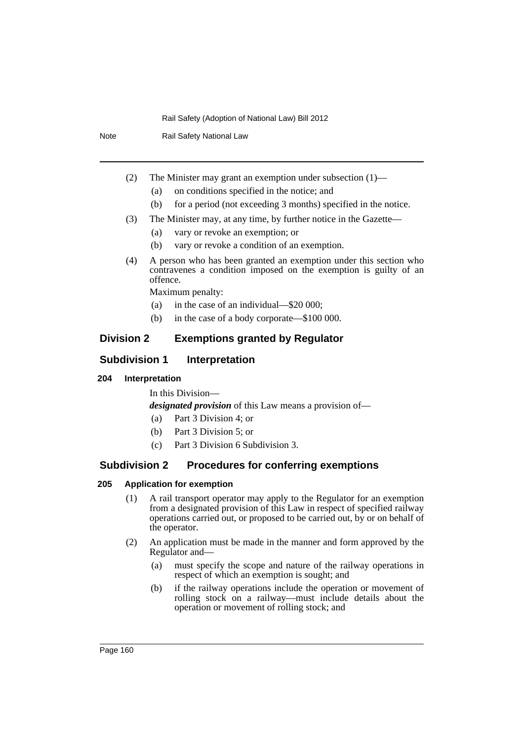Note Rail Safety National Law

- (2) The Minister may grant an exemption under subsection (1)—
	- (a) on conditions specified in the notice; and
	- (b) for a period (not exceeding 3 months) specified in the notice.
- (3) The Minister may, at any time, by further notice in the Gazette—
	- (a) vary or revoke an exemption; or
	- (b) vary or revoke a condition of an exemption.
- (4) A person who has been granted an exemption under this section who contravenes a condition imposed on the exemption is guilty of an offence.

Maximum penalty:

- (a) in the case of an individual—\$20 000;
- (b) in the case of a body corporate—\$100 000.

# **Division 2 Exemptions granted by Regulator**

## **Subdivision 1 Interpretation**

## **204 Interpretation**

In this Division—

*designated provision* of this Law means a provision of—

- (a) Part 3 Division 4; or
- (b) Part 3 Division 5; or
- (c) Part 3 Division 6 Subdivision 3.

# **Subdivision 2 Procedures for conferring exemptions**

## **205 Application for exemption**

- (1) A rail transport operator may apply to the Regulator for an exemption from a designated provision of this Law in respect of specified railway operations carried out, or proposed to be carried out, by or on behalf of the operator.
- (2) An application must be made in the manner and form approved by the Regulator and—
	- (a) must specify the scope and nature of the railway operations in respect of which an exemption is sought; and
	- (b) if the railway operations include the operation or movement of rolling stock on a railway—must include details about the operation or movement of rolling stock; and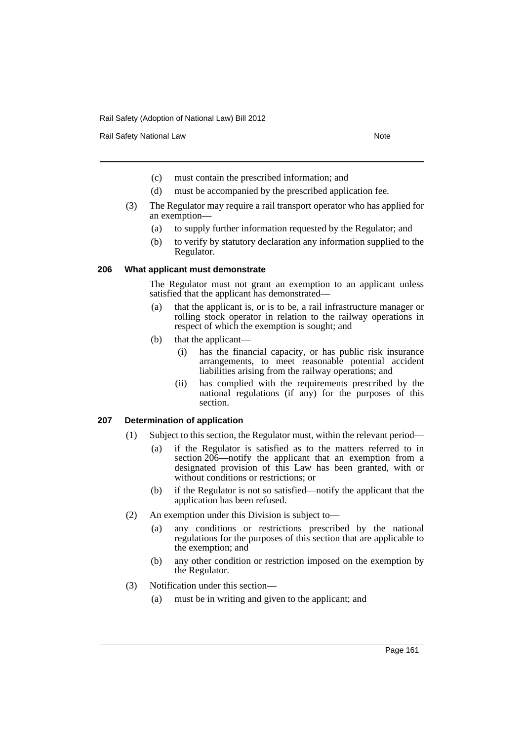Rail Safety National Law Note 2008 and 2009 and 2009 and 2009 and 2009 and 2009 and 2009 and 2009 and 2009 and 2009 and 2009 and 2009 and 2009 and 2009 and 2009 and 2009 and 2009 and 2009 and 2009 and 2009 and 2009 and 200

- (c) must contain the prescribed information; and
- (d) must be accompanied by the prescribed application fee.
- (3) The Regulator may require a rail transport operator who has applied for an exemption—
	- (a) to supply further information requested by the Regulator; and
	- (b) to verify by statutory declaration any information supplied to the Regulator.

### **206 What applicant must demonstrate**

The Regulator must not grant an exemption to an applicant unless satisfied that the applicant has demonstrated—

- (a) that the applicant is, or is to be, a rail infrastructure manager or rolling stock operator in relation to the railway operations in respect of which the exemption is sought; and
- (b) that the applicant—
	- (i) has the financial capacity, or has public risk insurance arrangements, to meet reasonable potential accident liabilities arising from the railway operations; and
	- (ii) has complied with the requirements prescribed by the national regulations (if any) for the purposes of this section.

## **207 Determination of application**

- (1) Subject to this section, the Regulator must, within the relevant period—
	- (a) if the Regulator is satisfied as to the matters referred to in section 206—notify the applicant that an exemption from a designated provision of this Law has been granted, with or without conditions or restrictions; or
	- (b) if the Regulator is not so satisfied—notify the applicant that the application has been refused.
- (2) An exemption under this Division is subject to—
	- (a) any conditions or restrictions prescribed by the national regulations for the purposes of this section that are applicable to the exemption; and
	- (b) any other condition or restriction imposed on the exemption by the Regulator.
- (3) Notification under this section—
	- (a) must be in writing and given to the applicant; and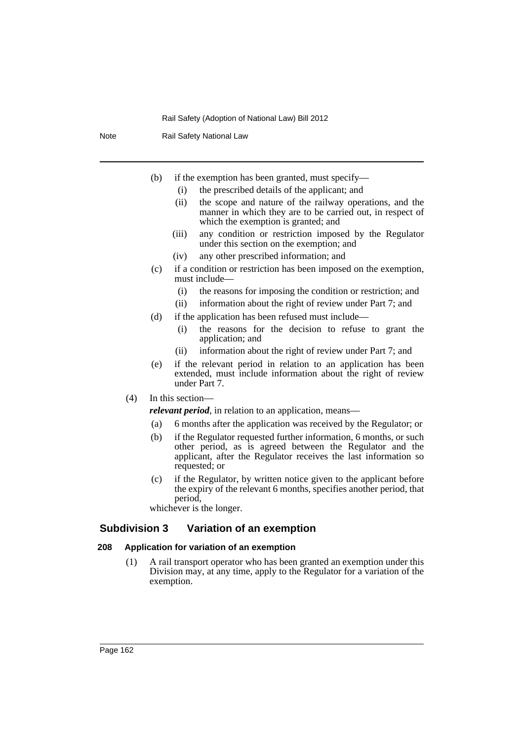Note Rail Safety National Law

- (b) if the exemption has been granted, must specify—
	- (i) the prescribed details of the applicant; and
	- (ii) the scope and nature of the railway operations, and the manner in which they are to be carried out, in respect of which the exemption is granted; and
	- (iii) any condition or restriction imposed by the Regulator under this section on the exemption; and
	- (iv) any other prescribed information; and
- (c) if a condition or restriction has been imposed on the exemption, must include—
	- (i) the reasons for imposing the condition or restriction; and
	- (ii) information about the right of review under Part 7; and
- (d) if the application has been refused must include—
	- (i) the reasons for the decision to refuse to grant the application; and
	- (ii) information about the right of review under Part 7; and
- (e) if the relevant period in relation to an application has been extended, must include information about the right of review under Part 7.
- (4) In this section—

*relevant period*, in relation to an application, means—

- (a) 6 months after the application was received by the Regulator; or
- (b) if the Regulator requested further information, 6 months, or such other period, as is agreed between the Regulator and the applicant, after the Regulator receives the last information so requested; or
- (c) if the Regulator, by written notice given to the applicant before the expiry of the relevant 6 months, specifies another period, that period,

whichever is the longer.

# **Subdivision 3 Variation of an exemption**

## **208 Application for variation of an exemption**

(1) A rail transport operator who has been granted an exemption under this Division may, at any time, apply to the Regulator for a variation of the exemption.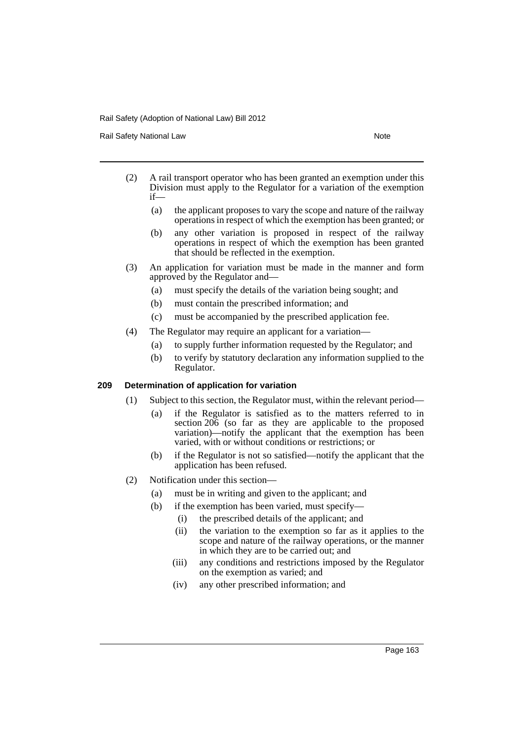Rail Safety National Law Note 2008 and 2009 and 2009 and 2009 and 2009 and 2009 and 2009 and 2009 and 2009 and 2009 and 2009 and 2009 and 2009 and 2009 and 2009 and 2009 and 2009 and 2009 and 2009 and 2009 and 2009 and 200

- (2) A rail transport operator who has been granted an exemption under this Division must apply to the Regulator for a variation of the exemption if—
	- (a) the applicant proposes to vary the scope and nature of the railway operations in respect of which the exemption has been granted; or
	- (b) any other variation is proposed in respect of the railway operations in respect of which the exemption has been granted that should be reflected in the exemption.
- (3) An application for variation must be made in the manner and form approved by the Regulator and—
	- (a) must specify the details of the variation being sought; and
	- (b) must contain the prescribed information; and
	- (c) must be accompanied by the prescribed application fee.
- (4) The Regulator may require an applicant for a variation—
	- (a) to supply further information requested by the Regulator; and
	- (b) to verify by statutory declaration any information supplied to the Regulator.

## **209 Determination of application for variation**

- (1) Subject to this section, the Regulator must, within the relevant period—
	- (a) if the Regulator is satisfied as to the matters referred to in section  $206$  (so far as they are applicable to the proposed variation)—notify the applicant that the exemption has been varied, with or without conditions or restrictions; or
	- (b) if the Regulator is not so satisfied—notify the applicant that the application has been refused.
- (2) Notification under this section—
	- (a) must be in writing and given to the applicant; and
	- (b) if the exemption has been varied, must specify—
		- (i) the prescribed details of the applicant; and
		- (ii) the variation to the exemption so far as it applies to the scope and nature of the railway operations, or the manner in which they are to be carried out; and
		- (iii) any conditions and restrictions imposed by the Regulator on the exemption as varied; and
		- (iv) any other prescribed information; and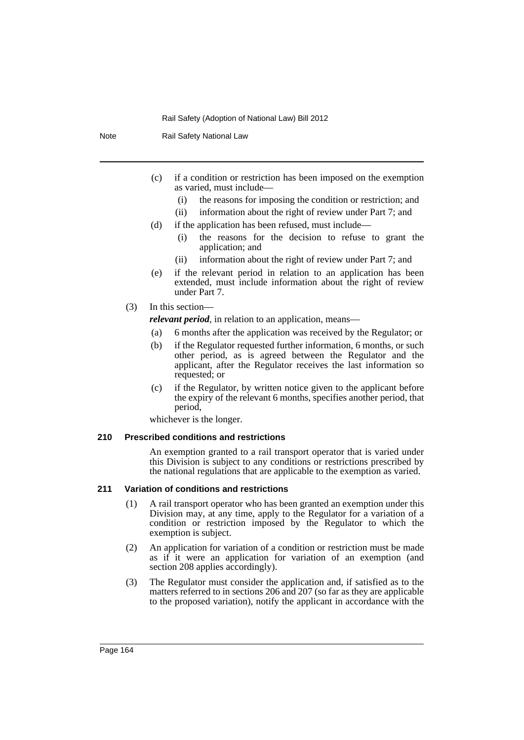Note Rail Safety National Law

- (c) if a condition or restriction has been imposed on the exemption as varied, must include—
	- (i) the reasons for imposing the condition or restriction; and
	- (ii) information about the right of review under Part 7; and
- (d) if the application has been refused, must include—
	- (i) the reasons for the decision to refuse to grant the application; and
	- (ii) information about the right of review under Part 7; and
- (e) if the relevant period in relation to an application has been extended, must include information about the right of review under Part 7.
- (3) In this section
	- *relevant period*, in relation to an application, means—
	- (a) 6 months after the application was received by the Regulator; or
	- (b) if the Regulator requested further information, 6 months, or such other period, as is agreed between the Regulator and the applicant, after the Regulator receives the last information so requested; or
	- (c) if the Regulator, by written notice given to the applicant before the expiry of the relevant 6 months, specifies another period, that period,

whichever is the longer.

## **210 Prescribed conditions and restrictions**

An exemption granted to a rail transport operator that is varied under this Division is subject to any conditions or restrictions prescribed by the national regulations that are applicable to the exemption as varied.

# **211 Variation of conditions and restrictions**

- (1) A rail transport operator who has been granted an exemption under this Division may, at any time, apply to the Regulator for a variation of a condition or restriction imposed by the Regulator to which the exemption is subject.
- (2) An application for variation of a condition or restriction must be made as if it were an application for variation of an exemption (and section 208 applies accordingly).
- (3) The Regulator must consider the application and, if satisfied as to the matters referred to in sections 206 and 207 (so far as they are applicable to the proposed variation), notify the applicant in accordance with the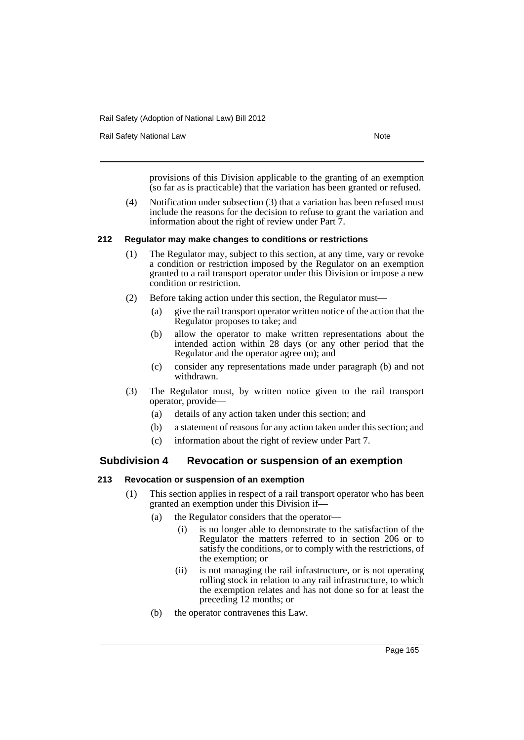Rail Safety National Law Note 2008 and 2009 and 2009 and 2009 and 2009 and 2009 and 2009 and 2009 and 2009 and 2009 and 2009 and 2009 and 2009 and 2009 and 2009 and 2009 and 2009 and 2009 and 2009 and 2009 and 2009 and 200

provisions of this Division applicable to the granting of an exemption (so far as is practicable) that the variation has been granted or refused.

(4) Notification under subsection (3) that a variation has been refused must include the reasons for the decision to refuse to grant the variation and information about the right of review under Part 7.

### **212 Regulator may make changes to conditions or restrictions**

- (1) The Regulator may, subject to this section, at any time, vary or revoke a condition or restriction imposed by the Regulator on an exemption granted to a rail transport operator under this Division or impose a new condition or restriction.
- (2) Before taking action under this section, the Regulator must—
	- (a) give the rail transport operator written notice of the action that the Regulator proposes to take; and
	- (b) allow the operator to make written representations about the intended action within 28 days (or any other period that the Regulator and the operator agree on); and
	- (c) consider any representations made under paragraph (b) and not withdrawn.
- (3) The Regulator must, by written notice given to the rail transport operator, provide—
	- (a) details of any action taken under this section; and
	- (b) a statement of reasons for any action taken under this section; and
	- (c) information about the right of review under Part 7.

# **Subdivision 4 Revocation or suspension of an exemption**

### **213 Revocation or suspension of an exemption**

- (1) This section applies in respect of a rail transport operator who has been granted an exemption under this Division if—
	- (a) the Regulator considers that the operator—
		- (i) is no longer able to demonstrate to the satisfaction of the Regulator the matters referred to in section 206 or to satisfy the conditions, or to comply with the restrictions, of the exemption; or
		- (ii) is not managing the rail infrastructure, or is not operating rolling stock in relation to any rail infrastructure, to which the exemption relates and has not done so for at least the preceding 12 months; or
	- (b) the operator contravenes this Law.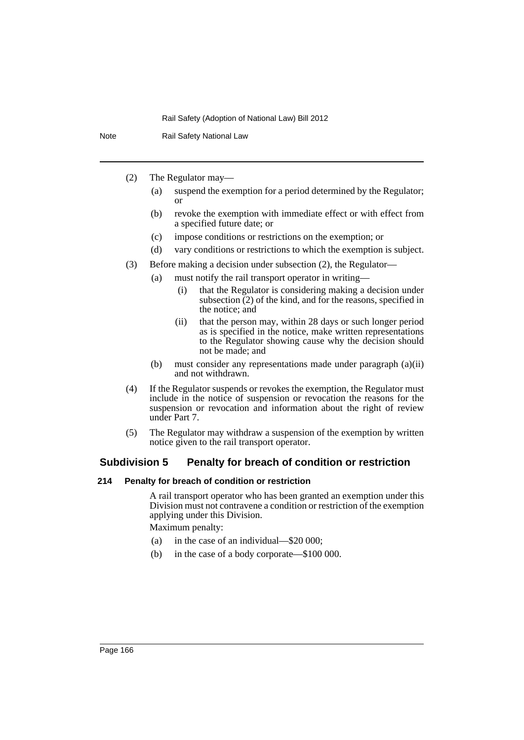Note Rail Safety National Law

- (2) The Regulator may—
	- (a) suspend the exemption for a period determined by the Regulator; or
	- (b) revoke the exemption with immediate effect or with effect from a specified future date; or
	- (c) impose conditions or restrictions on the exemption; or
	- (d) vary conditions or restrictions to which the exemption is subject.
- (3) Before making a decision under subsection (2), the Regulator—
	- (a) must notify the rail transport operator in writing—
		- (i) that the Regulator is considering making a decision under subsection  $(2)$  of the kind, and for the reasons, specified in the notice; and
		- (ii) that the person may, within 28 days or such longer period as is specified in the notice, make written representations to the Regulator showing cause why the decision should not be made; and
		- (b) must consider any representations made under paragraph (a)(ii) and not withdrawn.
- (4) If the Regulator suspends or revokes the exemption, the Regulator must include in the notice of suspension or revocation the reasons for the suspension or revocation and information about the right of review under Part 7.
- (5) The Regulator may withdraw a suspension of the exemption by written notice given to the rail transport operator.

# **Subdivision 5 Penalty for breach of condition or restriction**

## **214 Penalty for breach of condition or restriction**

A rail transport operator who has been granted an exemption under this Division must not contravene a condition or restriction of the exemption applying under this Division.

Maximum penalty:

- (a) in the case of an individual—\$20 000;
- (b) in the case of a body corporate—\$100 000.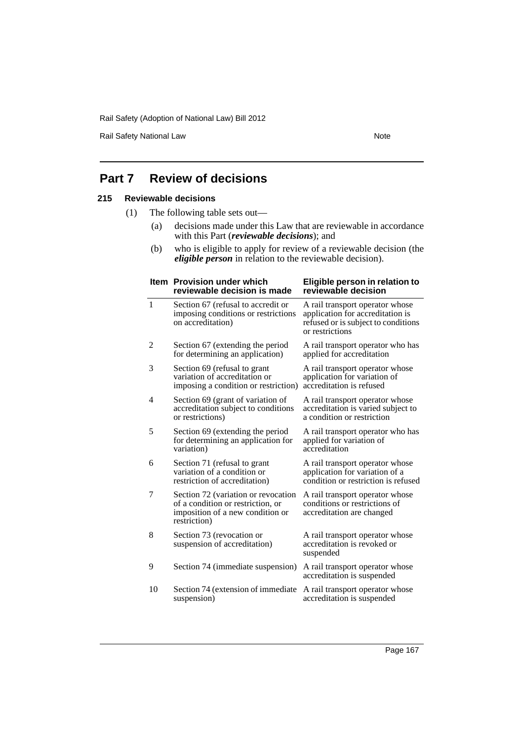Rail Safety National Law Note

# **Part 7 Review of decisions**

# **215 Reviewable decisions**

- (1) The following table sets out—
	- (a) decisions made under this Law that are reviewable in accordance with this Part (*reviewable decisions*); and
	- (b) who is eligible to apply for review of a reviewable decision (the *eligible person* in relation to the reviewable decision).

|              | Item Provision under which<br>reviewable decision is made                                                                    | Eligible person in relation to<br>reviewable decision                                                                         |
|--------------|------------------------------------------------------------------------------------------------------------------------------|-------------------------------------------------------------------------------------------------------------------------------|
| $\mathbf{1}$ | Section 67 (refusal to accredit or<br>imposing conditions or restrictions<br>on accreditation)                               | A rail transport operator whose<br>application for accreditation is<br>refused or is subject to conditions<br>or restrictions |
| 2            | Section 67 (extending the period<br>for determining an application)                                                          | A rail transport operator who has<br>applied for accreditation                                                                |
| 3            | Section 69 (refusal to grant<br>variation of accreditation or<br>imposing a condition or restriction)                        | A rail transport operator whose<br>application for variation of<br>accreditation is refused                                   |
| 4            | Section 69 (grant of variation of<br>accreditation subject to conditions<br>or restrictions)                                 | A rail transport operator whose<br>accreditation is varied subject to<br>a condition or restriction                           |
| 5            | Section 69 (extending the period<br>for determining an application for<br>variation)                                         | A rail transport operator who has<br>applied for variation of<br>accreditation                                                |
| 6            | Section 71 (refusal to grant<br>variation of a condition or<br>restriction of accreditation)                                 | A rail transport operator whose<br>application for variation of a<br>condition or restriction is refused                      |
| 7            | Section 72 (variation or revocation<br>of a condition or restriction, or<br>imposition of a new condition or<br>restriction) | A rail transport operator whose<br>conditions or restrictions of<br>accreditation are changed                                 |
| 8            | Section 73 (revocation or<br>suspension of accreditation)                                                                    | A rail transport operator whose<br>accreditation is revoked or<br>suspended                                                   |
| 9            | Section 74 (immediate suspension)                                                                                            | A rail transport operator whose<br>accreditation is suspended                                                                 |
| 10           | Section 74 (extension of immediate<br>suspension)                                                                            | A rail transport operator whose<br>accreditation is suspended                                                                 |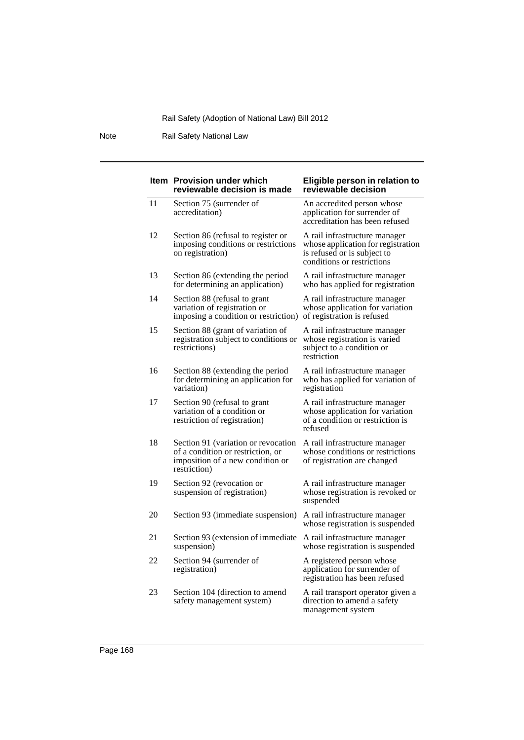Note Rail Safety National Law

|    | <b>Item</b> Provision under which<br>reviewable decision is made                                                             | Eligible person in relation to<br>reviewable decision                                                                            |
|----|------------------------------------------------------------------------------------------------------------------------------|----------------------------------------------------------------------------------------------------------------------------------|
| 11 | Section 75 (surrender of<br>accreditation)                                                                                   | An accredited person whose<br>application for surrender of<br>accreditation has been refused                                     |
| 12 | Section 86 (refusal to register or<br>imposing conditions or restrictions<br>on registration)                                | A rail infrastructure manager<br>whose application for registration<br>is refused or is subject to<br>conditions or restrictions |
| 13 | Section 86 (extending the period<br>for determining an application)                                                          | A rail infrastructure manager<br>who has applied for registration                                                                |
| 14 | Section 88 (refusal to grant<br>variation of registration or<br>imposing a condition or restriction)                         | A rail infrastructure manager<br>whose application for variation<br>of registration is refused                                   |
| 15 | Section 88 (grant of variation of<br>registration subject to conditions or<br>restrictions)                                  | A rail infrastructure manager<br>whose registration is varied<br>subject to a condition or<br>restriction                        |
| 16 | Section 88 (extending the period<br>for determining an application for<br>variation)                                         | A rail infrastructure manager<br>who has applied for variation of<br>registration                                                |
| 17 | Section 90 (refusal to grant<br>variation of a condition or<br>restriction of registration)                                  | A rail infrastructure manager<br>whose application for variation<br>of a condition or restriction is<br>refused                  |
| 18 | Section 91 (variation or revocation<br>of a condition or restriction, or<br>imposition of a new condition or<br>restriction) | A rail infrastructure manager<br>whose conditions or restrictions<br>of registration are changed                                 |
| 19 | Section 92 (revocation or<br>suspension of registration)                                                                     | A rail infrastructure manager<br>whose registration is revoked or<br>suspended                                                   |
| 20 | Section 93 (immediate suspension)                                                                                            | A rail infrastructure manager<br>whose registration is suspended                                                                 |
| 21 | Section 93 (extension of immediate<br>suspension)                                                                            | A rail infrastructure manager<br>whose registration is suspended                                                                 |
| 22 | Section 94 (surrender of<br>registration)                                                                                    | A registered person whose<br>application for surrender of<br>registration has been refused                                       |
| 23 | Section 104 (direction to amend<br>safety management system)                                                                 | A rail transport operator given a<br>direction to amend a safety<br>management system                                            |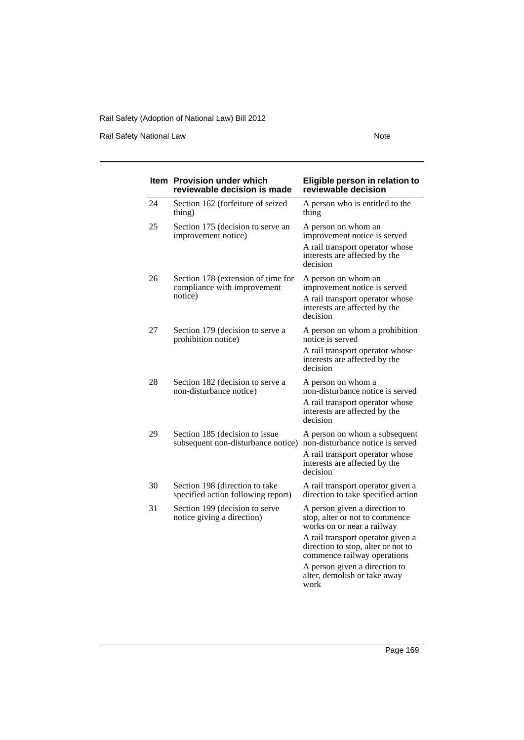Rail Safety National Law Note

|    | Item Provision under which<br>reviewable decision is made                    | Eligible person in relation to<br>reviewable decision                                                                                             |
|----|------------------------------------------------------------------------------|---------------------------------------------------------------------------------------------------------------------------------------------------|
| 24 | Section 162 (forfeiture of seized<br>thing)                                  | A person who is entitled to the<br>thing                                                                                                          |
| 25 | Section 175 (decision to serve an<br>improvement notice)                     | A person on whom an<br>improvement notice is served<br>A rail transport operator whose<br>interests are affected by the<br>decision               |
| 26 | Section 178 (extension of time for<br>compliance with improvement<br>notice) | A person on whom an<br>improvement notice is served<br>A rail transport operator whose<br>interests are affected by the<br>decision               |
| 27 | Section 179 (decision to serve a<br>prohibition notice)                      | A person on whom a prohibition<br>notice is served                                                                                                |
|    |                                                                              | A rail transport operator whose<br>interests are affected by the<br>decision                                                                      |
| 28 | Section 182 (decision to serve a<br>non-disturbance notice)                  | A person on whom a<br>non-disturbance notice is served<br>A rail transport operator whose<br>interests are affected by the<br>decision            |
| 29 | Section 185 (decision to issue<br>subsequent non-disturbance notice)         | A person on whom a subsequent<br>non-disturbance notice is served<br>A rail transport operator whose<br>interests are affected by the<br>decision |
| 30 | Section 198 (direction to take<br>specified action following report)         | A rail transport operator given a<br>direction to take specified action                                                                           |
| 31 | Section 199 (decision to serve<br>notice giving a direction)                 | A person given a direction to<br>stop, alter or not to commence<br>works on or near a railway                                                     |
|    |                                                                              | A rail transport operator given a<br>direction to stop, alter or not to<br>commence railway operations                                            |
|    |                                                                              | A person given a direction to<br>alter, demolish or take away<br>work                                                                             |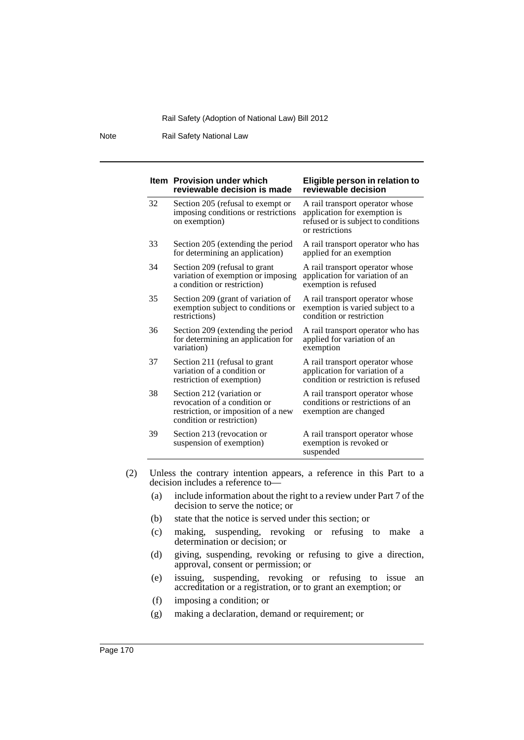Note Rail Safety National Law

|    | <b>Item</b> Provision under which<br>reviewable decision is made                                                              | Eligible person in relation to<br>reviewable decision                                                                     |
|----|-------------------------------------------------------------------------------------------------------------------------------|---------------------------------------------------------------------------------------------------------------------------|
| 32 | Section 205 (refusal to exempt or<br>imposing conditions or restrictions<br>on exemption)                                     | A rail transport operator whose<br>application for exemption is<br>refused or is subject to conditions<br>or restrictions |
| 33 | Section 205 (extending the period<br>for determining an application)                                                          | A rail transport operator who has<br>applied for an exemption                                                             |
| 34 | Section 209 (refusal to grant<br>variation of exemption or imposing<br>a condition or restriction)                            | A rail transport operator whose<br>application for variation of an<br>exemption is refused                                |
| 35 | Section 209 (grant of variation of<br>exemption subject to conditions or<br>restrictions)                                     | A rail transport operator whose<br>exemption is varied subject to a<br>condition or restriction                           |
| 36 | Section 209 (extending the period<br>for determining an application for<br>variation)                                         | A rail transport operator who has<br>applied for variation of an<br>exemption                                             |
| 37 | Section 211 (refusal to grant<br>variation of a condition or<br>restriction of exemption)                                     | A rail transport operator whose<br>application for variation of a<br>condition or restriction is refused                  |
| 38 | Section 212 (variation or<br>revocation of a condition or<br>restriction, or imposition of a new<br>condition or restriction) | A rail transport operator whose<br>conditions or restrictions of an<br>exemption are changed                              |
| 39 | Section 213 (revocation or<br>suspension of exemption)                                                                        | A rail transport operator whose<br>exemption is revoked or<br>suspended                                                   |

(2) Unless the contrary intention appears, a reference in this Part to a decision includes a reference to—

- (a) include information about the right to a review under Part 7 of the decision to serve the notice; or
- (b) state that the notice is served under this section; or
- (c) making, suspending, revoking or refusing to make a determination or decision; or
- (d) giving, suspending, revoking or refusing to give a direction, approval, consent or permission; or
- (e) issuing, suspending, revoking or refusing to issue an accreditation or a registration, or to grant an exemption; or
- (f) imposing a condition; or
- (g) making a declaration, demand or requirement; or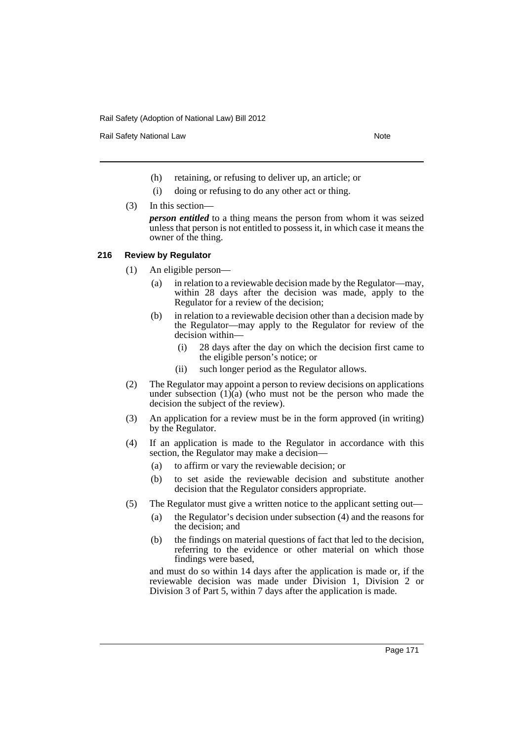Rail Safety National Law Note 2008 and 2009 and 2009 and 2009 and 2009 and 2009 and 2009 and 2009 and 2009 and 2009 and 2009 and 2009 and 2009 and 2009 and 2009 and 2009 and 2009 and 2009 and 2009 and 2009 and 2009 and 200

- (h) retaining, or refusing to deliver up, an article; or
- (i) doing or refusing to do any other act or thing.
- (3) In this section—

*person entitled* to a thing means the person from whom it was seized unless that person is not entitled to possess it, in which case it means the owner of the thing.

# **216 Review by Regulator**

- (1) An eligible person—
	- (a) in relation to a reviewable decision made by the Regulator—may, within 28 days after the decision was made, apply to the Regulator for a review of the decision;
	- (b) in relation to a reviewable decision other than a decision made by the Regulator—may apply to the Regulator for review of the decision within—
		- (i) 28 days after the day on which the decision first came to the eligible person's notice; or
		- (ii) such longer period as the Regulator allows.
- (2) The Regulator may appoint a person to review decisions on applications under subsection  $(1)(a)$  (who must not be the person who made the decision the subject of the review).
- (3) An application for a review must be in the form approved (in writing) by the Regulator.
- (4) If an application is made to the Regulator in accordance with this section, the Regulator may make a decision—
	- (a) to affirm or vary the reviewable decision; or
	- (b) to set aside the reviewable decision and substitute another decision that the Regulator considers appropriate.
- (5) The Regulator must give a written notice to the applicant setting out—
	- (a) the Regulator's decision under subsection (4) and the reasons for the decision; and
	- (b) the findings on material questions of fact that led to the decision, referring to the evidence or other material on which those findings were based,

and must do so within 14 days after the application is made or, if the reviewable decision was made under Division 1, Division 2 or Division 3 of Part 5, within 7 days after the application is made.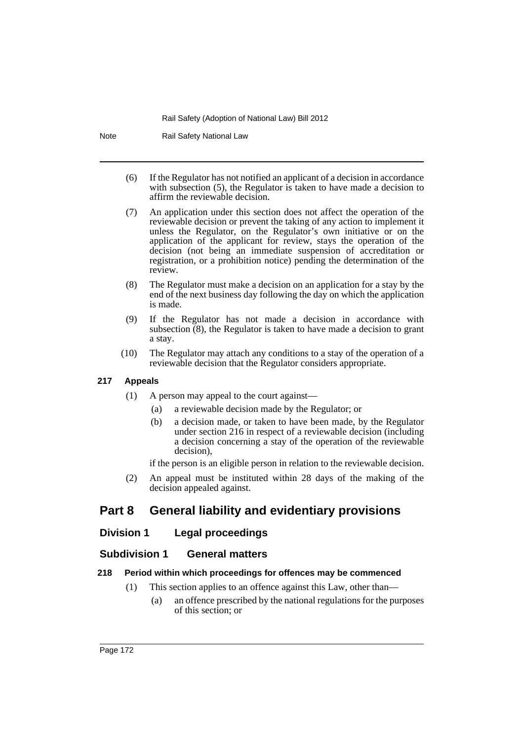Note Rail Safety National Law

- (6) If the Regulator has not notified an applicant of a decision in accordance with subsection (5), the Regulator is taken to have made a decision to affirm the reviewable decision.
- (7) An application under this section does not affect the operation of the reviewable decision or prevent the taking of any action to implement it unless the Regulator, on the Regulator's own initiative or on the application of the applicant for review, stays the operation of the decision (not being an immediate suspension of accreditation or registration, or a prohibition notice) pending the determination of the review.
- (8) The Regulator must make a decision on an application for a stay by the end of the next business day following the day on which the application is made.
- (9) If the Regulator has not made a decision in accordance with subsection  $(8)$ , the Regulator is taken to have made a decision to grant a stay.
- (10) The Regulator may attach any conditions to a stay of the operation of a reviewable decision that the Regulator considers appropriate.

# **217 Appeals**

- (1) A person may appeal to the court against—
	- (a) a reviewable decision made by the Regulator; or
	- (b) a decision made, or taken to have been made, by the Regulator under section 216 in respect of a reviewable decision (including a decision concerning a stay of the operation of the reviewable decision),

if the person is an eligible person in relation to the reviewable decision.

(2) An appeal must be instituted within 28 days of the making of the decision appealed against.

# **Part 8 General liability and evidentiary provisions**

# **Division 1 Legal proceedings**

# **Subdivision 1 General matters**

# **218 Period within which proceedings for offences may be commenced**

- (1) This section applies to an offence against this Law, other than—
	- (a) an offence prescribed by the national regulations for the purposes of this section; or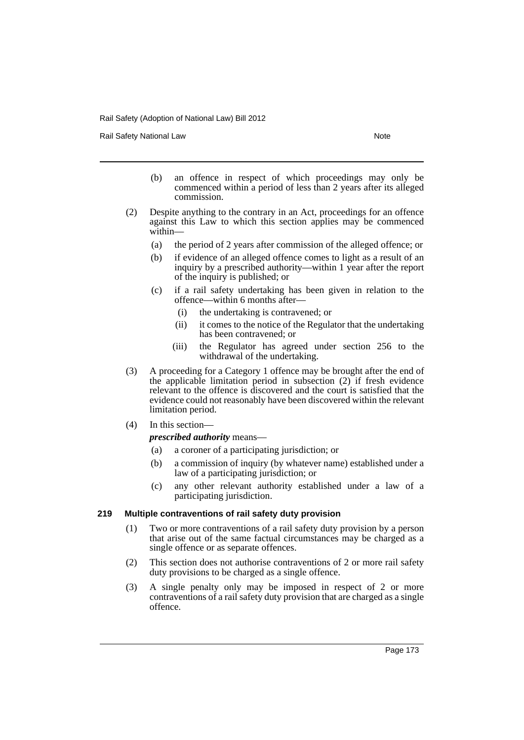Rail Safety National Law Note 2008 and 2009 and 2009 and 2009 and 2009 and 2009 and 2009 and 2009 and 2009 and 2009 and 2009 and 2009 and 2009 and 2009 and 2009 and 2009 and 2009 and 2009 and 2009 and 2009 and 2009 and 200

- (b) an offence in respect of which proceedings may only be commenced within a period of less than 2 years after its alleged commission.
- (2) Despite anything to the contrary in an Act, proceedings for an offence against this Law to which this section applies may be commenced within—
	- (a) the period of 2 years after commission of the alleged offence; or
	- (b) if evidence of an alleged offence comes to light as a result of an inquiry by a prescribed authority—within 1 year after the report of the inquiry is published; or
	- (c) if a rail safety undertaking has been given in relation to the offence—within 6 months after—
		- (i) the undertaking is contravened; or
		- (ii) it comes to the notice of the Regulator that the undertaking has been contravened; or
		- (iii) the Regulator has agreed under section 256 to the withdrawal of the undertaking.
- (3) A proceeding for a Category 1 offence may be brought after the end of the applicable limitation period in subsection (2) if fresh evidence relevant to the offence is discovered and the court is satisfied that the evidence could not reasonably have been discovered within the relevant limitation period.
- (4) In this section—

## *prescribed authority* means—

- (a) a coroner of a participating jurisdiction; or
- (b) a commission of inquiry (by whatever name) established under a law of a participating jurisdiction; or
- (c) any other relevant authority established under a law of a participating jurisdiction.

## **219 Multiple contraventions of rail safety duty provision**

- (1) Two or more contraventions of a rail safety duty provision by a person that arise out of the same factual circumstances may be charged as a single offence or as separate offences.
- (2) This section does not authorise contraventions of 2 or more rail safety duty provisions to be charged as a single offence.
- (3) A single penalty only may be imposed in respect of 2 or more contraventions of a rail safety duty provision that are charged as a single offence.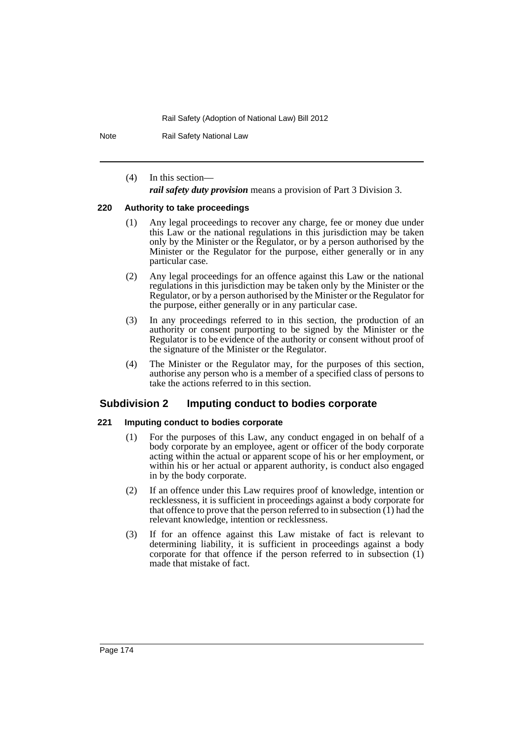Note Rail Safety National Law

(4) In this section—

*rail safety duty provision* means a provision of Part 3 Division 3.

### **220 Authority to take proceedings**

- (1) Any legal proceedings to recover any charge, fee or money due under this Law or the national regulations in this jurisdiction may be taken only by the Minister or the Regulator, or by a person authorised by the Minister or the Regulator for the purpose, either generally or in any particular case.
- (2) Any legal proceedings for an offence against this Law or the national regulations in this jurisdiction may be taken only by the Minister or the Regulator, or by a person authorised by the Minister or the Regulator for the purpose, either generally or in any particular case.
- (3) In any proceedings referred to in this section, the production of an authority or consent purporting to be signed by the Minister or the Regulator is to be evidence of the authority or consent without proof of the signature of the Minister or the Regulator.
- (4) The Minister or the Regulator may, for the purposes of this section, authorise any person who is a member of a specified class of persons to take the actions referred to in this section.

# **Subdivision 2 Imputing conduct to bodies corporate**

## **221 Imputing conduct to bodies corporate**

- (1) For the purposes of this Law, any conduct engaged in on behalf of a body corporate by an employee, agent or officer of the body corporate acting within the actual or apparent scope of his or her employment, or within his or her actual or apparent authority, is conduct also engaged in by the body corporate.
- (2) If an offence under this Law requires proof of knowledge, intention or recklessness, it is sufficient in proceedings against a body corporate for that offence to prove that the person referred to in subsection  $(1)$  had the relevant knowledge, intention or recklessness.
- (3) If for an offence against this Law mistake of fact is relevant to determining liability, it is sufficient in proceedings against a body corporate for that offence if the person referred to in subsection (1) made that mistake of fact.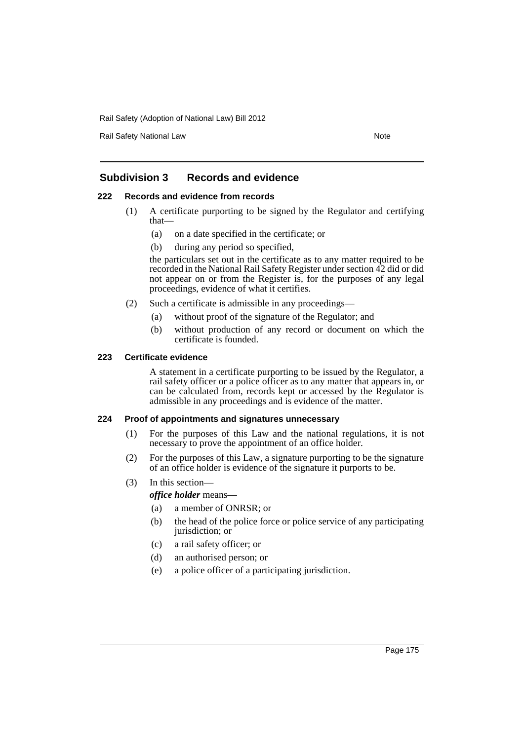Rail Safety National Law Note 2008 and 2009 and 2009 and 2009 and 2009 and 2009 and 2009 and 2009 and 2009 and 2009 and 2009 and 2009 and 2009 and 2009 and 2009 and 2009 and 2009 and 2009 and 2009 and 2009 and 2009 and 200

# **Subdivision 3 Records and evidence**

## **222 Records and evidence from records**

- (1) A certificate purporting to be signed by the Regulator and certifying that—
	- (a) on a date specified in the certificate; or
	- (b) during any period so specified,

the particulars set out in the certificate as to any matter required to be recorded in the National Rail Safety Register under section 42 did or did not appear on or from the Register is, for the purposes of any legal proceedings, evidence of what it certifies.

- (2) Such a certificate is admissible in any proceedings—
	- (a) without proof of the signature of the Regulator; and
	- (b) without production of any record or document on which the certificate is founded.

### **223 Certificate evidence**

A statement in a certificate purporting to be issued by the Regulator, a rail safety officer or a police officer as to any matter that appears in, or can be calculated from, records kept or accessed by the Regulator is admissible in any proceedings and is evidence of the matter.

## **224 Proof of appointments and signatures unnecessary**

- (1) For the purposes of this Law and the national regulations, it is not necessary to prove the appointment of an office holder.
- (2) For the purposes of this Law, a signature purporting to be the signature of an office holder is evidence of the signature it purports to be.
- (3) In this section—

*office holder* means—

- (a) a member of ONRSR; or
- (b) the head of the police force or police service of any participating jurisdiction; or
- (c) a rail safety officer; or
- (d) an authorised person; or
- (e) a police officer of a participating jurisdiction.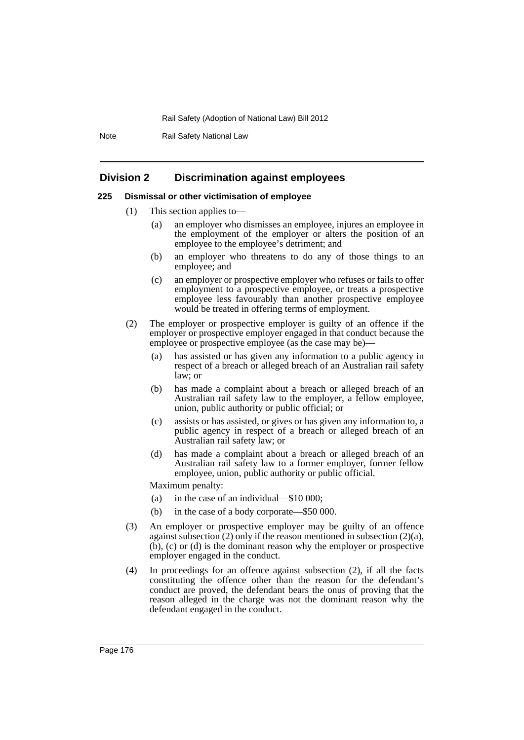Note Rail Safety National Law

# **Division 2 Discrimination against employees**

## **225 Dismissal or other victimisation of employee**

- (1) This section applies to—
	- (a) an employer who dismisses an employee, injures an employee in the employment of the employer or alters the position of an employee to the employee's detriment; and
	- (b) an employer who threatens to do any of those things to an employee; and
	- (c) an employer or prospective employer who refuses or fails to offer employment to a prospective employee, or treats a prospective employee less favourably than another prospective employee would be treated in offering terms of employment.
- (2) The employer or prospective employer is guilty of an offence if the employer or prospective employer engaged in that conduct because the employee or prospective employee (as the case may be)–
	- (a) has assisted or has given any information to a public agency in respect of a breach or alleged breach of an Australian rail safety law; or
	- (b) has made a complaint about a breach or alleged breach of an Australian rail safety law to the employer, a fellow employee, union, public authority or public official; or
	- (c) assists or has assisted, or gives or has given any information to, a public agency in respect of a breach or alleged breach of an Australian rail safety law; or
	- (d) has made a complaint about a breach or alleged breach of an Australian rail safety law to a former employer, former fellow employee, union, public authority or public official.

Maximum penalty:

- (a) in the case of an individual—\$10 000;
- (b) in the case of a body corporate—\$50 000.
- (3) An employer or prospective employer may be guilty of an offence against subsection (2) only if the reason mentioned in subsection (2)(a), (b), (c) or (d) is the dominant reason why the employer or prospective employer engaged in the conduct.
- (4) In proceedings for an offence against subsection (2), if all the facts constituting the offence other than the reason for the defendant's conduct are proved, the defendant bears the onus of proving that the reason alleged in the charge was not the dominant reason why the defendant engaged in the conduct.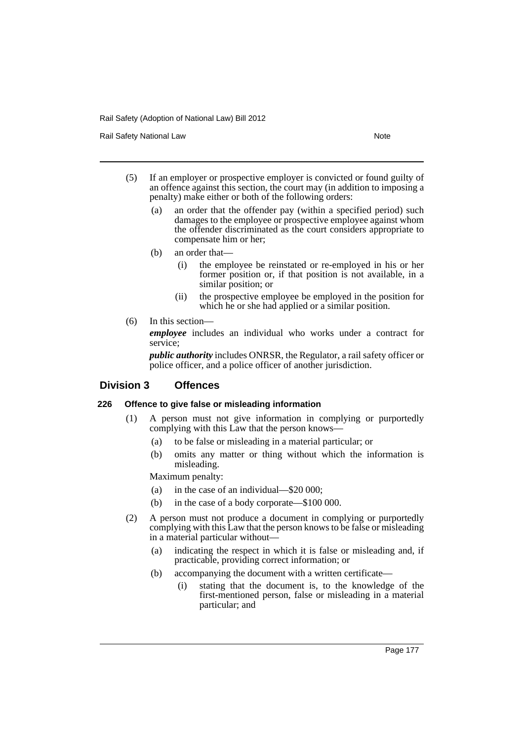Rail Safety National Law Note 2008 and 2009 and 2009 and 2009 and 2009 and 2009 and 2009 and 2009 and 2009 and 2009 and 2009 and 2009 and 2009 and 2009 and 2009 and 2009 and 2009 and 2009 and 2009 and 2009 and 2009 and 200

- (5) If an employer or prospective employer is convicted or found guilty of an offence against this section, the court may (in addition to imposing a penalty) make either or both of the following orders:
	- (a) an order that the offender pay (within a specified period) such damages to the employee or prospective employee against whom the offender discriminated as the court considers appropriate to compensate him or her;
	- (b) an order that—
		- (i) the employee be reinstated or re-employed in his or her former position or, if that position is not available, in a similar position; or
		- (ii) the prospective employee be employed in the position for which he or she had applied or a similar position.
- (6) In this section—

*employee* includes an individual who works under a contract for service;

*public authority* includes ONRSR, the Regulator, a rail safety officer or police officer, and a police officer of another jurisdiction.

## **Division 3 Offences**

### **226 Offence to give false or misleading information**

- (1) A person must not give information in complying or purportedly complying with this Law that the person knows—
	- (a) to be false or misleading in a material particular; or
	- (b) omits any matter or thing without which the information is misleading.

Maximum penalty:

- (a) in the case of an individual—\$20 000;
- (b) in the case of a body corporate—\$100 000.
- (2) A person must not produce a document in complying or purportedly complying with this Law that the person knows to be false or misleading in a material particular without—
	- (a) indicating the respect in which it is false or misleading and, if practicable, providing correct information; or
	- (b) accompanying the document with a written certificate—
		- (i) stating that the document is, to the knowledge of the first-mentioned person, false or misleading in a material particular; and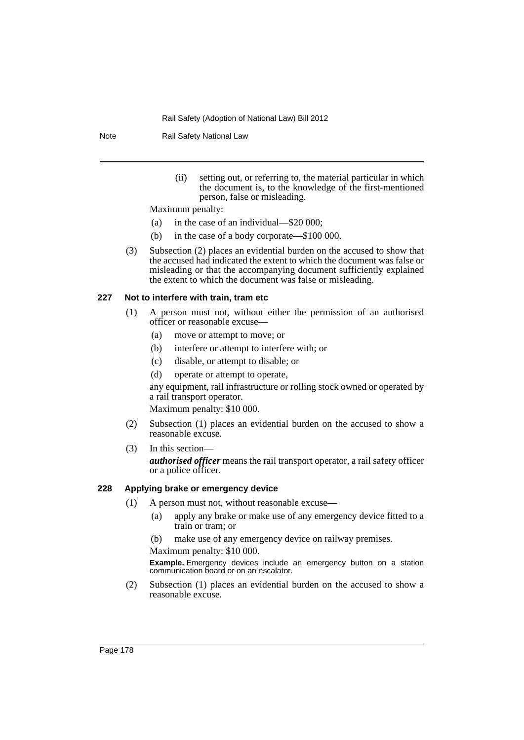Note Rail Safety National Law

(ii) setting out, or referring to, the material particular in which the document is, to the knowledge of the first-mentioned person, false or misleading.

Maximum penalty:

- (a) in the case of an individual—\$20 000;
- (b) in the case of a body corporate—\$100 000.
- (3) Subsection (2) places an evidential burden on the accused to show that the accused had indicated the extent to which the document was false or misleading or that the accompanying document sufficiently explained the extent to which the document was false or misleading.

### **227 Not to interfere with train, tram etc**

- (1) A person must not, without either the permission of an authorised officer or reasonable excuse—
	- (a) move or attempt to move; or
	- (b) interfere or attempt to interfere with; or
	- (c) disable, or attempt to disable; or
	- (d) operate or attempt to operate,

any equipment, rail infrastructure or rolling stock owned or operated by a rail transport operator.

Maximum penalty: \$10 000.

- (2) Subsection (1) places an evidential burden on the accused to show a reasonable excuse.
- (3) In this section—

*authorised officer* means the rail transport operator, a rail safety officer or a police officer.

## **228 Applying brake or emergency device**

- (1) A person must not, without reasonable excuse—
	- (a) apply any brake or make use of any emergency device fitted to a train or tram; or

(b) make use of any emergency device on railway premises.

Maximum penalty: \$10 000.

**Example.** Emergency devices include an emergency button on a station communication board or on an escalator.

(2) Subsection (1) places an evidential burden on the accused to show a reasonable excuse.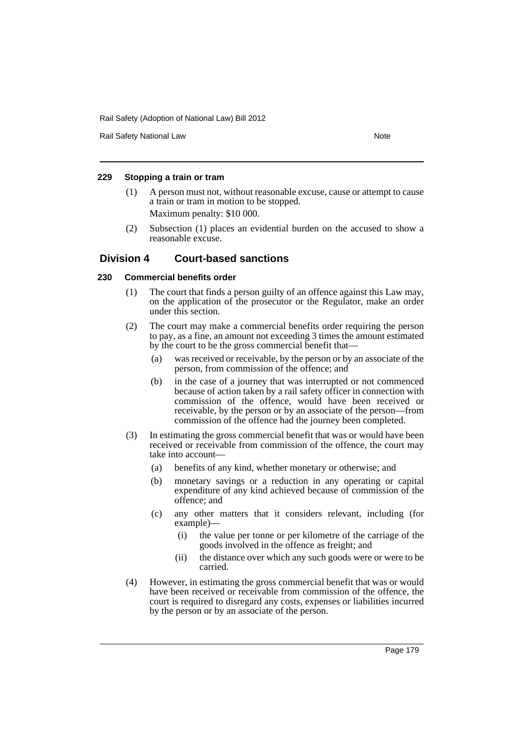Rail Safety National Law Note 2008 and 2009 and 2009 and 2009 and 2009 and 2009 and 2009 and 2009 and 2009 and 2009 and 2009 and 2009 and 2009 and 2009 and 2009 and 2009 and 2009 and 2009 and 2009 and 2009 and 2009 and 200

# **229 Stopping a train or tram**

- (1) A person must not, without reasonable excuse, cause or attempt to cause a train or tram in motion to be stopped. Maximum penalty: \$10 000.
- (2) Subsection (1) places an evidential burden on the accused to show a reasonable excuse.

# **Division 4 Court-based sanctions**

# **230 Commercial benefits order**

- (1) The court that finds a person guilty of an offence against this Law may, on the application of the prosecutor or the Regulator, make an order under this section.
- (2) The court may make a commercial benefits order requiring the person to pay, as a fine, an amount not exceeding 3 times the amount estimated by the court to be the gross commercial benefit that—
	- (a) was received or receivable, by the person or by an associate of the person, from commission of the offence; and
	- (b) in the case of a journey that was interrupted or not commenced because of action taken by a rail safety officer in connection with commission of the offence, would have been received or receivable, by the person or by an associate of the person—from commission of the offence had the journey been completed.
- (3) In estimating the gross commercial benefit that was or would have been received or receivable from commission of the offence, the court may take into account—
	- (a) benefits of any kind, whether monetary or otherwise; and
	- (b) monetary savings or a reduction in any operating or capital expenditure of any kind achieved because of commission of the offence; and
	- (c) any other matters that it considers relevant, including (for example)—
		- (i) the value per tonne or per kilometre of the carriage of the goods involved in the offence as freight; and
		- (ii) the distance over which any such goods were or were to be carried.
- (4) However, in estimating the gross commercial benefit that was or would have been received or receivable from commission of the offence, the court is required to disregard any costs, expenses or liabilities incurred by the person or by an associate of the person.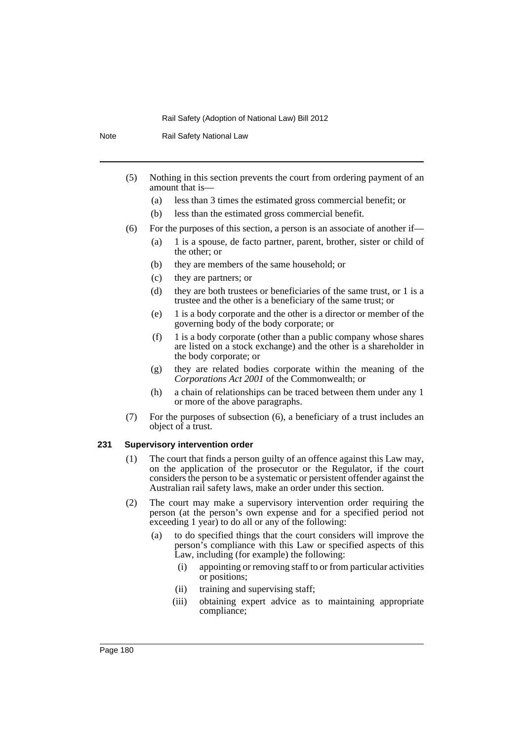Note Rail Safety National Law

- (5) Nothing in this section prevents the court from ordering payment of an amount that is—
	- (a) less than 3 times the estimated gross commercial benefit; or
	- (b) less than the estimated gross commercial benefit.
- (6) For the purposes of this section, a person is an associate of another if—
	- (a) 1 is a spouse, de facto partner, parent, brother, sister or child of the other; or
	- (b) they are members of the same household; or
	- (c) they are partners; or
	- (d) they are both trustees or beneficiaries of the same trust, or 1 is a trustee and the other is a beneficiary of the same trust; or
	- (e) 1 is a body corporate and the other is a director or member of the governing body of the body corporate; or
	- (f) 1 is a body corporate (other than a public company whose shares are listed on a stock exchange) and the other is a shareholder in the body corporate; or
	- (g) they are related bodies corporate within the meaning of the *Corporations Act 2001* of the Commonwealth; or
	- (h) a chain of relationships can be traced between them under any 1 or more of the above paragraphs.
- (7) For the purposes of subsection (6), a beneficiary of a trust includes an object of a trust.

### **231 Supervisory intervention order**

- (1) The court that finds a person guilty of an offence against this Law may, on the application of the prosecutor or the Regulator, if the court considers the person to be a systematic or persistent offender against the Australian rail safety laws, make an order under this section.
- (2) The court may make a supervisory intervention order requiring the person (at the person's own expense and for a specified period not exceeding 1 year) to do all or any of the following:
	- (a) to do specified things that the court considers will improve the person's compliance with this Law or specified aspects of this Law, including (for example) the following:
		- (i) appointing or removing staff to or from particular activities or positions;
		- (ii) training and supervising staff;
		- (iii) obtaining expert advice as to maintaining appropriate compliance;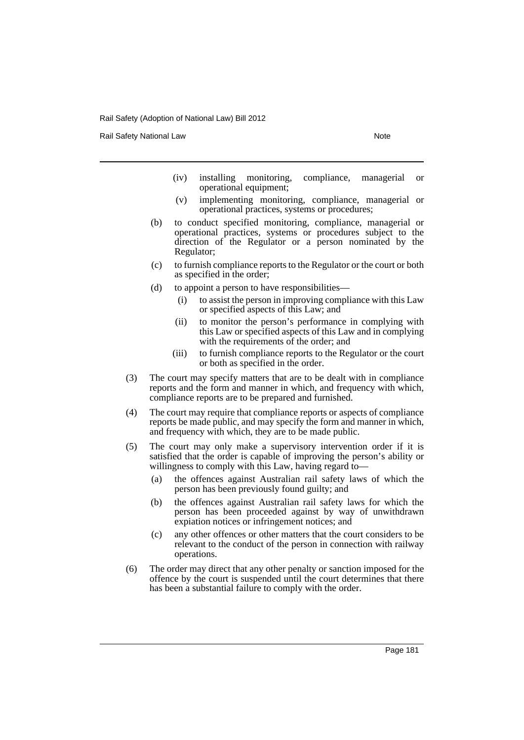Rail Safety National Law Note 2008 and 2009 and 2009 and 2009 and 2009 and 2009 and 2009 and 2009 and 2009 and 2009 and 2009 and 2009 and 2009 and 2009 and 2009 and 2009 and 2009 and 2009 and 2009 and 2009 and 2009 and 200

- (iv) installing monitoring, compliance, managerial or operational equipment;
- (v) implementing monitoring, compliance, managerial or operational practices, systems or procedures;
- (b) to conduct specified monitoring, compliance, managerial or operational practices, systems or procedures subject to the direction of the Regulator or a person nominated by the Regulator;
- (c) to furnish compliance reports to the Regulator or the court or both as specified in the order;
- (d) to appoint a person to have responsibilities—
	- (i) to assist the person in improving compliance with this Law or specified aspects of this Law; and
	- (ii) to monitor the person's performance in complying with this Law or specified aspects of this Law and in complying with the requirements of the order; and
	- (iii) to furnish compliance reports to the Regulator or the court or both as specified in the order.
- (3) The court may specify matters that are to be dealt with in compliance reports and the form and manner in which, and frequency with which, compliance reports are to be prepared and furnished.
- (4) The court may require that compliance reports or aspects of compliance reports be made public, and may specify the form and manner in which, and frequency with which, they are to be made public.
- (5) The court may only make a supervisory intervention order if it is satisfied that the order is capable of improving the person's ability or willingness to comply with this Law, having regard to—
	- (a) the offences against Australian rail safety laws of which the person has been previously found guilty; and
	- (b) the offences against Australian rail safety laws for which the person has been proceeded against by way of unwithdrawn expiation notices or infringement notices; and
	- (c) any other offences or other matters that the court considers to be relevant to the conduct of the person in connection with railway operations.
- (6) The order may direct that any other penalty or sanction imposed for the offence by the court is suspended until the court determines that there has been a substantial failure to comply with the order.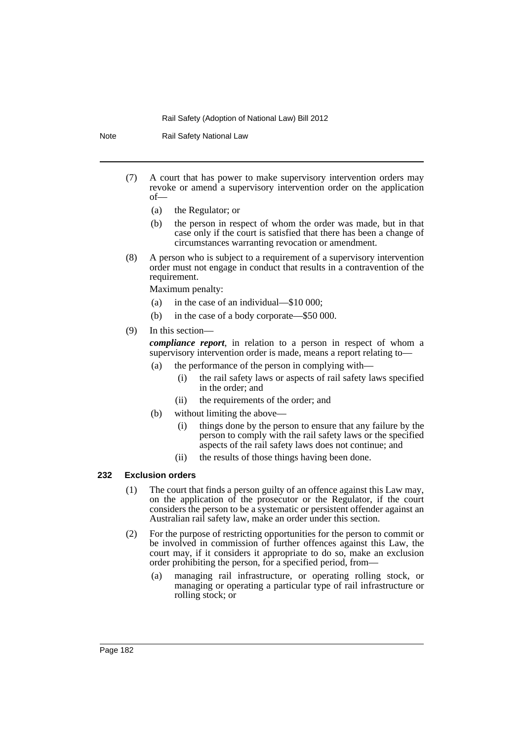Note Rail Safety National Law

- (7) A court that has power to make supervisory intervention orders may revoke or amend a supervisory intervention order on the application of—
	- (a) the Regulator; or
	- (b) the person in respect of whom the order was made, but in that case only if the court is satisfied that there has been a change of circumstances warranting revocation or amendment.
- (8) A person who is subject to a requirement of a supervisory intervention order must not engage in conduct that results in a contravention of the requirement.

Maximum penalty:

- (a) in the case of an individual—\$10 000;
- (b) in the case of a body corporate—\$50 000.

# (9) In this section—

*compliance report*, in relation to a person in respect of whom a supervisory intervention order is made, means a report relating to—

- (a) the performance of the person in complying with—
	- (i) the rail safety laws or aspects of rail safety laws specified in the order; and
	- (ii) the requirements of the order; and
- (b) without limiting the above—
	- (i) things done by the person to ensure that any failure by the person to comply with the rail safety laws or the specified aspects of the rail safety laws does not continue; and
	- (ii) the results of those things having been done.

# **232 Exclusion orders**

- (1) The court that finds a person guilty of an offence against this Law may, on the application of the prosecutor or the Regulator, if the court considers the person to be a systematic or persistent offender against an Australian rail safety law, make an order under this section.
- (2) For the purpose of restricting opportunities for the person to commit or be involved in commission of further offences against this Law, the court may, if it considers it appropriate to do so, make an exclusion order prohibiting the person, for a specified period, from—
	- (a) managing rail infrastructure, or operating rolling stock, or managing or operating a particular type of rail infrastructure or rolling stock; or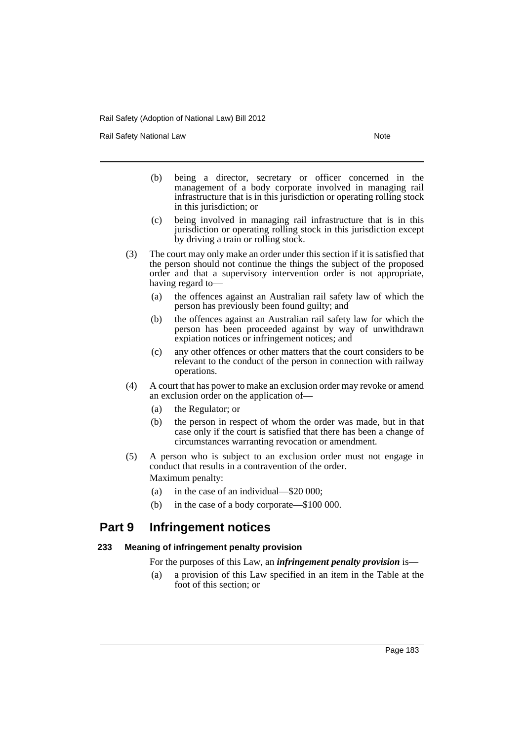Rail Safety National Law Note 2008 and 2009 and 2009 and 2009 and 2009 and 2009 and 2009 and 2009 and 2009 and 2009 and 2009 and 2009 and 2009 and 2009 and 2009 and 2009 and 2009 and 2009 and 2009 and 2009 and 2009 and 200

- (b) being a director, secretary or officer concerned in the management of a body corporate involved in managing rail infrastructure that is in this jurisdiction or operating rolling stock in this jurisdiction; or
- (c) being involved in managing rail infrastructure that is in this jurisdiction or operating rolling stock in this jurisdiction except by driving a train or rolling stock.
- (3) The court may only make an order under this section if it is satisfied that the person should not continue the things the subject of the proposed order and that a supervisory intervention order is not appropriate, having regard to—
	- (a) the offences against an Australian rail safety law of which the person has previously been found guilty; and
	- (b) the offences against an Australian rail safety law for which the person has been proceeded against by way of unwithdrawn expiation notices or infringement notices; and
	- (c) any other offences or other matters that the court considers to be relevant to the conduct of the person in connection with railway operations.
- (4) A court that has power to make an exclusion order may revoke or amend an exclusion order on the application of—
	- (a) the Regulator; or
	- (b) the person in respect of whom the order was made, but in that case only if the court is satisfied that there has been a change of circumstances warranting revocation or amendment.
- (5) A person who is subject to an exclusion order must not engage in conduct that results in a contravention of the order. Maximum penalty:
	- (a) in the case of an individual—\$20 000;
	- (b) in the case of a body corporate—\$100 000.

# **Part 9 Infringement notices**

# **233 Meaning of infringement penalty provision**

For the purposes of this Law, an *infringement penalty provision* is—

(a) a provision of this Law specified in an item in the Table at the foot of this section; or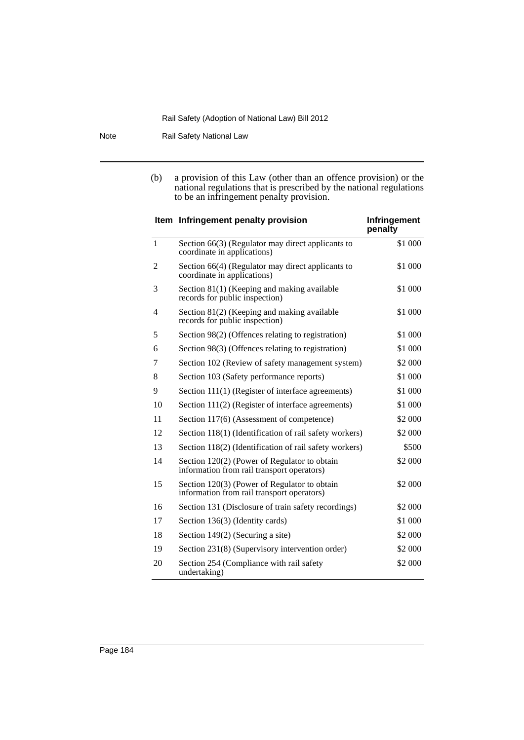Note Rail Safety National Law

(b) a provision of this Law (other than an offence provision) or the national regulations that is prescribed by the national regulations to be an infringement penalty provision.

|                | Item Infringement penalty provision                                                        | Infringement<br>penalty |
|----------------|--------------------------------------------------------------------------------------------|-------------------------|
| $\mathbf{1}$   | Section 66(3) (Regulator may direct applicants to<br>coordinate in applications)           | \$1 000                 |
| $\overline{2}$ | Section 66(4) (Regulator may direct applicants to<br>coordinate in applications)           | \$1 000                 |
| 3              | Section 81(1) (Keeping and making available<br>records for public inspection)              | \$1 000                 |
| 4              | Section 81(2) (Keeping and making available<br>records for public inspection)              | \$1 000                 |
| 5              | Section 98(2) (Offences relating to registration)                                          | \$1 000                 |
| 6              | Section 98(3) (Offences relating to registration)                                          | \$1 000                 |
| 7              | Section 102 (Review of safety management system)                                           | \$2 000                 |
| 8              | Section 103 (Safety performance reports)                                                   | \$1 000                 |
| 9              | Section 111(1) (Register of interface agreements)                                          | \$1 000                 |
| 10             | Section 111(2) (Register of interface agreements)                                          | \$1 000                 |
| 11             | Section 117(6) (Assessment of competence)                                                  | \$2 000                 |
| 12             | Section 118(1) (Identification of rail safety workers)                                     | \$2 000                 |
| 13             | Section 118(2) (Identification of rail safety workers)                                     | \$500                   |
| 14             | Section 120(2) (Power of Regulator to obtain<br>information from rail transport operators) | \$2 000                 |
| 15             | Section 120(3) (Power of Regulator to obtain<br>information from rail transport operators) | \$2 000                 |
| 16             | Section 131 (Disclosure of train safety recordings)                                        | \$2 000                 |
| 17             | Section 136(3) (Identity cards)                                                            | \$1 000                 |
| 18             | Section 149(2) (Securing a site)                                                           | \$2 000                 |
| 19             | Section 231(8) (Supervisory intervention order)                                            | \$2 000                 |
| 20             | Section 254 (Compliance with rail safety<br>undertaking)                                   | \$2 000                 |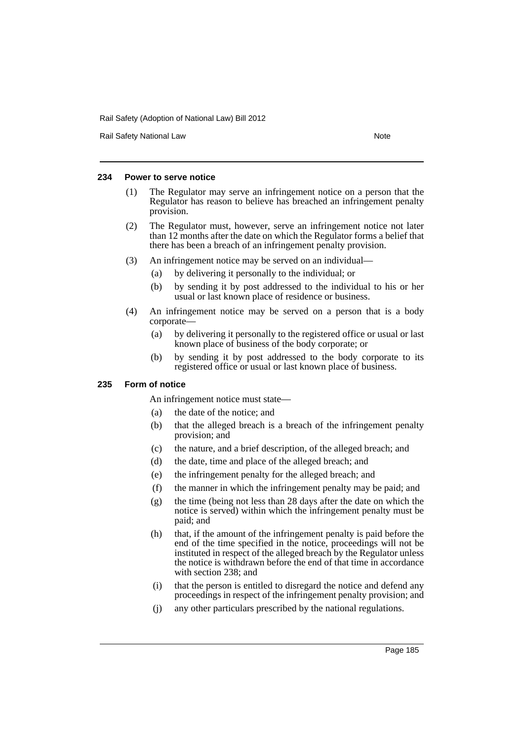Rail Safety National Law Note 2008 and 2009 and 2009 and 2009 and 2009 and 2009 and 2009 and 2009 and 2009 and 2009 and 2009 and 2009 and 2009 and 2009 and 2009 and 2009 and 2009 and 2009 and 2009 and 2009 and 2009 and 200

# **234 Power to serve notice**

- (1) The Regulator may serve an infringement notice on a person that the Regulator has reason to believe has breached an infringement penalty provision.
- (2) The Regulator must, however, serve an infringement notice not later than 12 months after the date on which the Regulator forms a belief that there has been a breach of an infringement penalty provision.
- (3) An infringement notice may be served on an individual—
	- (a) by delivering it personally to the individual; or
	- (b) by sending it by post addressed to the individual to his or her usual or last known place of residence or business.
- (4) An infringement notice may be served on a person that is a body corporate—
	- (a) by delivering it personally to the registered office or usual or last known place of business of the body corporate; or
	- (b) by sending it by post addressed to the body corporate to its registered office or usual or last known place of business.

# **235 Form of notice**

An infringement notice must state—

- (a) the date of the notice; and
- (b) that the alleged breach is a breach of the infringement penalty provision; and
- (c) the nature, and a brief description, of the alleged breach; and
- (d) the date, time and place of the alleged breach; and
- (e) the infringement penalty for the alleged breach; and
- (f) the manner in which the infringement penalty may be paid; and
- (g) the time (being not less than 28 days after the date on which the notice is served) within which the infringement penalty must be paid; and
- (h) that, if the amount of the infringement penalty is paid before the end of the time specified in the notice, proceedings will not be instituted in respect of the alleged breach by the Regulator unless the notice is withdrawn before the end of that time in accordance with section 238; and
- (i) that the person is entitled to disregard the notice and defend any proceedings in respect of the infringement penalty provision; and
- (j) any other particulars prescribed by the national regulations.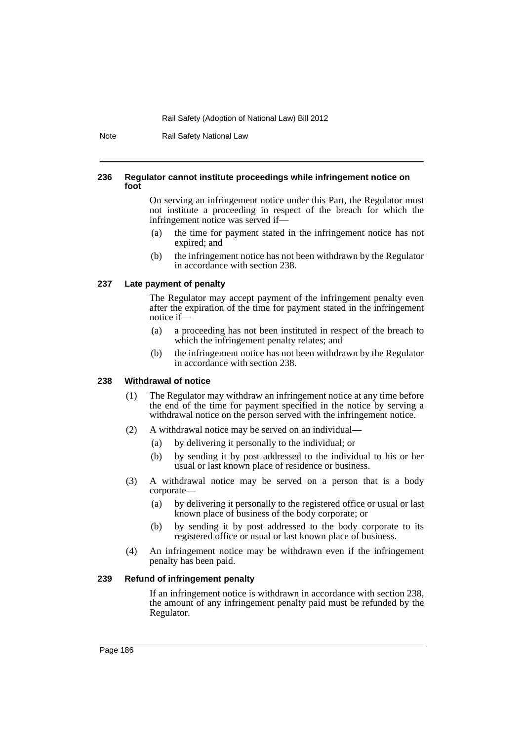Note Rail Safety National Law

#### **236 Regulator cannot institute proceedings while infringement notice on foot**

On serving an infringement notice under this Part, the Regulator must not institute a proceeding in respect of the breach for which the infringement notice was served if—

- (a) the time for payment stated in the infringement notice has not expired; and
- (b) the infringement notice has not been withdrawn by the Regulator in accordance with section 238.

### **237 Late payment of penalty**

The Regulator may accept payment of the infringement penalty even after the expiration of the time for payment stated in the infringement notice if—

- (a) a proceeding has not been instituted in respect of the breach to which the infringement penalty relates; and
- (b) the infringement notice has not been withdrawn by the Regulator in accordance with section 238.

# **238 Withdrawal of notice**

- (1) The Regulator may withdraw an infringement notice at any time before the end of the time for payment specified in the notice by serving a withdrawal notice on the person served with the infringement notice.
- (2) A withdrawal notice may be served on an individual—
	- (a) by delivering it personally to the individual; or
	- (b) by sending it by post addressed to the individual to his or her usual or last known place of residence or business.
- (3) A withdrawal notice may be served on a person that is a body corporate—
	- (a) by delivering it personally to the registered office or usual or last known place of business of the body corporate; or
	- (b) by sending it by post addressed to the body corporate to its registered office or usual or last known place of business.
- (4) An infringement notice may be withdrawn even if the infringement penalty has been paid.

### **239 Refund of infringement penalty**

If an infringement notice is withdrawn in accordance with section 238, the amount of any infringement penalty paid must be refunded by the Regulator.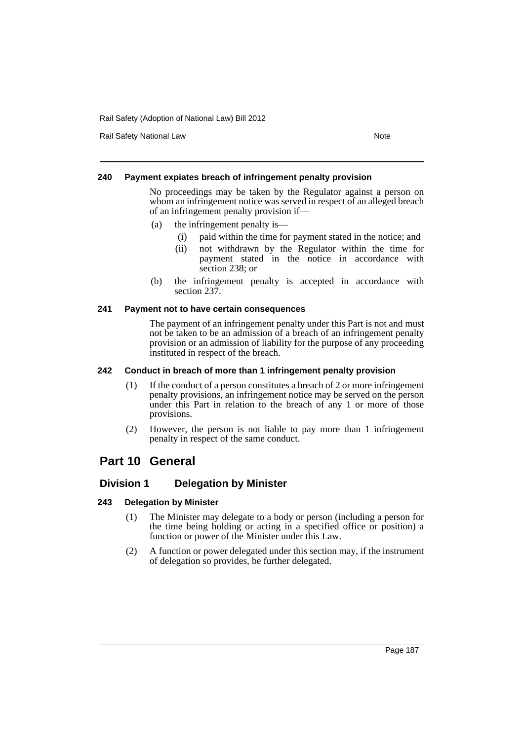Rail Safety National Law Note 2008 and 2009 and 2009 and 2009 and 2009 and 2009 and 2009 and 2009 and 2009 and 2009 and 2009 and 2009 and 2009 and 2009 and 2009 and 2009 and 2009 and 2009 and 2009 and 2009 and 2009 and 200

# **240 Payment expiates breach of infringement penalty provision**

No proceedings may be taken by the Regulator against a person on whom an infringement notice was served in respect of an alleged breach of an infringement penalty provision if—

- (a) the infringement penalty is—
	- (i) paid within the time for payment stated in the notice; and
	- (ii) not withdrawn by the Regulator within the time for payment stated in the notice in accordance with section 238; or
- (b) the infringement penalty is accepted in accordance with section 237.

# **241 Payment not to have certain consequences**

The payment of an infringement penalty under this Part is not and must not be taken to be an admission of a breach of an infringement penalty provision or an admission of liability for the purpose of any proceeding instituted in respect of the breach.

# **242 Conduct in breach of more than 1 infringement penalty provision**

- (1) If the conduct of a person constitutes a breach of 2 or more infringement penalty provisions, an infringement notice may be served on the person under this Part in relation to the breach of any 1 or more of those provisions.
- (2) However, the person is not liable to pay more than 1 infringement penalty in respect of the same conduct.

# **Part 10 General**

# **Division 1 Delegation by Minister**

# **243 Delegation by Minister**

- (1) The Minister may delegate to a body or person (including a person for the time being holding or acting in a specified office or position) a function or power of the Minister under this Law.
- (2) A function or power delegated under this section may, if the instrument of delegation so provides, be further delegated.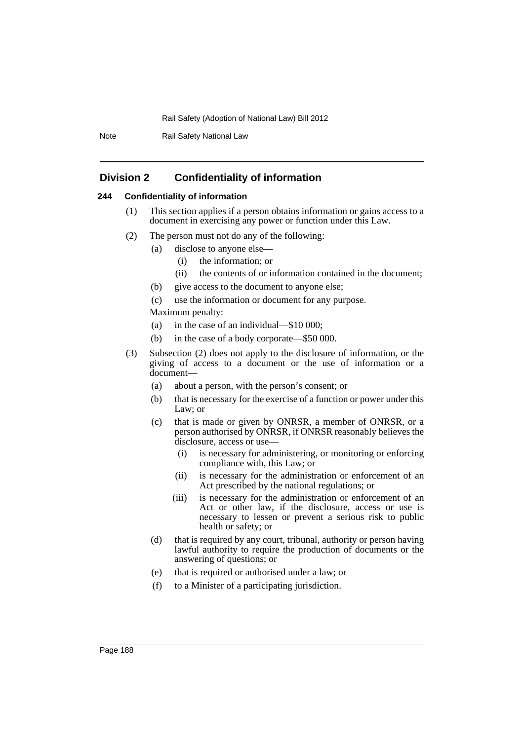Note Rail Safety National Law

# **Division 2 Confidentiality of information**

# **244 Confidentiality of information**

- (1) This section applies if a person obtains information or gains access to a document in exercising any power or function under this Law.
- (2) The person must not do any of the following:
	- (a) disclose to anyone else—
		- (i) the information; or
		- (ii) the contents of or information contained in the document;
	- (b) give access to the document to anyone else;
	- (c) use the information or document for any purpose.

Maximum penalty:

- (a) in the case of an individual—\$10 000;
- (b) in the case of a body corporate—\$50 000.
- (3) Subsection (2) does not apply to the disclosure of information, or the giving of access to a document or the use of information or a document—
	- (a) about a person, with the person's consent; or
	- (b) that is necessary for the exercise of a function or power under this Law; or
	- (c) that is made or given by ONRSR, a member of ONRSR, or a person authorised by ONRSR, if ONRSR reasonably believes the disclosure, access or use—
		- (i) is necessary for administering, or monitoring or enforcing compliance with, this Law; or
		- (ii) is necessary for the administration or enforcement of an Act prescribed by the national regulations; or
		- (iii) is necessary for the administration or enforcement of an Act or other law, if the disclosure, access or use is necessary to lessen or prevent a serious risk to public health or safety; or
	- (d) that is required by any court, tribunal, authority or person having lawful authority to require the production of documents or the answering of questions; or
	- (e) that is required or authorised under a law; or
	- (f) to a Minister of a participating jurisdiction.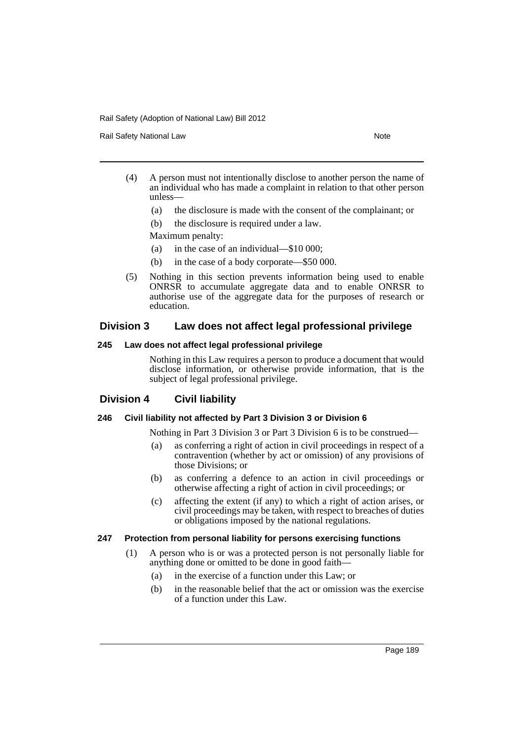Rail Safety National Law Note 2012 12:30 Note 2014

- (4) A person must not intentionally disclose to another person the name of an individual who has made a complaint in relation to that other person unless—
	- (a) the disclosure is made with the consent of the complainant; or
	- (b) the disclosure is required under a law.

Maximum penalty:

- (a) in the case of an individual—\$10 000;
- (b) in the case of a body corporate—\$50 000.
- (5) Nothing in this section prevents information being used to enable ONRSR to accumulate aggregate data and to enable ONRSR to authorise use of the aggregate data for the purposes of research or education.

# **Division 3 Law does not affect legal professional privilege**

# **245 Law does not affect legal professional privilege**

Nothing in this Law requires a person to produce a document that would disclose information, or otherwise provide information, that is the subject of legal professional privilege.

# **Division 4 Civil liability**

# **246 Civil liability not affected by Part 3 Division 3 or Division 6**

Nothing in Part 3 Division 3 or Part 3 Division 6 is to be construed—

- (a) as conferring a right of action in civil proceedings in respect of a contravention (whether by act or omission) of any provisions of those Divisions; or
- (b) as conferring a defence to an action in civil proceedings or otherwise affecting a right of action in civil proceedings; or
- (c) affecting the extent (if any) to which a right of action arises, or civil proceedings may be taken, with respect to breaches of duties or obligations imposed by the national regulations.

# **247 Protection from personal liability for persons exercising functions**

- (1) A person who is or was a protected person is not personally liable for anything done or omitted to be done in good faith—
	- (a) in the exercise of a function under this Law; or
	- (b) in the reasonable belief that the act or omission was the exercise of a function under this Law.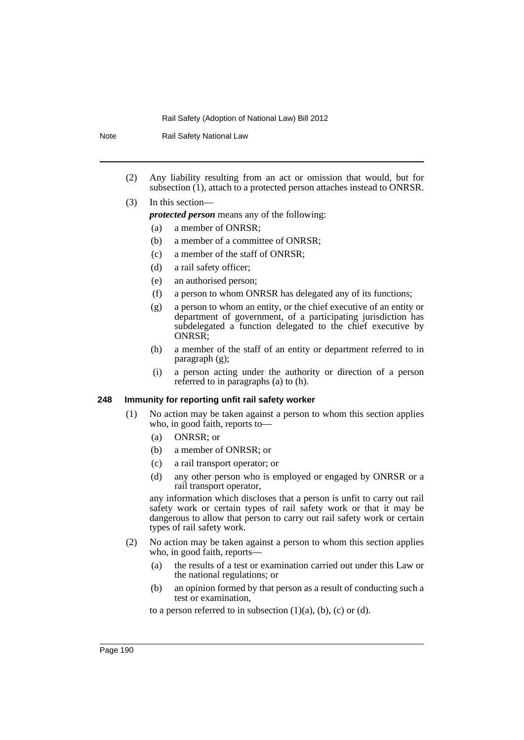| <b>Note</b> |     |                                                                         | Rail Safety National Law                                                                                                                                                                                     |  |  |
|-------------|-----|-------------------------------------------------------------------------|--------------------------------------------------------------------------------------------------------------------------------------------------------------------------------------------------------------|--|--|
|             | (2) |                                                                         | Any liability resulting from an act or omission that would, but for                                                                                                                                          |  |  |
|             |     | subsection (1), attach to a protected person attaches instead to ONRSR. |                                                                                                                                                                                                              |  |  |
|             | (3) |                                                                         | In this section—                                                                                                                                                                                             |  |  |
|             |     |                                                                         | <i>protected person</i> means any of the following:                                                                                                                                                          |  |  |
|             |     | (a)                                                                     | a member of ONRSR;                                                                                                                                                                                           |  |  |
|             |     | (b)                                                                     | a member of a committee of ONRSR;                                                                                                                                                                            |  |  |
|             |     | (c)                                                                     | a member of the staff of ONRSR;                                                                                                                                                                              |  |  |
|             |     | (d)                                                                     | a rail safety officer;                                                                                                                                                                                       |  |  |
|             |     | (e)                                                                     | an authorised person;                                                                                                                                                                                        |  |  |
|             |     | (f)                                                                     | a person to whom ONRSR has delegated any of its functions;                                                                                                                                                   |  |  |
|             |     | (g)                                                                     | a person to whom an entity, or the chief executive of an entity or<br>department of government, of a participating jurisdiction has<br>subdelegated a function delegated to the chief executive by<br>ONRSR: |  |  |
|             |     | (h)                                                                     | a member of the staff of an entity or department referred to in<br>$\frac{1}{2}$ paragraph $(g)$ ;                                                                                                           |  |  |

(i) a person acting under the authority or direction of a person referred to in paragraphs (a) to (h).

# **248 Immunity for reporting unfit rail safety worker**

- (1) No action may be taken against a person to whom this section applies who, in good faith, reports to—
	- (a) ONRSR; or
	- (b) a member of ONRSR; or
	- (c) a rail transport operator; or
	- (d) any other person who is employed or engaged by ONRSR or a rail transport operator,

any information which discloses that a person is unfit to carry out rail safety work or certain types of rail safety work or that it may be dangerous to allow that person to carry out rail safety work or certain types of rail safety work.

- (2) No action may be taken against a person to whom this section applies who, in good faith, reports—
	- (a) the results of a test or examination carried out under this Law or the national regulations; or
	- (b) an opinion formed by that person as a result of conducting such a test or examination,

to a person referred to in subsection  $(1)(a)$ ,  $(b)$ ,  $(c)$  or  $(d)$ .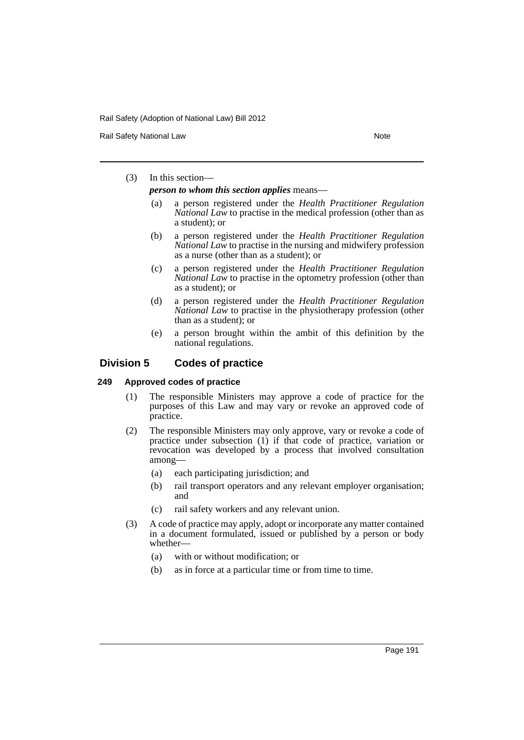Rail Safety National Law Note 2008 and 2009 and 2009 and 2009 and 2009 and 2009 and 2009 and 2009 and 2009 and 2009 and 2009 and 2009 and 2009 and 2009 and 2009 and 2009 and 2009 and 2009 and 2009 and 2009 and 2009 and 200

# (3) In this section—

*person to whom this section applies* means—

- (a) a person registered under the *Health Practitioner Regulation National Law* to practise in the medical profession (other than as a student); or
- (b) a person registered under the *Health Practitioner Regulation National Law* to practise in the nursing and midwifery profession as a nurse (other than as a student); or
- (c) a person registered under the *Health Practitioner Regulation National Law* to practise in the optometry profession (other than as a student); or
- (d) a person registered under the *Health Practitioner Regulation National Law* to practise in the physiotherapy profession (other than as a student); or
- (e) a person brought within the ambit of this definition by the national regulations.

# **Division 5 Codes of practice**

# **249 Approved codes of practice**

- (1) The responsible Ministers may approve a code of practice for the purposes of this Law and may vary or revoke an approved code of practice.
- (2) The responsible Ministers may only approve, vary or revoke a code of practice under subsection (1) if that code of practice, variation or revocation was developed by a process that involved consultation among—
	- (a) each participating jurisdiction; and
	- (b) rail transport operators and any relevant employer organisation; and
	- (c) rail safety workers and any relevant union.
- (3) A code of practice may apply, adopt or incorporate any matter contained in a document formulated, issued or published by a person or body whether-
	- (a) with or without modification; or
	- (b) as in force at a particular time or from time to time.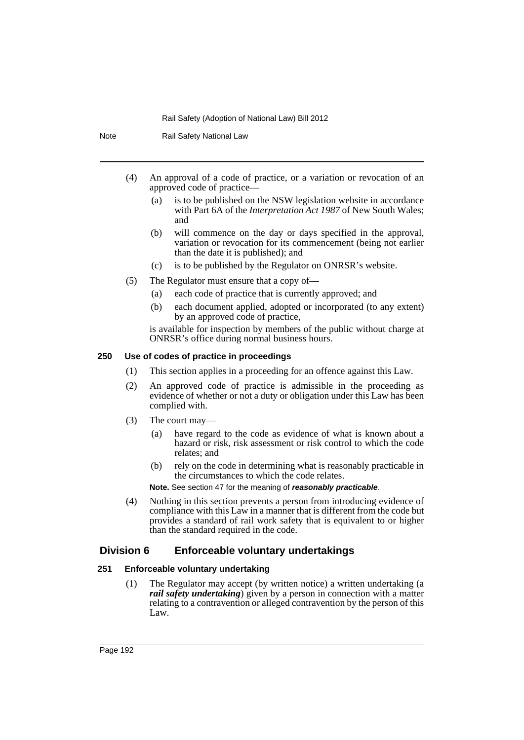Rail Safety National Law (4) An approval of a code of practice, or a variation or revocation of an approved code of practice— (a) is to be published on the NSW legislation website in accordance with Part 6A of the *Interpretation Act 1987* of New South Wales; and (b) will commence on the day or days specified in the approval, variation or revocation for its commencement (being not earlier than the date it is published); and (c) is to be published by the Regulator on ONRSR's website. (5) The Regulator must ensure that a copy of— (a) each code of practice that is currently approved; and (b) each document applied, adopted or incorporated (to any extent) by an approved code of practice, is available for inspection by members of the public without charge at ONRSR's office during normal business hours. **250 Use of codes of practice in proceedings**

#### (1) This section applies in a proceeding for an offence against this Law.

- (2) An approved code of practice is admissible in the proceeding as evidence of whether or not a duty or obligation under this Law has been complied with.
- (3) The court may—
	- (a) have regard to the code as evidence of what is known about a hazard or risk, risk assessment or risk control to which the code relates; and
	- (b) rely on the code in determining what is reasonably practicable in the circumstances to which the code relates.

# **Note.** See section 47 for the meaning of *reasonably practicable*.

(4) Nothing in this section prevents a person from introducing evidence of compliance with this Law in a manner that is different from the code but provides a standard of rail work safety that is equivalent to or higher than the standard required in the code.

# **Division 6 Enforceable voluntary undertakings**

# **251 Enforceable voluntary undertaking**

(1) The Regulator may accept (by written notice) a written undertaking (a *rail safety undertaking*) given by a person in connection with a matter relating to a contravention or alleged contravention by the person of this Law.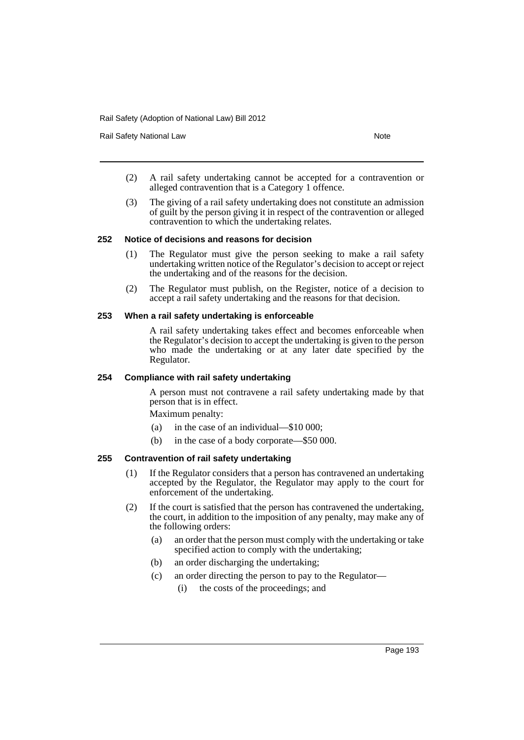Rail Safety National Law Note 2008 and 2009 and 2009 and 2009 and 2009 and 2009 and 2009 and 2009 and 2009 and 2009 and 2009 and 2009 and 2009 and 2009 and 2009 and 2009 and 2009 and 2009 and 2009 and 2009 and 2009 and 200

- (2) A rail safety undertaking cannot be accepted for a contravention or alleged contravention that is a Category 1 offence.
- (3) The giving of a rail safety undertaking does not constitute an admission of guilt by the person giving it in respect of the contravention or alleged contravention to which the undertaking relates.

# **252 Notice of decisions and reasons for decision**

- (1) The Regulator must give the person seeking to make a rail safety undertaking written notice of the Regulator's decision to accept or reject the undertaking and of the reasons for the decision.
- (2) The Regulator must publish, on the Register, notice of a decision to accept a rail safety undertaking and the reasons for that decision.

#### **253 When a rail safety undertaking is enforceable**

A rail safety undertaking takes effect and becomes enforceable when the Regulator's decision to accept the undertaking is given to the person who made the undertaking or at any later date specified by the Regulator.

#### **254 Compliance with rail safety undertaking**

A person must not contravene a rail safety undertaking made by that person that is in effect.

Maximum penalty:

- (a) in the case of an individual—\$10 000;
- (b) in the case of a body corporate—\$50 000.

# **255 Contravention of rail safety undertaking**

- (1) If the Regulator considers that a person has contravened an undertaking accepted by the Regulator, the Regulator may apply to the court for enforcement of the undertaking.
- (2) If the court is satisfied that the person has contravened the undertaking, the court, in addition to the imposition of any penalty, may make any of the following orders:
	- (a) an order that the person must comply with the undertaking or take specified action to comply with the undertaking;
	- (b) an order discharging the undertaking;
	- (c) an order directing the person to pay to the Regulator—
		- (i) the costs of the proceedings; and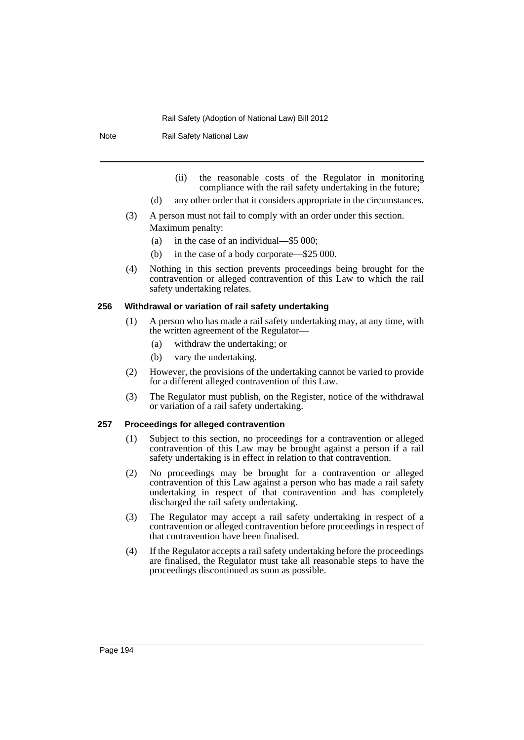Note Rail Safety National Law

- (ii) the reasonable costs of the Regulator in monitoring compliance with the rail safety undertaking in the future;
- (d) any other order that it considers appropriate in the circumstances.
- (3) A person must not fail to comply with an order under this section. Maximum penalty:
	- (a) in the case of an individual—\$5 000;
	- (b) in the case of a body corporate—\$25 000.
- (4) Nothing in this section prevents proceedings being brought for the contravention or alleged contravention of this Law to which the rail safety undertaking relates.

#### **256 Withdrawal or variation of rail safety undertaking**

- (1) A person who has made a rail safety undertaking may, at any time, with the written agreement of the Regulator—
	- (a) withdraw the undertaking; or
	- (b) vary the undertaking.
- (2) However, the provisions of the undertaking cannot be varied to provide for a different alleged contravention of this Law.
- (3) The Regulator must publish, on the Register, notice of the withdrawal or variation of a rail safety undertaking.

#### **257 Proceedings for alleged contravention**

- (1) Subject to this section, no proceedings for a contravention or alleged contravention of this Law may be brought against a person if a rail safety undertaking is in effect in relation to that contravention.
- (2) No proceedings may be brought for a contravention or alleged contravention of this Law against a person who has made a rail safety undertaking in respect of that contravention and has completely discharged the rail safety undertaking.
- (3) The Regulator may accept a rail safety undertaking in respect of a contravention or alleged contravention before proceedings in respect of that contravention have been finalised.
- (4) If the Regulator accepts a rail safety undertaking before the proceedings are finalised, the Regulator must take all reasonable steps to have the proceedings discontinued as soon as possible.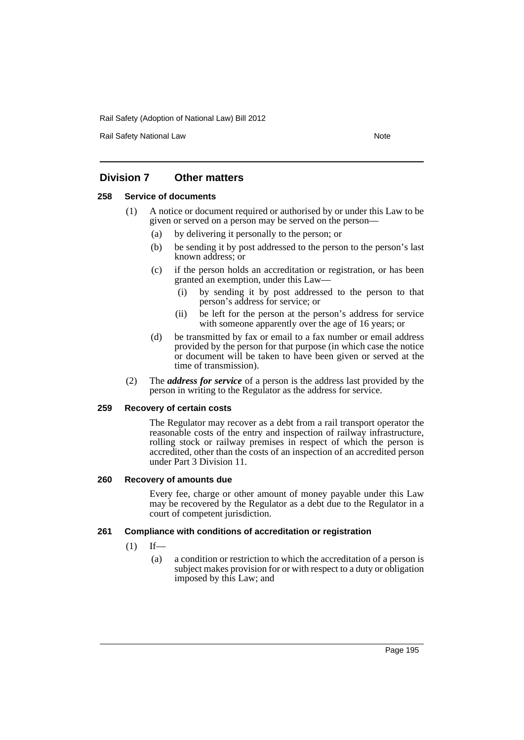Rail Safety National Law Note 2008 and 2009 and 2009 and 2009 and 2009 and 2009 and 2009 and 2009 and 2009 and 2009 and 2009 and 2009 and 2009 and 2009 and 2009 and 2009 and 2009 and 2009 and 2009 and 2009 and 2009 and 200

# **Division 7 Other matters**

# **258 Service of documents**

- (1) A notice or document required or authorised by or under this Law to be given or served on a person may be served on the person—
	- (a) by delivering it personally to the person; or
	- (b) be sending it by post addressed to the person to the person's last known address; or
	- (c) if the person holds an accreditation or registration, or has been granted an exemption, under this Law—
		- (i) by sending it by post addressed to the person to that person's address for service; or
		- (ii) be left for the person at the person's address for service with someone apparently over the age of 16 years; or
	- (d) be transmitted by fax or email to a fax number or email address provided by the person for that purpose (in which case the notice or document will be taken to have been given or served at the time of transmission).
- (2) The *address for service* of a person is the address last provided by the person in writing to the Regulator as the address for service.

# **259 Recovery of certain costs**

The Regulator may recover as a debt from a rail transport operator the reasonable costs of the entry and inspection of railway infrastructure, rolling stock or railway premises in respect of which the person is accredited, other than the costs of an inspection of an accredited person under Part 3 Division 11.

#### **260 Recovery of amounts due**

Every fee, charge or other amount of money payable under this Law may be recovered by the Regulator as a debt due to the Regulator in a court of competent jurisdiction.

# **261 Compliance with conditions of accreditation or registration**

- $(1)$  If—
	- (a) a condition or restriction to which the accreditation of a person is subject makes provision for or with respect to a duty or obligation imposed by this Law; and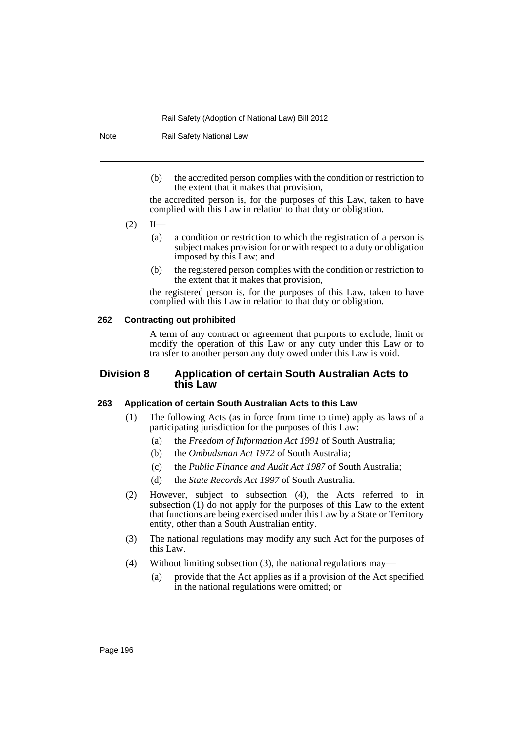Note Rail Safety National Law

(b) the accredited person complies with the condition or restriction to the extent that it makes that provision,

the accredited person is, for the purposes of this Law, taken to have complied with this Law in relation to that duty or obligation.

- $(2)$  If—
	- (a) a condition or restriction to which the registration of a person is subject makes provision for or with respect to a duty or obligation imposed by this Law; and
	- (b) the registered person complies with the condition or restriction to the extent that it makes that provision,

the registered person is, for the purposes of this Law, taken to have complied with this Law in relation to that duty or obligation.

#### **262 Contracting out prohibited**

A term of any contract or agreement that purports to exclude, limit or modify the operation of this Law or any duty under this Law or to transfer to another person any duty owed under this Law is void.

# **Division 8 Application of certain South Australian Acts to this Law**

# **263 Application of certain South Australian Acts to this Law**

- (1) The following Acts (as in force from time to time) apply as laws of a participating jurisdiction for the purposes of this Law:
	- (a) the *Freedom of Information Act 1991* of South Australia;
	- (b) the *Ombudsman Act 1972* of South Australia;
	- (c) the *Public Finance and Audit Act 1987* of South Australia;
	- (d) the *State Records Act 1997* of South Australia.
- (2) However, subject to subsection (4), the Acts referred to in subsection (1) do not apply for the purposes of this Law to the extent that functions are being exercised under this Law by a State or Territory entity, other than a South Australian entity.
- (3) The national regulations may modify any such Act for the purposes of this Law.
- (4) Without limiting subsection (3), the national regulations may—
	- (a) provide that the Act applies as if a provision of the Act specified in the national regulations were omitted; or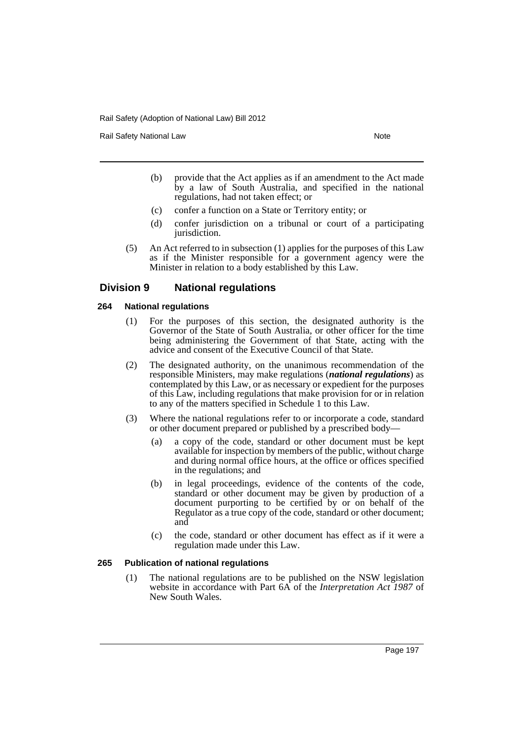Rail Safety National Law Note 2008 and 2009 and 2009 and 2009 and 2009 and 2009 and 2009 and 2009 and 2009 and 2009 and 2009 and 2009 and 2009 and 2009 and 2009 and 2009 and 2009 and 2009 and 2009 and 2009 and 2009 and 200

- (b) provide that the Act applies as if an amendment to the Act made by a law of South Australia, and specified in the national regulations, had not taken effect; or
- (c) confer a function on a State or Territory entity; or
- (d) confer jurisdiction on a tribunal or court of a participating jurisdiction.
- (5) An Act referred to in subsection (1) applies for the purposes of this Law as if the Minister responsible for a government agency were the Minister in relation to a body established by this Law.

# **Division 9 National regulations**

# **264 National regulations**

- (1) For the purposes of this section, the designated authority is the Governor of the State of South Australia, or other officer for the time being administering the Government of that State, acting with the advice and consent of the Executive Council of that State.
- (2) The designated authority, on the unanimous recommendation of the responsible Ministers, may make regulations (*national regulations*) as contemplated by this Law, or as necessary or expedient for the purposes of this Law, including regulations that make provision for or in relation to any of the matters specified in Schedule 1 to this Law.
- (3) Where the national regulations refer to or incorporate a code, standard or other document prepared or published by a prescribed body—
	- (a) a copy of the code, standard or other document must be kept available for inspection by members of the public, without charge and during normal office hours, at the office or offices specified in the regulations; and
	- (b) in legal proceedings, evidence of the contents of the code, standard or other document may be given by production of a document purporting to be certified by or on behalf of the Regulator as a true copy of the code, standard or other document; and
	- (c) the code, standard or other document has effect as if it were a regulation made under this Law.

# **265 Publication of national regulations**

(1) The national regulations are to be published on the NSW legislation website in accordance with Part 6A of the *Interpretation Act 1987* of New South Wales.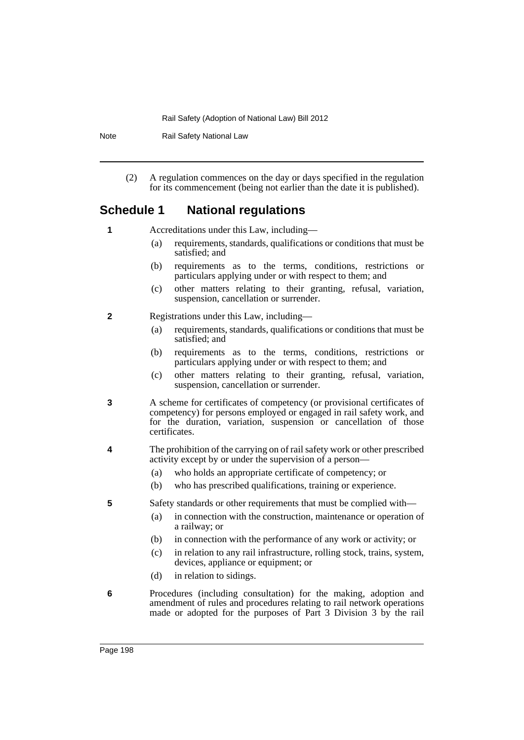Note Rail Safety National Law

(2) A regulation commences on the day or days specified in the regulation for its commencement (being not earlier than the date it is published).

# **Schedule 1 National regulations**

**1** Accreditations under this Law, including—

- (a) requirements, standards, qualifications or conditions that must be satisfied; and
- (b) requirements as to the terms, conditions, restrictions or particulars applying under or with respect to them; and
- (c) other matters relating to their granting, refusal, variation, suspension, cancellation or surrender.
- **2** Registrations under this Law, including—
	- (a) requirements, standards, qualifications or conditions that must be satisfied; and
	- (b) requirements as to the terms, conditions, restrictions or particulars applying under or with respect to them; and
	- (c) other matters relating to their granting, refusal, variation, suspension, cancellation or surrender.
- **3** A scheme for certificates of competency (or provisional certificates of competency) for persons employed or engaged in rail safety work, and for the duration, variation, suspension or cancellation of those certificates.
- **4** The prohibition of the carrying on of rail safety work or other prescribed activity except by or under the supervision of a person—
	- (a) who holds an appropriate certificate of competency; or
	- (b) who has prescribed qualifications, training or experience.
- **5** Safety standards or other requirements that must be complied with—
	- (a) in connection with the construction, maintenance or operation of a railway; or
	- (b) in connection with the performance of any work or activity; or
	- (c) in relation to any rail infrastructure, rolling stock, trains, system, devices, appliance or equipment; or
	- (d) in relation to sidings.
- **6** Procedures (including consultation) for the making, adoption and amendment of rules and procedures relating to rail network operations made or adopted for the purposes of Part 3 Division 3 by the rail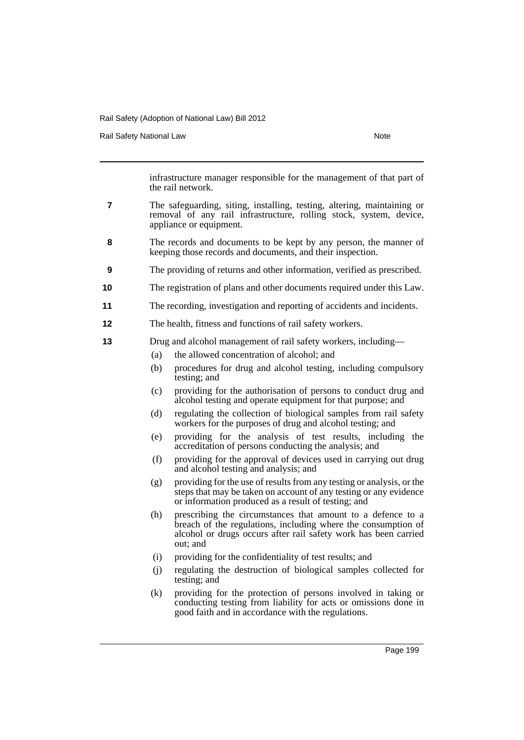Rail Safety National Law Note 2008 and 2009 and 2009 and 2009 and 2009 and 2009 and 2009 and 2009 and 2009 and 2009 and 2009 and 2009 and 2009 and 2009 and 2009 and 2009 and 2009 and 2009 and 2009 and 2009 and 2009 and 200

infrastructure manager responsible for the management of that part of the rail network.

- **7** The safeguarding, siting, installing, testing, altering, maintaining or removal of any rail infrastructure, rolling stock, system, device, appliance or equipment.
- **8** The records and documents to be kept by any person, the manner of keeping those records and documents, and their inspection.
- **9** The providing of returns and other information, verified as prescribed.
- **10** The registration of plans and other documents required under this Law.
- **11** The recording, investigation and reporting of accidents and incidents.
- **12** The health, fitness and functions of rail safety workers.
- **13** Drug and alcohol management of rail safety workers, including—
	- (a) the allowed concentration of alcohol; and
	- (b) procedures for drug and alcohol testing, including compulsory testing; and
	- (c) providing for the authorisation of persons to conduct drug and alcohol testing and operate equipment for that purpose; and
	- (d) regulating the collection of biological samples from rail safety workers for the purposes of drug and alcohol testing; and
	- (e) providing for the analysis of test results, including the accreditation of persons conducting the analysis; and
	- (f) providing for the approval of devices used in carrying out drug and alcohol testing and analysis; and
	- (g) providing for the use of results from any testing or analysis, or the steps that may be taken on account of any testing or any evidence or information produced as a result of testing; and
	- (h) prescribing the circumstances that amount to a defence to a breach of the regulations, including where the consumption of alcohol or drugs occurs after rail safety work has been carried out; and
	- (i) providing for the confidentiality of test results; and
	- (j) regulating the destruction of biological samples collected for testing; and
	- (k) providing for the protection of persons involved in taking or conducting testing from liability for acts or omissions done in good faith and in accordance with the regulations.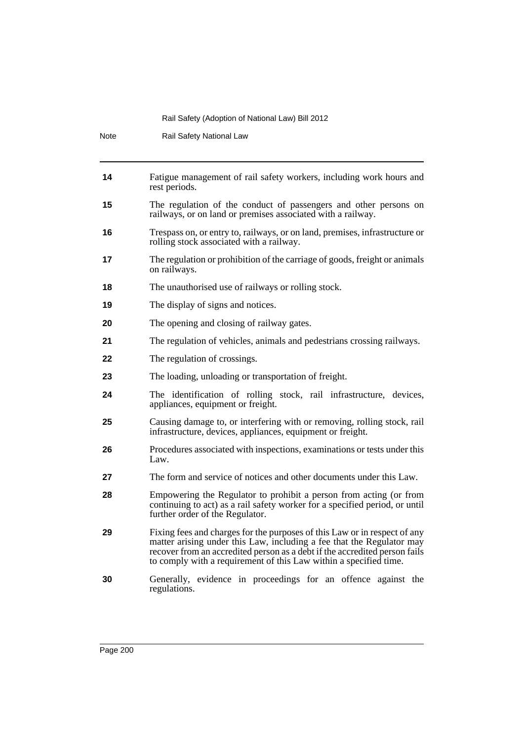| Note | Rail Safety National Law                                                                                                                                                                                                                                                                              |  |  |
|------|-------------------------------------------------------------------------------------------------------------------------------------------------------------------------------------------------------------------------------------------------------------------------------------------------------|--|--|
| 14   | Fatigue management of rail safety workers, including work hours and<br>rest periods.                                                                                                                                                                                                                  |  |  |
| 15   | The regulation of the conduct of passengers and other persons on<br>railways, or on land or premises associated with a railway.                                                                                                                                                                       |  |  |
| 16   | Trespass on, or entry to, railways, or on land, premises, infrastructure or<br>rolling stock associated with a railway.                                                                                                                                                                               |  |  |
| 17   | The regulation or prohibition of the carriage of goods, freight or animals<br>on railways.                                                                                                                                                                                                            |  |  |
| 18   | The unauthorised use of railways or rolling stock.                                                                                                                                                                                                                                                    |  |  |
| 19   | The display of signs and notices.                                                                                                                                                                                                                                                                     |  |  |
| 20   | The opening and closing of railway gates.                                                                                                                                                                                                                                                             |  |  |
| 21   | The regulation of vehicles, animals and pedestrians crossing railways.                                                                                                                                                                                                                                |  |  |
| 22   | The regulation of crossings.                                                                                                                                                                                                                                                                          |  |  |
| 23   | The loading, unloading or transportation of freight.                                                                                                                                                                                                                                                  |  |  |
| 24   | The identification of rolling stock, rail infrastructure, devices,<br>appliances, equipment or freight.                                                                                                                                                                                               |  |  |
| 25   | Causing damage to, or interfering with or removing, rolling stock, rail<br>infrastructure, devices, appliances, equipment or freight.                                                                                                                                                                 |  |  |
| 26   | Procedures associated with inspections, examinations or tests under this<br>Law.                                                                                                                                                                                                                      |  |  |
| 27   | The form and service of notices and other documents under this Law.                                                                                                                                                                                                                                   |  |  |
| 28   | Empowering the Regulator to prohibit a person from acting (or from<br>continuing to act) as a rail safety worker for a specified period, or until<br>further order of the Regulator.                                                                                                                  |  |  |
| 29   | Fixing fees and charges for the purposes of this Law or in respect of any<br>matter arising under this Law, including a fee that the Regulator may<br>recover from an accredited person as a debt if the accredited person fails<br>to comply with a requirement of this Law within a specified time. |  |  |
| 30   | Generally, evidence in proceedings for an offence against the<br>regulations.                                                                                                                                                                                                                         |  |  |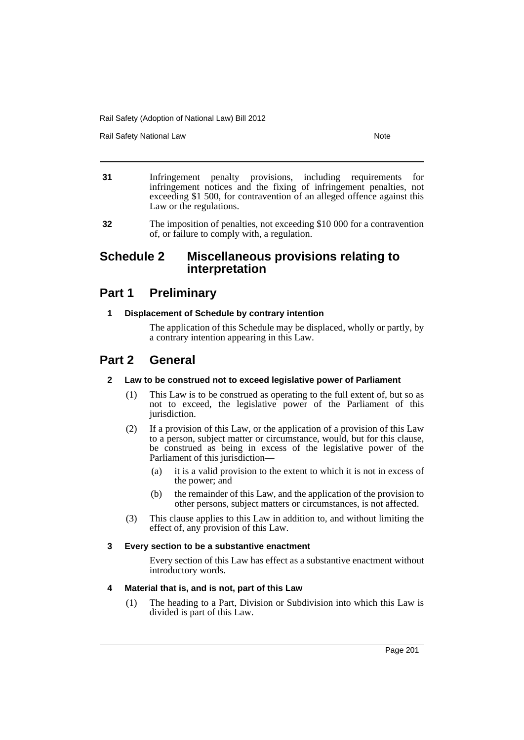Rail Safety National Law Note 2008 and 2009 and 2009 and 2009 and 2009 and 2009 and 2009 and 2009 and 2009 and 2009 and 2009 and 2009 and 2009 and 2009 and 2009 and 2009 and 2009 and 2009 and 2009 and 2009 and 2009 and 200

- **31** Infringement penalty provisions, including requirements for infringement notices and the fixing of infringement penalties, not exceeding \$1 500, for contravention of an alleged offence against this Law or the regulations.
- **32** The imposition of penalties, not exceeding \$10 000 for a contravention of, or failure to comply with, a regulation.

# **Schedule 2 Miscellaneous provisions relating to interpretation**

# **Part 1 Preliminary**

# **1 Displacement of Schedule by contrary intention**

The application of this Schedule may be displaced, wholly or partly, by a contrary intention appearing in this Law.

# **Part 2 General**

# **2 Law to be construed not to exceed legislative power of Parliament**

- (1) This Law is to be construed as operating to the full extent of, but so as not to exceed, the legislative power of the Parliament of this jurisdiction.
- (2) If a provision of this Law, or the application of a provision of this Law to a person, subject matter or circumstance, would, but for this clause, be construed as being in excess of the legislative power of the Parliament of this jurisdiction—
	- (a) it is a valid provision to the extent to which it is not in excess of the power; and
	- (b) the remainder of this Law, and the application of the provision to other persons, subject matters or circumstances, is not affected.
- (3) This clause applies to this Law in addition to, and without limiting the effect of, any provision of this Law.

# **3 Every section to be a substantive enactment**

Every section of this Law has effect as a substantive enactment without introductory words.

# **4 Material that is, and is not, part of this Law**

(1) The heading to a Part, Division or Subdivision into which this Law is divided is part of this Law.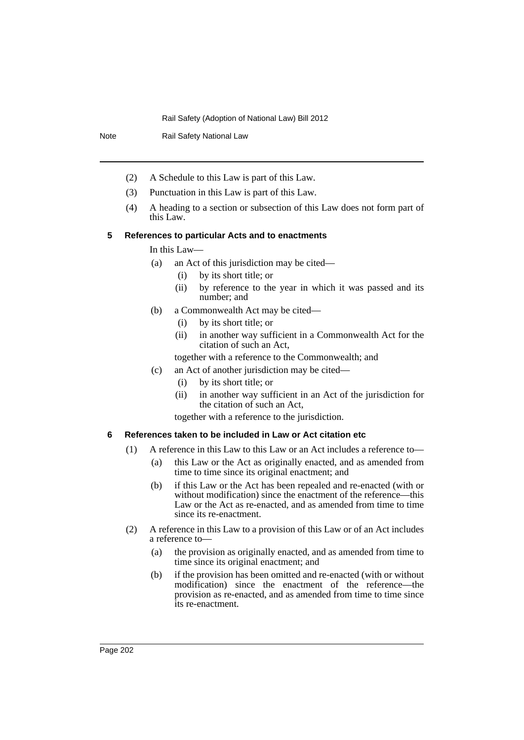Note Rail Safety National Law

- (2) A Schedule to this Law is part of this Law.
- (3) Punctuation in this Law is part of this Law.
- (4) A heading to a section or subsection of this Law does not form part of this Law.

# **5 References to particular Acts and to enactments**

In this Law—

- (a) an Act of this jurisdiction may be cited—
	- (i) by its short title; or
	- (ii) by reference to the year in which it was passed and its number; and
- (b) a Commonwealth Act may be cited—
	- (i) by its short title; or
	- (ii) in another way sufficient in a Commonwealth Act for the citation of such an Act,

together with a reference to the Commonwealth; and

- (c) an Act of another jurisdiction may be cited—
	- (i) by its short title; or
	- (ii) in another way sufficient in an Act of the jurisdiction for the citation of such an Act,

together with a reference to the jurisdiction.

# **6 References taken to be included in Law or Act citation etc**

- (1) A reference in this Law to this Law or an Act includes a reference to—
	- (a) this Law or the Act as originally enacted, and as amended from time to time since its original enactment; and
	- (b) if this Law or the Act has been repealed and re-enacted (with or without modification) since the enactment of the reference—this Law or the Act as re-enacted, and as amended from time to time since its re-enactment.
- (2) A reference in this Law to a provision of this Law or of an Act includes a reference to—
	- (a) the provision as originally enacted, and as amended from time to time since its original enactment; and
	- (b) if the provision has been omitted and re-enacted (with or without modification) since the enactment of the reference—the provision as re-enacted, and as amended from time to time since its re-enactment.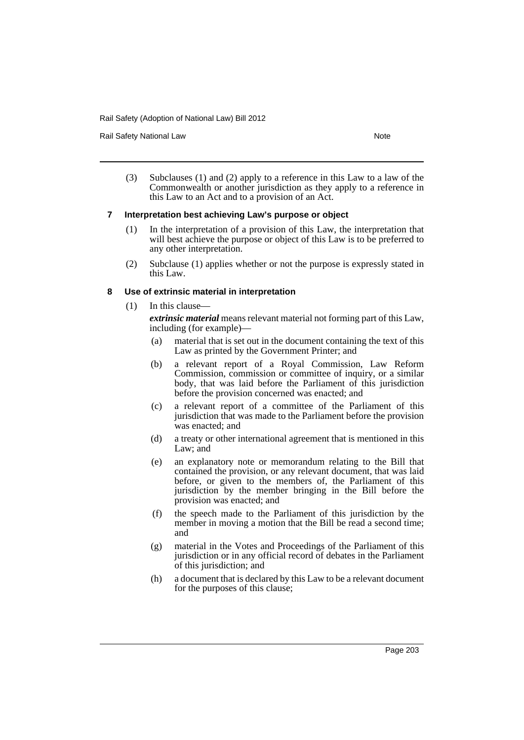Rail Safety National Law Note 2008 and 2009 and 2009 and 2009 and 2009 and 2009 and 2009 and 2009 and 2009 and 2009 and 2009 and 2009 and 2009 and 2009 and 2009 and 2009 and 2009 and 2009 and 2009 and 2009 and 2009 and 200

(3) Subclauses (1) and (2) apply to a reference in this Law to a law of the Commonwealth or another jurisdiction as they apply to a reference in this Law to an Act and to a provision of an Act.

#### **7 Interpretation best achieving Law's purpose or object**

- (1) In the interpretation of a provision of this Law, the interpretation that will best achieve the purpose or object of this Law is to be preferred to any other interpretation.
- (2) Subclause (1) applies whether or not the purpose is expressly stated in this Law.

#### **8 Use of extrinsic material in interpretation**

(1) In this clause—

*extrinsic material* means relevant material not forming part of this Law, including (for example)—

- (a) material that is set out in the document containing the text of this Law as printed by the Government Printer; and
- (b) a relevant report of a Royal Commission, Law Reform Commission, commission or committee of inquiry, or a similar body, that was laid before the Parliament of this jurisdiction before the provision concerned was enacted; and
- (c) a relevant report of a committee of the Parliament of this jurisdiction that was made to the Parliament before the provision was enacted; and
- (d) a treaty or other international agreement that is mentioned in this Law; and
- (e) an explanatory note or memorandum relating to the Bill that contained the provision, or any relevant document, that was laid before, or given to the members of, the Parliament of this jurisdiction by the member bringing in the Bill before the provision was enacted; and
- (f) the speech made to the Parliament of this jurisdiction by the member in moving a motion that the Bill be read a second time; and
- (g) material in the Votes and Proceedings of the Parliament of this jurisdiction or in any official record of debates in the Parliament of this jurisdiction; and
- (h) a document that is declared by this Law to be a relevant document for the purposes of this clause;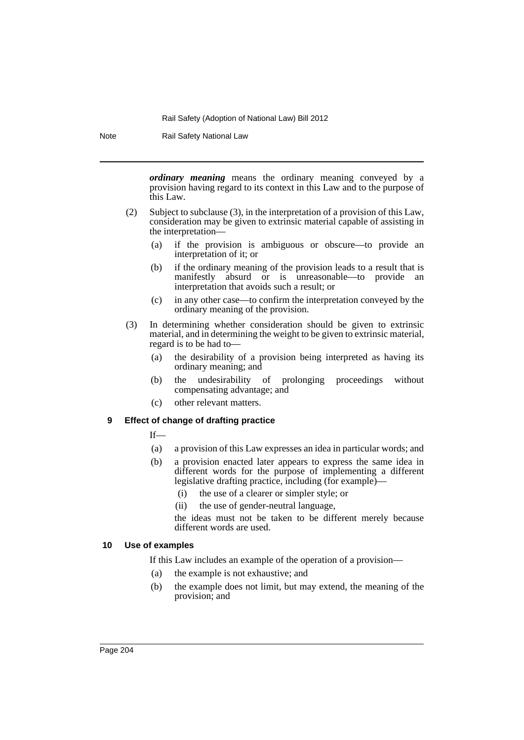Note Rail Safety National Law

*ordinary meaning* means the ordinary meaning conveyed by a provision having regard to its context in this Law and to the purpose of this Law.

- (2) Subject to subclause (3), in the interpretation of a provision of this Law, consideration may be given to extrinsic material capable of assisting in the interpretation—
	- (a) if the provision is ambiguous or obscure—to provide an interpretation of it; or
	- (b) if the ordinary meaning of the provision leads to a result that is manifestly absurd or is unreasonable—to provide an interpretation that avoids such a result; or
	- (c) in any other case—to confirm the interpretation conveyed by the ordinary meaning of the provision.
- (3) In determining whether consideration should be given to extrinsic material, and in determining the weight to be given to extrinsic material, regard is to be had to—
	- (a) the desirability of a provision being interpreted as having its ordinary meaning; and
	- (b) the undesirability of prolonging proceedings without compensating advantage; and
	- (c) other relevant matters.

# **9 Effect of change of drafting practice**

If—

- (a) a provision of this Law expresses an idea in particular words; and
- (b) a provision enacted later appears to express the same idea in different words for the purpose of implementing a different legislative drafting practice, including (for example)—
	- (i) the use of a clearer or simpler style; or
	- (ii) the use of gender-neutral language,

the ideas must not be taken to be different merely because different words are used.

# **10 Use of examples**

If this Law includes an example of the operation of a provision—

- (a) the example is not exhaustive; and
- (b) the example does not limit, but may extend, the meaning of the provision; and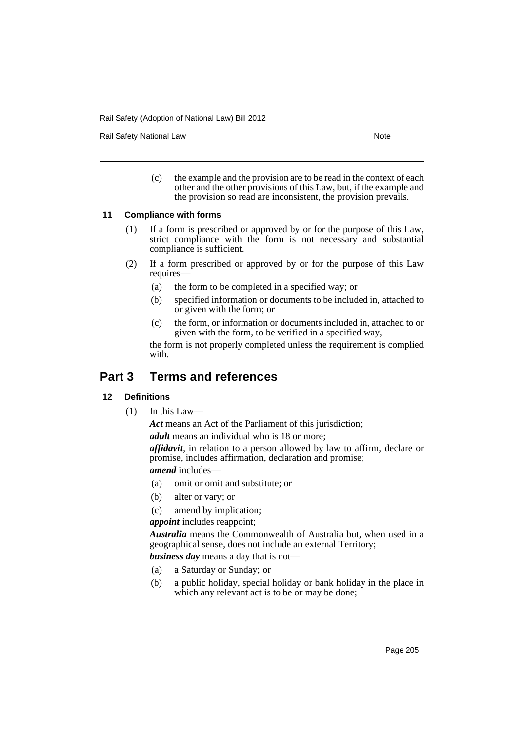Rail Safety National Law Note 2012 12:30 Note 2014

(c) the example and the provision are to be read in the context of each other and the other provisions of this Law, but, if the example and the provision so read are inconsistent, the provision prevails.

# **11 Compliance with forms**

- (1) If a form is prescribed or approved by or for the purpose of this Law, strict compliance with the form is not necessary and substantial compliance is sufficient.
- (2) If a form prescribed or approved by or for the purpose of this Law requires—
	- (a) the form to be completed in a specified way; or
	- (b) specified information or documents to be included in, attached to or given with the form; or
	- (c) the form, or information or documents included in, attached to or given with the form, to be verified in a specified way,

the form is not properly completed unless the requirement is complied with.

# **Part 3 Terms and references**

# **12 Definitions**

(1) In this Law—

*Act* means an Act of the Parliament of this jurisdiction;

*adult* means an individual who is 18 or more;

*affidavit*, in relation to a person allowed by law to affirm, declare or promise, includes affirmation, declaration and promise;

*amend* includes—

- (a) omit or omit and substitute; or
- (b) alter or vary; or
- (c) amend by implication;

*appoint* includes reappoint;

*Australia* means the Commonwealth of Australia but, when used in a geographical sense, does not include an external Territory;

*business day* means a day that is not—

- (a) a Saturday or Sunday; or
- (b) a public holiday, special holiday or bank holiday in the place in which any relevant act is to be or may be done;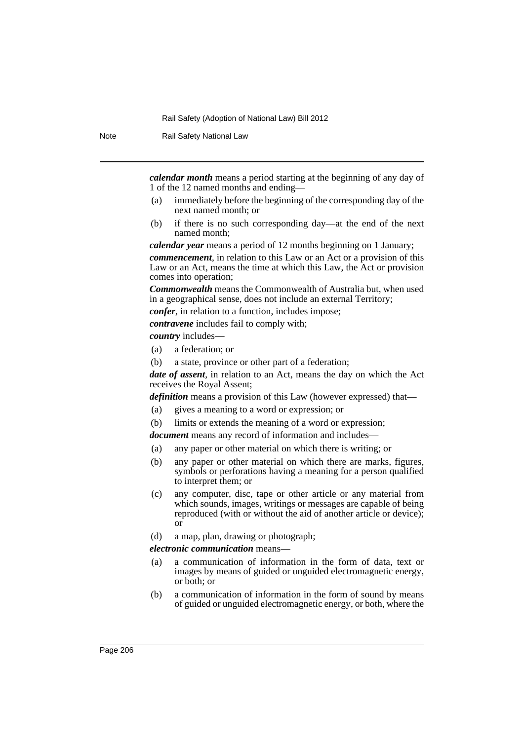Note Rail Safety National Law

*calendar month* means a period starting at the beginning of any day of 1 of the 12 named months and ending—

- (a) immediately before the beginning of the corresponding day of the next named month; or
- (b) if there is no such corresponding day—at the end of the next named month;

*calendar year* means a period of 12 months beginning on 1 January;

*commencement*, in relation to this Law or an Act or a provision of this Law or an Act, means the time at which this Law, the Act or provision comes into operation;

*Commonwealth* means the Commonwealth of Australia but, when used in a geographical sense, does not include an external Territory;

*confer*, in relation to a function, includes impose;

*contravene* includes fail to comply with;

*country* includes—

- (a) a federation; or
- (b) a state, province or other part of a federation;

*date of assent*, in relation to an Act, means the day on which the Act receives the Royal Assent;

*definition* means a provision of this Law (however expressed) that—

- (a) gives a meaning to a word or expression; or
- (b) limits or extends the meaning of a word or expression;

*document* means any record of information and includes—

- (a) any paper or other material on which there is writing; or
- (b) any paper or other material on which there are marks, figures, symbols or perforations having a meaning for a person qualified to interpret them; or
- (c) any computer, disc, tape or other article or any material from which sounds, images, writings or messages are capable of being reproduced (with or without the aid of another article or device); or
- (d) a map, plan, drawing or photograph;

*electronic communication* means—

- (a) a communication of information in the form of data, text or images by means of guided or unguided electromagnetic energy, or both; or
- (b) a communication of information in the form of sound by means of guided or unguided electromagnetic energy, or both, where the

Page 206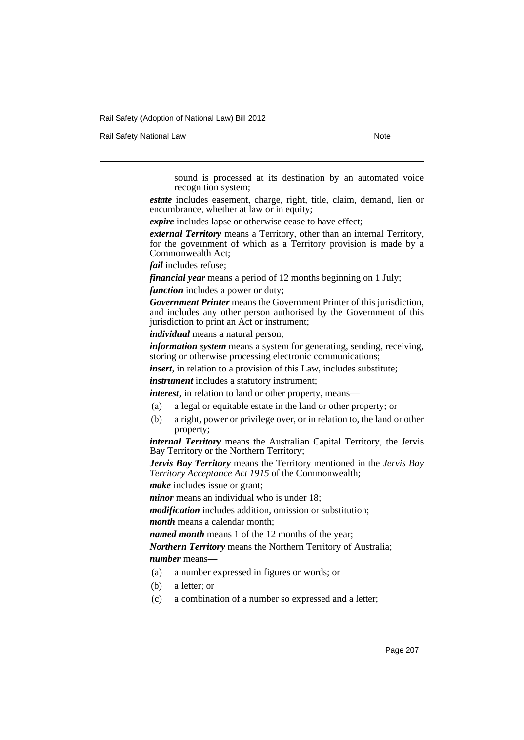Rail Safety National Law Note 2008 and 2009 and 2009 and 2009 and 2009 and 2009 and 2009 and 2009 and 2009 and 2009 and 2009 and 2009 and 2009 and 2009 and 2009 and 2009 and 2009 and 2009 and 2009 and 2009 and 2009 and 200

sound is processed at its destination by an automated voice recognition system;

*estate* includes easement, charge, right, title, claim, demand, lien or encumbrance, whether at law or in equity;

*expire* includes lapse or otherwise cease to have effect;

*external Territory* means a Territory, other than an internal Territory, for the government of which as a Territory provision is made by a Commonwealth Act;

*fail* includes refuse;

*financial year* means a period of 12 months beginning on 1 July; *function* includes a power or duty;

*Government Printer* means the Government Printer of this jurisdiction, and includes any other person authorised by the Government of this jurisdiction to print an Act or instrument;

*individual* means a natural person;

*information system* means a system for generating, sending, receiving, storing or otherwise processing electronic communications;

*insert*, in relation to a provision of this Law, includes substitute;

*instrument* includes a statutory instrument;

*interest*, in relation to land or other property, means—

- (a) a legal or equitable estate in the land or other property; or
- (b) a right, power or privilege over, or in relation to, the land or other property;

*internal Territory* means the Australian Capital Territory, the Jervis Bay Territory or the Northern Territory;

*Jervis Bay Territory* means the Territory mentioned in the *Jervis Bay Territory Acceptance Act 1915* of the Commonwealth;

*make* includes issue or grant;

*minor* means an individual who is under 18;

*modification* includes addition, omission or substitution;

*month* means a calendar month;

*named month* means 1 of the 12 months of the year;

*Northern Territory* means the Northern Territory of Australia; *number* means—

- (a) a number expressed in figures or words; or
- (b) a letter; or
- (c) a combination of a number so expressed and a letter;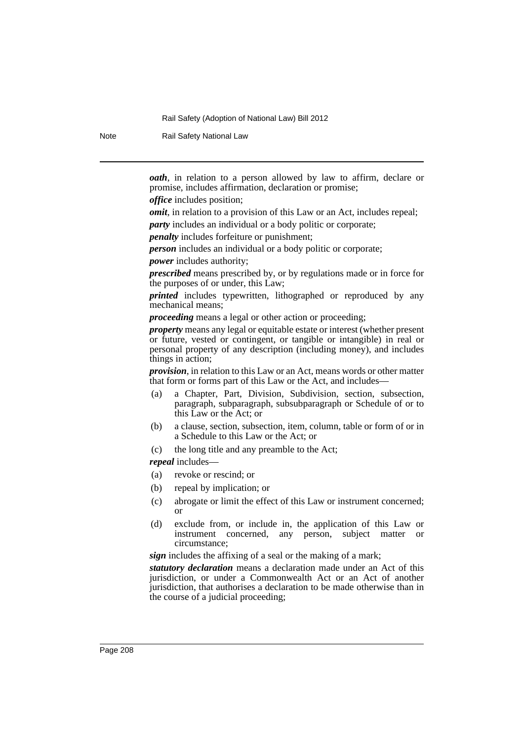Note Rail Safety National Law

*oath*, in relation to a person allowed by law to affirm, declare or promise, includes affirmation, declaration or promise;

*office* includes position;

*omit*, in relation to a provision of this Law or an Act, includes repeal;

*party* includes an individual or a body politic or corporate;

*penalty* includes forfeiture or punishment;

*person* includes an individual or a body politic or corporate;

*power* includes authority;

*prescribed* means prescribed by, or by regulations made or in force for the purposes of or under, this Law;

*printed* includes typewritten, lithographed or reproduced by any mechanical means;

*proceeding* means a legal or other action or proceeding;

*property* means any legal or equitable estate or interest (whether present or future, vested or contingent, or tangible or intangible) in real or personal property of any description (including money), and includes things in action;

*provision*, in relation to this Law or an Act, means words or other matter that form or forms part of this Law or the Act, and includes—

- (a) a Chapter, Part, Division, Subdivision, section, subsection, paragraph, subparagraph, subsubparagraph or Schedule of or to this Law or the Act; or
- (b) a clause, section, subsection, item, column, table or form of or in a Schedule to this Law or the Act; or
- (c) the long title and any preamble to the Act;

*repeal* includes—

- (a) revoke or rescind; or
- (b) repeal by implication; or
- (c) abrogate or limit the effect of this Law or instrument concerned; or
- (d) exclude from, or include in, the application of this Law or instrument concerned, any person, subject matter or circumstance;

*sign* includes the affixing of a seal or the making of a mark;

*statutory declaration* means a declaration made under an Act of this jurisdiction, or under a Commonwealth Act or an Act of another jurisdiction, that authorises a declaration to be made otherwise than in the course of a judicial proceeding;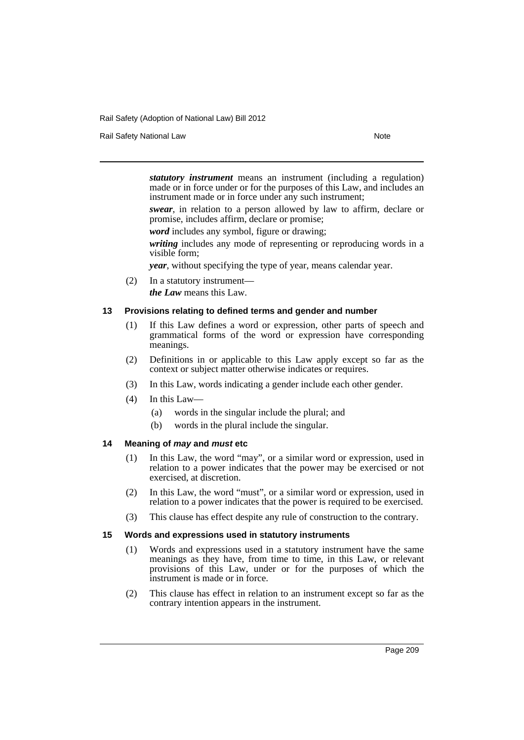Rail Safety National Law Note 2008 and 2009 and 2009 and 2009 and 2009 and 2009 and 2009 and 2009 and 2009 and 2009 and 2009 and 2009 and 2009 and 2009 and 2009 and 2009 and 2009 and 2009 and 2009 and 2009 and 2009 and 200

*statutory instrument* means an instrument (including a regulation) made or in force under or for the purposes of this Law, and includes an instrument made or in force under any such instrument;

*swear*, in relation to a person allowed by law to affirm, declare or promise, includes affirm, declare or promise;

*word* includes any symbol, figure or drawing;

*writing* includes any mode of representing or reproducing words in a visible form;

*year*, without specifying the type of year, means calendar year.

(2) In a statutory instrument *the Law* means this Law.

#### **13 Provisions relating to defined terms and gender and number**

- (1) If this Law defines a word or expression, other parts of speech and grammatical forms of the word or expression have corresponding meanings.
- (2) Definitions in or applicable to this Law apply except so far as the context or subject matter otherwise indicates or requires.
- (3) In this Law, words indicating a gender include each other gender.
- (4) In this Law—
	- (a) words in the singular include the plural; and
	- (b) words in the plural include the singular.

# **14 Meaning of** *may* **and** *must* **etc**

- (1) In this Law, the word "may", or a similar word or expression, used in relation to a power indicates that the power may be exercised or not exercised, at discretion.
- (2) In this Law, the word "must", or a similar word or expression, used in relation to a power indicates that the power is required to be exercised.
- (3) This clause has effect despite any rule of construction to the contrary.

#### **15 Words and expressions used in statutory instruments**

- (1) Words and expressions used in a statutory instrument have the same meanings as they have, from time to time, in this Law, or relevant provisions of this Law, under or for the purposes of which the instrument is made or in force.
- (2) This clause has effect in relation to an instrument except so far as the contrary intention appears in the instrument.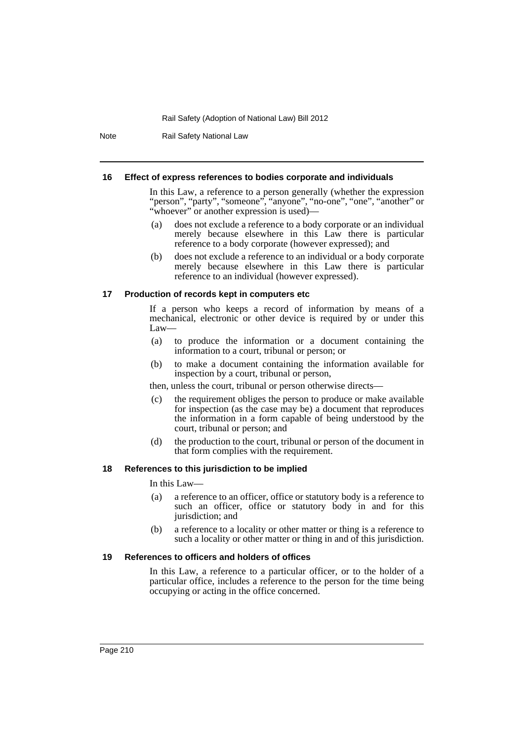Note Rail Safety National Law

#### **16 Effect of express references to bodies corporate and individuals**

In this Law, a reference to a person generally (whether the expression "person", "party", "someone", "anyone", "no-one", "one", "another" or "whoever" or another expression is used)—

- (a) does not exclude a reference to a body corporate or an individual merely because elsewhere in this Law there is particular reference to a body corporate (however expressed); and
- (b) does not exclude a reference to an individual or a body corporate merely because elsewhere in this Law there is particular reference to an individual (however expressed).

#### **17 Production of records kept in computers etc**

If a person who keeps a record of information by means of a mechanical, electronic or other device is required by or under this Law—

- (a) to produce the information or a document containing the information to a court, tribunal or person; or
- (b) to make a document containing the information available for inspection by a court, tribunal or person,

then, unless the court, tribunal or person otherwise directs—

- (c) the requirement obliges the person to produce or make available for inspection (as the case may be) a document that reproduces the information in a form capable of being understood by the court, tribunal or person; and
- (d) the production to the court, tribunal or person of the document in that form complies with the requirement.

#### **18 References to this jurisdiction to be implied**

In this Law—

- (a) a reference to an officer, office or statutory body is a reference to such an officer, office or statutory body in and for this jurisdiction; and
- (b) a reference to a locality or other matter or thing is a reference to such a locality or other matter or thing in and of this jurisdiction.

#### **19 References to officers and holders of offices**

In this Law, a reference to a particular officer, or to the holder of a particular office, includes a reference to the person for the time being occupying or acting in the office concerned.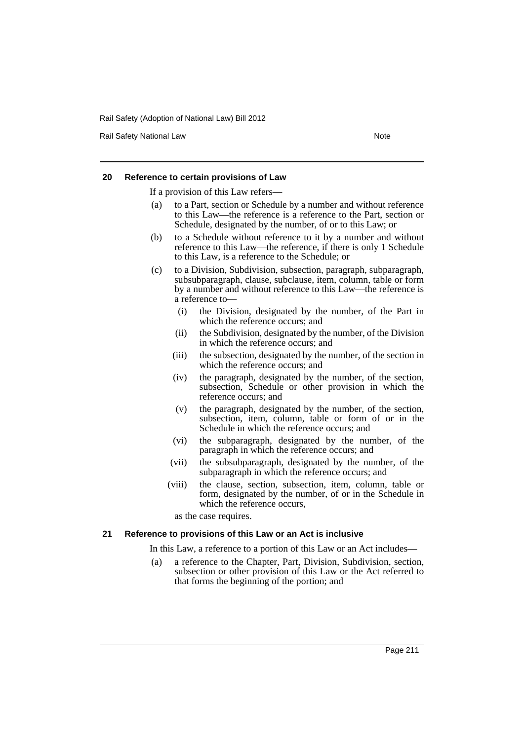Rail Safety National Law Note 2008 and 2009 and 2009 and 2009 and 2009 and 2009 and 2009 and 2009 and 2009 and 2009 and 2009 and 2009 and 2009 and 2009 and 2009 and 2009 and 2009 and 2009 and 2009 and 2009 and 2009 and 200

#### **20 Reference to certain provisions of Law**

If a provision of this Law refers—

- (a) to a Part, section or Schedule by a number and without reference to this Law—the reference is a reference to the Part, section or Schedule, designated by the number, of or to this Law; or
- (b) to a Schedule without reference to it by a number and without reference to this Law—the reference, if there is only 1 Schedule to this Law, is a reference to the Schedule; or
- (c) to a Division, Subdivision, subsection, paragraph, subparagraph, subsubparagraph, clause, subclause, item, column, table or form by a number and without reference to this Law—the reference is a reference to—
	- (i) the Division, designated by the number, of the Part in which the reference occurs; and
	- (ii) the Subdivision, designated by the number, of the Division in which the reference occurs; and
	- (iii) the subsection, designated by the number, of the section in which the reference occurs; and
	- (iv) the paragraph, designated by the number, of the section, subsection, Schedule or other provision in which the reference occurs; and
	- (v) the paragraph, designated by the number, of the section, subsection, item, column, table or form of or in the Schedule in which the reference occurs; and
	- (vi) the subparagraph, designated by the number, of the paragraph in which the reference occurs; and
	- (vii) the subsubparagraph, designated by the number, of the subparagraph in which the reference occurs; and
	- (viii) the clause, section, subsection, item, column, table or form, designated by the number, of or in the Schedule in which the reference occurs,

as the case requires.

#### **21 Reference to provisions of this Law or an Act is inclusive**

In this Law, a reference to a portion of this Law or an Act includes—

(a) a reference to the Chapter, Part, Division, Subdivision, section, subsection or other provision of this Law or the Act referred to that forms the beginning of the portion; and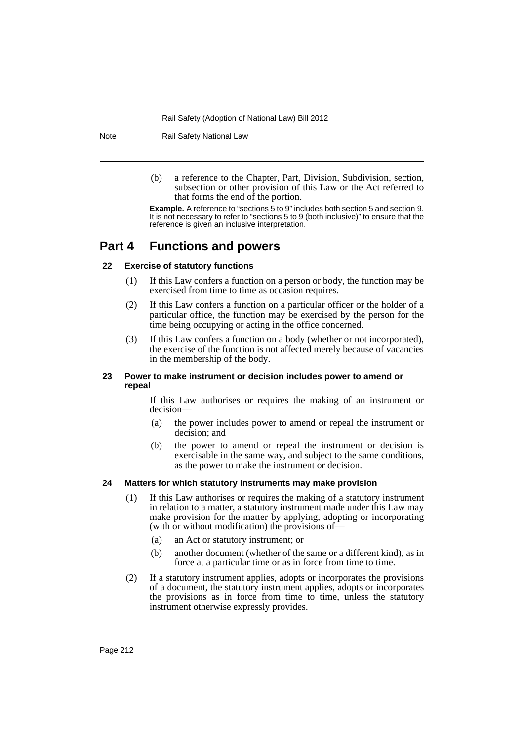Note Rail Safety National Law

(b) a reference to the Chapter, Part, Division, Subdivision, section, subsection or other provision of this Law or the Act referred to that forms the end of the portion.

**Example.** A reference to "sections 5 to 9" includes both section 5 and section 9. It is not necessary to refer to "sections 5 to 9 (both inclusive)" to ensure that the reference is given an inclusive interpretation.

# **Part 4 Functions and powers**

# **22 Exercise of statutory functions**

- (1) If this Law confers a function on a person or body, the function may be exercised from time to time as occasion requires.
- (2) If this Law confers a function on a particular officer or the holder of a particular office, the function may be exercised by the person for the time being occupying or acting in the office concerned.
- (3) If this Law confers a function on a body (whether or not incorporated), the exercise of the function is not affected merely because of vacancies in the membership of the body.

# **23 Power to make instrument or decision includes power to amend or repeal**

If this Law authorises or requires the making of an instrument or decision—

- (a) the power includes power to amend or repeal the instrument or decision; and
- (b) the power to amend or repeal the instrument or decision is exercisable in the same way, and subject to the same conditions, as the power to make the instrument or decision.

# **24 Matters for which statutory instruments may make provision**

- (1) If this Law authorises or requires the making of a statutory instrument in relation to a matter, a statutory instrument made under this Law may make provision for the matter by applying, adopting or incorporating (with or without modification) the provisions of—
	- (a) an Act or statutory instrument; or
	- (b) another document (whether of the same or a different kind), as in force at a particular time or as in force from time to time.
- (2) If a statutory instrument applies, adopts or incorporates the provisions of a document, the statutory instrument applies, adopts or incorporates the provisions as in force from time to time, unless the statutory instrument otherwise expressly provides.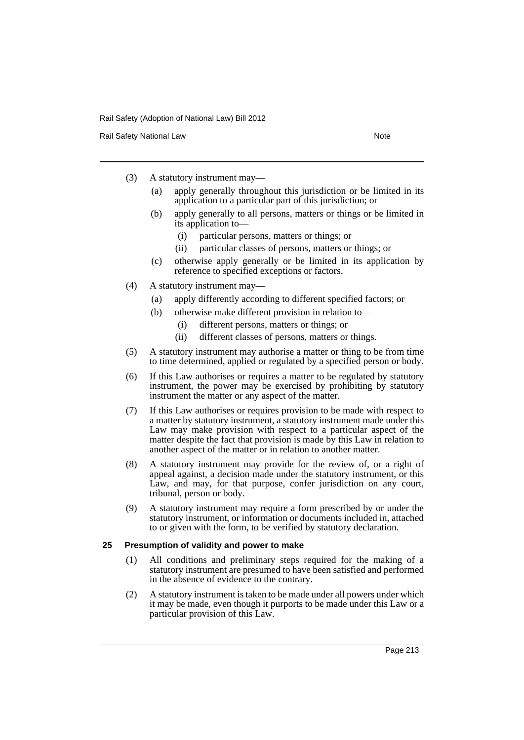Rail Safety National Law Note 2008 and 2009 and 2009 and 2009 and 2009 and 2009 and 2009 and 2009 and 2009 and 2009 and 2009 and 2009 and 2009 and 2009 and 2009 and 2009 and 2009 and 2009 and 2009 and 2009 and 2009 and 200

- (3) A statutory instrument may—
	- (a) apply generally throughout this jurisdiction or be limited in its application to a particular part of this jurisdiction; or
	- (b) apply generally to all persons, matters or things or be limited in its application to—
		- (i) particular persons, matters or things; or
		- (ii) particular classes of persons, matters or things; or
	- (c) otherwise apply generally or be limited in its application by reference to specified exceptions or factors.
- (4) A statutory instrument may—
	- (a) apply differently according to different specified factors; or
	- (b) otherwise make different provision in relation to—
		- (i) different persons, matters or things; or
		- (ii) different classes of persons, matters or things.
- (5) A statutory instrument may authorise a matter or thing to be from time to time determined, applied or regulated by a specified person or body.
- (6) If this Law authorises or requires a matter to be regulated by statutory instrument, the power may be exercised by prohibiting by statutory instrument the matter or any aspect of the matter.
- (7) If this Law authorises or requires provision to be made with respect to a matter by statutory instrument, a statutory instrument made under this Law may make provision with respect to a particular aspect of the matter despite the fact that provision is made by this Law in relation to another aspect of the matter or in relation to another matter.
- (8) A statutory instrument may provide for the review of, or a right of appeal against, a decision made under the statutory instrument, or this Law, and may, for that purpose, confer jurisdiction on any court, tribunal, person or body.
- (9) A statutory instrument may require a form prescribed by or under the statutory instrument, or information or documents included in, attached to or given with the form, to be verified by statutory declaration.

#### **25 Presumption of validity and power to make**

- (1) All conditions and preliminary steps required for the making of a statutory instrument are presumed to have been satisfied and performed in the absence of evidence to the contrary.
- (2) A statutory instrument is taken to be made under all powers under which it may be made, even though it purports to be made under this Law or a particular provision of this Law.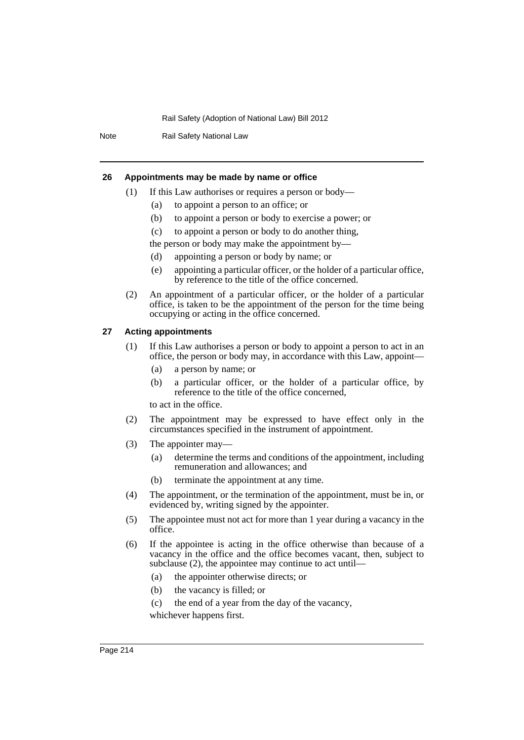Note Rail Safety National Law

#### **26 Appointments may be made by name or office**

- (1) If this Law authorises or requires a person or body—
	- (a) to appoint a person to an office; or
	- (b) to appoint a person or body to exercise a power; or
	- (c) to appoint a person or body to do another thing,
	- the person or body may make the appointment by—
	- (d) appointing a person or body by name; or
	- (e) appointing a particular officer, or the holder of a particular office, by reference to the title of the office concerned.
- (2) An appointment of a particular officer, or the holder of a particular office, is taken to be the appointment of the person for the time being occupying or acting in the office concerned.

# **27 Acting appointments**

- (1) If this Law authorises a person or body to appoint a person to act in an office, the person or body may, in accordance with this Law, appoint—
	- (a) a person by name; or
	- (b) a particular officer, or the holder of a particular office, by reference to the title of the office concerned,

to act in the office.

- (2) The appointment may be expressed to have effect only in the circumstances specified in the instrument of appointment.
- (3) The appointer may—
	- (a) determine the terms and conditions of the appointment, including remuneration and allowances; and
	- (b) terminate the appointment at any time.
- (4) The appointment, or the termination of the appointment, must be in, or evidenced by, writing signed by the appointer.
- (5) The appointee must not act for more than 1 year during a vacancy in the office.
- (6) If the appointee is acting in the office otherwise than because of a vacancy in the office and the office becomes vacant, then, subject to subclause (2), the appointee may continue to act until—
	- (a) the appointer otherwise directs; or
	- (b) the vacancy is filled; or
	- (c) the end of a year from the day of the vacancy,

whichever happens first.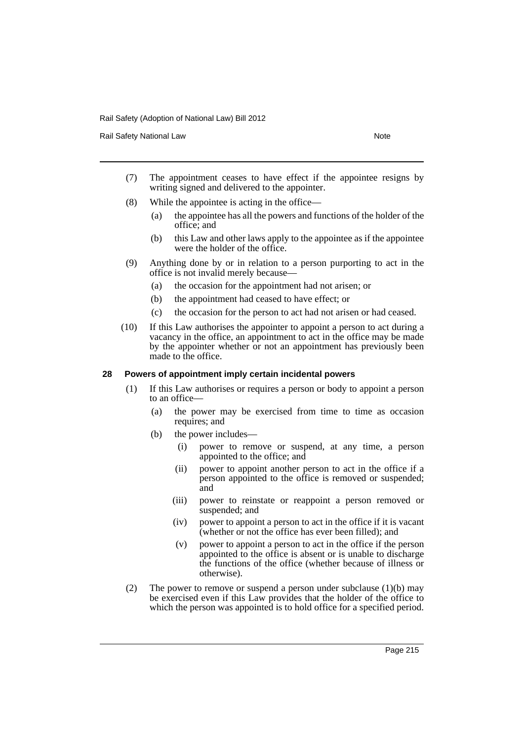Rail Safety National Law Note 2008 and 2009 and 2009 and 2009 and 2009 and 2009 and 2009 and 2009 and 2009 and 2009 and 2009 and 2009 and 2009 and 2009 and 2009 and 2009 and 2009 and 2009 and 2009 and 2009 and 2009 and 200

- (7) The appointment ceases to have effect if the appointee resigns by writing signed and delivered to the appointer.
- (8) While the appointee is acting in the office—
	- (a) the appointee has all the powers and functions of the holder of the office; and
	- (b) this Law and other laws apply to the appointee as if the appointee were the holder of the office.
- (9) Anything done by or in relation to a person purporting to act in the office is not invalid merely because—
	- (a) the occasion for the appointment had not arisen; or
	- (b) the appointment had ceased to have effect; or
	- (c) the occasion for the person to act had not arisen or had ceased.
- (10) If this Law authorises the appointer to appoint a person to act during a vacancy in the office, an appointment to act in the office may be made by the appointer whether or not an appointment has previously been made to the office.

#### **28 Powers of appointment imply certain incidental powers**

- (1) If this Law authorises or requires a person or body to appoint a person to an office—
	- (a) the power may be exercised from time to time as occasion requires; and
	- (b) the power includes—
		- (i) power to remove or suspend, at any time, a person appointed to the office; and
		- (ii) power to appoint another person to act in the office if a person appointed to the office is removed or suspended; and
		- (iii) power to reinstate or reappoint a person removed or suspended; and
		- (iv) power to appoint a person to act in the office if it is vacant (whether or not the office has ever been filled); and
		- (v) power to appoint a person to act in the office if the person appointed to the office is absent or is unable to discharge the functions of the office (whether because of illness or otherwise).
- (2) The power to remove or suspend a person under subclause (1)(b) may be exercised even if this Law provides that the holder of the office to which the person was appointed is to hold office for a specified period.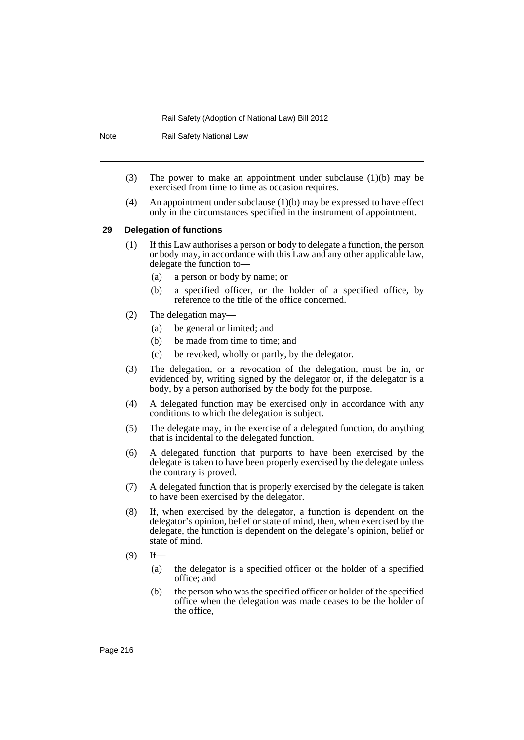Note Rail Safety National Law

- (3) The power to make an appointment under subclause (1)(b) may be exercised from time to time as occasion requires.
- (4) An appointment under subclause  $(1)(b)$  may be expressed to have effect only in the circumstances specified in the instrument of appointment.

### **29 Delegation of functions**

- (1) If this Law authorises a person or body to delegate a function, the person or body may, in accordance with this Law and any other applicable law, delegate the function to—
	- (a) a person or body by name; or
	- (b) a specified officer, or the holder of a specified office, by reference to the title of the office concerned.
- (2) The delegation may—
	- (a) be general or limited; and
	- (b) be made from time to time; and
	- (c) be revoked, wholly or partly, by the delegator.
- (3) The delegation, or a revocation of the delegation, must be in, or evidenced by, writing signed by the delegator or, if the delegator is a body, by a person authorised by the body for the purpose.
- (4) A delegated function may be exercised only in accordance with any conditions to which the delegation is subject.
- (5) The delegate may, in the exercise of a delegated function, do anything that is incidental to the delegated function.
- (6) A delegated function that purports to have been exercised by the delegate is taken to have been properly exercised by the delegate unless the contrary is proved.
- (7) A delegated function that is properly exercised by the delegate is taken to have been exercised by the delegator.
- (8) If, when exercised by the delegator, a function is dependent on the delegator's opinion, belief or state of mind, then, when exercised by the delegate, the function is dependent on the delegate's opinion, belief or state of mind.
- $(9)$  If—
	- (a) the delegator is a specified officer or the holder of a specified office; and
	- (b) the person who was the specified officer or holder of the specified office when the delegation was made ceases to be the holder of the office,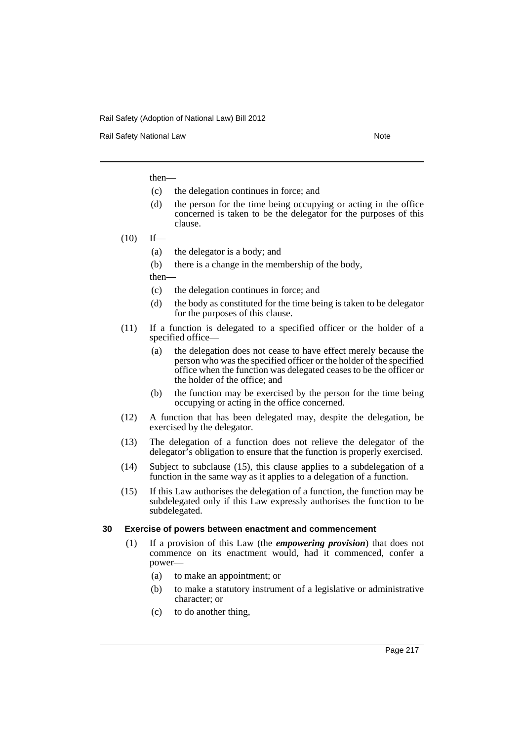Rail Safety National Law Note 2008 and 2009 and 2009 and 2009 and 2009 and 2009 and 2009 and 2009 and 2009 and 2009 and 2009 and 2009 and 2009 and 2009 and 2009 and 2009 and 2009 and 2009 and 2009 and 2009 and 2009 and 200

then—

- (c) the delegation continues in force; and
- (d) the person for the time being occupying or acting in the office concerned is taken to be the delegator for the purposes of this clause.
- $(10)$  If—
	- (a) the delegator is a body; and
	- (b) there is a change in the membership of the body,
	- then—
	- (c) the delegation continues in force; and
	- (d) the body as constituted for the time being is taken to be delegator for the purposes of this clause.
- (11) If a function is delegated to a specified officer or the holder of a specified office—
	- (a) the delegation does not cease to have effect merely because the person who was the specified officer or the holder of the specified office when the function was delegated ceases to be the officer or the holder of the office; and
	- (b) the function may be exercised by the person for the time being occupying or acting in the office concerned.
- (12) A function that has been delegated may, despite the delegation, be exercised by the delegator.
- (13) The delegation of a function does not relieve the delegator of the delegator's obligation to ensure that the function is properly exercised.
- (14) Subject to subclause (15), this clause applies to a subdelegation of a function in the same way as it applies to a delegation of a function.
- (15) If this Law authorises the delegation of a function, the function may be subdelegated only if this Law expressly authorises the function to be subdelegated.

### **30 Exercise of powers between enactment and commencement**

- (1) If a provision of this Law (the *empowering provision*) that does not commence on its enactment would, had it commenced, confer a power—
	- (a) to make an appointment; or
	- (b) to make a statutory instrument of a legislative or administrative character; or
	- (c) to do another thing,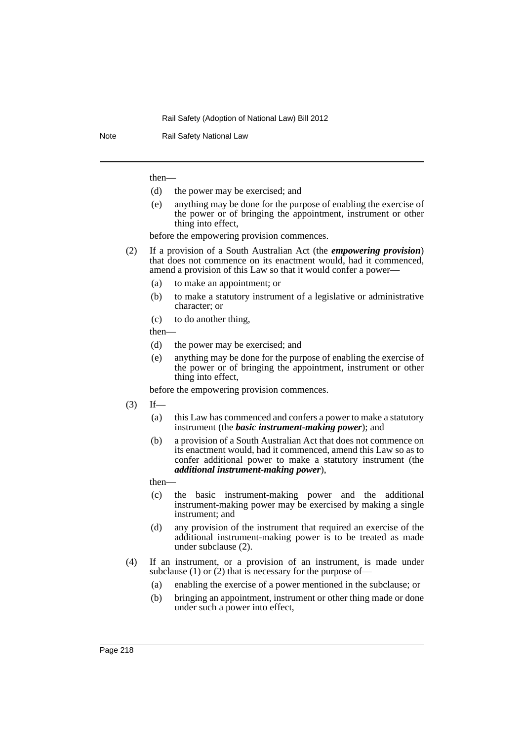Note Rail Safety National Law

then—

- (d) the power may be exercised; and
- (e) anything may be done for the purpose of enabling the exercise of the power or of bringing the appointment, instrument or other thing into effect,

before the empowering provision commences.

- (2) If a provision of a South Australian Act (the *empowering provision*) that does not commence on its enactment would, had it commenced, amend a provision of this Law so that it would confer a power—
	- (a) to make an appointment; or
	- (b) to make a statutory instrument of a legislative or administrative character; or
	- (c) to do another thing,

then—

- (d) the power may be exercised; and
- (e) anything may be done for the purpose of enabling the exercise of the power or of bringing the appointment, instrument or other thing into effect,

before the empowering provision commences.

- $(3)$  If—
	- (a) this Law has commenced and confers a power to make a statutory instrument (the *basic instrument-making power*); and
	- (b) a provision of a South Australian Act that does not commence on its enactment would, had it commenced, amend this Law so as to confer additional power to make a statutory instrument (the *additional instrument-making power*),
	- then—
	- (c) the basic instrument-making power and the additional instrument-making power may be exercised by making a single instrument; and
	- (d) any provision of the instrument that required an exercise of the additional instrument-making power is to be treated as made under subclause (2).
- (4) If an instrument, or a provision of an instrument, is made under subclause (1) or (2) that is necessary for the purpose of—
	- (a) enabling the exercise of a power mentioned in the subclause; or
	- (b) bringing an appointment, instrument or other thing made or done under such a power into effect,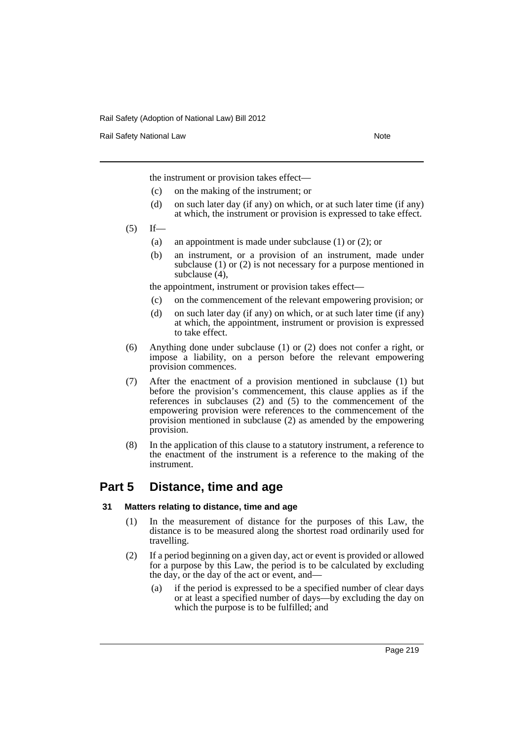Rail Safety National Law Note 2008 and 2009 and 2009 and 2009 and 2009 and 2009 and 2009 and 2009 and 2009 and 2009 and 2009 and 2009 and 2009 and 2009 and 2009 and 2009 and 2009 and 2009 and 2009 and 2009 and 2009 and 200

the instrument or provision takes effect—

- (c) on the making of the instrument; or
- (d) on such later day (if any) on which, or at such later time (if any) at which, the instrument or provision is expressed to take effect.
- $(5)$  If—
	- (a) an appointment is made under subclause (1) or (2); or
	- (b) an instrument, or a provision of an instrument, made under subclause (1) or (2) is not necessary for a purpose mentioned in subclause (4),

the appointment, instrument or provision takes effect—

- (c) on the commencement of the relevant empowering provision; or
- (d) on such later day (if any) on which, or at such later time (if any) at which, the appointment, instrument or provision is expressed to take effect.
- (6) Anything done under subclause (1) or (2) does not confer a right, or impose a liability, on a person before the relevant empowering provision commences.
- (7) After the enactment of a provision mentioned in subclause (1) but before the provision's commencement, this clause applies as if the references in subclauses (2) and (5) to the commencement of the empowering provision were references to the commencement of the provision mentioned in subclause (2) as amended by the empowering provision.
- (8) In the application of this clause to a statutory instrument, a reference to the enactment of the instrument is a reference to the making of the instrument.

## **Part 5 Distance, time and age**

### **31 Matters relating to distance, time and age**

- (1) In the measurement of distance for the purposes of this Law, the distance is to be measured along the shortest road ordinarily used for travelling.
- (2) If a period beginning on a given day, act or event is provided or allowed for a purpose by this Law, the period is to be calculated by excluding the day, or the day of the act or event, and—
	- (a) if the period is expressed to be a specified number of clear days or at least a specified number of days—by excluding the day on which the purpose is to be fulfilled; and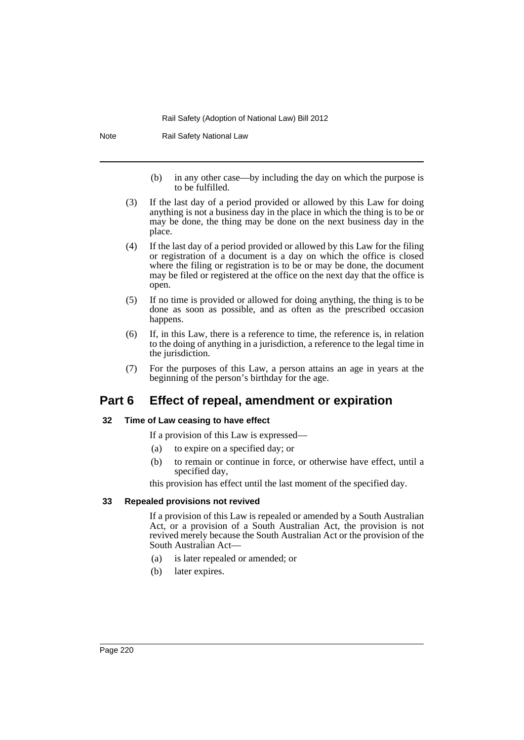Note Rail Safety National Law

- (b) in any other case—by including the day on which the purpose is to be fulfilled.
- (3) If the last day of a period provided or allowed by this Law for doing anything is not a business day in the place in which the thing is to be or may be done, the thing may be done on the next business day in the place.
- (4) If the last day of a period provided or allowed by this Law for the filing or registration of a document is a day on which the office is closed where the filing or registration is to be or may be done, the document may be filed or registered at the office on the next day that the office is open.
- (5) If no time is provided or allowed for doing anything, the thing is to be done as soon as possible, and as often as the prescribed occasion happens.
- (6) If, in this Law, there is a reference to time, the reference is, in relation to the doing of anything in a jurisdiction, a reference to the legal time in the jurisdiction.
- (7) For the purposes of this Law, a person attains an age in years at the beginning of the person's birthday for the age.

# **Part 6 Effect of repeal, amendment or expiration**

### **32 Time of Law ceasing to have effect**

If a provision of this Law is expressed—

- (a) to expire on a specified day; or
- (b) to remain or continue in force, or otherwise have effect, until a specified day,

this provision has effect until the last moment of the specified day.

### **33 Repealed provisions not revived**

If a provision of this Law is repealed or amended by a South Australian Act, or a provision of a South Australian Act, the provision is not revived merely because the South Australian Act or the provision of the South Australian Act—

- (a) is later repealed or amended; or
- (b) later expires.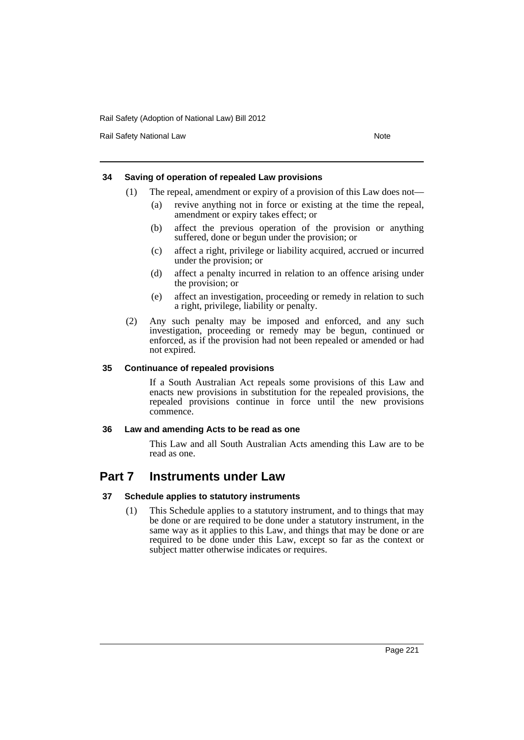Rail Safety National Law Note 2008 and 2009 and 2009 and 2009 and 2009 and 2009 and 2009 and 2009 and 2009 and 2009 and 2009 and 2009 and 2009 and 2009 and 2009 and 2009 and 2009 and 2009 and 2009 and 2009 and 2009 and 200

### **34 Saving of operation of repealed Law provisions**

- (1) The repeal, amendment or expiry of a provision of this Law does not—
	- (a) revive anything not in force or existing at the time the repeal, amendment or expiry takes effect; or
	- (b) affect the previous operation of the provision or anything suffered, done or begun under the provision; or
	- (c) affect a right, privilege or liability acquired, accrued or incurred under the provision; or
	- (d) affect a penalty incurred in relation to an offence arising under the provision; or
	- (e) affect an investigation, proceeding or remedy in relation to such a right, privilege, liability or penalty.
- (2) Any such penalty may be imposed and enforced, and any such investigation, proceeding or remedy may be begun, continued or enforced, as if the provision had not been repealed or amended or had not expired.

### **35 Continuance of repealed provisions**

If a South Australian Act repeals some provisions of this Law and enacts new provisions in substitution for the repealed provisions, the repealed provisions continue in force until the new provisions commence.

## **36 Law and amending Acts to be read as one**

This Law and all South Australian Acts amending this Law are to be read as one.

# **Part 7 Instruments under Law**

## **37 Schedule applies to statutory instruments**

(1) This Schedule applies to a statutory instrument, and to things that may be done or are required to be done under a statutory instrument, in the same way as it applies to this Law, and things that may be done or are required to be done under this Law, except so far as the context or subject matter otherwise indicates or requires.